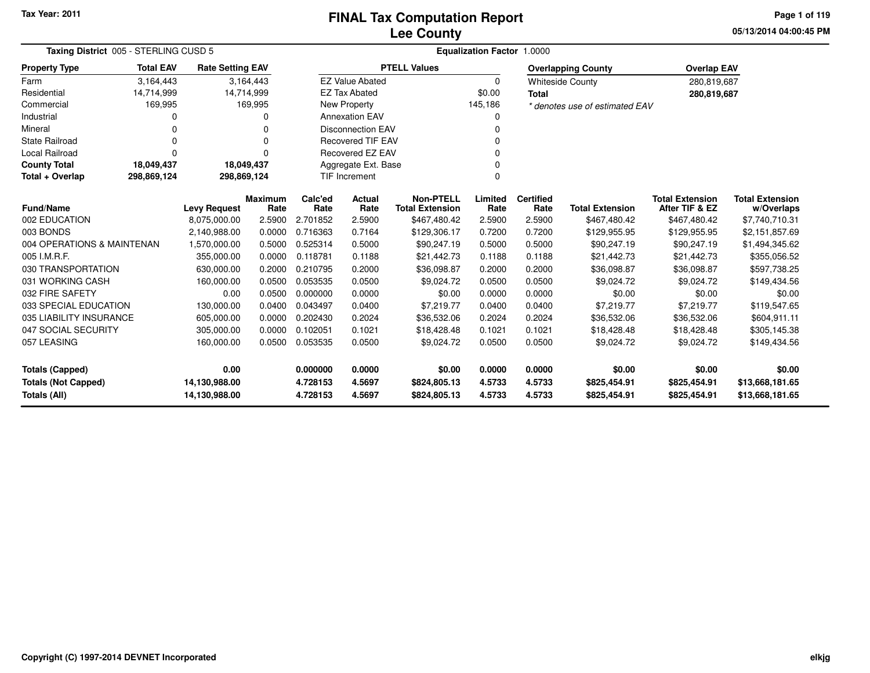### **Lee CountyFINAL Tax Computation Report**

**05/13/2014 04:00:45 PM Page 1 of 119**

| Taxing District 005 - STERLING CUSD 5 |                  |                         |                        |                 | <b>Equalization Factor</b><br>1.0000 |                                            |                 |                          |                                |                                          |                                      |  |  |  |
|---------------------------------------|------------------|-------------------------|------------------------|-----------------|--------------------------------------|--------------------------------------------|-----------------|--------------------------|--------------------------------|------------------------------------------|--------------------------------------|--|--|--|
| <b>Property Type</b>                  | <b>Total EAV</b> | <b>Rate Setting EAV</b> |                        |                 |                                      | <b>PTELL Values</b>                        |                 |                          | <b>Overlapping County</b>      | <b>Overlap EAV</b>                       |                                      |  |  |  |
| Farm                                  | 3,164,443        |                         | 3,164,443              |                 | <b>EZ Value Abated</b>               |                                            | 0               |                          | <b>Whiteside County</b>        | 280,819,687                              |                                      |  |  |  |
| Residential                           | 14,714,999       | 14,714,999              |                        |                 | <b>EZ Tax Abated</b>                 |                                            | \$0.00          | <b>Total</b>             |                                | 280,819,687                              |                                      |  |  |  |
| Commercial                            | 169,995          |                         | 169,995                |                 | New Property                         |                                            | 145,186         |                          | * denotes use of estimated EAV |                                          |                                      |  |  |  |
| Industrial                            |                  |                         |                        |                 | <b>Annexation EAV</b>                |                                            | 0               |                          |                                |                                          |                                      |  |  |  |
| Mineral                               |                  |                         | O                      |                 | <b>Disconnection EAV</b>             |                                            | 0               |                          |                                |                                          |                                      |  |  |  |
| <b>State Railroad</b>                 | $\Omega$         |                         | $\Omega$               |                 | <b>Recovered TIF EAV</b>             |                                            | $\Omega$        |                          |                                |                                          |                                      |  |  |  |
| Local Railroad                        | $\Omega$         |                         | $\Omega$               |                 | Recovered EZ EAV                     |                                            | $\Omega$        |                          |                                |                                          |                                      |  |  |  |
| <b>County Total</b>                   | 18,049,437       | 18,049,437              |                        |                 | Aggregate Ext. Base                  |                                            | $\Omega$        |                          |                                |                                          |                                      |  |  |  |
| Total + Overlap                       | 298,869,124      | 298,869,124             |                        |                 | <b>TIF Increment</b>                 |                                            | $\Omega$        |                          |                                |                                          |                                      |  |  |  |
| Fund/Name                             |                  | <b>Levy Request</b>     | <b>Maximum</b><br>Rate | Calc'ed<br>Rate | Actual<br>Rate                       | <b>Non-PTELL</b><br><b>Total Extension</b> | Limited<br>Rate | <b>Certified</b><br>Rate | <b>Total Extension</b>         | <b>Total Extension</b><br>After TIF & EZ | <b>Total Extension</b><br>w/Overlaps |  |  |  |
| 002 EDUCATION                         |                  | 8,075,000.00            | 2.5900                 | 2.701852        | 2.5900                               | \$467,480.42                               | 2.5900          | 2.5900                   | \$467,480.42                   | \$467,480.42                             | \$7,740,710.31                       |  |  |  |
| 003 BONDS                             |                  | 2,140,988.00            | 0.0000                 | 0.716363        | 0.7164                               | \$129,306.17                               | 0.7200          | 0.7200                   | \$129,955.95                   | \$129,955.95                             | \$2,151,857.69                       |  |  |  |
| 004 OPERATIONS & MAINTENAN            |                  | 1,570,000.00            | 0.5000                 | 0.525314        | 0.5000                               | \$90,247.19                                | 0.5000          | 0.5000                   | \$90,247.19                    | \$90,247.19                              | \$1,494,345.62                       |  |  |  |
| 005 I.M.R.F.                          |                  | 355,000.00              | 0.0000                 | 0.118781        | 0.1188                               | \$21,442.73                                | 0.1188          | 0.1188                   | \$21,442.73                    | \$21,442.73                              | \$355,056.52                         |  |  |  |
| 030 TRANSPORTATION                    |                  | 630,000.00              | 0.2000                 | 0.210795        | 0.2000                               | \$36,098.87                                | 0.2000          | 0.2000                   | \$36,098.87                    | \$36,098.87                              | \$597,738.25                         |  |  |  |
| 031 WORKING CASH                      |                  | 160,000.00              | 0.0500                 | 0.053535        | 0.0500                               | \$9,024.72                                 | 0.0500          | 0.0500                   | \$9,024.72                     | \$9,024.72                               | \$149,434.56                         |  |  |  |
| 032 FIRE SAFETY                       |                  | 0.00                    | 0.0500                 | 0.000000        | 0.0000                               | \$0.00                                     | 0.0000          | 0.0000                   | \$0.00                         | \$0.00                                   | \$0.00                               |  |  |  |
| 033 SPECIAL EDUCATION                 |                  | 130,000.00              | 0.0400                 | 0.043497        | 0.0400                               | \$7,219.77                                 | 0.0400          | 0.0400                   | \$7,219.77                     | \$7,219.77                               | \$119,547.65                         |  |  |  |
| 035 LIABILITY INSURANCE               |                  | 605,000.00              | 0.0000                 | 0.202430        | 0.2024                               | \$36,532.06                                | 0.2024          | 0.2024                   | \$36,532.06                    | \$36,532.06                              | \$604,911.11                         |  |  |  |
| 047 SOCIAL SECURITY                   |                  | 305,000.00              | 0.0000                 | 0.102051        | 0.1021                               | \$18,428.48                                | 0.1021          | 0.1021                   | \$18,428.48                    | \$18,428.48                              | \$305,145.38                         |  |  |  |
| 057 LEASING                           |                  | 160,000.00              | 0.0500                 | 0.053535        | 0.0500                               | \$9,024.72                                 | 0.0500          | 0.0500                   | \$9,024.72                     | \$9,024.72                               | \$149,434.56                         |  |  |  |
| <b>Totals (Capped)</b>                |                  | 0.00                    |                        | 0.000000        | 0.0000                               | \$0.00                                     | 0.0000          | 0.0000                   | \$0.00                         | \$0.00                                   | \$0.00                               |  |  |  |
| <b>Totals (Not Capped)</b>            |                  | 14,130,988.00           |                        | 4.728153        | 4.5697                               | \$824,805.13                               | 4.5733          | 4.5733                   | \$825,454.91                   | \$825,454.91                             | \$13,668,181.65                      |  |  |  |
| <b>Totals (All)</b>                   |                  | 14,130,988.00           |                        | 4.728153        | 4.5697                               | \$824,805.13                               | 4.5733          | 4.5733                   | \$825,454.91                   | \$825,454.91                             | \$13,668,181.65                      |  |  |  |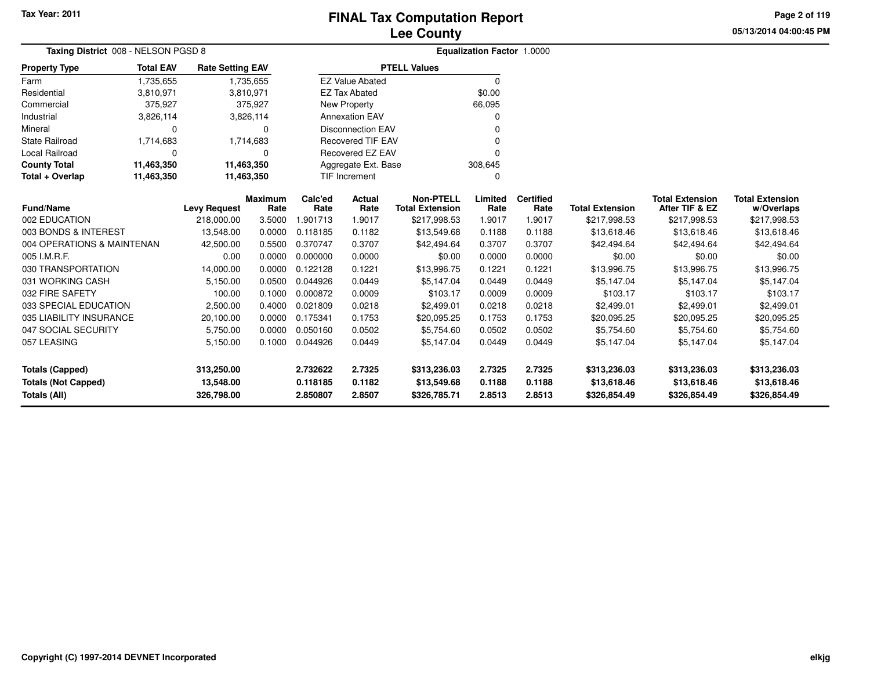**05/13/2014 04:00:45 PM Page 2 of 119**

| Taxing District 008 - NELSON PGSD 8 |                  |                         |                        |                       | Equalization Factor 1.0000 |                                            |                 |                          |                        |                                          |                                      |
|-------------------------------------|------------------|-------------------------|------------------------|-----------------------|----------------------------|--------------------------------------------|-----------------|--------------------------|------------------------|------------------------------------------|--------------------------------------|
| <b>Property Type</b>                | <b>Total EAV</b> | <b>Rate Setting EAV</b> |                        |                       |                            | <b>PTELL Values</b>                        |                 |                          |                        |                                          |                                      |
| Farm                                | 1,735,655        |                         | 1,735,655              |                       | <b>EZ Value Abated</b>     |                                            | $\Omega$        |                          |                        |                                          |                                      |
| Residential                         | 3,810,971        |                         | 3,810,971              |                       | <b>EZ Tax Abated</b>       |                                            | \$0.00          |                          |                        |                                          |                                      |
| Commercial                          | 375,927          |                         | 375,927                |                       | <b>New Property</b>        |                                            | 66,095          |                          |                        |                                          |                                      |
| Industrial                          | 3,826,114        |                         | 3,826,114              |                       | <b>Annexation EAV</b>      |                                            | 0               |                          |                        |                                          |                                      |
| Mineral                             | 0                |                         | 0                      |                       | <b>Disconnection EAV</b>   |                                            |                 |                          |                        |                                          |                                      |
| <b>State Railroad</b>               | 1,714,683        |                         | 1,714,683              |                       | <b>Recovered TIF EAV</b>   |                                            | 0               |                          |                        |                                          |                                      |
| <b>Local Railroad</b>               | $\Omega$         |                         | $\Omega$               | Recovered EZ EAV<br>ŋ |                            |                                            |                 |                          |                        |                                          |                                      |
| <b>County Total</b>                 | 11,463,350       |                         | 11,463,350             | Aggregate Ext. Base   |                            |                                            | 308,645         |                          |                        |                                          |                                      |
| Total + Overlap                     | 11,463,350       |                         | 11,463,350             |                       | TIF Increment              |                                            | 0               |                          |                        |                                          |                                      |
| <b>Fund/Name</b>                    |                  | <b>Levy Request</b>     | <b>Maximum</b><br>Rate | Calc'ed<br>Rate       | <b>Actual</b><br>Rate      | <b>Non-PTELL</b><br><b>Total Extension</b> | Limited<br>Rate | <b>Certified</b><br>Rate | <b>Total Extension</b> | <b>Total Extension</b><br>After TIF & EZ | <b>Total Extension</b><br>w/Overlaps |
| 002 EDUCATION                       |                  | 218,000.00              | 3.5000                 | 1.901713              | 1.9017                     | \$217,998.53                               | 1.9017          | 1.9017                   | \$217,998.53           | \$217,998.53                             | \$217,998.53                         |
| 003 BONDS & INTEREST                |                  | 13,548.00               | 0.0000                 | 0.118185              | 0.1182                     | \$13,549.68                                | 0.1188          | 0.1188                   | \$13,618.46            | \$13,618.46                              | \$13,618.46                          |
| 004 OPERATIONS & MAINTENAN          |                  | 42,500.00               | 0.5500                 | 0.370747              | 0.3707                     | \$42,494.64                                | 0.3707          | 0.3707                   | \$42,494.64            | \$42,494.64                              | \$42,494.64                          |
| 005 I.M.R.F.                        |                  | 0.00                    | 0.0000                 | 0.000000              | 0.0000                     | \$0.00                                     | 0.0000          | 0.0000                   | \$0.00                 | \$0.00                                   | \$0.00                               |
| 030 TRANSPORTATION                  |                  | 14,000.00               | 0.0000                 | 0.122128              | 0.1221                     | \$13,996.75                                | 0.1221          | 0.1221                   | \$13,996.75            | \$13,996.75                              | \$13,996.75                          |
| 031 WORKING CASH                    |                  | 5,150.00                | 0.0500                 | 0.044926              | 0.0449                     | \$5,147.04                                 | 0.0449          | 0.0449                   | \$5,147.04             | \$5,147.04                               | \$5,147.04                           |
| 032 FIRE SAFETY                     |                  | 100.00                  | 0.1000                 | 0.000872              | 0.0009                     | \$103.17                                   | 0.0009          | 0.0009                   | \$103.17               | \$103.17                                 | \$103.17                             |
| 033 SPECIAL EDUCATION               |                  | 2,500.00                | 0.4000                 | 0.021809              | 0.0218                     | \$2,499.01                                 | 0.0218          | 0.0218                   | \$2,499.01             | \$2,499.01                               | \$2,499.01                           |
| 035 LIABILITY INSURANCE             |                  | 20,100.00               | 0.0000                 | 0.175341              | 0.1753                     | \$20,095.25                                | 0.1753          | 0.1753                   | \$20,095.25            | \$20,095.25                              | \$20,095.25                          |
| 047 SOCIAL SECURITY                 |                  | 5,750.00                | 0.0000                 | 0.050160              | 0.0502                     | \$5,754.60                                 | 0.0502          | 0.0502                   | \$5,754.60             | \$5,754.60                               | \$5,754.60                           |
| 057 LEASING                         |                  | 5,150.00                | 0.1000                 | 0.044926              | 0.0449                     | \$5,147.04                                 | 0.0449          | 0.0449                   | \$5,147.04             | \$5,147.04                               | \$5,147.04                           |
| <b>Totals (Capped)</b>              |                  | 313,250.00              |                        | 2.732622              | 2.7325                     | \$313,236.03                               | 2.7325          | 2.7325                   | \$313,236.03           | \$313,236.03                             | \$313,236.03                         |
| <b>Totals (Not Capped)</b>          |                  | 13,548.00               |                        | 0.118185              | 0.1182                     | \$13,549.68                                | 0.1188          | 0.1188                   | \$13,618.46            | \$13,618.46                              | \$13,618.46                          |
| Totals (All)                        |                  | 326,798.00              |                        | 2.850807              | 2.8507                     | \$326,785.71                               | 2.8513          | 2.8513                   | \$326,854.49           | \$326,854.49                             | \$326,854.49                         |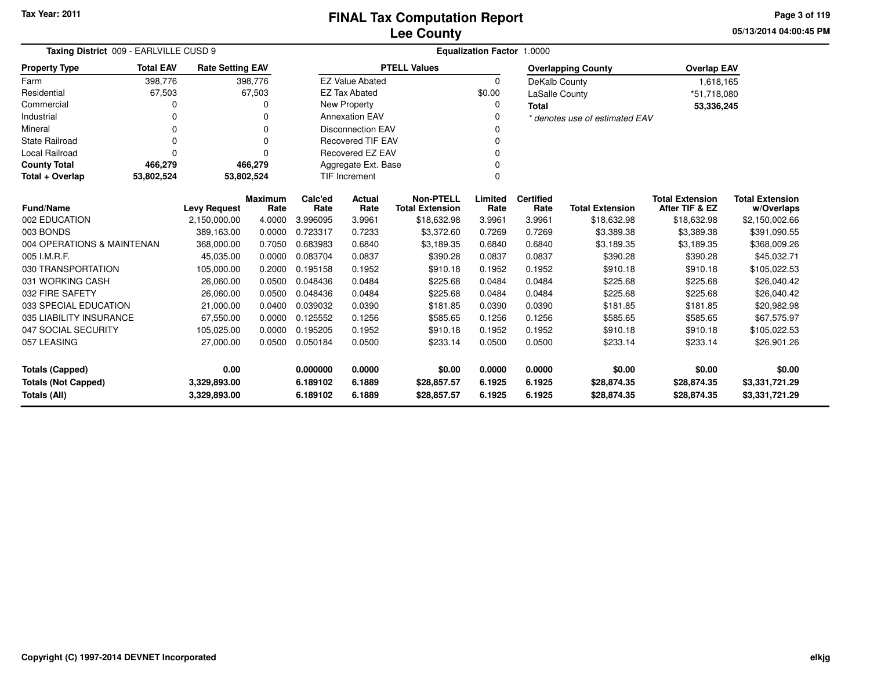**05/13/2014 04:00:45 PM Page 3 of 119**

| Taxing District 009 - EARLVILLE CUSD 9                                            |                                                                   |                         |         | Equalization Factor 1.0000 |                                  |                                            |                  |                          |                                |                                          |                                      |
|-----------------------------------------------------------------------------------|-------------------------------------------------------------------|-------------------------|---------|----------------------------|----------------------------------|--------------------------------------------|------------------|--------------------------|--------------------------------|------------------------------------------|--------------------------------------|
| <b>Property Type</b>                                                              | <b>Total EAV</b>                                                  | <b>Rate Setting EAV</b> |         |                            |                                  | <b>PTELL Values</b>                        |                  |                          | <b>Overlapping County</b>      | <b>Overlap EAV</b>                       |                                      |
| Farm                                                                              | 398,776                                                           |                         | 398,776 |                            | <b>EZ Value Abated</b>           |                                            | $\Omega$         | DeKalb County            |                                | 1,618,165                                |                                      |
| Residential                                                                       | 67,503                                                            |                         | 67,503  |                            | <b>EZ Tax Abated</b>             |                                            | \$0.00           | LaSalle County           |                                | *51,718,080                              |                                      |
| Commercial                                                                        | 0                                                                 |                         | 0       |                            | <b>New Property</b>              |                                            | 0                | <b>Total</b>             |                                | 53,336,245                               |                                      |
| Industrial                                                                        | ŋ                                                                 |                         | 0       |                            | <b>Annexation EAV</b>            |                                            | 0                |                          | * denotes use of estimated EAV |                                          |                                      |
| Mineral                                                                           | 0                                                                 |                         | 0       |                            | <b>Disconnection EAV</b>         |                                            | n                |                          |                                |                                          |                                      |
| <b>State Railroad</b>                                                             | $\Omega$                                                          |                         | 0       |                            | <b>Recovered TIF EAV</b>         |                                            | 0                |                          |                                |                                          |                                      |
| <b>Local Railroad</b>                                                             | $\Omega$                                                          |                         | 0       |                            | Recovered EZ EAV                 |                                            | 0                |                          |                                |                                          |                                      |
| <b>County Total</b>                                                               | 466,279                                                           |                         | 466,279 |                            | Aggregate Ext. Base              |                                            | 0                |                          |                                |                                          |                                      |
| Total + Overlap                                                                   | 53,802,524                                                        | 53,802,524              |         |                            | $\Omega$<br><b>TIF Increment</b> |                                            |                  |                          |                                |                                          |                                      |
|                                                                                   | <b>Maximum</b><br><b>Fund/Name</b><br><b>Levy Request</b><br>Rate |                         |         | Calc'ed<br>Rate            | Actual<br>Rate                   | <b>Non-PTELL</b><br><b>Total Extension</b> | Limited<br>Rate  | <b>Certified</b><br>Rate | <b>Total Extension</b>         | <b>Total Extension</b><br>After TIF & EZ | <b>Total Extension</b><br>w/Overlaps |
| 002 EDUCATION                                                                     |                                                                   |                         | 4.0000  | 3.996095                   | 3.9961                           | \$18,632.98                                | 3.9961           | 3.9961                   | \$18,632.98                    | \$18,632.98                              | \$2,150,002.66                       |
| 003 BONDS                                                                         | 2,150,000.00<br>389,163.00                                        |                         | 0.0000  | 0.723317                   | 0.7233                           | \$3,372.60                                 | 0.7269           | 0.7269                   | \$3,389.38                     | \$3,389.38                               | \$391,090.55                         |
| 004 OPERATIONS & MAINTENAN                                                        |                                                                   | 368,000.00              | 0.7050  | 0.683983                   | 0.6840                           | \$3,189.35                                 | 0.6840           | 0.6840                   | \$3,189.35                     | \$3,189.35                               | \$368,009.26                         |
| 005 I.M.R.F.                                                                      |                                                                   | 45,035.00               | 0.0000  | 0.083704                   | 0.0837                           | \$390.28                                   | 0.0837           | 0.0837                   | \$390.28                       | \$390.28                                 | \$45,032.71                          |
| 030 TRANSPORTATION                                                                |                                                                   | 105,000.00              | 0.2000  | 0.195158                   | 0.1952                           | \$910.18                                   | 0.1952           | 0.1952                   | \$910.18                       | \$910.18                                 | \$105,022.53                         |
| 031 WORKING CASH                                                                  |                                                                   | 26,060.00               | 0.0500  | 0.048436                   | 0.0484                           | \$225.68                                   | 0.0484           | 0.0484                   | \$225.68                       | \$225.68                                 | \$26,040.42                          |
| 032 FIRE SAFETY                                                                   |                                                                   | 26,060.00               | 0.0500  | 0.048436                   | 0.0484                           | \$225.68                                   | 0.0484           | 0.0484                   | \$225.68                       | \$225.68                                 | \$26,040.42                          |
| 033 SPECIAL EDUCATION                                                             |                                                                   | 21,000.00               | 0.0400  | 0.039032                   | 0.0390                           | \$181.85                                   | 0.0390           | 0.0390                   | \$181.85                       | \$181.85                                 | \$20,982.98                          |
| 035 LIABILITY INSURANCE                                                           |                                                                   | 67,550.00               | 0.0000  | 0.125552                   | 0.1256                           | \$585.65                                   | 0.1256           | 0.1256                   | \$585.65                       | \$585.65                                 | \$67,575.97                          |
| 047 SOCIAL SECURITY                                                               |                                                                   | 105,025.00              | 0.0000  | 0.195205                   | 0.1952                           | \$910.18                                   | 0.1952           | 0.1952                   | \$910.18                       | \$910.18                                 | \$105,022.53                         |
| 057 LEASING                                                                       |                                                                   | 27,000.00               | 0.0500  | 0.050184                   | 0.0500                           | \$233.14                                   | 0.0500           | 0.0500                   | \$233.14                       | \$233.14                                 | \$26,901.26                          |
| 0.00<br><b>Totals (Capped)</b>                                                    |                                                                   |                         |         | 0.000000                   | 0.0000                           | \$0.00                                     | 0.0000           | 0.0000                   | \$0.00                         | \$0.00                                   | \$0.00                               |
| <b>Totals (Not Capped)</b><br>3,329,893.00<br><b>Totals (All)</b><br>3,329,893.00 |                                                                   |                         |         | 6.189102<br>6.189102       | 6.1889<br>6.1889                 | \$28,857.57<br>\$28,857.57                 | 6.1925<br>6.1925 | 6.1925<br>6.1925         | \$28,874.35<br>\$28,874.35     | \$28,874.35<br>\$28,874.35               | \$3,331,721.29<br>\$3,331,721.29     |

-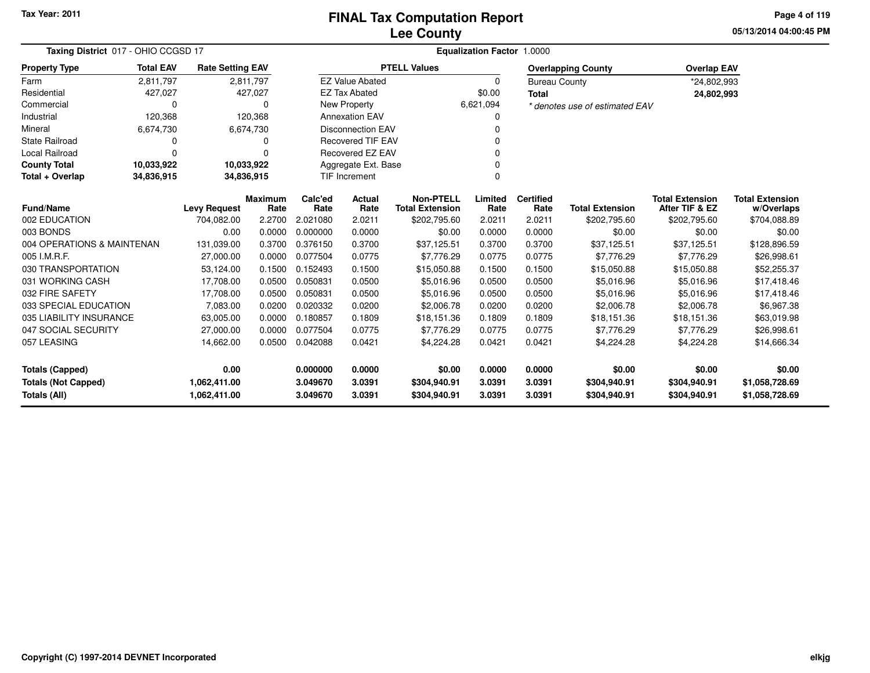**05/13/2014 04:00:45 PMPage 4 of 119**

| Taxing District 017 - OHIO CCGSD 17 |                  |                         | <b>Equalization Factor 1.0000</b> |          |                          |                        |           |                      |                                |                        |                        |  |
|-------------------------------------|------------------|-------------------------|-----------------------------------|----------|--------------------------|------------------------|-----------|----------------------|--------------------------------|------------------------|------------------------|--|
| <b>Property Type</b>                | <b>Total EAV</b> | <b>Rate Setting EAV</b> |                                   |          |                          | <b>PTELL Values</b>    |           |                      | <b>Overlapping County</b>      | <b>Overlap EAV</b>     |                        |  |
| Farm                                | 2.811.797        |                         | 2,811,797                         |          | <b>EZ Value Abated</b>   |                        | 0         | <b>Bureau County</b> |                                | *24,802,993            |                        |  |
| Residential                         | 427,027          |                         | 427,027                           |          | <b>EZ Tax Abated</b>     |                        | \$0.00    | Total                |                                | 24,802,993             |                        |  |
| Commercial                          | 0                |                         | ŋ                                 |          | New Property             |                        | 6,621,094 |                      | * denotes use of estimated EAV |                        |                        |  |
| Industrial                          | 120,368          |                         | 120,368                           |          | <b>Annexation EAV</b>    |                        |           |                      |                                |                        |                        |  |
| Mineral                             | 6,674,730        |                         | 6,674,730                         |          | <b>Disconnection EAV</b> |                        |           |                      |                                |                        |                        |  |
| <b>State Railroad</b>               | 0                |                         | 0                                 |          | <b>Recovered TIF EAV</b> |                        |           |                      |                                |                        |                        |  |
| Local Railroad                      | $\Omega$         |                         | 0                                 |          | <b>Recovered EZ EAV</b>  |                        |           |                      |                                |                        |                        |  |
| <b>County Total</b>                 | 10,033,922       | 10,033,922              |                                   |          | Aggregate Ext. Base      |                        |           |                      |                                |                        |                        |  |
| Total + Overlap                     | 34,836,915       | 34,836,915              |                                   |          | TIF Increment            |                        | $\Omega$  |                      |                                |                        |                        |  |
|                                     |                  |                         | <b>Maximum</b>                    | Calc'ed  | Actual                   | <b>Non-PTELL</b>       | Limited   | <b>Certified</b>     |                                | <b>Total Extension</b> | <b>Total Extension</b> |  |
| <b>Fund/Name</b>                    |                  | <b>Levy Request</b>     | Rate                              | Rate     | Rate                     | <b>Total Extension</b> | Rate      | Rate                 | <b>Total Extension</b>         | After TIF & EZ         | w/Overlaps             |  |
| 002 EDUCATION                       |                  | 704,082.00              | 2.2700                            | 2.021080 | 2.0211                   | \$202,795.60           | 2.0211    | 2.0211               | \$202,795.60                   | \$202,795.60           | \$704,088.89           |  |
| 003 BONDS                           |                  | 0.00                    | 0.0000                            | 0.000000 | 0.0000                   | \$0.00                 | 0.0000    | 0.0000               | \$0.00                         | \$0.00                 | \$0.00                 |  |
| 004 OPERATIONS & MAINTENAN          |                  | 131,039.00              | 0.3700                            | 0.376150 | 0.3700                   | \$37,125.51            | 0.3700    | 0.3700               | \$37,125.51                    | \$37,125.51            | \$128,896.59           |  |
| 005 I.M.R.F.                        |                  | 27,000.00               | 0.0000                            | 0.077504 | 0.0775                   | \$7,776.29             | 0.0775    | 0.0775               | \$7,776.29                     | \$7,776.29             | \$26,998.61            |  |
| 030 TRANSPORTATION                  |                  | 53,124.00               | 0.1500                            | 0.152493 | 0.1500                   | \$15,050.88            | 0.1500    | 0.1500               | \$15,050.88                    | \$15,050.88            | \$52,255.37            |  |
| 031 WORKING CASH                    |                  | 17,708.00               | 0.0500                            | 0.050831 | 0.0500                   | \$5,016.96             | 0.0500    | 0.0500               | \$5,016.96                     | \$5,016.96             | \$17,418.46            |  |
| 032 FIRE SAFETY                     |                  | 17,708.00               | 0.0500                            | 0.050831 | 0.0500                   | \$5,016.96             | 0.0500    | 0.0500               | \$5,016.96                     | \$5,016.96             | \$17,418.46            |  |
| 033 SPECIAL EDUCATION               |                  | 7,083.00                | 0.0200                            | 0.020332 | 0.0200                   | \$2,006.78             | 0.0200    | 0.0200               | \$2,006.78                     | \$2,006.78             | \$6,967.38             |  |
| 035 LIABILITY INSURANCE             |                  | 63,005.00               | 0.0000                            | 0.180857 | 0.1809                   | \$18,151.36            | 0.1809    | 0.1809               | \$18,151.36                    | \$18,151.36            | \$63,019.98            |  |
| 047 SOCIAL SECURITY                 |                  | 27,000.00               | 0.0000                            | 0.077504 | 0.0775                   | \$7,776.29             | 0.0775    | 0.0775               | \$7,776.29                     | \$7,776.29             | \$26,998.61            |  |
| 057 LEASING                         |                  | 14,662.00               | 0.0500                            | 0.042088 | 0.0421                   | \$4,224.28             | 0.0421    | 0.0421               | \$4,224.28                     | \$4,224.28             | \$14,666.34            |  |
| <b>Totals (Capped)</b>              |                  | 0.00                    |                                   | 0.000000 | 0.0000                   | \$0.00                 | 0.0000    | 0.0000               | \$0.00                         | \$0.00                 | \$0.00                 |  |
| <b>Totals (Not Capped)</b>          |                  | 1,062,411.00            |                                   | 3.049670 | 3.0391                   | \$304,940.91           | 3.0391    | 3.0391               | \$304,940.91                   | \$304,940.91           | \$1,058,728.69         |  |
| Totals (All)                        |                  | 1,062,411.00            |                                   | 3.049670 | 3.0391                   | \$304,940.91           | 3.0391    | 3.0391               | \$304,940.91                   | \$304,940.91           | \$1,058,728.69         |  |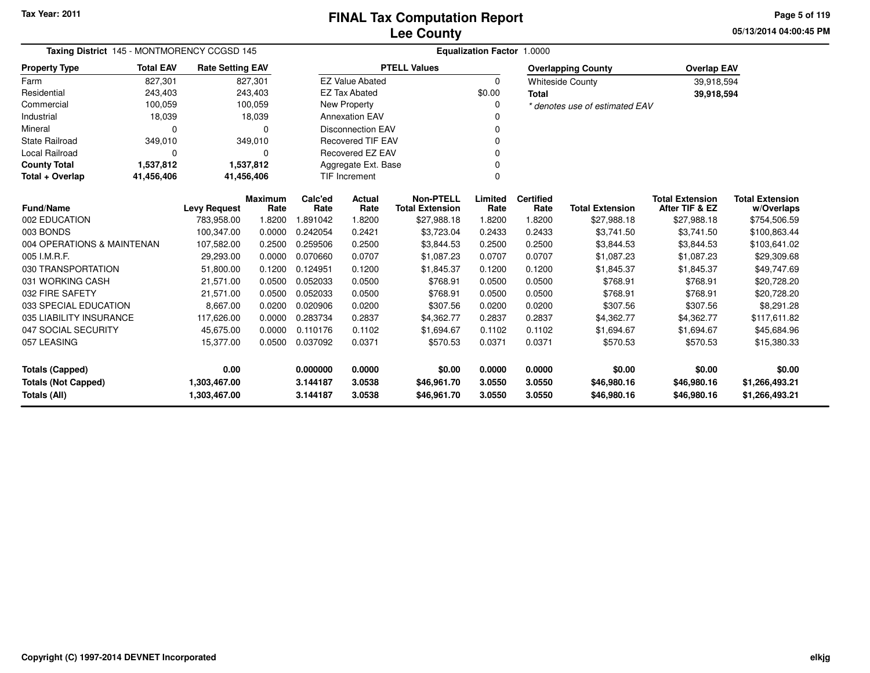**05/13/2014 04:00:45 PM Page 5 of 119**

| Taxing District 145 - MONTMORENCY CCGSD 145 |                  |                         |                 | Equalization Factor 1.0000 |                          |                                            |                 |                          |                                |                                          |                                      |  |  |
|---------------------------------------------|------------------|-------------------------|-----------------|----------------------------|--------------------------|--------------------------------------------|-----------------|--------------------------|--------------------------------|------------------------------------------|--------------------------------------|--|--|
| <b>Property Type</b>                        | <b>Total EAV</b> | <b>Rate Setting EAV</b> |                 |                            |                          | <b>PTELL Values</b>                        |                 |                          | <b>Overlapping County</b>      | <b>Overlap EAV</b>                       |                                      |  |  |
| Farm                                        | 827,301          |                         | 827,301         |                            | <b>EZ Value Abated</b>   |                                            | $\Omega$        |                          | <b>Whiteside County</b>        | 39,918,594                               |                                      |  |  |
| Residential                                 | 243,403          |                         | 243,403         |                            | <b>EZ Tax Abated</b>     |                                            | \$0.00          | <b>Total</b>             |                                | 39,918,594                               |                                      |  |  |
| Commercial                                  | 100,059          |                         | 100,059         |                            | <b>New Property</b>      |                                            |                 |                          | * denotes use of estimated EAV |                                          |                                      |  |  |
| Industrial                                  | 18,039           |                         | 18,039          |                            | <b>Annexation EAV</b>    |                                            |                 |                          |                                |                                          |                                      |  |  |
| Mineral                                     | 0                |                         | $\Omega$        |                            | <b>Disconnection EAV</b> |                                            |                 |                          |                                |                                          |                                      |  |  |
| <b>State Railroad</b>                       | 349,010          |                         | 349,010         |                            | <b>Recovered TIF EAV</b> |                                            |                 |                          |                                |                                          |                                      |  |  |
| Local Railroad                              | 0                |                         | $\Omega$        |                            | Recovered EZ EAV         |                                            |                 |                          |                                |                                          |                                      |  |  |
| <b>County Total</b>                         | 1,537,812        |                         | 1,537,812       |                            | Aggregate Ext. Base      |                                            |                 |                          |                                |                                          |                                      |  |  |
| Total + Overlap                             | 41,456,406       | 41,456,406              |                 |                            | TIF Increment            |                                            |                 |                          |                                |                                          |                                      |  |  |
| <b>Fund/Name</b>                            |                  | <b>Levy Request</b>     | Maximum<br>Rate | Calc'ed<br>Rate            | Actual<br>Rate           | <b>Non-PTELL</b><br><b>Total Extension</b> | Limited<br>Rate | <b>Certified</b><br>Rate | <b>Total Extension</b>         | <b>Total Extension</b><br>After TIF & EZ | <b>Total Extension</b><br>w/Overlaps |  |  |
| 002 EDUCATION                               |                  | 783,958.00              | 1.8200          | 1.891042                   | 1.8200                   | \$27,988.18                                | 1.8200          | 1.8200                   | \$27,988.18                    | \$27,988.18                              | \$754,506.59                         |  |  |
| 003 BONDS                                   |                  | 100,347.00              | 0.0000          | 0.242054                   | 0.2421                   | \$3,723.04                                 | 0.2433          | 0.2433                   | \$3,741.50                     | \$3,741.50                               | \$100,863.44                         |  |  |
| 004 OPERATIONS & MAINTENAN                  |                  | 107,582.00              | 0.2500          | 0.259506                   | 0.2500                   | \$3,844.53                                 | 0.2500          | 0.2500                   | \$3,844.53                     | \$3,844.53                               | \$103,641.02                         |  |  |
| 005 I.M.R.F.                                |                  | 29,293.00               | 0.0000          | 0.070660                   | 0.0707                   | \$1,087.23                                 | 0.0707          | 0.0707                   | \$1,087.23                     | \$1,087.23                               | \$29,309.68                          |  |  |
| 030 TRANSPORTATION                          |                  | 51,800.00               | 0.1200          | 0.124951                   | 0.1200                   | \$1,845.37                                 | 0.1200          | 0.1200                   | \$1,845.37                     | \$1,845.37                               | \$49,747.69                          |  |  |
| 031 WORKING CASH                            |                  | 21,571.00               | 0.0500          | 0.052033                   | 0.0500                   | \$768.91                                   | 0.0500          | 0.0500                   | \$768.91                       | \$768.91                                 | \$20,728.20                          |  |  |
| 032 FIRE SAFETY                             |                  | 21,571.00               | 0.0500          | 0.052033                   | 0.0500                   | \$768.91                                   | 0.0500          | 0.0500                   | \$768.91                       | \$768.91                                 | \$20,728.20                          |  |  |
| 033 SPECIAL EDUCATION                       |                  | 8,667.00                | 0.0200          | 0.020906                   | 0.0200                   | \$307.56                                   | 0.0200          | 0.0200                   | \$307.56                       | \$307.56                                 | \$8,291.28                           |  |  |
| 035 LIABILITY INSURANCE                     |                  | 117,626.00              | 0.0000          | 0.283734                   | 0.2837                   | \$4,362.77                                 | 0.2837          | 0.2837                   | \$4,362.77                     | \$4,362.77                               | \$117,611.82                         |  |  |
| 047 SOCIAL SECURITY                         |                  | 45,675.00               | 0.0000          | 0.110176                   | 0.1102                   | \$1,694.67                                 | 0.1102          | 0.1102                   | \$1,694.67                     | \$1,694.67                               | \$45,684.96                          |  |  |
| 057 LEASING                                 |                  | 15,377.00               | 0.0500          | 0.037092                   | 0.0371                   | \$570.53                                   | 0.0371          | 0.0371                   | \$570.53                       | \$570.53                                 | \$15,380.33                          |  |  |
| <b>Totals (Capped)</b>                      |                  | 0.00                    |                 | 0.000000                   | 0.0000                   | \$0.00                                     | 0.0000          | 0.0000                   | \$0.00                         | \$0.00                                   | \$0.00                               |  |  |
| <b>Totals (Not Capped)</b>                  |                  | 1,303,467.00            |                 | 3.144187                   | 3.0538                   | \$46,961.70                                | 3.0550          | 3.0550                   | \$46,980.16                    | \$46,980.16                              | \$1,266,493.21                       |  |  |
| Totals (All)                                |                  | 1,303,467.00            |                 | 3.144187                   | 3.0538                   | \$46,961.70                                | 3.0550          | 3.0550                   | \$46,980.16                    | \$46,980.16                              | \$1,266,493.21                       |  |  |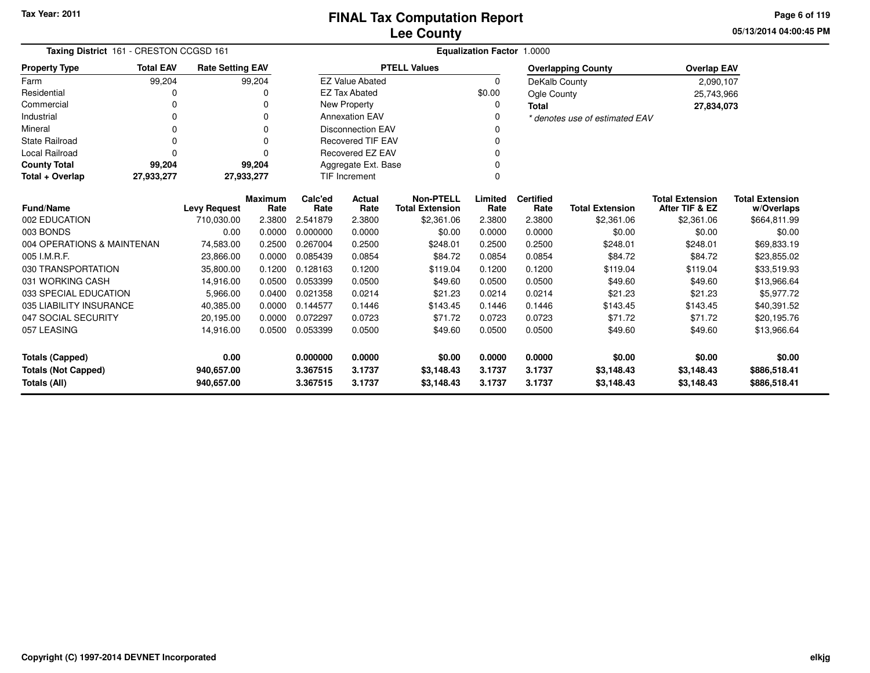**05/13/2014 04:00:45 PMPage 6 of 119**

| Taxing District 161 - CRESTON CCGSD 161  |                                                  |                         |                 | Equalization Factor 1.0000 |                          |                                            |                 |                          |                                |                                          |                                      |  |  |
|------------------------------------------|--------------------------------------------------|-------------------------|-----------------|----------------------------|--------------------------|--------------------------------------------|-----------------|--------------------------|--------------------------------|------------------------------------------|--------------------------------------|--|--|
| <b>Property Type</b>                     | <b>Total EAV</b>                                 | <b>Rate Setting EAV</b> |                 |                            |                          | <b>PTELL Values</b>                        |                 |                          | <b>Overlapping County</b>      | <b>Overlap EAV</b>                       |                                      |  |  |
| Farm                                     | 99,204                                           |                         | 99,204          |                            | <b>EZ Value Abated</b>   |                                            | $\Omega$        | DeKalb County            |                                | 2,090,107                                |                                      |  |  |
| Residential                              | 0                                                |                         | 0               |                            | <b>EZ Tax Abated</b>     |                                            | \$0.00          | Ogle County              |                                | 25,743,966                               |                                      |  |  |
| Commercial                               | 0                                                |                         | $\Omega$        |                            | New Property             |                                            | 0               | <b>Total</b>             |                                | 27,834,073                               |                                      |  |  |
| Industrial                               | ŋ                                                |                         | $\Omega$        |                            | <b>Annexation EAV</b>    |                                            | $\Omega$        |                          | * denotes use of estimated EAV |                                          |                                      |  |  |
| Mineral                                  | 0                                                |                         |                 |                            | <b>Disconnection EAV</b> |                                            |                 |                          |                                |                                          |                                      |  |  |
| <b>State Railroad</b>                    | 0                                                |                         | $\Omega$        |                            | <b>Recovered TIF EAV</b> |                                            |                 |                          |                                |                                          |                                      |  |  |
| <b>Local Railroad</b>                    | 0                                                |                         | n               |                            | <b>Recovered EZ EAV</b>  |                                            |                 |                          |                                |                                          |                                      |  |  |
| <b>County Total</b>                      | 99,204                                           |                         | 99,204          |                            | Aggregate Ext. Base      |                                            |                 |                          |                                |                                          |                                      |  |  |
| Total + Overlap                          | <b>TIF Increment</b><br>27,933,277<br>27,933,277 |                         |                 |                            |                          |                                            | $\Omega$        |                          |                                |                                          |                                      |  |  |
| <b>Fund/Name</b>                         |                                                  | <b>Levy Request</b>     | Maximum<br>Rate | Calc'ed<br>Rate            | Actual<br>Rate           | <b>Non-PTELL</b><br><b>Total Extension</b> | Limited<br>Rate | <b>Certified</b><br>Rate | <b>Total Extension</b>         | <b>Total Extension</b><br>After TIF & EZ | <b>Total Extension</b><br>w/Overlaps |  |  |
| 002 EDUCATION                            |                                                  | 710,030.00              | 2.3800          | 2.541879                   | 2.3800                   | \$2,361.06                                 | 2.3800          | 2.3800                   | \$2,361.06                     | \$2,361.06                               | \$664,811.99                         |  |  |
| 003 BONDS                                |                                                  | 0.00                    | 0.0000          | 0.000000                   | 0.0000                   | \$0.00                                     | 0.0000          | 0.0000                   | \$0.00                         | \$0.00                                   | \$0.00                               |  |  |
| 004 OPERATIONS & MAINTENAN               |                                                  | 74,583.00               | 0.2500          | 0.267004                   | 0.2500                   | \$248.01                                   | 0.2500          | 0.2500                   | \$248.01                       | \$248.01                                 | \$69,833.19                          |  |  |
| 005 I.M.R.F.                             |                                                  | 23,866.00               | 0.0000          | 0.085439                   | 0.0854                   | \$84.72                                    | 0.0854          | 0.0854                   | \$84.72                        | \$84.72                                  | \$23,855.02                          |  |  |
| 030 TRANSPORTATION                       |                                                  | 35,800.00               | 0.1200          | 0.128163                   | 0.1200                   | \$119.04                                   | 0.1200          | 0.1200                   | \$119.04                       | \$119.04                                 | \$33,519.93                          |  |  |
| 031 WORKING CASH                         |                                                  | 14,916.00               | 0.0500          | 0.053399                   | 0.0500                   | \$49.60                                    | 0.0500          | 0.0500                   | \$49.60                        | \$49.60                                  | \$13,966.64                          |  |  |
| 033 SPECIAL EDUCATION                    |                                                  | 5,966.00                | 0.0400          | 0.021358                   | 0.0214                   | \$21.23                                    | 0.0214          | 0.0214                   | \$21.23                        | \$21.23                                  | \$5,977.72                           |  |  |
| 035 LIABILITY INSURANCE                  |                                                  | 40,385.00               | 0.0000          | 0.144577                   | 0.1446                   | \$143.45                                   | 0.1446          | 0.1446                   | \$143.45                       | \$143.45                                 | \$40,391.52                          |  |  |
| 047 SOCIAL SECURITY                      |                                                  | 20,195.00               | 0.0000          | 0.072297                   | 0.0723                   | \$71.72                                    | 0.0723          | 0.0723                   | \$71.72                        | \$71.72                                  | \$20,195.76                          |  |  |
| 057 LEASING                              |                                                  | 14,916.00               | 0.0500          | 0.053399                   | 0.0500                   | \$49.60                                    | 0.0500          | 0.0500                   | \$49.60                        | \$49.60                                  | \$13,966.64                          |  |  |
| <b>Totals (Capped)</b>                   |                                                  | 0.00                    |                 | 0.000000                   | 0.0000                   | \$0.00                                     | 0.0000          | 0.0000                   | \$0.00                         | \$0.00                                   | \$0.00                               |  |  |
| <b>Totals (Not Capped)</b><br>940,657.00 |                                                  |                         |                 | 3.367515                   | 3.1737                   | \$3,148.43                                 | 3.1737          | 3.1737                   | \$3,148.43                     | \$3,148.43                               | \$886,518.41                         |  |  |
| <b>Totals (All)</b>                      |                                                  | 940,657.00              |                 | 3.367515                   | 3.1737                   | \$3,148.43                                 | 3.1737          | 3.1737                   | \$3,148.43                     | \$3,148.43                               | \$886,518.41                         |  |  |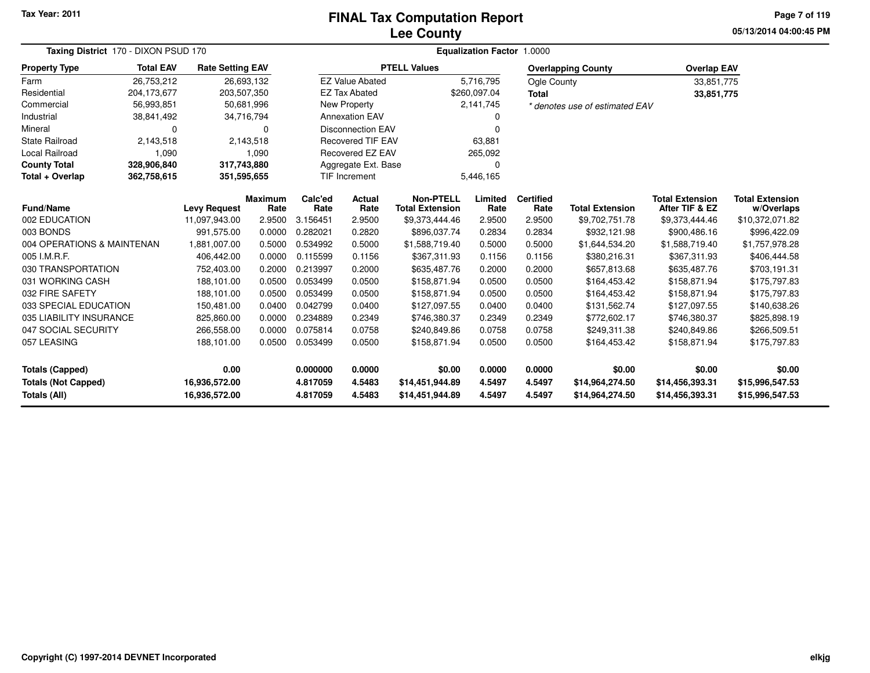# **Lee CountyFINAL Tax Computation Report**

**05/13/2014 04:00:45 PM Page 7 of 119**

| Taxing District 170 - DIXON PSUD 170 |                            | <b>Equalization Factor 1.0000</b> |                        |                 |                                    |                                            |                 |                          |                                |                                          |                                      |
|--------------------------------------|----------------------------|-----------------------------------|------------------------|-----------------|------------------------------------|--------------------------------------------|-----------------|--------------------------|--------------------------------|------------------------------------------|--------------------------------------|
| <b>Property Type</b>                 | <b>Total EAV</b>           | <b>Rate Setting EAV</b>           |                        |                 |                                    | <b>PTELL Values</b>                        |                 |                          | <b>Overlapping County</b>      | <b>Overlap EAV</b>                       |                                      |
| Farm                                 | 26,753,212                 | 26,693,132                        |                        |                 | <b>EZ Value Abated</b>             |                                            | 5,716,795       | Ogle County              |                                | 33,851,775                               |                                      |
| Residential                          | 204,173,677                | 203,507,350                       |                        |                 | <b>EZ Tax Abated</b>               |                                            | \$260,097.04    | <b>Total</b>             |                                | 33,851,775                               |                                      |
| Commercial                           | 56,993,851                 | 50,681,996                        |                        |                 | New Property                       |                                            | 2,141,745       |                          | * denotes use of estimated EAV |                                          |                                      |
| Industrial                           | 38,841,492                 | 34,716,794                        |                        |                 | <b>Annexation EAV</b>              |                                            | 0               |                          |                                |                                          |                                      |
| Mineral                              | 0                          |                                   | $\Omega$               |                 | <b>Disconnection EAV</b><br>0      |                                            |                 |                          |                                |                                          |                                      |
| <b>State Railroad</b>                | 2,143,518                  |                                   | 2,143,518              |                 | <b>Recovered TIF EAV</b><br>63,881 |                                            |                 |                          |                                |                                          |                                      |
| Local Railroad                       | 1,090                      |                                   | 1,090                  |                 | Recovered EZ EAV<br>265,092        |                                            |                 |                          |                                |                                          |                                      |
| <b>County Total</b>                  | 328,906,840                | 317,743,880                       |                        |                 | Aggregate Ext. Base                |                                            | $\Omega$        |                          |                                |                                          |                                      |
| Total + Overlap                      | 362,758,615<br>351,595,655 |                                   |                        |                 | <b>TIF Increment</b>               |                                            | 5,446,165       |                          |                                |                                          |                                      |
| <b>Fund/Name</b>                     |                            | <b>Levy Request</b>               | <b>Maximum</b><br>Rate | Calc'ed<br>Rate | <b>Actual</b><br>Rate              | <b>Non-PTELL</b><br><b>Total Extension</b> | Limited<br>Rate | <b>Certified</b><br>Rate | <b>Total Extension</b>         | <b>Total Extension</b><br>After TIF & EZ | <b>Total Extension</b><br>w/Overlaps |
| 002 EDUCATION                        |                            | 11,097,943.00                     | 2.9500                 | 3.156451        | 2.9500                             | \$9,373,444.46                             | 2.9500          | 2.9500                   | \$9,702,751.78                 | \$9,373,444.46                           | \$10,372,071.82                      |
| 003 BONDS                            |                            | 991,575.00                        | 0.0000                 | 0.282021        | 0.2820                             | \$896,037.74                               | 0.2834          | 0.2834                   | \$932,121.98                   | \$900,486.16                             | \$996,422.09                         |
| 004 OPERATIONS & MAINTENAN           |                            | 1,881,007.00                      | 0.5000                 | 0.534992        | 0.5000                             | \$1,588,719.40                             | 0.5000          | 0.5000                   | \$1,644,534.20                 | \$1,588,719.40                           | \$1,757,978.28                       |
| 005 I.M.R.F.                         |                            | 406,442.00                        | 0.0000                 | 0.115599        | 0.1156                             | \$367,311.93                               | 0.1156          | 0.1156                   | \$380,216.31                   | \$367,311.93                             | \$406,444.58                         |
| 030 TRANSPORTATION                   |                            | 752,403.00                        | 0.2000                 | 0.213997        | 0.2000                             | \$635,487.76                               | 0.2000          | 0.2000                   | \$657,813.68                   | \$635,487.76                             | \$703,191.31                         |
| 031 WORKING CASH                     |                            | 188,101.00                        | 0.0500                 | 0.053499        | 0.0500                             | \$158,871.94                               | 0.0500          | 0.0500                   | \$164,453.42                   | \$158,871.94                             | \$175,797.83                         |
| 032 FIRE SAFETY                      |                            | 188,101.00                        | 0.0500                 | 0.053499        | 0.0500                             | \$158,871.94                               | 0.0500          | 0.0500                   | \$164,453.42                   | \$158,871.94                             | \$175,797.83                         |
| 033 SPECIAL EDUCATION                |                            | 150.481.00                        | 0.0400                 | 0.042799        | 0.0400                             | \$127,097.55                               | 0.0400          | 0.0400                   | \$131,562.74                   | \$127,097.55                             | \$140,638.26                         |
| 035 LIABILITY INSURANCE              |                            | 825,860.00                        | 0.0000                 | 0.234889        | 0.2349                             | \$746,380.37                               | 0.2349          | 0.2349                   | \$772,602.17                   | \$746,380.37                             | \$825,898.19                         |
| 047 SOCIAL SECURITY                  |                            | 266,558.00                        | 0.0000                 | 0.075814        | 0.0758                             | \$240,849.86                               | 0.0758          | 0.0758                   | \$249,311.38                   | \$240,849.86                             | \$266,509.51                         |
| 057 LEASING                          |                            | 188,101.00                        | 0.0500                 | 0.053499        | 0.0500                             | \$158,871.94                               | 0.0500          | 0.0500                   | \$164,453.42                   | \$158,871.94                             | \$175,797.83                         |
| <b>Totals (Capped)</b>               |                            | 0.00                              |                        | 0.000000        | 0.0000                             | \$0.00                                     | 0.0000          | 0.0000                   | \$0.00                         | \$0.00                                   | \$0.00                               |
| <b>Totals (Not Capped)</b>           |                            | 16,936,572.00                     |                        | 4.817059        | 4.5483                             | \$14,451,944.89                            | 4.5497          | 4.5497                   | \$14,964,274.50                | \$14,456,393.31                          | \$15,996,547.53                      |
| Totals (All)                         |                            | 16,936,572.00                     |                        | 4.817059        | 4.5483                             | \$14,451,944.89                            | 4.5497          | 4.5497                   | \$14,964,274.50                | \$14,456,393.31                          | \$15,996,547.53                      |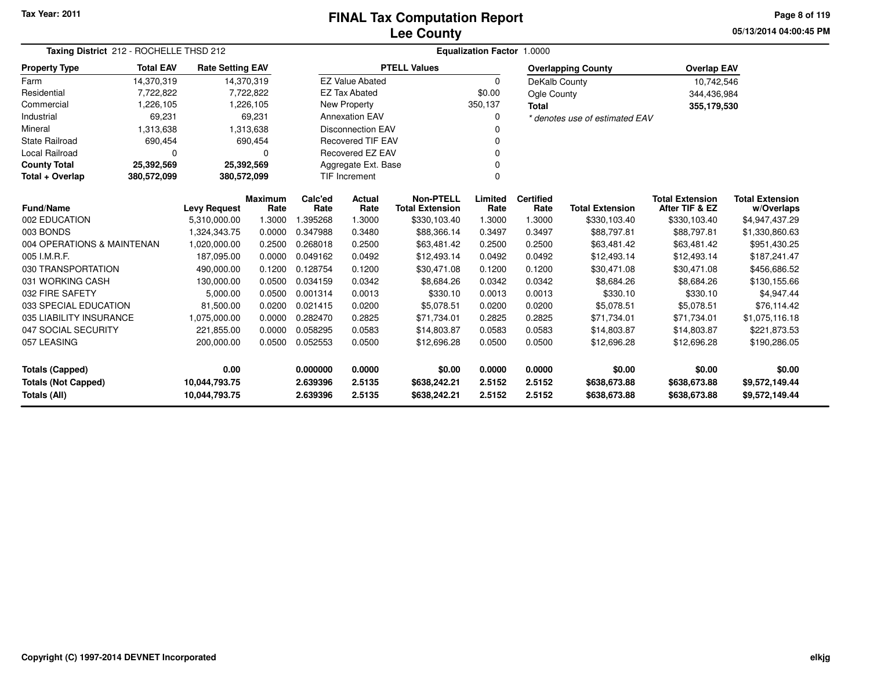### **Lee CountyFINAL Tax Computation Report**

**05/13/2014 04:00:45 PMPage 8 of 119**

| Taxing District 212 - ROCHELLE THSD 212                                      | Equalization Factor 1.0000            |                         |           |          |                          |                        |          |                  |                                |                        |                        |
|------------------------------------------------------------------------------|---------------------------------------|-------------------------|-----------|----------|--------------------------|------------------------|----------|------------------|--------------------------------|------------------------|------------------------|
| <b>Property Type</b>                                                         | <b>Total EAV</b>                      | <b>Rate Setting EAV</b> |           |          |                          | <b>PTELL Values</b>    |          |                  | <b>Overlapping County</b>      | <b>Overlap EAV</b>     |                        |
| Farm                                                                         | 14,370,319                            | 14,370,319              |           |          | <b>EZ Value Abated</b>   |                        | $\Omega$ | DeKalb County    |                                | 10,742,546             |                        |
| Residential                                                                  | 7,722,822                             |                         | 7,722,822 |          | <b>EZ Tax Abated</b>     |                        | \$0.00   | Ogle County      |                                | 344,436,984            |                        |
| Commercial                                                                   | 1,226,105                             |                         | 1,226,105 |          | New Property             |                        | 350,137  | <b>Total</b>     |                                | 355,179,530            |                        |
| Industrial                                                                   | 69,231                                |                         | 69,231    |          | <b>Annexation EAV</b>    |                        |          |                  | * denotes use of estimated EAV |                        |                        |
| Mineral                                                                      | 1,313,638                             |                         | 1,313,638 |          | <b>Disconnection EAV</b> |                        |          |                  |                                |                        |                        |
| <b>State Railroad</b>                                                        | 690,454                               |                         | 690,454   |          | <b>Recovered TIF EAV</b> |                        |          |                  |                                |                        |                        |
| <b>Local Railroad</b>                                                        | 0                                     |                         | 0         |          | Recovered EZ EAV         |                        |          |                  |                                |                        |                        |
| <b>County Total</b>                                                          | 25,392,569                            | 25,392,569              |           |          | Aggregate Ext. Base      |                        |          |                  |                                |                        |                        |
| Total + Overlap                                                              | 380,572,099                           | 380,572,099             |           |          | <b>TIF Increment</b>     |                        | $\Omega$ |                  |                                |                        |                        |
|                                                                              | <b>Maximum</b><br><b>Levy Request</b> |                         |           | Calc'ed  | Actual                   | <b>Non-PTELL</b>       | Limited  | <b>Certified</b> |                                | <b>Total Extension</b> | <b>Total Extension</b> |
| <b>Fund/Name</b>                                                             |                                       |                         | Rate      | Rate     | Rate                     | <b>Total Extension</b> | Rate     | Rate             | <b>Total Extension</b>         | After TIF & EZ         | w/Overlaps             |
| 002 EDUCATION                                                                |                                       | 5,310,000.00            | 1.3000    | 395268.  | 1.3000                   | \$330,103.40           | 1.3000   | 1.3000           | \$330,103.40                   | \$330,103.40           | \$4,947,437.29         |
| 003 BONDS                                                                    |                                       | 1.324.343.75            | 0.0000    | 0.347988 | 0.3480                   | \$88,366.14            | 0.3497   | 0.3497           | \$88,797.81                    | \$88,797.81            | \$1,330,860.63         |
| 004 OPERATIONS & MAINTENAN                                                   |                                       | 1,020,000.00            | 0.2500    | 0.268018 | 0.2500                   | \$63,481.42            | 0.2500   | 0.2500           | \$63,481.42                    | \$63,481.42            | \$951,430.25           |
| 005 I.M.R.F.                                                                 |                                       | 187,095.00              | 0.0000    | 0.049162 | 0.0492                   | \$12,493.14            | 0.0492   | 0.0492           | \$12,493.14                    | \$12,493.14            | \$187,241.47           |
| 030 TRANSPORTATION                                                           |                                       | 490,000.00              | 0.1200    | 0.128754 | 0.1200                   | \$30,471.08            | 0.1200   | 0.1200           | \$30,471.08                    | \$30,471.08            | \$456,686.52           |
| 031 WORKING CASH                                                             |                                       | 130,000.00              | 0.0500    | 0.034159 | 0.0342                   | \$8,684.26             | 0.0342   | 0.0342           | \$8,684.26                     | \$8,684.26             | \$130,155.66           |
| 032 FIRE SAFETY                                                              |                                       | 5,000.00                | 0.0500    | 0.001314 | 0.0013                   | \$330.10               | 0.0013   | 0.0013           | \$330.10                       | \$330.10               | \$4,947.44             |
| 033 SPECIAL EDUCATION                                                        |                                       | 81,500.00               | 0.0200    | 0.021415 | 0.0200                   | \$5,078.51             | 0.0200   | 0.0200           | \$5,078.51                     | \$5,078.51             | \$76.114.42            |
| 035 LIABILITY INSURANCE                                                      |                                       | 1,075,000.00            | 0.0000    | 0.282470 | 0.2825                   | \$71,734.01            | 0.2825   | 0.2825           | \$71,734.01                    | \$71,734.01            | \$1,075,116.18         |
| 047 SOCIAL SECURITY                                                          |                                       | 221,855.00              | 0.0000    | 0.058295 | 0.0583                   | \$14,803.87            | 0.0583   | 0.0583           | \$14,803.87                    | \$14,803.87            | \$221,873.53           |
| 057 LEASING                                                                  |                                       | 200,000.00              | 0.0500    | 0.052553 | 0.0500                   | \$12,696.28            | 0.0500   | 0.0500           | \$12,696.28                    | \$12,696.28            | \$190,286.05           |
| 0.00<br><b>Totals (Capped)</b>                                               |                                       |                         |           | 0.000000 | 0.0000                   | \$0.00                 | 0.0000   | 0.0000           | \$0.00                         | \$0.00                 | \$0.00                 |
|                                                                              |                                       |                         |           | 2.639396 | 2.5135                   | \$638,242.21           | 2.5152   | 2.5152           | \$638,673.88                   | \$638,673.88           | \$9,572,149.44         |
| <b>Totals (Not Capped)</b><br>10,044,793.75<br>Totals (All)<br>10,044,793.75 |                                       |                         |           | 2.639396 | 2.5135                   | \$638,242.21           | 2.5152   | 2.5152           | \$638,673.88                   | \$638,673.88           | \$9,572,149.44         |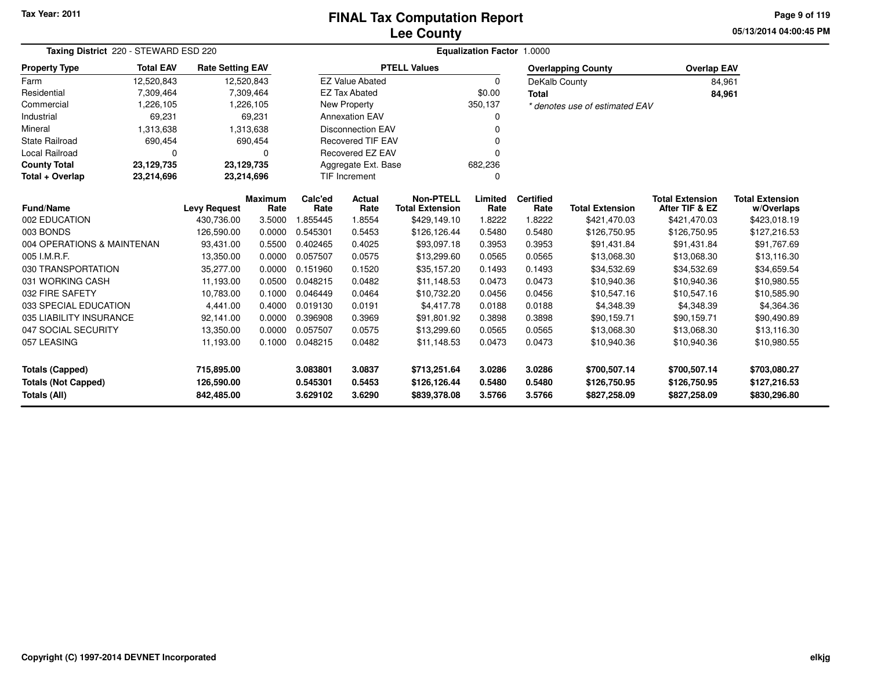# **Lee CountyFINAL Tax Computation Report**

**05/13/2014 04:00:45 PM Page 9 of 119**

| Taxing District 220 - STEWARD ESD 220    |                     |                         |                        |                 |                                |                                            | Equalization Factor 1.0000 |                          |                                |                                          |                                      |
|------------------------------------------|---------------------|-------------------------|------------------------|-----------------|--------------------------------|--------------------------------------------|----------------------------|--------------------------|--------------------------------|------------------------------------------|--------------------------------------|
| <b>Property Type</b>                     | <b>Total EAV</b>    | <b>Rate Setting EAV</b> |                        |                 |                                | <b>PTELL Values</b>                        |                            |                          | <b>Overlapping County</b>      | <b>Overlap EAV</b>                       |                                      |
| Farm                                     | 12,520,843          | 12,520,843              |                        |                 | <b>EZ Value Abated</b>         |                                            | 0                          | DeKalb County            |                                | 84,961                                   |                                      |
| Residential                              | 7,309,464           |                         | 7,309,464              |                 | <b>EZ Tax Abated</b>           |                                            | \$0.00                     | <b>Total</b>             |                                | 84,961                                   |                                      |
| Commercial                               | 1,226,105           |                         | 1,226,105              |                 | New Property                   |                                            | 350,137                    |                          | * denotes use of estimated EAV |                                          |                                      |
| Industrial                               | 69,231              |                         | 69,231                 |                 | <b>Annexation EAV</b>          |                                            | 0                          |                          |                                |                                          |                                      |
| Mineral                                  | 1,313,638           |                         | 1,313,638              |                 | <b>Disconnection EAV</b>       |                                            |                            |                          |                                |                                          |                                      |
| <b>State Railroad</b>                    | 690,454             |                         | 690,454                |                 | <b>Recovered TIF EAV</b>       |                                            |                            |                          |                                |                                          |                                      |
| Local Railroad                           | $\Omega$            |                         |                        |                 | <b>Recovered EZ EAV</b>        |                                            |                            |                          |                                |                                          |                                      |
| <b>County Total</b>                      | 23,129,735          | 23,129,735              |                        |                 | Aggregate Ext. Base<br>682,236 |                                            |                            |                          |                                |                                          |                                      |
| Total + Overlap                          | 23,214,696          | 23,214,696              |                        |                 | <b>TIF Increment</b>           |                                            | 0                          |                          |                                |                                          |                                      |
| <b>Fund/Name</b>                         | <b>Levy Request</b> |                         | <b>Maximum</b><br>Rate | Calc'ed<br>Rate | Actual<br>Rate                 | <b>Non-PTELL</b><br><b>Total Extension</b> | Limited<br>Rate            | <b>Certified</b><br>Rate | <b>Total Extension</b>         | <b>Total Extension</b><br>After TIF & EZ | <b>Total Extension</b><br>w/Overlaps |
| 002 EDUCATION                            |                     | 430,736.00              | 3.5000                 | 1.855445        | 1.8554                         | \$429,149.10                               | 1.8222                     | 1.8222                   | \$421,470.03                   | \$421,470.03                             | \$423,018.19                         |
| 003 BONDS                                |                     | 126,590.00              | 0.0000                 | 0.545301        | 0.5453                         | \$126,126.44                               | 0.5480                     | 0.5480                   | \$126,750.95                   | \$126,750.95                             | \$127,216.53                         |
| 004 OPERATIONS & MAINTENAN               |                     | 93,431.00               | 0.5500                 | 0.402465        | 0.4025                         | \$93,097.18                                | 0.3953                     | 0.3953                   | \$91,431.84                    | \$91,431.84                              | \$91,767.69                          |
| 005 I.M.R.F.                             |                     | 13,350.00               | 0.0000                 | 0.057507        | 0.0575                         | \$13,299.60                                | 0.0565                     | 0.0565                   | \$13,068.30                    | \$13,068.30                              | \$13,116.30                          |
| 030 TRANSPORTATION                       |                     | 35,277.00               | 0.0000                 | 0.151960        | 0.1520                         | \$35,157.20                                | 0.1493                     | 0.1493                   | \$34,532.69                    | \$34,532.69                              | \$34,659.54                          |
| 031 WORKING CASH                         |                     | 11,193.00               | 0.0500                 | 0.048215        | 0.0482                         | \$11,148.53                                | 0.0473                     | 0.0473                   | \$10,940.36                    | \$10,940.36                              | \$10,980.55                          |
| 032 FIRE SAFETY                          |                     | 10,783.00               | 0.1000                 | 0.046449        | 0.0464                         | \$10,732.20                                | 0.0456                     | 0.0456                   | \$10,547.16                    | \$10,547.16                              | \$10,585.90                          |
| 033 SPECIAL EDUCATION                    |                     | 4,441.00                | 0.4000                 | 0.019130        | 0.0191                         | \$4,417.78                                 | 0.0188                     | 0.0188                   | \$4,348.39                     | \$4,348.39                               | \$4,364.36                           |
| 035 LIABILITY INSURANCE                  |                     | 92,141.00               | 0.0000                 | 0.396908        | 0.3969                         | \$91,801.92                                | 0.3898                     | 0.3898                   | \$90,159.71                    | \$90,159.71                              | \$90,490.89                          |
| 047 SOCIAL SECURITY                      |                     | 13,350.00               | 0.0000                 | 0.057507        | 0.0575                         | \$13,299.60                                | 0.0565                     | 0.0565                   | \$13,068.30                    | \$13,068.30                              | \$13,116.30                          |
| 057 LEASING                              |                     | 11,193.00               | 0.1000                 | 0.048215        | 0.0482                         | \$11,148.53                                | 0.0473                     | 0.0473                   | \$10,940.36                    | \$10,940.36                              | \$10,980.55                          |
| <b>Totals (Capped)</b><br>715,895.00     |                     |                         |                        | 3.083801        | 3.0837                         | \$713,251.64                               | 3.0286                     | 3.0286                   | \$700,507.14                   | \$700,507.14                             | \$703,080.27                         |
| <b>Totals (Not Capped)</b><br>126,590.00 |                     |                         |                        | 0.545301        | 0.5453                         | \$126,126.44                               | 0.5480                     | 0.5480                   | \$126,750.95                   | \$126,750.95                             | \$127,216.53                         |
| Totals (All)                             |                     | 842,485.00              |                        | 3.629102        | 3.6290                         | \$839,378.08                               | 3.5766                     | 3.5766                   | \$827,258.09                   | \$827,258.09                             | \$830,296.80                         |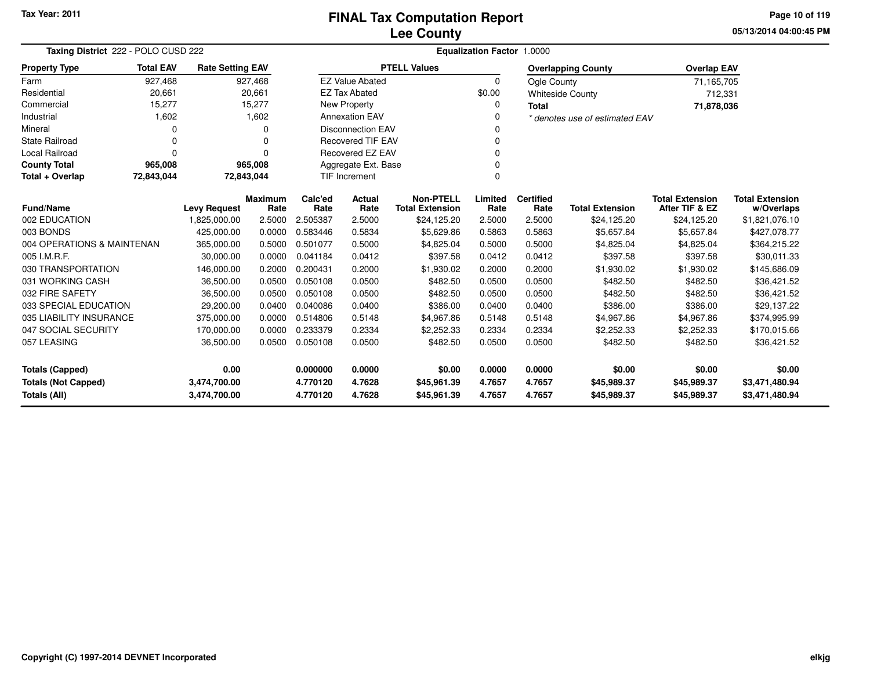# **Lee CountyFINAL Tax Computation Report**

**05/13/2014 04:00:45 PM Page 10 of 119**

| Taxing District 222 - POLO CUSD 222        |                                               |                         |             |                 | Equalization Factor 1.0000 |                                            |                 |                          |                                |                                          |                                      |  |  |
|--------------------------------------------|-----------------------------------------------|-------------------------|-------------|-----------------|----------------------------|--------------------------------------------|-----------------|--------------------------|--------------------------------|------------------------------------------|--------------------------------------|--|--|
| <b>Property Type</b>                       | <b>Total EAV</b>                              | <b>Rate Setting EAV</b> |             |                 |                            | <b>PTELL Values</b>                        |                 |                          | <b>Overlapping County</b>      | <b>Overlap EAV</b>                       |                                      |  |  |
| Farm                                       | 927,468                                       |                         | 927,468     |                 | <b>EZ Value Abated</b>     |                                            | $\Omega$        | Ogle County              |                                | 71,165,705                               |                                      |  |  |
| Residential                                | 20,661                                        |                         | 20,661      |                 | <b>EZ Tax Abated</b>       |                                            | \$0.00          |                          | <b>Whiteside County</b>        | 712,331                                  |                                      |  |  |
| Commercial                                 | 15,277                                        |                         | 15,277      |                 | <b>New Property</b>        |                                            | 0               | <b>Total</b>             |                                | 71,878,036                               |                                      |  |  |
| Industrial                                 | 1,602                                         |                         | 1,602       |                 | <b>Annexation EAV</b>      |                                            | $\Omega$        |                          | * denotes use of estimated EAV |                                          |                                      |  |  |
| Mineral                                    | $\Omega$                                      |                         | $\mathbf 0$ |                 | <b>Disconnection EAV</b>   |                                            | 0               |                          |                                |                                          |                                      |  |  |
| <b>State Railroad</b>                      | 0                                             |                         | 0           |                 | <b>Recovered TIF EAV</b>   |                                            | $\mathbf 0$     |                          |                                |                                          |                                      |  |  |
| <b>Local Railroad</b>                      | $\Omega$                                      |                         | n           |                 | <b>Recovered EZ EAV</b>    |                                            | $\Omega$        |                          |                                |                                          |                                      |  |  |
| <b>County Total</b>                        | 965,008                                       |                         | 965,008     |                 | Aggregate Ext. Base        |                                            |                 |                          |                                |                                          |                                      |  |  |
| Total + Overlap                            | 72,843,044                                    | 72,843,044              |             |                 | <b>TIF Increment</b>       |                                            | $\Omega$        |                          |                                |                                          |                                      |  |  |
| <b>Fund/Name</b>                           | <b>Maximum</b><br><b>Levy Request</b><br>Rate |                         |             | Calc'ed<br>Rate | Actual<br>Rate             | <b>Non-PTELL</b><br><b>Total Extension</b> | Limited<br>Rate | <b>Certified</b><br>Rate | <b>Total Extension</b>         | <b>Total Extension</b><br>After TIF & EZ | <b>Total Extension</b><br>w/Overlaps |  |  |
| 002 EDUCATION                              |                                               | 1,825,000.00            | 2.5000      | 2.505387        | 2.5000                     | \$24,125.20                                | 2.5000          | 2.5000                   | \$24,125.20                    | \$24,125.20                              | \$1,821,076.10                       |  |  |
| 003 BONDS                                  |                                               | 425,000.00              | 0.0000      | 0.583446        | 0.5834                     | \$5,629.86                                 | 0.5863          | 0.5863                   | \$5,657.84                     | \$5,657.84                               | \$427,078.77                         |  |  |
| 004 OPERATIONS & MAINTENAN                 |                                               | 365,000.00              | 0.5000      | 0.501077        | 0.5000                     | \$4,825.04                                 | 0.5000          | 0.5000                   | \$4,825.04                     | \$4,825.04                               | \$364,215.22                         |  |  |
| 005 I.M.R.F.                               |                                               | 30,000.00               | 0.0000      | 0.041184        | 0.0412                     | \$397.58                                   | 0.0412          | 0.0412                   | \$397.58                       | \$397.58                                 | \$30,011.33                          |  |  |
| 030 TRANSPORTATION                         |                                               | 146,000.00              | 0.2000      | 0.200431        | 0.2000                     | \$1,930.02                                 | 0.2000          | 0.2000                   | \$1,930.02                     | \$1,930.02                               | \$145,686.09                         |  |  |
| 031 WORKING CASH                           |                                               | 36,500.00               | 0.0500      | 0.050108        | 0.0500                     | \$482.50                                   | 0.0500          | 0.0500                   | \$482.50                       | \$482.50                                 | \$36,421.52                          |  |  |
| 032 FIRE SAFETY                            |                                               | 36,500.00               | 0.0500      | 0.050108        | 0.0500                     | \$482.50                                   | 0.0500          | 0.0500                   | \$482.50                       | \$482.50                                 | \$36,421.52                          |  |  |
| 033 SPECIAL EDUCATION                      |                                               | 29,200.00               | 0.0400      | 0.040086        | 0.0400                     | \$386.00                                   | 0.0400          | 0.0400                   | \$386.00                       | \$386.00                                 | \$29,137.22                          |  |  |
| 035 LIABILITY INSURANCE                    |                                               | 375,000.00              | 0.0000      | 0.514806        | 0.5148                     | \$4,967.86                                 | 0.5148          | 0.5148                   | \$4,967.86                     | \$4,967.86                               | \$374,995.99                         |  |  |
| 047 SOCIAL SECURITY                        |                                               | 170,000.00              | 0.0000      | 0.233379        | 0.2334                     | \$2,252.33                                 | 0.2334          | 0.2334                   | \$2,252.33                     | \$2,252.33                               | \$170,015.66                         |  |  |
| 057 LEASING                                |                                               | 36,500.00               | 0.0500      | 0.050108        | 0.0500                     | \$482.50                                   | 0.0500          | 0.0500                   | \$482.50                       | \$482.50                                 | \$36,421.52                          |  |  |
| <b>Totals (Capped)</b><br>0.00             |                                               |                         | 0.000000    | 0.0000          | \$0.00                     | 0.0000                                     | 0.0000          | \$0.00                   | \$0.00                         | \$0.00                                   |                                      |  |  |
| <b>Totals (Not Capped)</b><br>3,474,700.00 |                                               |                         | 4.770120    | 4.7628          | \$45,961.39                | 4.7657                                     | 4.7657          | \$45,989.37              | \$45,989.37                    | \$3,471,480.94                           |                                      |  |  |
| Totals (All)                               |                                               | 3,474,700.00            |             | 4.770120        | 4.7628                     | \$45,961.39                                | 4.7657          | 4.7657                   | \$45,989.37                    | \$45,989.37                              | \$3,471,480.94                       |  |  |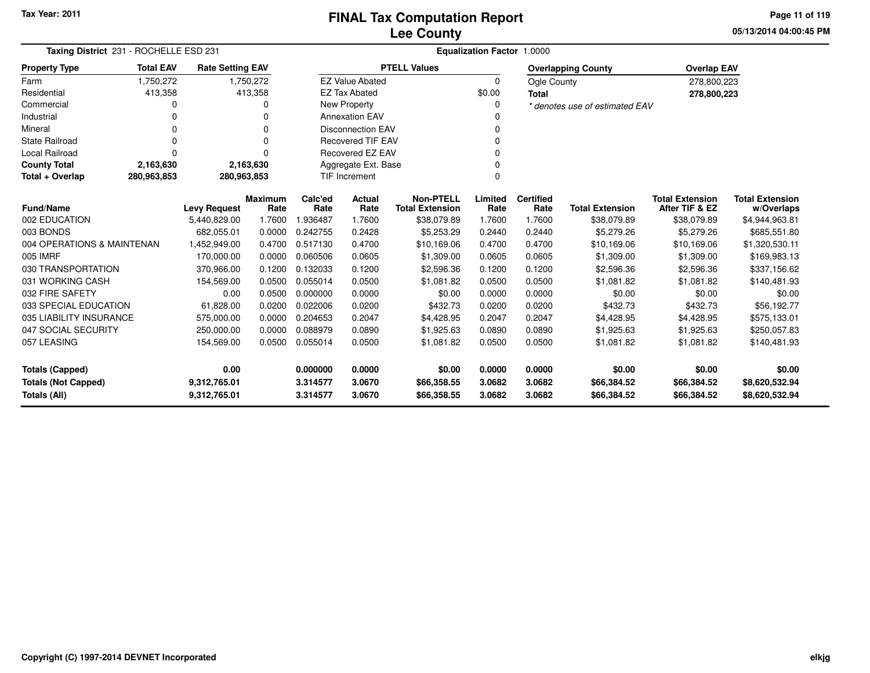**05/13/2014 04:00:45 PMPage 11 of 119**

| Taxing District 231 - ROCHELLE ESD 231 |                  |                         |                        | Equalization Factor 1.0000 |                          |                                            |                 |                          |                                |                                          |                                      |  |  |
|----------------------------------------|------------------|-------------------------|------------------------|----------------------------|--------------------------|--------------------------------------------|-----------------|--------------------------|--------------------------------|------------------------------------------|--------------------------------------|--|--|
| <b>Property Type</b>                   | <b>Total EAV</b> | <b>Rate Setting EAV</b> |                        |                            |                          | <b>PTELL Values</b>                        |                 |                          | <b>Overlapping County</b>      | <b>Overlap EAV</b>                       |                                      |  |  |
| Farm                                   | 1,750,272        |                         | 1,750,272              |                            | <b>EZ Value Abated</b>   |                                            | $\Omega$        | Ogle County              |                                | 278,800,223                              |                                      |  |  |
| Residential                            | 413,358          |                         | 413,358                |                            | <b>EZ Tax Abated</b>     |                                            | \$0.00          | <b>Total</b>             |                                | 278,800,223                              |                                      |  |  |
| Commercial                             | 0                |                         | 0                      |                            | New Property             |                                            | 0               |                          | * denotes use of estimated EAV |                                          |                                      |  |  |
| Industrial                             |                  |                         |                        |                            | <b>Annexation EAV</b>    |                                            |                 |                          |                                |                                          |                                      |  |  |
| Mineral                                | 0                |                         | 0                      |                            | <b>Disconnection EAV</b> |                                            | 0               |                          |                                |                                          |                                      |  |  |
| <b>State Railroad</b>                  | 0                |                         | 0                      |                            | <b>Recovered TIF EAV</b> |                                            |                 |                          |                                |                                          |                                      |  |  |
| <b>Local Railroad</b>                  | 0                |                         | 0                      |                            | Recovered EZ EAV         |                                            | $\Omega$        |                          |                                |                                          |                                      |  |  |
| <b>County Total</b>                    | 2,163,630        |                         | 2,163,630              |                            | Aggregate Ext. Base      |                                            |                 |                          |                                |                                          |                                      |  |  |
| Total + Overlap                        | 280,963,853      | 280,963,853             |                        |                            | <b>TIF Increment</b>     |                                            | $\Omega$        |                          |                                |                                          |                                      |  |  |
| <b>Fund/Name</b>                       |                  | <b>Levy Request</b>     | <b>Maximum</b><br>Rate | Calc'ed<br>Rate            | Actual<br>Rate           | <b>Non-PTELL</b><br><b>Total Extension</b> | Limited<br>Rate | <b>Certified</b><br>Rate | <b>Total Extension</b>         | <b>Total Extension</b><br>After TIF & EZ | <b>Total Extension</b><br>w/Overlaps |  |  |
| 002 EDUCATION                          |                  | 5,440,829.00            | 1.7600                 | 936487                     | 1.7600                   | \$38,079.89                                | 1.7600          | 1.7600                   | \$38,079.89                    | \$38,079.89                              | \$4,944,963.81                       |  |  |
| 003 BONDS                              |                  | 682,055.01              | 0.0000                 | 0.242755                   | 0.2428                   | \$5,253.29                                 | 0.2440          | 0.2440                   | \$5,279.26                     | \$5,279.26                               | \$685,551.80                         |  |  |
| 004 OPERATIONS & MAINTENAN             |                  | 1,452,949.00            | 0.4700                 | 0.517130                   | 0.4700                   | \$10,169.06                                | 0.4700          | 0.4700                   | \$10,169.06                    | \$10,169.06                              | \$1,320,530.11                       |  |  |
| 005 IMRF                               |                  | 170.000.00              | 0.0000                 | 0.060506                   | 0.0605                   | \$1,309.00                                 | 0.0605          | 0.0605                   | \$1,309.00                     | \$1,309.00                               | \$169,983.13                         |  |  |
| 030 TRANSPORTATION                     |                  | 370,966.00              | 0.1200                 | 0.132033                   | 0.1200                   | \$2,596.36                                 | 0.1200          | 0.1200                   | \$2,596.36                     | \$2,596.36                               | \$337,156.62                         |  |  |
| 031 WORKING CASH                       |                  | 154,569.00              | 0.0500                 | 0.055014                   | 0.0500                   | \$1,081.82                                 | 0.0500          | 0.0500                   | \$1,081.82                     | \$1,081.82                               | \$140,481.93                         |  |  |
| 032 FIRE SAFETY                        |                  | 0.00                    | 0.0500                 | 0.000000                   | 0.0000                   | \$0.00                                     | 0.0000          | 0.0000                   | \$0.00                         | \$0.00                                   | \$0.00                               |  |  |
| 033 SPECIAL EDUCATION                  |                  | 61,828.00               | 0.0200                 | 0.022006                   | 0.0200                   | \$432.73                                   | 0.0200          | 0.0200                   | \$432.73                       | \$432.73                                 | \$56,192.77                          |  |  |
| 035 LIABILITY INSURANCE                |                  | 575,000.00              | 0.0000                 | 0.204653                   | 0.2047                   | \$4,428.95                                 | 0.2047          | 0.2047                   | \$4,428.95                     | \$4,428.95                               | \$575,133.01                         |  |  |
| 047 SOCIAL SECURITY                    |                  | 250,000.00              | 0.0000                 | 0.088979                   | 0.0890                   | \$1,925.63                                 | 0.0890          | 0.0890                   | \$1,925.63                     | \$1,925.63                               | \$250,057.83                         |  |  |
| 057 LEASING                            |                  | 154,569.00              | 0.0500                 | 0.055014                   | 0.0500                   | \$1,081.82                                 | 0.0500          | 0.0500                   | \$1,081.82                     | \$1,081.82                               | \$140,481.93                         |  |  |
| <b>Totals (Capped)</b>                 |                  | 0.00                    |                        | 0.000000                   | 0.0000                   | \$0.00                                     | 0.0000          | 0.0000                   | \$0.00                         | \$0.00                                   | \$0.00                               |  |  |
| <b>Totals (Not Capped)</b>             |                  | 9,312,765.01            |                        | 3.314577                   | 3.0670                   | \$66,358.55                                | 3.0682          | 3.0682                   | \$66,384.52                    | \$66,384.52                              | \$8,620,532.94                       |  |  |
| Totals (All)                           |                  | 9,312,765.01            |                        | 3.314577                   | 3.0670                   | \$66,358.55                                | 3.0682          | 3.0682                   | \$66,384.52                    | \$66,384.52                              | \$8,620,532.94                       |  |  |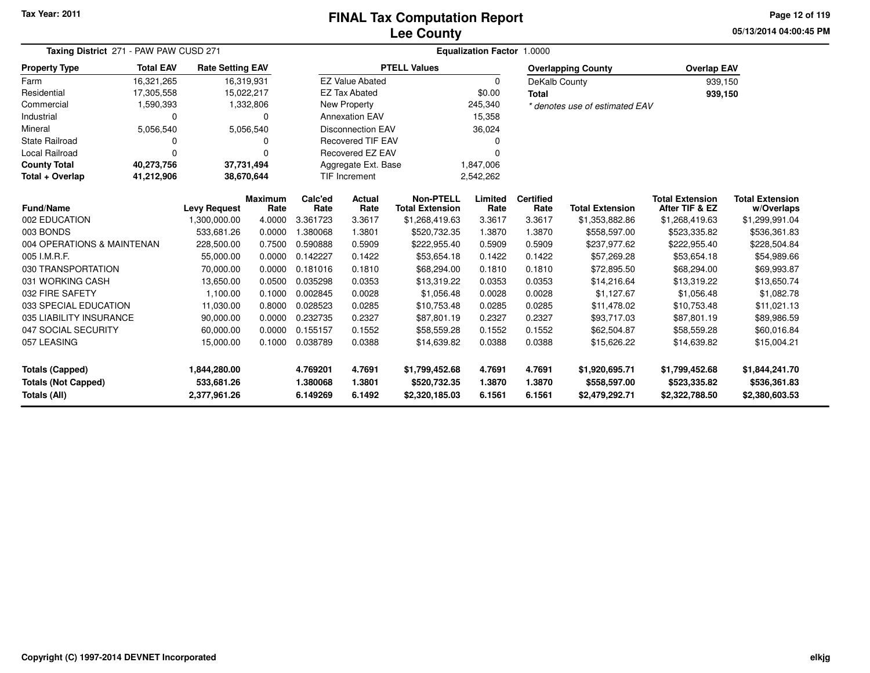### **Lee CountyFINAL Tax Computation Report**

**05/13/2014 04:00:45 PMPage 12 of 119**

| Taxing District 271 - PAW PAW CUSD 271 |                  |                         |                 | Equalization Factor 1.0000 |                          |                                            |                 |                          |                                |                                          |                                      |  |  |
|----------------------------------------|------------------|-------------------------|-----------------|----------------------------|--------------------------|--------------------------------------------|-----------------|--------------------------|--------------------------------|------------------------------------------|--------------------------------------|--|--|
| <b>Property Type</b>                   | <b>Total EAV</b> | <b>Rate Setting EAV</b> |                 |                            |                          | <b>PTELL Values</b>                        |                 |                          | <b>Overlapping County</b>      | <b>Overlap EAV</b>                       |                                      |  |  |
| Farm                                   | 16,321,265       | 16,319,931              |                 |                            | <b>EZ Value Abated</b>   |                                            | $\Omega$        | DeKalb County            |                                | 939,150                                  |                                      |  |  |
| Residential                            | 17,305,558       | 15,022,217              |                 |                            | <b>EZ Tax Abated</b>     |                                            | \$0.00          | <b>Total</b>             |                                | 939,150                                  |                                      |  |  |
| Commercial                             | 1,590,393        |                         | 1,332,806       |                            | New Property             |                                            | 245,340         |                          | * denotes use of estimated EAV |                                          |                                      |  |  |
| Industrial                             | $\Omega$         |                         | 0               |                            | <b>Annexation EAV</b>    |                                            | 15,358          |                          |                                |                                          |                                      |  |  |
| Mineral                                | 5,056,540        |                         | 5,056,540       |                            | <b>Disconnection EAV</b> |                                            | 36,024          |                          |                                |                                          |                                      |  |  |
| <b>State Railroad</b>                  |                  |                         | 0               |                            | <b>Recovered TIF EAV</b> |                                            | 0               |                          |                                |                                          |                                      |  |  |
| Local Railroad                         | 0                |                         | $\Omega$        |                            | Recovered EZ EAV         |                                            | ŋ               |                          |                                |                                          |                                      |  |  |
| <b>County Total</b>                    | 40,273,756       | 37,731,494              |                 |                            | Aggregate Ext. Base      |                                            | 1,847,006       |                          |                                |                                          |                                      |  |  |
| Total + Overlap                        | 41,212,906       | 38,670,644              |                 |                            | <b>TIF Increment</b>     |                                            | 2,542,262       |                          |                                |                                          |                                      |  |  |
| <b>Fund/Name</b>                       |                  | <b>Levy Request</b>     | Maximum<br>Rate | Calc'ed<br>Rate            | Actual<br>Rate           | <b>Non-PTELL</b><br><b>Total Extension</b> | Limited<br>Rate | <b>Certified</b><br>Rate | <b>Total Extension</b>         | <b>Total Extension</b><br>After TIF & EZ | <b>Total Extension</b><br>w/Overlaps |  |  |
| 002 EDUCATION                          |                  | 1,300,000.00            | 4.0000          | 3.361723                   | 3.3617                   | \$1,268,419.63                             | 3.3617          | 3.3617                   | \$1,353,882.86                 | \$1,268,419.63                           | \$1,299,991.04                       |  |  |
| 003 BONDS                              |                  | 533.681.26              | 0.0000          | 1.380068                   | 1.3801                   | \$520,732.35                               | 1.3870          | 1.3870                   | \$558,597.00                   | \$523,335.82                             | \$536,361.83                         |  |  |
| 004 OPERATIONS & MAINTENAN             |                  | 228,500.00              | 0.7500          | 0.590888                   | 0.5909                   | \$222,955.40                               | 0.5909          | 0.5909                   | \$237,977.62                   | \$222,955.40                             | \$228,504.84                         |  |  |
| 005 I.M.R.F.                           |                  | 55,000.00               | 0.0000          | 0.142227                   | 0.1422                   | \$53,654.18                                | 0.1422          | 0.1422                   | \$57,269.28                    | \$53,654.18                              | \$54,989.66                          |  |  |
| 030 TRANSPORTATION                     |                  | 70,000.00               | 0.0000          | 0.181016                   | 0.1810                   | \$68,294.00                                | 0.1810          | 0.1810                   | \$72,895.50                    | \$68,294.00                              | \$69,993.87                          |  |  |
| 031 WORKING CASH                       |                  | 13,650.00               | 0.0500          | 0.035298                   | 0.0353                   | \$13,319.22                                | 0.0353          | 0.0353                   | \$14,216.64                    | \$13,319.22                              | \$13,650.74                          |  |  |
| 032 FIRE SAFETY                        |                  | 1,100.00                | 0.1000          | 0.002845                   | 0.0028                   | \$1,056.48                                 | 0.0028          | 0.0028                   | \$1,127.67                     | \$1,056.48                               | \$1,082.78                           |  |  |
| 033 SPECIAL EDUCATION                  |                  | 11,030.00               | 0.8000          | 0.028523                   | 0.0285                   | \$10,753.48                                | 0.0285          | 0.0285                   | \$11,478.02                    | \$10,753.48                              | \$11,021.13                          |  |  |
| 035 LIABILITY INSURANCE                |                  | 90,000.00               | 0.0000          | 0.232735                   | 0.2327                   | \$87,801.19                                | 0.2327          | 0.2327                   | \$93,717.03                    | \$87,801.19                              | \$89,986.59                          |  |  |
| 047 SOCIAL SECURITY                    |                  | 60,000.00               | 0.0000          | 0.155157                   | 0.1552                   | \$58,559.28                                | 0.1552          | 0.1552                   | \$62,504.87                    | \$58,559.28                              | \$60,016.84                          |  |  |
| 057 LEASING                            |                  | 15,000.00               | 0.1000          | 0.038789                   | 0.0388                   | \$14,639.82                                | 0.0388          | 0.0388                   | \$15,626.22                    | \$14,639.82                              | \$15,004.21                          |  |  |
| <b>Totals (Capped)</b><br>1,844,280.00 |                  |                         | 4.769201        | 4.7691                     | \$1,799,452.68           | 4.7691                                     | 4.7691          | \$1,920,695.71           | \$1,799,452.68                 | \$1,844,241.70                           |                                      |  |  |
| <b>Totals (Not Capped)</b>             |                  | 533,681.26              |                 | 1.380068                   | 1.3801                   | \$520,732.35                               | 1.3870          | 1.3870                   | \$558,597.00                   | \$523,335.82                             | \$536,361.83                         |  |  |
| Totals (All)                           |                  | 2,377,961.26            |                 | 6.149269                   | 6.1492                   | \$2,320,185.03                             | 6.1561          | 6.1561                   | \$2,479,292.71                 | \$2,322,788.50                           | \$2,380,603.53                       |  |  |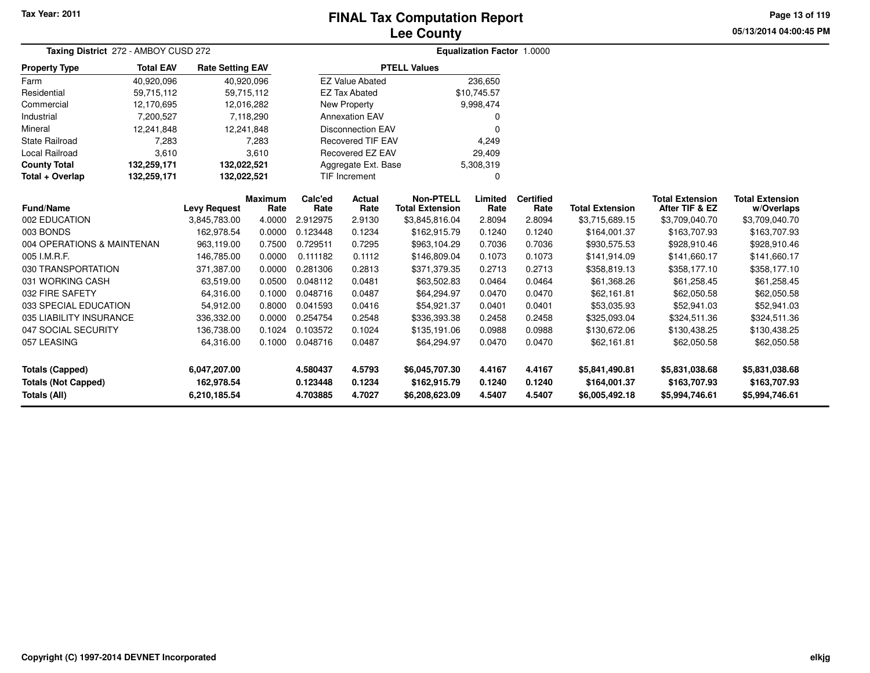## **Lee CountyFINAL Tax Computation Report**

**05/13/2014 04:00:45 PMPage 13 of 119**

| Taxing District 272 - AMBOY CUSD 272 |                  |                         |                |          |                          | Equalization Factor 1.0000 |             |                  |                        |                        |                        |
|--------------------------------------|------------------|-------------------------|----------------|----------|--------------------------|----------------------------|-------------|------------------|------------------------|------------------------|------------------------|
| <b>Property Type</b>                 | <b>Total EAV</b> | <b>Rate Setting EAV</b> |                |          |                          | <b>PTELL Values</b>        |             |                  |                        |                        |                        |
| Farm                                 | 40,920,096       | 40,920,096              |                |          | <b>EZ Value Abated</b>   |                            | 236,650     |                  |                        |                        |                        |
| Residential                          | 59,715,112       | 59,715,112              |                |          | <b>EZ Tax Abated</b>     |                            | \$10,745.57 |                  |                        |                        |                        |
| Commercial                           | 12,170,695       | 12,016,282              |                |          | <b>New Property</b>      |                            | 9,998,474   |                  |                        |                        |                        |
| Industrial                           | 7,200,527        |                         | 7,118,290      |          | <b>Annexation EAV</b>    |                            | 0           |                  |                        |                        |                        |
| Mineral                              | 12,241,848       | 12,241,848              |                |          | <b>Disconnection EAV</b> |                            | ∩           |                  |                        |                        |                        |
| State Railroad                       | 7,283            |                         | 7,283          |          | <b>Recovered TIF EAV</b> |                            | 4,249       |                  |                        |                        |                        |
| Local Railroad                       | 3,610            |                         | 3,610          |          | <b>Recovered EZ EAV</b>  |                            | 29,409      |                  |                        |                        |                        |
| <b>County Total</b>                  | 132,259,171      | 132,022,521             |                |          | Aggregate Ext. Base      |                            | 5,308,319   |                  |                        |                        |                        |
| Total + Overlap                      | 132,259,171      | 132,022,521             |                |          | <b>TIF Increment</b>     |                            | $\Omega$    |                  |                        |                        |                        |
|                                      |                  |                         | <b>Maximum</b> | Calc'ed  | Actual                   | <b>Non-PTELL</b>           | Limited     | <b>Certified</b> |                        | <b>Total Extension</b> | <b>Total Extension</b> |
| <b>Fund/Name</b>                     |                  | <b>Levy Request</b>     | Rate           | Rate     | Rate                     | <b>Total Extension</b>     | Rate        | Rate             | <b>Total Extension</b> | After TIF & EZ         | w/Overlaps             |
| 002 EDUCATION                        |                  | 3,845,783.00            | 4.0000         | 2.912975 | 2.9130                   | \$3,845,816.04             | 2.8094      | 2.8094           | \$3,715,689.15         | \$3,709,040.70         | \$3,709,040.70         |
| 003 BONDS                            |                  | 162,978.54              | 0.0000         | 0.123448 | 0.1234                   | \$162,915.79               | 0.1240      | 0.1240           | \$164,001.37           | \$163,707.93           | \$163,707.93           |
| 004 OPERATIONS & MAINTENAN           |                  | 963,119.00              | 0.7500         | 0.729511 | 0.7295                   | \$963,104.29               | 0.7036      | 0.7036           | \$930,575.53           | \$928,910.46           | \$928,910.46           |
| 005 I.M.R.F.                         |                  | 146,785.00              | 0.0000         | 0.111182 | 0.1112                   | \$146,809.04               | 0.1073      | 0.1073           | \$141,914.09           | \$141,660.17           | \$141,660.17           |
| 030 TRANSPORTATION                   |                  | 371,387.00              | 0.0000         | 0.281306 | 0.2813                   | \$371,379.35               | 0.2713      | 0.2713           | \$358,819.13           | \$358,177.10           | \$358,177.10           |
| 031 WORKING CASH                     |                  | 63,519.00               | 0.0500         | 0.048112 | 0.0481                   | \$63,502.83                | 0.0464      | 0.0464           | \$61,368.26            | \$61,258.45            | \$61,258.45            |
| 032 FIRE SAFETY                      |                  | 64,316.00               | 0.1000         | 0.048716 | 0.0487                   | \$64,294.97                | 0.0470      | 0.0470           | \$62,161.81            | \$62,050.58            | \$62,050.58            |
| 033 SPECIAL EDUCATION                |                  | 54,912.00               | 0.8000         | 0.041593 | 0.0416                   | \$54,921.37                | 0.0401      | 0.0401           | \$53,035.93            | \$52,941.03            | \$52,941.03            |
| 035 LIABILITY INSURANCE              |                  | 336,332.00              | 0.0000         | 0.254754 | 0.2548                   | \$336,393.38               | 0.2458      | 0.2458           | \$325,093.04           | \$324,511.36           | \$324,511.36           |
| 047 SOCIAL SECURITY                  |                  | 136,738.00              | 0.1024         | 0.103572 | 0.1024                   | \$135,191.06               | 0.0988      | 0.0988           | \$130,672.06           | \$130,438.25           | \$130,438.25           |
| 057 LEASING                          |                  | 64,316.00               | 0.1000         | 0.048716 | 0.0487                   | \$64,294.97                | 0.0470      | 0.0470           | \$62,161.81            | \$62,050.58            | \$62,050.58            |
| <b>Totals (Capped)</b>               |                  | 6,047,207.00            |                | 4.580437 | 4.5793                   | \$6,045,707.30             | 4.4167      | 4.4167           | \$5,841,490.81         | \$5,831,038.68         | \$5,831,038.68         |
| <b>Totals (Not Capped)</b>           |                  | 162,978.54              |                | 0.123448 | 0.1234                   | \$162,915.79               | 0.1240      | 0.1240           | \$164,001.37           | \$163,707.93           | \$163,707.93           |
| Totals (All)                         |                  | 6,210,185.54            |                | 4.703885 | 4.7027                   | \$6,208,623.09             | 4.5407      | 4.5407           | \$6,005,492.18         | \$5,994,746.61         | \$5,994,746.61         |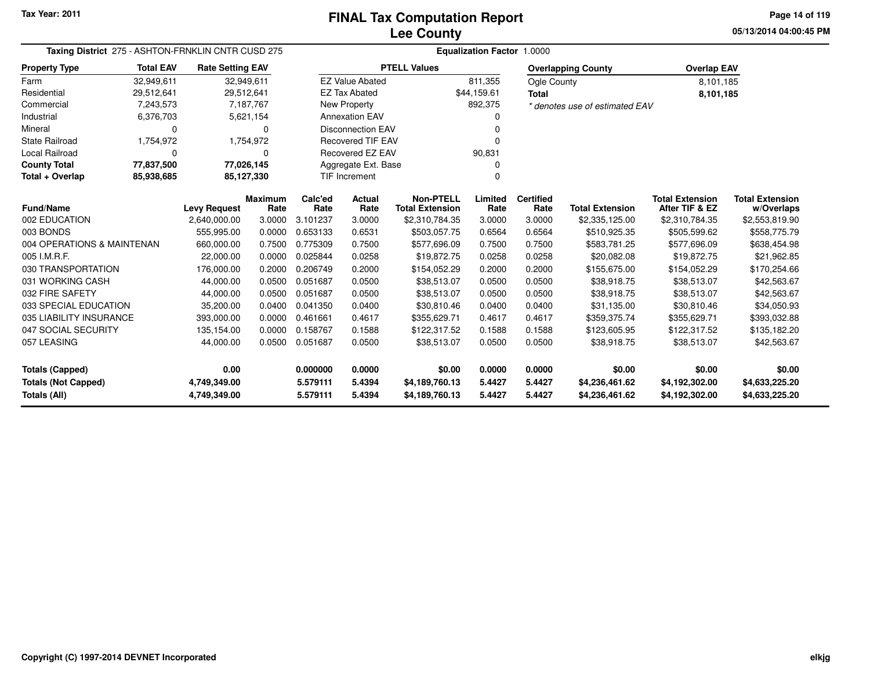**05/13/2014 04:00:45 PM Page 14 of 119**

| Taxing District 275 - ASHTON-FRNKLIN CNTR CUSD 275 | <b>Equalization Factor 1.0000</b> |                         |                        |                 |                          |                                            |                 |                          |                                |                                          |                                      |
|----------------------------------------------------|-----------------------------------|-------------------------|------------------------|-----------------|--------------------------|--------------------------------------------|-----------------|--------------------------|--------------------------------|------------------------------------------|--------------------------------------|
| <b>Property Type</b>                               | <b>Total EAV</b>                  | <b>Rate Setting EAV</b> |                        |                 |                          | <b>PTELL Values</b>                        |                 |                          | <b>Overlapping County</b>      | <b>Overlap EAV</b>                       |                                      |
| Farm                                               | 32,949,611                        | 32,949,611              |                        |                 | <b>EZ Value Abated</b>   |                                            | 811,355         | Ogle County              |                                | 8.101.185                                |                                      |
| Residential                                        | 29,512,641                        | 29,512,641              |                        |                 | <b>EZ Tax Abated</b>     |                                            | \$44,159.61     | <b>Total</b>             |                                | 8,101,185                                |                                      |
| Commercial                                         | 7,243,573                         |                         | 7,187,767              |                 | New Property             |                                            | 892,375         |                          | * denotes use of estimated EAV |                                          |                                      |
| Industrial                                         | 6,376,703                         |                         | 5,621,154              |                 | <b>Annexation EAV</b>    |                                            |                 |                          |                                |                                          |                                      |
| Mineral                                            | $\Omega$                          |                         | 0                      |                 | <b>Disconnection EAV</b> |                                            |                 |                          |                                |                                          |                                      |
| <b>State Railroad</b>                              | 1,754,972                         |                         | 1,754,972              |                 | <b>Recovered TIF EAV</b> |                                            |                 |                          |                                |                                          |                                      |
| Local Railroad                                     | 0                                 |                         | 0                      |                 | Recovered EZ EAV         |                                            | 90,831          |                          |                                |                                          |                                      |
| <b>County Total</b>                                | 77,837,500                        | 77,026,145              |                        |                 | Aggregate Ext. Base      |                                            |                 |                          |                                |                                          |                                      |
| Total + Overlap                                    | 85,938,685                        |                         | 85,127,330             |                 | <b>TIF Increment</b>     |                                            |                 |                          |                                |                                          |                                      |
| <b>Fund/Name</b>                                   |                                   | <b>Levy Request</b>     | <b>Maximum</b><br>Rate | Calc'ed<br>Rate | <b>Actual</b><br>Rate    | <b>Non-PTELL</b><br><b>Total Extension</b> | Limited<br>Rate | <b>Certified</b><br>Rate | <b>Total Extension</b>         | <b>Total Extension</b><br>After TIF & EZ | <b>Total Extension</b><br>w/Overlaps |
| 002 EDUCATION                                      |                                   | 2,640,000.00            | 3.0000                 | 3.101237        | 3.0000                   | \$2,310,784.35                             | 3.0000          | 3.0000                   | \$2,335,125.00                 | \$2,310,784.35                           | \$2,553,819.90                       |
| 003 BONDS                                          |                                   | 555,995.00              | 0.0000                 | 0.653133        | 0.6531                   | \$503,057.75                               | 0.6564          | 0.6564                   | \$510,925.35                   | \$505,599.62                             | \$558,775.79                         |
| 004 OPERATIONS & MAINTENAN                         |                                   | 660,000.00              | 0.7500                 | 0.775309        | 0.7500                   | \$577,696.09                               | 0.7500          | 0.7500                   | \$583,781.25                   | \$577,696.09                             | \$638,454.98                         |
| 005 I.M.R.F.                                       |                                   | 22,000.00               | 0.0000                 | 0.025844        | 0.0258                   | \$19,872.75                                | 0.0258          | 0.0258                   | \$20,082.08                    | \$19,872.75                              | \$21,962.85                          |
| 030 TRANSPORTATION                                 |                                   | 176,000.00              | 0.2000                 | 0.206749        | 0.2000                   | \$154,052.29                               | 0.2000          | 0.2000                   | \$155,675.00                   | \$154,052.29                             | \$170,254.66                         |
| 031 WORKING CASH                                   |                                   | 44,000.00               | 0.0500                 | 0.051687        | 0.0500                   | \$38,513.07                                | 0.0500          | 0.0500                   | \$38,918.75                    | \$38,513.07                              | \$42,563.67                          |
| 032 FIRE SAFETY                                    |                                   | 44,000.00               | 0.0500                 | 0.051687        | 0.0500                   | \$38,513.07                                | 0.0500          | 0.0500                   | \$38,918.75                    | \$38,513.07                              | \$42,563.67                          |
| 033 SPECIAL EDUCATION                              |                                   | 35,200.00               | 0.0400                 | 0.041350        | 0.0400                   | \$30,810.46                                | 0.0400          | 0.0400                   | \$31,135.00                    | \$30,810.46                              | \$34,050.93                          |
| 035 LIABILITY INSURANCE                            |                                   | 393,000.00              | 0.0000                 | 0.461661        | 0.4617                   | \$355,629.71                               | 0.4617          | 0.4617                   | \$359,375.74                   | \$355,629.71                             | \$393,032.88                         |
| 047 SOCIAL SECURITY                                |                                   | 135,154.00              | 0.0000                 | 0.158767        | 0.1588                   | \$122,317.52                               | 0.1588          | 0.1588                   | \$123,605.95                   | \$122,317.52                             | \$135,182.20                         |
| 057 LEASING                                        |                                   | 44,000.00               | 0.0500                 | 0.051687        | 0.0500                   | \$38,513.07                                | 0.0500          | 0.0500                   | \$38,918.75                    | \$38,513.07                              | \$42,563.67                          |
| <b>Totals (Capped)</b>                             | 0.00                              |                         | 0.000000               | 0.0000          | \$0.00                   | 0.0000                                     | 0.0000          | \$0.00                   | \$0.00                         | \$0.00                                   |                                      |
| <b>Totals (Not Capped)</b>                         |                                   | 4,749,349.00            |                        | 5.579111        | 5.4394                   | \$4,189,760.13                             | 5.4427          | 5.4427                   | \$4,236,461.62                 | \$4,192,302.00                           | \$4,633,225.20                       |
| Totals (All)                                       |                                   | 4,749,349.00            |                        | 5.579111        | 5.4394                   | \$4,189,760.13                             | 5.4427          | 5.4427                   | \$4,236,461.62                 | \$4,192,302.00                           | \$4,633,225.20                       |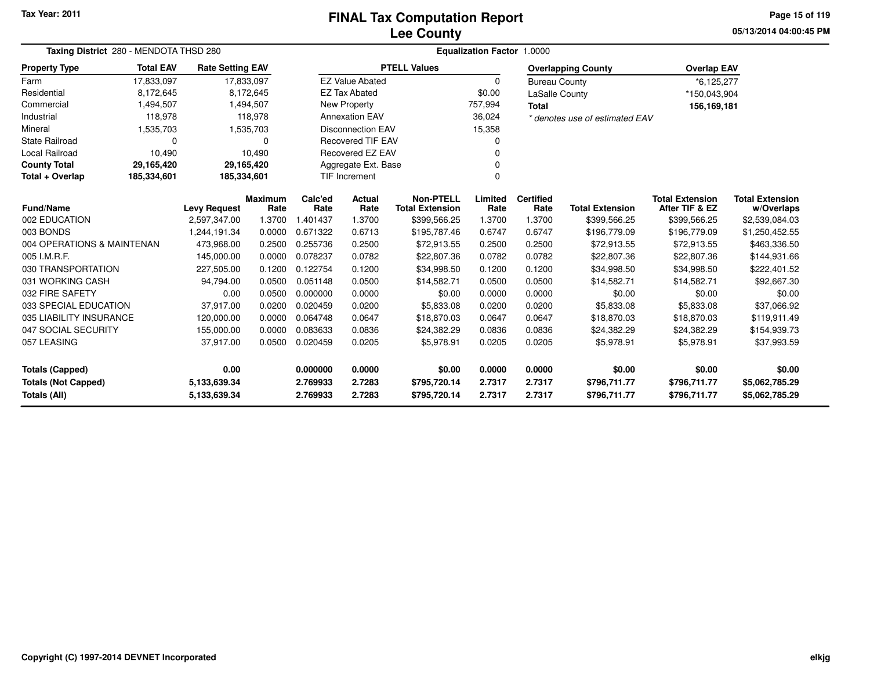# **Lee CountyFINAL Tax Computation Report**

**05/13/2014 04:00:45 PM Page 15 of 119**

| Taxing District 280 - MENDOTA THSD 280     |                            | Equalization Factor 1.0000 |                        |                                    |                          |                                            |                 |                          |                                |                                          |                                      |
|--------------------------------------------|----------------------------|----------------------------|------------------------|------------------------------------|--------------------------|--------------------------------------------|-----------------|--------------------------|--------------------------------|------------------------------------------|--------------------------------------|
| <b>Property Type</b>                       | <b>Total EAV</b>           | <b>Rate Setting EAV</b>    |                        |                                    |                          | <b>PTELL Values</b>                        |                 |                          | <b>Overlapping County</b>      | <b>Overlap EAV</b>                       |                                      |
| Farm                                       | 17,833,097                 |                            | 17,833,097             |                                    | <b>EZ Value Abated</b>   |                                            | $\Omega$        | <b>Bureau County</b>     |                                | *6,125,277                               |                                      |
| Residential                                | 8,172,645                  |                            | 8,172,645              |                                    | <b>EZ Tax Abated</b>     |                                            | \$0.00          | LaSalle County           |                                | *150,043,904                             |                                      |
| Commercial                                 | 1,494,507                  |                            | 1,494,507              |                                    | <b>New Property</b>      |                                            | 757,994         | <b>Total</b>             |                                | 156,169,181                              |                                      |
| Industrial                                 | 118,978                    |                            | 118,978                |                                    | <b>Annexation EAV</b>    |                                            | 36,024          |                          | * denotes use of estimated EAV |                                          |                                      |
| Mineral                                    | 1,535,703                  |                            | 1,535,703              | <b>Disconnection EAV</b><br>15,358 |                          |                                            |                 |                          |                                |                                          |                                      |
| <b>State Railroad</b>                      | $\Omega$                   |                            | 0                      |                                    | <b>Recovered TIF EAV</b> |                                            | 0               |                          |                                |                                          |                                      |
| <b>Local Railroad</b>                      | 10,490                     |                            | 10,490                 |                                    | Recovered EZ EAV         |                                            | $\Omega$        |                          |                                |                                          |                                      |
| <b>County Total</b>                        | 29,165,420                 | 29,165,420                 |                        |                                    | Aggregate Ext. Base      |                                            | 0               |                          |                                |                                          |                                      |
| Total + Overlap                            | 185,334,601<br>185,334,601 |                            |                        |                                    | <b>TIF Increment</b>     |                                            | $\Omega$        |                          |                                |                                          |                                      |
| Fund/Name                                  |                            | <b>Levy Request</b>        | <b>Maximum</b><br>Rate | Calc'ed<br>Rate                    | <b>Actual</b><br>Rate    | <b>Non-PTELL</b><br><b>Total Extension</b> | Limited<br>Rate | <b>Certified</b><br>Rate | <b>Total Extension</b>         | <b>Total Extension</b><br>After TIF & EZ | <b>Total Extension</b><br>w/Overlaps |
| 002 EDUCATION                              |                            | 2,597,347.00               | 1.3700                 | 1.401437                           | 1.3700                   | \$399,566.25                               | 1.3700          | 1.3700                   | \$399,566.25                   | \$399,566.25                             | \$2,539,084.03                       |
| 003 BONDS                                  |                            | 1,244,191.34               | 0.0000                 | 0.671322                           | 0.6713                   | \$195,787.46                               | 0.6747          | 0.6747                   | \$196,779.09                   | \$196,779.09                             | \$1,250,452.55                       |
| 004 OPERATIONS & MAINTENAN                 |                            | 473,968.00                 | 0.2500                 | 0.255736                           | 0.2500                   | \$72,913.55                                | 0.2500          | 0.2500                   | \$72,913.55                    | \$72,913.55                              | \$463,336.50                         |
| 005 I.M.R.F.                               |                            | 145,000.00                 | 0.0000                 | 0.078237                           | 0.0782                   | \$22,807.36                                | 0.0782          | 0.0782                   | \$22,807.36                    | \$22,807.36                              | \$144,931.66                         |
| 030 TRANSPORTATION                         |                            | 227,505.00                 | 0.1200                 | 0.122754                           | 0.1200                   | \$34,998.50                                | 0.1200          | 0.1200                   | \$34,998.50                    | \$34,998.50                              | \$222,401.52                         |
| 031 WORKING CASH                           |                            | 94,794.00                  | 0.0500                 | 0.051148                           | 0.0500                   | \$14,582.71                                | 0.0500          | 0.0500                   | \$14,582.71                    | \$14,582.71                              | \$92,667.30                          |
| 032 FIRE SAFETY                            |                            | 0.00                       | 0.0500                 | 0.000000                           | 0.0000                   | \$0.00                                     | 0.0000          | 0.0000                   | \$0.00                         | \$0.00                                   | \$0.00                               |
| 033 SPECIAL EDUCATION                      |                            | 37,917.00                  | 0.0200                 | 0.020459                           | 0.0200                   | \$5,833.08                                 | 0.0200          | 0.0200                   | \$5,833.08                     | \$5,833.08                               | \$37,066.92                          |
| 035 LIABILITY INSURANCE                    |                            | 120,000.00                 | 0.0000                 | 0.064748                           | 0.0647                   | \$18,870.03                                | 0.0647          | 0.0647                   | \$18,870.03                    | \$18,870.03                              | \$119,911.49                         |
| 047 SOCIAL SECURITY                        |                            | 155,000.00                 | 0.0000                 | 0.083633                           | 0.0836                   | \$24,382.29                                | 0.0836          | 0.0836                   | \$24,382.29                    | \$24,382.29                              | \$154,939.73                         |
| 057 LEASING                                |                            | 37,917.00                  | 0.0500                 | 0.020459                           | 0.0205                   | \$5,978.91                                 | 0.0205          | 0.0205                   | \$5,978.91                     | \$5,978.91                               | \$37,993.59                          |
| <b>Totals (Capped)</b><br>0.00             |                            |                            | 0.000000               | 0.0000                             | \$0.00                   | 0.0000                                     | 0.0000          | \$0.00                   | \$0.00                         | \$0.00                                   |                                      |
| <b>Totals (Not Capped)</b><br>5,133,639.34 |                            |                            | 2.769933               | 2.7283                             | \$795,720.14             | 2.7317                                     | 2.7317          | \$796,711.77             | \$796,711.77                   | \$5,062,785.29                           |                                      |
| Totals (All)                               |                            | 5,133,639.34               |                        | 2.769933                           | 2.7283                   | \$795,720.14                               | 2.7317          | 2.7317                   | \$796,711.77                   | \$796,711.77                             | \$5,062,785.29                       |

 $\sim$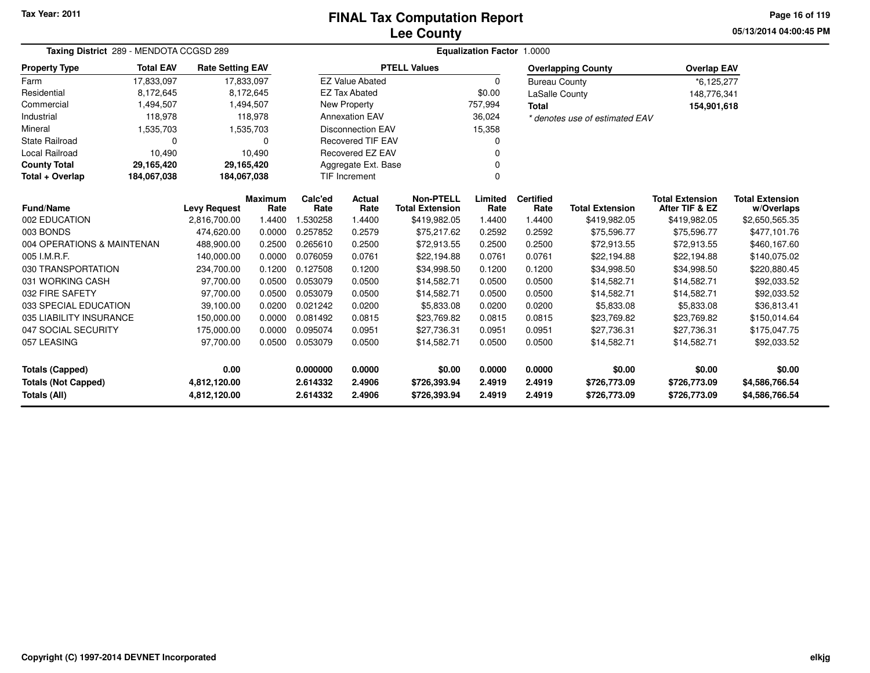### **Lee CountyFINAL Tax Computation Report**

**05/13/2014 04:00:45 PMPage 16 of 119**

| Taxing District 289 - MENDOTA CCGSD 289                       |                  |                                     |                | Equalization Factor 1.0000 |                                    |                                        |                |                      |                                        |                                          |                              |  |  |
|---------------------------------------------------------------|------------------|-------------------------------------|----------------|----------------------------|------------------------------------|----------------------------------------|----------------|----------------------|----------------------------------------|------------------------------------------|------------------------------|--|--|
| <b>Property Type</b>                                          | <b>Total EAV</b> | <b>Rate Setting EAV</b>             |                |                            |                                    | <b>PTELL Values</b>                    |                |                      | <b>Overlapping County</b>              | <b>Overlap EAV</b>                       |                              |  |  |
| Farm                                                          | 17,833,097       | 17,833,097                          |                |                            | <b>EZ Value Abated</b>             |                                        | $\Omega$       | <b>Bureau County</b> |                                        | *6,125,277                               |                              |  |  |
| Residential                                                   | 8,172,645        |                                     | 8,172,645      |                            | <b>EZ Tax Abated</b>               |                                        | \$0.00         | LaSalle County       |                                        | 148,776,341                              |                              |  |  |
| Commercial                                                    | 1,494,507        |                                     | 1,494,507      |                            | <b>New Property</b>                |                                        | 757,994        | <b>Total</b>         |                                        | 154,901,618                              |                              |  |  |
| Industrial                                                    | 118,978          |                                     | 118.978        |                            | <b>Annexation EAV</b>              |                                        | 36,024         |                      | * denotes use of estimated EAV         |                                          |                              |  |  |
| Mineral                                                       | 1,535,703        |                                     | 1,535,703      |                            | <b>Disconnection EAV</b><br>15,358 |                                        |                |                      |                                        |                                          |                              |  |  |
| <b>State Railroad</b>                                         | $\Omega$         |                                     | 0              |                            | <b>Recovered TIF EAV</b>           |                                        |                |                      |                                        |                                          |                              |  |  |
| Local Railroad                                                | 10,490           |                                     | 10,490         |                            | <b>Recovered EZ EAV</b>            |                                        |                |                      |                                        |                                          |                              |  |  |
| <b>County Total</b>                                           | 29,165,420       | 29,165,420                          |                |                            | Aggregate Ext. Base                |                                        |                |                      |                                        |                                          |                              |  |  |
| Total + Overlap                                               | 184,067,038      | 184,067,038                         |                |                            | <b>TIF Increment</b>               |                                        | $\Omega$       |                      |                                        |                                          |                              |  |  |
| Fund/Name                                                     |                  |                                     | <b>Maximum</b> | Calc'ed                    | Actual                             | <b>Non-PTELL</b>                       | Limited        | <b>Certified</b>     |                                        | <b>Total Extension</b><br>After TIF & EZ | <b>Total Extension</b>       |  |  |
| 002 EDUCATION                                                 |                  | <b>Levy Request</b><br>2,816,700.00 | Rate<br>1.4400 | Rate<br>1.530258           | Rate<br>1.4400                     | <b>Total Extension</b><br>\$419,982.05 | Rate<br>1.4400 | Rate<br>1.4400       | <b>Total Extension</b><br>\$419,982.05 | \$419,982.05                             | w/Overlaps<br>\$2,650,565.35 |  |  |
| 003 BONDS                                                     |                  | 474,620.00                          | 0.0000         | 0.257852                   | 0.2579                             | \$75,217.62                            | 0.2592         | 0.2592               | \$75,596.77                            | \$75,596.77                              | \$477,101.76                 |  |  |
| 004 OPERATIONS & MAINTENAN                                    |                  | 488,900.00                          | 0.2500         | 0.265610                   |                                    | \$72,913.55                            | 0.2500         | 0.2500               | \$72,913.55                            | \$72,913.55                              | \$460,167.60                 |  |  |
| 005 I.M.R.F.                                                  |                  | 140,000.00                          | 0.0000         | 0.076059                   | 0.2500<br>0.0761                   | \$22,194.88                            | 0.0761         | 0.0761               | \$22,194.88                            | \$22,194.88                              | \$140,075.02                 |  |  |
| 030 TRANSPORTATION                                            |                  | 234,700.00                          | 0.1200         | 0.127508                   | 0.1200                             | \$34,998.50                            | 0.1200         | 0.1200               | \$34,998.50                            | \$34,998.50                              | \$220,880.45                 |  |  |
| 031 WORKING CASH                                              |                  | 97,700.00                           | 0.0500         | 0.053079                   | 0.0500                             | \$14,582.71                            | 0.0500         | 0.0500               | \$14,582.71                            | \$14,582.71                              | \$92,033.52                  |  |  |
| 032 FIRE SAFETY                                               |                  | 97,700.00                           | 0.0500         | 0.053079                   | 0.0500                             | \$14,582.71                            | 0.0500         | 0.0500               | \$14,582.71                            | \$14,582.71                              | \$92,033.52                  |  |  |
| 033 SPECIAL EDUCATION                                         |                  | 39,100.00                           | 0.0200         | 0.021242                   | 0.0200                             | \$5,833.08                             | 0.0200         | 0.0200               | \$5,833.08                             | \$5,833.08                               | \$36,813.41                  |  |  |
| 035 LIABILITY INSURANCE                                       |                  | 150,000.00                          | 0.0000         | 0.081492                   | 0.0815                             | \$23,769.82                            | 0.0815         | 0.0815               | \$23,769.82                            | \$23,769.82                              | \$150,014.64                 |  |  |
|                                                               |                  |                                     | 0.0000         | 0.095074                   | 0.0951                             | \$27,736.31                            | 0.0951         | 0.0951               | \$27,736.31                            | \$27,736.31                              | \$175,047.75                 |  |  |
| 047 SOCIAL SECURITY<br>175,000.00<br>057 LEASING<br>97,700.00 |                  | 0.0500                              | 0.053079       | 0.0500                     | \$14,582.71                        | 0.0500                                 | 0.0500         | \$14,582.71          | \$14,582.71                            | \$92,033.52                              |                              |  |  |
|                                                               |                  |                                     |                |                            |                                    |                                        |                |                      |                                        |                                          |                              |  |  |
| 0.00<br><b>Totals (Capped)</b>                                |                  |                                     |                | 0.000000                   | 0.0000                             | \$0.00                                 | 0.0000         | 0.0000               | \$0.00                                 | \$0.00                                   | \$0.00                       |  |  |
| <b>Totals (Not Capped)</b><br>4,812,120.00                    |                  |                                     |                | 2.614332                   | 2.4906                             | \$726,393.94                           | 2.4919         | 2.4919               | \$726,773.09                           | \$726,773.09                             | \$4,586,766.54               |  |  |
| Totals (All)<br>4,812,120.00                                  |                  |                                     |                | 2.614332                   | 2.4906                             | \$726,393.94                           | 2.4919         | 2.4919               | \$726,773.09                           | \$726,773.09                             | \$4,586,766.54               |  |  |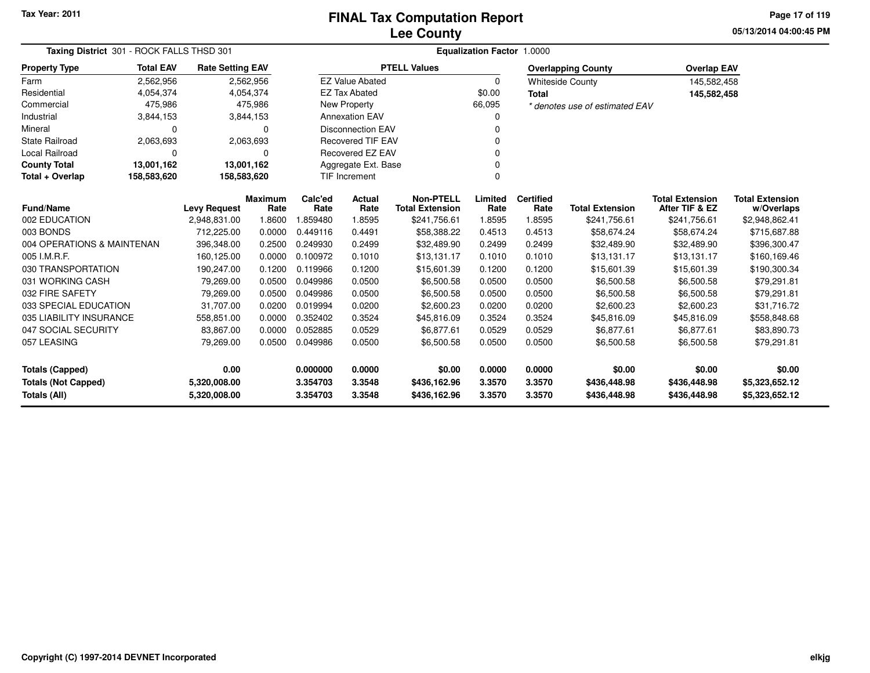**05/13/2014 04:00:45 PM Page 17 of 119**

| Taxing District 301 - ROCK FALLS THSD 301 |                  |                         |                        |                 | Equalization Factor 1.0000 |                                            |                 |                          |                                |                                          |                                      |
|-------------------------------------------|------------------|-------------------------|------------------------|-----------------|----------------------------|--------------------------------------------|-----------------|--------------------------|--------------------------------|------------------------------------------|--------------------------------------|
| <b>Property Type</b>                      | <b>Total EAV</b> | <b>Rate Setting EAV</b> |                        |                 |                            | <b>PTELL Values</b>                        |                 |                          | <b>Overlapping County</b>      | <b>Overlap EAV</b>                       |                                      |
| Farm                                      | 2,562,956        |                         | 2,562,956              |                 | <b>EZ Value Abated</b>     |                                            | 0               |                          | <b>Whiteside County</b>        | 145,582,458                              |                                      |
| Residential                               | 4,054,374        | 4,054,374               |                        |                 | <b>EZ Tax Abated</b>       |                                            | \$0.00          | <b>Total</b>             |                                | 145,582,458                              |                                      |
| Commercial                                | 475,986          |                         | 475,986                |                 | New Property               |                                            | 66,095          |                          | * denotes use of estimated EAV |                                          |                                      |
| Industrial                                | 3,844,153        | 3,844,153               |                        |                 | <b>Annexation EAV</b>      |                                            | 0               |                          |                                |                                          |                                      |
| Mineral                                   | $\Omega$         |                         | $\Omega$               |                 | <b>Disconnection EAV</b>   |                                            | 0               |                          |                                |                                          |                                      |
| <b>State Railroad</b>                     | 2,063,693        | 2,063,693               |                        |                 | <b>Recovered TIF EAV</b>   |                                            | 0               |                          |                                |                                          |                                      |
| Local Railroad                            | 0                |                         | 0                      |                 | Recovered EZ EAV           |                                            | 0               |                          |                                |                                          |                                      |
| <b>County Total</b>                       | 13,001,162       | 13,001,162              |                        |                 | Aggregate Ext. Base        |                                            |                 |                          |                                |                                          |                                      |
| Total + Overlap                           | 158,583,620      | 158,583,620             |                        |                 | TIF Increment              |                                            |                 |                          |                                |                                          |                                      |
| <b>Fund/Name</b>                          |                  | <b>Levy Request</b>     | <b>Maximum</b><br>Rate | Calc'ed<br>Rate | Actual<br>Rate             | <b>Non-PTELL</b><br><b>Total Extension</b> | Limited<br>Rate | <b>Certified</b><br>Rate | <b>Total Extension</b>         | <b>Total Extension</b><br>After TIF & EZ | <b>Total Extension</b><br>w/Overlaps |
| 002 EDUCATION                             |                  | 2,948,831.00            | 1.8600                 | 1.859480        | 1.8595                     | \$241,756.61                               | 1.8595          | 1.8595                   | \$241,756.61                   | \$241,756.61                             | \$2,948,862.41                       |
| 003 BONDS                                 |                  | 712,225.00              | 0.0000                 | 0.449116        | 0.4491                     | \$58,388.22                                | 0.4513          | 0.4513                   | \$58,674.24                    | \$58,674.24                              | \$715,687.88                         |
| 004 OPERATIONS & MAINTENAN                |                  | 396,348.00              | 0.2500                 | 0.249930        | 0.2499                     | \$32,489.90                                | 0.2499          | 0.2499                   | \$32,489.90                    | \$32,489.90                              | \$396,300.47                         |
| 005 I.M.R.F.                              |                  | 160,125.00              | 0.0000                 | 0.100972        | 0.1010                     | \$13,131.17                                | 0.1010          | 0.1010                   | \$13,131.17                    | \$13,131.17                              | \$160,169.46                         |
| 030 TRANSPORTATION                        |                  | 190,247.00              | 0.1200                 | 0.119966        | 0.1200                     | \$15,601.39                                | 0.1200          | 0.1200                   | \$15,601.39                    | \$15,601.39                              | \$190,300.34                         |
| 031 WORKING CASH                          |                  | 79,269.00               | 0.0500                 | 0.049986        | 0.0500                     | \$6,500.58                                 | 0.0500          | 0.0500                   | \$6,500.58                     | \$6,500.58                               | \$79,291.81                          |
| 032 FIRE SAFETY                           |                  | 79,269.00               | 0.0500                 | 0.049986        | 0.0500                     | \$6,500.58                                 | 0.0500          | 0.0500                   | \$6,500.58                     | \$6,500.58                               | \$79,291.81                          |
| 033 SPECIAL EDUCATION                     |                  | 31,707.00               | 0.0200                 | 0.019994        | 0.0200                     | \$2,600.23                                 | 0.0200          | 0.0200                   | \$2,600.23                     | \$2,600.23                               | \$31,716.72                          |
| 035 LIABILITY INSURANCE                   |                  | 558,851.00              | 0.0000                 | 0.352402        | 0.3524                     | \$45,816.09                                | 0.3524          | 0.3524                   | \$45,816.09                    | \$45,816.09                              | \$558,848.68                         |
| 047 SOCIAL SECURITY                       |                  | 83,867.00               | 0.0000                 | 0.052885        | 0.0529                     | \$6,877.61                                 | 0.0529          | 0.0529                   | \$6,877.61                     | \$6,877.61                               | \$83,890.73                          |
| 057 LEASING                               |                  | 79,269.00               | 0.0500                 | 0.049986        | 0.0500                     | \$6,500.58                                 | 0.0500          | 0.0500                   | \$6,500.58                     | \$6,500.58                               | \$79,291.81                          |
| <b>Totals (Capped)</b>                    |                  |                         |                        | 0.000000        | 0.0000                     | \$0.00                                     | 0.0000          | 0.0000                   | \$0.00                         | \$0.00                                   | \$0.00                               |
| <b>Totals (Not Capped)</b>                |                  | 5,320,008.00            |                        | 3.354703        | 3.3548                     | \$436,162.96                               | 3.3570          | 3.3570                   | \$436,448.98                   | \$436,448.98                             | \$5,323,652.12                       |
| <b>Totals (All)</b>                       |                  | 5,320,008.00            |                        | 3.354703        | 3.3548                     | \$436,162.96                               | 3.3570          | 3.3570                   | \$436,448.98                   | \$436,448.98                             | \$5,323,652.12                       |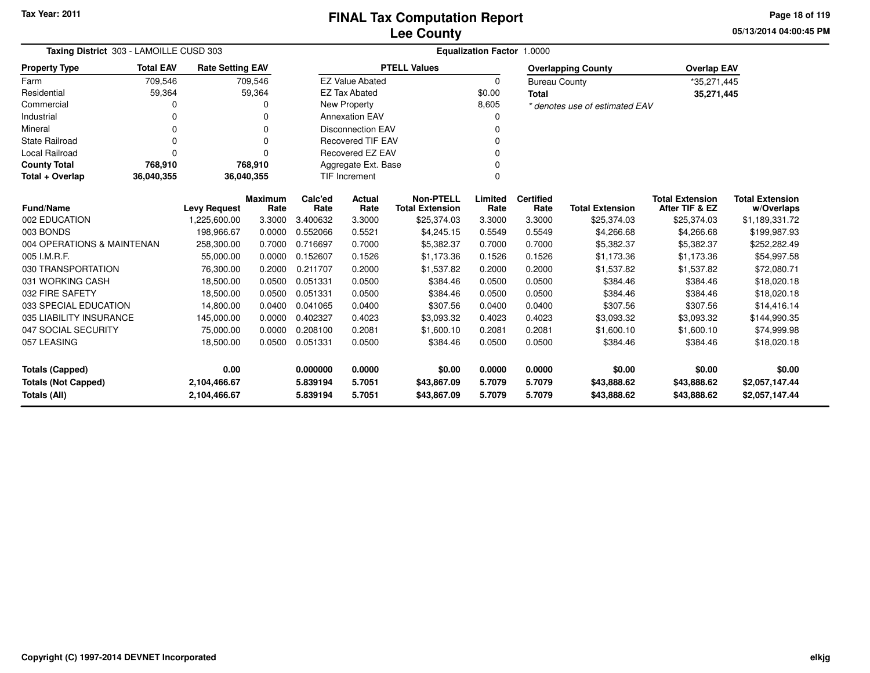**05/13/2014 04:00:45 PM Page 18 of 119**

| Taxing District 303 - LAMOILLE CUSD 303           |                  |                         |                        |                     | <b>Equalization Factor 1.0000</b>   |                                            |                 |                          |                                |                                          |                                      |  |  |
|---------------------------------------------------|------------------|-------------------------|------------------------|---------------------|-------------------------------------|--------------------------------------------|-----------------|--------------------------|--------------------------------|------------------------------------------|--------------------------------------|--|--|
| <b>Property Type</b>                              | <b>Total EAV</b> | <b>Rate Setting EAV</b> |                        |                     |                                     | <b>PTELL Values</b>                        |                 |                          | <b>Overlapping County</b>      | <b>Overlap EAV</b>                       |                                      |  |  |
| Farm                                              | 709,546          |                         | 709,546                |                     | <b>EZ Value Abated</b>              |                                            | $\Omega$        | <b>Bureau County</b>     |                                | *35,271,445                              |                                      |  |  |
| Residential                                       | 59,364           |                         | 59,364                 |                     | <b>EZ Tax Abated</b>                |                                            | \$0.00          | <b>Total</b>             |                                | 35,271,445                               |                                      |  |  |
| Commercial                                        | 0                |                         |                        |                     | <b>New Property</b>                 |                                            | 8,605           |                          | * denotes use of estimated EAV |                                          |                                      |  |  |
| Industrial                                        | 0                |                         |                        |                     | <b>Annexation EAV</b>               |                                            |                 |                          |                                |                                          |                                      |  |  |
| Mineral                                           | 0                |                         | $\Omega$               |                     | <b>Disconnection EAV</b>            |                                            | 0               |                          |                                |                                          |                                      |  |  |
| <b>State Railroad</b>                             | 0                |                         | $\Omega$               |                     | <b>Recovered TIF EAV</b>            |                                            | $\Omega$        |                          |                                |                                          |                                      |  |  |
| <b>Local Railroad</b>                             | 0                |                         | O                      |                     | <b>Recovered EZ EAV</b><br>$\Omega$ |                                            |                 |                          |                                |                                          |                                      |  |  |
| <b>County Total</b>                               | 768,910          |                         | 768,910                | Aggregate Ext. Base |                                     |                                            |                 |                          |                                |                                          |                                      |  |  |
| Total + Overlap                                   | 36,040,355       | 36,040,355              |                        |                     | <b>TIF Increment</b>                |                                            | $\Omega$        |                          |                                |                                          |                                      |  |  |
| <b>Fund/Name</b>                                  |                  | <b>Levy Request</b>     | <b>Maximum</b><br>Rate | Calc'ed<br>Rate     | Actual<br>Rate                      | <b>Non-PTELL</b><br><b>Total Extension</b> | Limited<br>Rate | <b>Certified</b><br>Rate | <b>Total Extension</b>         | <b>Total Extension</b><br>After TIF & EZ | <b>Total Extension</b><br>w/Overlaps |  |  |
| 002 EDUCATION                                     |                  | 1,225,600.00            | 3.3000                 | 3.400632            | 3.3000                              | \$25,374.03                                | 3.3000          | 3.3000                   | \$25,374.03                    | \$25,374.03                              | \$1,189,331.72                       |  |  |
| 003 BONDS                                         |                  | 198.966.67              | 0.0000                 | 0.552066            | 0.5521                              | \$4,245.15                                 | 0.5549          | 0.5549                   | \$4,266.68                     | \$4,266.68                               | \$199,987.93                         |  |  |
| 004 OPERATIONS & MAINTENAN                        |                  | 258,300.00              | 0.7000                 | 0.716697            | 0.7000                              | \$5,382.37                                 | 0.7000          | 0.7000                   | \$5,382.37                     | \$5,382.37                               | \$252,282.49                         |  |  |
| 005 I.M.R.F.                                      |                  | 55,000.00               | 0.0000                 | 0.152607            | 0.1526                              | \$1,173.36                                 | 0.1526          | 0.1526                   | \$1,173.36                     | \$1,173.36                               | \$54,997.58                          |  |  |
| 030 TRANSPORTATION                                |                  | 76,300.00               | 0.2000                 | 0.211707            | 0.2000                              | \$1,537.82                                 | 0.2000          | 0.2000                   | \$1,537.82                     | \$1,537.82                               | \$72,080.71                          |  |  |
| 031 WORKING CASH                                  |                  | 18,500.00               | 0.0500                 | 0.051331            | 0.0500                              | \$384.46                                   | 0.0500          | 0.0500                   | \$384.46                       | \$384.46                                 | \$18,020.18                          |  |  |
| 032 FIRE SAFETY                                   |                  | 18,500.00               | 0.0500                 | 0.051331            | 0.0500                              | \$384.46                                   | 0.0500          | 0.0500                   | \$384.46                       | \$384.46                                 | \$18,020.18                          |  |  |
| 033 SPECIAL EDUCATION                             |                  | 14,800.00               | 0.0400                 | 0.041065            | 0.0400                              | \$307.56                                   | 0.0400          | 0.0400                   | \$307.56                       | \$307.56                                 | \$14,416.14                          |  |  |
| 035 LIABILITY INSURANCE                           |                  | 145,000.00              | 0.0000                 | 0.402327            | 0.4023                              | \$3,093.32                                 | 0.4023          | 0.4023                   | \$3,093.32                     | \$3,093.32                               | \$144,990.35                         |  |  |
| 047 SOCIAL SECURITY                               |                  | 75,000.00               | 0.0000                 | 0.208100            | 0.2081                              | \$1,600.10                                 | 0.2081          | 0.2081                   | \$1,600.10                     | \$1,600.10                               | \$74,999.98                          |  |  |
| 057 LEASING                                       |                  | 18,500.00               | 0.0500                 | 0.051331            | 0.0500                              | \$384.46                                   | 0.0500          | 0.0500                   | \$384.46                       | \$384.46                                 | \$18,020.18                          |  |  |
| 0.00<br><b>Totals (Capped)</b>                    |                  |                         |                        | 0.000000            | 0.0000                              | \$0.00                                     | 0.0000          | 0.0000                   | \$0.00                         | \$0.00                                   | \$0.00                               |  |  |
|                                                   |                  | 2,104,466.67            |                        | 5.839194            | 5.7051                              | \$43,867.09                                | 5.7079          | 5.7079                   | \$43,888.62                    | \$43,888.62                              | \$2,057,147.44                       |  |  |
| <b>Totals (Not Capped)</b><br><b>Totals (All)</b> |                  | 2,104,466.67            |                        | 5.839194            | 5.7051                              | \$43,867.09                                | 5.7079          | 5.7079                   | \$43,888.62                    | \$43,888.62                              | \$2,057,147.44                       |  |  |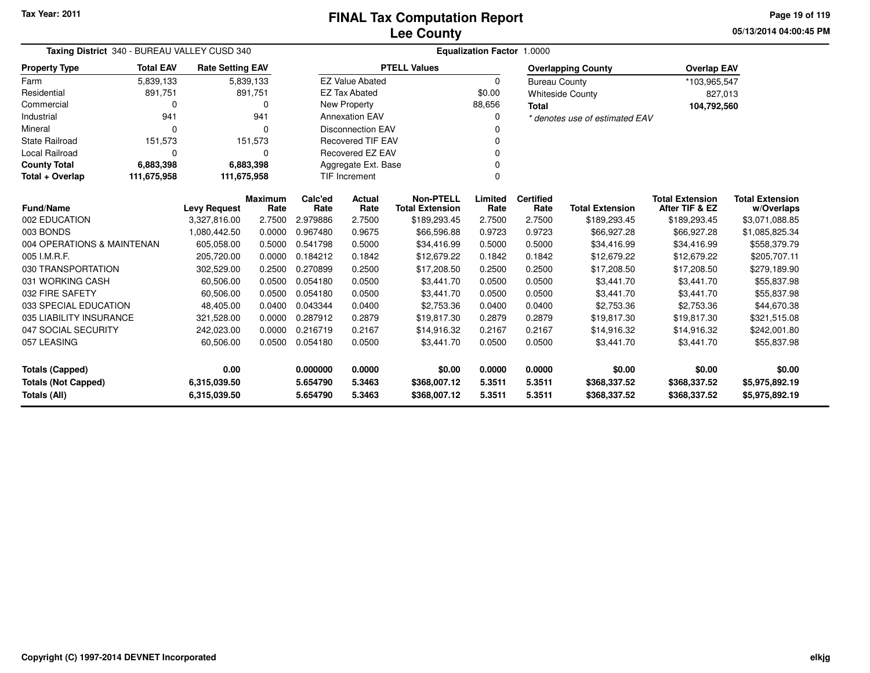**05/13/2014 04:00:45 PM Page 19 of 119**

| Taxing District 340 - BUREAU VALLEY CUSD 340       |                  |                         |                        | Equalization Factor 1.0000 |                                  |                                            |                 |                          |                                |                                          |                                      |  |  |
|----------------------------------------------------|------------------|-------------------------|------------------------|----------------------------|----------------------------------|--------------------------------------------|-----------------|--------------------------|--------------------------------|------------------------------------------|--------------------------------------|--|--|
| <b>Property Type</b>                               | <b>Total EAV</b> | <b>Rate Setting EAV</b> |                        |                            |                                  | <b>PTELL Values</b>                        |                 |                          | <b>Overlapping County</b>      | <b>Overlap EAV</b>                       |                                      |  |  |
| Farm                                               | 5,839,133        |                         | 5,839,133              |                            | <b>EZ Value Abated</b>           |                                            | $\Omega$        | <b>Bureau County</b>     |                                | *103,965,547                             |                                      |  |  |
| Residential                                        | 891,751          |                         | 891,751                |                            | <b>EZ Tax Abated</b>             |                                            | \$0.00          |                          | <b>Whiteside County</b>        | 827,013                                  |                                      |  |  |
| Commercial                                         | $\Omega$         |                         | 0                      |                            | <b>New Property</b>              |                                            | 88,656          | <b>Total</b>             |                                | 104,792,560                              |                                      |  |  |
| Industrial                                         | 941              |                         | 941                    |                            | <b>Annexation EAV</b>            |                                            | $\Omega$        |                          | * denotes use of estimated EAV |                                          |                                      |  |  |
| Mineral                                            | $\Omega$         |                         | 0                      |                            | <b>Disconnection EAV</b><br>ŋ    |                                            |                 |                          |                                |                                          |                                      |  |  |
| <b>State Railroad</b>                              | 151,573          |                         | 151,573                |                            | <b>Recovered TIF EAV</b>         |                                            |                 |                          |                                |                                          |                                      |  |  |
| Local Railroad                                     | 0                |                         | 0                      |                            | Recovered EZ EAV<br>0            |                                            |                 |                          |                                |                                          |                                      |  |  |
| <b>County Total</b>                                | 6,883,398        |                         | 6,883,398              |                            | Aggregate Ext. Base              |                                            |                 |                          |                                |                                          |                                      |  |  |
| Total + Overlap                                    | 111,675,958      | 111,675,958             |                        |                            | <b>TIF Increment</b><br>$\Omega$ |                                            |                 |                          |                                |                                          |                                      |  |  |
| <b>Fund/Name</b>                                   |                  | <b>Levy Request</b>     | <b>Maximum</b><br>Rate | Calc'ed<br>Rate            | Actual<br>Rate                   | <b>Non-PTELL</b><br><b>Total Extension</b> | Limited<br>Rate | <b>Certified</b><br>Rate | <b>Total Extension</b>         | <b>Total Extension</b><br>After TIF & EZ | <b>Total Extension</b><br>w/Overlaps |  |  |
| 002 EDUCATION                                      |                  | 3,327,816.00            | 2.7500                 | 2.979886                   | 2.7500                           | \$189,293.45                               | 2.7500          | 2.7500                   | \$189,293.45                   | \$189,293.45                             | \$3,071,088.85                       |  |  |
| 003 BONDS                                          |                  | 1,080,442.50            | 0.0000                 | 0.967480                   | 0.9675                           | \$66,596.88                                | 0.9723          | 0.9723                   | \$66,927.28                    | \$66,927.28                              | \$1,085,825.34                       |  |  |
| 004 OPERATIONS & MAINTENAN                         |                  | 605,058.00              | 0.5000                 | 0.541798                   | 0.5000                           | \$34,416.99                                | 0.5000          | 0.5000                   | \$34,416.99                    | \$34,416.99                              | \$558,379.79                         |  |  |
| 005 I.M.R.F.                                       |                  | 205,720.00              | 0.0000                 | 0.184212                   | 0.1842                           | \$12,679.22                                | 0.1842          | 0.1842                   | \$12,679.22                    | \$12,679.22                              | \$205,707.11                         |  |  |
| 030 TRANSPORTATION                                 |                  | 302,529.00              | 0.2500                 | 0.270899                   | 0.2500                           | \$17,208.50                                | 0.2500          | 0.2500                   | \$17,208.50                    | \$17,208.50                              | \$279,189.90                         |  |  |
| 031 WORKING CASH                                   |                  | 60,506.00               | 0.0500                 | 0.054180                   | 0.0500                           | \$3,441.70                                 | 0.0500          | 0.0500                   | \$3,441.70                     | \$3,441.70                               | \$55,837.98                          |  |  |
| 032 FIRE SAFETY                                    |                  | 60,506.00               | 0.0500                 | 0.054180                   | 0.0500                           | \$3,441.70                                 | 0.0500          | 0.0500                   | \$3,441.70                     | \$3,441.70                               | \$55,837.98                          |  |  |
| 033 SPECIAL EDUCATION                              |                  | 48,405.00               | 0.0400                 | 0.043344                   | 0.0400                           | \$2,753.36                                 | 0.0400          | 0.0400                   | \$2,753.36                     | \$2,753.36                               | \$44,670.38                          |  |  |
| 035 LIABILITY INSURANCE                            |                  | 321,528.00              | 0.0000                 | 0.287912                   | 0.2879                           | \$19,817.30                                | 0.2879          | 0.2879                   | \$19,817.30                    | \$19,817.30                              | \$321,515.08                         |  |  |
| 047 SOCIAL SECURITY                                |                  | 242,023.00              | 0.0000                 | 0.216719                   | 0.2167                           | \$14,916.32                                | 0.2167          | 0.2167                   | \$14,916.32                    | \$14,916.32                              | \$242,001.80                         |  |  |
| 057 LEASING                                        |                  | 60,506.00               | 0.0500                 | 0.054180                   | 0.0500                           | \$3,441.70                                 | 0.0500          | 0.0500                   | \$3,441.70                     | \$3,441.70                               | \$55,837.98                          |  |  |
| <b>Totals (Capped)</b>                             |                  | 0.000000                | 0.0000                 | \$0.00                     | 0.0000                           | 0.0000                                     | \$0.00          | \$0.00                   | \$0.00                         |                                          |                                      |  |  |
| 0.00<br><b>Totals (Not Capped)</b><br>6,315,039.50 |                  |                         |                        | 5.654790                   | 5.3463                           | \$368,007.12                               | 5.3511          | 5.3511                   | \$368,337.52                   | \$368,337.52                             | \$5,975,892.19                       |  |  |
| Totals (All)                                       |                  | 6,315,039.50            |                        | 5.654790                   | 5.3463                           | \$368,007.12                               | 5.3511          | 5.3511                   | \$368,337.52                   | \$368,337.52                             | \$5,975,892.19                       |  |  |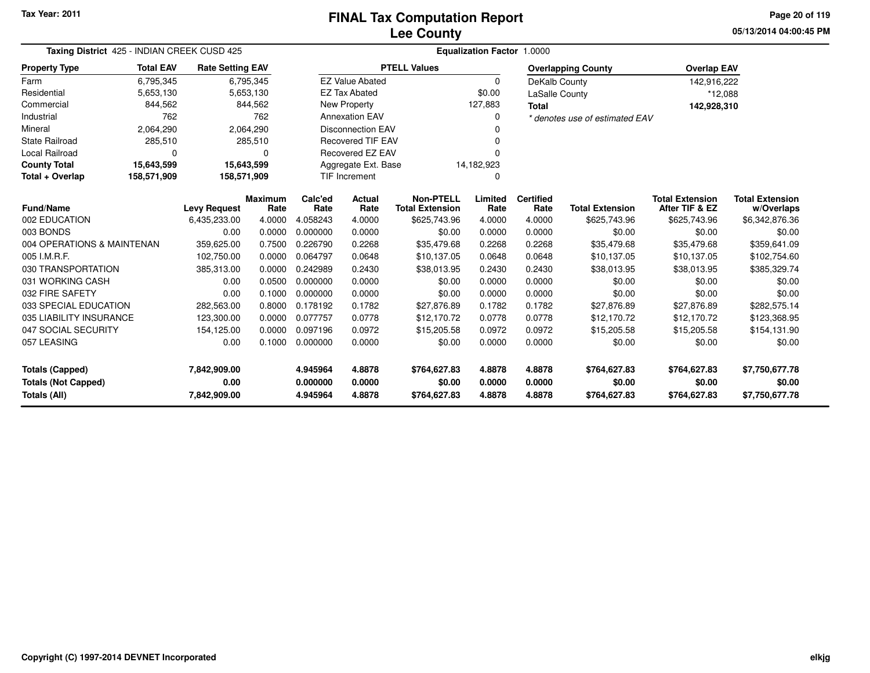### **Lee CountyFINAL Tax Computation Report**

**05/13/2014 04:00:45 PMPage 20 of 119**

| Taxing District 425 - INDIAN CREEK CUSD 425                        |                  |                                                                     |                        | <b>Equalization Factor 1.0000</b> |                          |                                            |                  |                          |                           |                                          |                                      |  |  |
|--------------------------------------------------------------------|------------------|---------------------------------------------------------------------|------------------------|-----------------------------------|--------------------------|--------------------------------------------|------------------|--------------------------|---------------------------|------------------------------------------|--------------------------------------|--|--|
| <b>Property Type</b>                                               | <b>Total EAV</b> | <b>Rate Setting EAV</b>                                             |                        |                                   |                          | <b>PTELL Values</b>                        |                  |                          | <b>Overlapping County</b> | <b>Overlap EAV</b>                       |                                      |  |  |
| Farm                                                               | 6,795,345        |                                                                     | 6,795,345              |                                   | <b>EZ Value Abated</b>   |                                            | $\Omega$         | DeKalb County            |                           | 142,916,222                              |                                      |  |  |
| Residential                                                        | 5,653,130        |                                                                     | 5,653,130              |                                   | <b>EZ Tax Abated</b>     |                                            | \$0.00           | LaSalle County           |                           | *12,088                                  |                                      |  |  |
| Commercial                                                         | 844,562          |                                                                     | 844,562                |                                   | New Property             |                                            | 127,883          | <b>Total</b>             |                           | 142,928,310                              |                                      |  |  |
| Industrial                                                         | 762              | 762<br><b>Annexation EAV</b><br>0<br>* denotes use of estimated EAV |                        |                                   |                          |                                            |                  |                          |                           |                                          |                                      |  |  |
| Mineral                                                            | 2,064,290        |                                                                     | 2,064,290              |                                   | <b>Disconnection EAV</b> |                                            |                  |                          |                           |                                          |                                      |  |  |
| <b>State Railroad</b>                                              | 285,510          |                                                                     | 285,510                |                                   | <b>Recovered TIF EAV</b> |                                            |                  |                          |                           |                                          |                                      |  |  |
| <b>Local Railroad</b>                                              | 0                |                                                                     | 0                      |                                   | <b>Recovered EZ EAV</b>  |                                            |                  |                          |                           |                                          |                                      |  |  |
| <b>County Total</b>                                                | 15,643,599       | 15,643,599                                                          |                        |                                   | Aggregate Ext. Base      |                                            | 14,182,923       |                          |                           |                                          |                                      |  |  |
| Total + Overlap                                                    | 158,571,909      | 158,571,909                                                         |                        |                                   | <b>TIF Increment</b>     |                                            | $\Omega$         |                          |                           |                                          |                                      |  |  |
| Fund/Name                                                          |                  | <b>Levy Request</b>                                                 | <b>Maximum</b><br>Rate | Calc'ed<br>Rate                   | Actual<br>Rate           | <b>Non-PTELL</b><br><b>Total Extension</b> | Limited<br>Rate  | <b>Certified</b><br>Rate | <b>Total Extension</b>    | <b>Total Extension</b><br>After TIF & EZ | <b>Total Extension</b><br>w/Overlaps |  |  |
| 002 EDUCATION                                                      |                  | 6,435,233.00                                                        | 4.0000                 | 4.058243                          | 4.0000                   | \$625,743.96                               | 4.0000           | 4.0000                   | \$625,743.96              | \$625,743.96                             | \$6,342,876.36                       |  |  |
| 003 BONDS                                                          |                  | 0.00                                                                | 0.0000                 | 0.000000                          | 0.0000                   | \$0.00                                     | 0.0000           | 0.0000                   | \$0.00                    | \$0.00                                   | \$0.00                               |  |  |
| 004 OPERATIONS & MAINTENAN                                         |                  | 359,625.00                                                          | 0.7500                 | 0.226790                          | 0.2268                   | \$35,479.68                                | 0.2268           | 0.2268                   | \$35,479.68               | \$35,479.68                              | \$359,641.09                         |  |  |
| 005 I.M.R.F.                                                       |                  | 102,750.00                                                          | 0.0000                 | 0.064797                          | 0.0648                   | \$10,137.05                                | 0.0648           | 0.0648                   | \$10,137.05               | \$10,137.05                              | \$102,754.60                         |  |  |
| 030 TRANSPORTATION                                                 |                  | 385,313.00                                                          | 0.0000                 | 0.242989                          | 0.2430                   | \$38,013.95                                | 0.2430           | 0.2430                   | \$38,013.95               | \$38,013.95                              | \$385,329.74                         |  |  |
| 031 WORKING CASH                                                   |                  | 0.00                                                                | 0.0500                 | 0.000000                          | 0.0000                   | \$0.00                                     | 0.0000           | 0.0000                   | \$0.00                    | \$0.00                                   | \$0.00                               |  |  |
| 032 FIRE SAFETY                                                    |                  | 0.00                                                                | 0.1000                 | 0.000000                          | 0.0000                   | \$0.00                                     | 0.0000           | 0.0000                   | \$0.00                    | \$0.00                                   | \$0.00                               |  |  |
| 033 SPECIAL EDUCATION                                              |                  | 282,563.00                                                          | 0.8000                 | 0.178192                          | 0.1782                   | \$27,876.89                                | 0.1782           | 0.1782                   | \$27,876.89               | \$27,876.89                              | \$282,575.14                         |  |  |
| 035 LIABILITY INSURANCE                                            |                  | 123.300.00                                                          | 0.0000                 | 0.077757                          | 0.0778                   | \$12,170.72                                | 0.0778           | 0.0778                   | \$12,170.72               | \$12,170.72                              | \$123,368.95                         |  |  |
| 047 SOCIAL SECURITY                                                |                  | 154,125.00                                                          | 0.0000                 | 0.097196                          | 0.0972                   | \$15,205.58                                | 0.0972           | 0.0972                   | \$15,205.58               | \$15,205.58                              | \$154,131.90                         |  |  |
| 057 LEASING                                                        |                  | 0.00                                                                | 0.1000                 | 0.000000                          | 0.0000                   | \$0.00                                     | 0.0000           | 0.0000                   | \$0.00                    | \$0.00                                   | \$0.00                               |  |  |
| <b>Totals (Capped)</b><br>7,842,909.00                             |                  |                                                                     | 4.945964               | 4.8878                            | \$764,627.83             | 4.8878                                     | 4.8878           | \$764,627.83             | \$764,627.83              | \$7,750,677.78                           |                                      |  |  |
| 0.00<br><b>Totals (Not Capped)</b><br>Totals (All)<br>7,842,909.00 |                  |                                                                     |                        | 0.000000<br>4.945964              | 0.0000<br>4.8878         | \$0.00<br>\$764,627.83                     | 0.0000<br>4.8878 | 0.0000<br>4.8878         | \$0.00<br>\$764,627.83    | \$0.00<br>\$764,627.83                   | \$0.00<br>\$7,750,677.78             |  |  |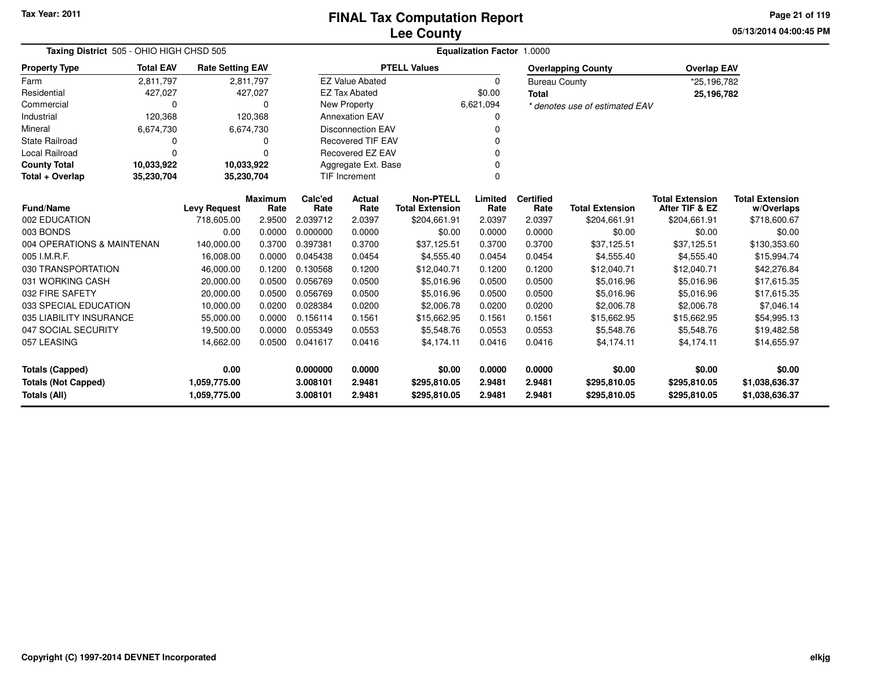**05/13/2014 04:00:45 PM Page 21 of 119**

| Taxing District 505 - OHIO HIGH CHSD 505          |                  |                              |                        |                      |                          |                                            |                  |                          |                                |                                          |                                      |
|---------------------------------------------------|------------------|------------------------------|------------------------|----------------------|--------------------------|--------------------------------------------|------------------|--------------------------|--------------------------------|------------------------------------------|--------------------------------------|
| <b>Property Type</b>                              | <b>Total EAV</b> | <b>Rate Setting EAV</b>      |                        |                      |                          | <b>PTELL Values</b>                        |                  |                          | <b>Overlapping County</b>      | <b>Overlap EAV</b>                       |                                      |
| Farm                                              | 2,811,797        | 2,811,797                    |                        |                      | <b>EZ Value Abated</b>   |                                            | 0                | <b>Bureau County</b>     |                                | *25,196,782                              |                                      |
| Residential                                       | 427,027          |                              | 427,027                |                      | <b>EZ Tax Abated</b>     |                                            | \$0.00           | <b>Total</b>             |                                | 25,196,782                               |                                      |
| Commercial                                        | 0                |                              | $\Omega$               |                      | New Property             |                                            | 6,621,094        |                          | * denotes use of estimated EAV |                                          |                                      |
| Industrial                                        | 120,368          |                              | 120,368                |                      | <b>Annexation EAV</b>    |                                            | 0                |                          |                                |                                          |                                      |
| Mineral                                           | 6,674,730        | 6,674,730                    |                        |                      | <b>Disconnection EAV</b> |                                            |                  |                          |                                |                                          |                                      |
| <b>State Railroad</b>                             |                  |                              |                        |                      | <b>Recovered TIF EAV</b> |                                            | 0                |                          |                                |                                          |                                      |
| Local Railroad                                    | $\Omega$         |                              | $\Omega$               |                      | Recovered EZ EAV         |                                            |                  |                          |                                |                                          |                                      |
| <b>County Total</b>                               | 10,033,922       | 10,033,922                   |                        |                      | Aggregate Ext. Base      |                                            | U                |                          |                                |                                          |                                      |
| Total + Overlap                                   | 35,230,704       | 35,230,704                   |                        |                      | TIF Increment            |                                            | 0                |                          |                                |                                          |                                      |
| <b>Fund/Name</b>                                  |                  | <b>Levy Request</b>          | <b>Maximum</b><br>Rate | Calc'ed<br>Rate      | <b>Actual</b><br>Rate    | <b>Non-PTELL</b><br><b>Total Extension</b> | Limited<br>Rate  | <b>Certified</b><br>Rate | <b>Total Extension</b>         | <b>Total Extension</b><br>After TIF & EZ | <b>Total Extension</b><br>w/Overlaps |
| 002 EDUCATION                                     |                  | 718,605.00                   | 2.9500                 | 2.039712             | 2.0397                   | \$204,661.91                               | 2.0397           | 2.0397                   | \$204,661.91                   | \$204,661.91                             | \$718,600.67                         |
| 003 BONDS                                         |                  | 0.00                         | 0.0000                 | 0.000000             | 0.0000                   | \$0.00                                     | 0.0000           | 0.0000                   | \$0.00                         | \$0.00                                   | \$0.00                               |
| 004 OPERATIONS & MAINTENAN                        |                  | 140,000.00                   | 0.3700                 | 0.397381             | 0.3700                   | \$37,125.51                                | 0.3700           | 0.3700                   | \$37,125.51                    | \$37,125.51                              | \$130,353.60                         |
| 005 I.M.R.F.                                      |                  | 16,008.00                    | 0.0000                 | 0.045438             | 0.0454                   | \$4,555.40                                 | 0.0454           | 0.0454                   | \$4,555.40                     | \$4,555.40                               | \$15,994.74                          |
| 030 TRANSPORTATION                                |                  | 46,000.00                    | 0.1200                 | 0.130568             | 0.1200                   | \$12,040.71                                | 0.1200           | 0.1200                   | \$12,040.71                    | \$12,040.71                              | \$42,276.84                          |
| 031 WORKING CASH                                  |                  | 20,000.00                    | 0.0500                 | 0.056769             | 0.0500                   | \$5,016.96                                 | 0.0500           | 0.0500                   | \$5,016.96                     | \$5,016.96                               | \$17,615.35                          |
| 032 FIRE SAFETY                                   |                  | 20,000.00                    | 0.0500                 | 0.056769             | 0.0500                   | \$5,016.96                                 | 0.0500           | 0.0500                   | \$5,016.96                     | \$5,016.96                               | \$17,615.35                          |
| 033 SPECIAL EDUCATION                             |                  | 10,000.00                    | 0.0200                 | 0.028384             | 0.0200                   | \$2,006.78                                 | 0.0200           | 0.0200                   | \$2,006.78                     | \$2,006.78                               | \$7,046.14                           |
| 035 LIABILITY INSURANCE                           |                  | 55,000.00                    | 0.0000                 | 0.156114             | 0.1561                   | \$15,662.95                                | 0.1561           | 0.1561                   | \$15,662.95                    | \$15,662.95                              | \$54,995.13                          |
| 047 SOCIAL SECURITY                               |                  | 19,500.00                    | 0.0000                 | 0.055349             | 0.0553                   | \$5,548.76                                 | 0.0553           | 0.0553                   | \$5,548.76                     | \$5,548.76                               | \$19,482.58                          |
| 057 LEASING                                       |                  | 14,662.00                    | 0.0500                 | 0.041617             | 0.0416                   | \$4,174.11                                 | 0.0416           | 0.0416                   | \$4,174.11                     | \$4,174.11                               | \$14,655.97                          |
| <b>Totals (Capped)</b>                            |                  | 0.00                         |                        | 0.000000             | 0.0000                   | \$0.00                                     | 0.0000           | 0.0000                   | \$0.00                         | \$0.00                                   | \$0.00                               |
| <b>Totals (Not Capped)</b><br><b>Totals (All)</b> |                  | 1,059,775.00<br>1,059,775.00 |                        | 3.008101<br>3.008101 | 2.9481<br>2.9481         | \$295,810.05<br>\$295,810.05               | 2.9481<br>2.9481 | 2.9481<br>2.9481         | \$295,810.05<br>\$295,810.05   | \$295,810.05<br>\$295,810.05             | \$1,038,636.37<br>\$1,038,636.37     |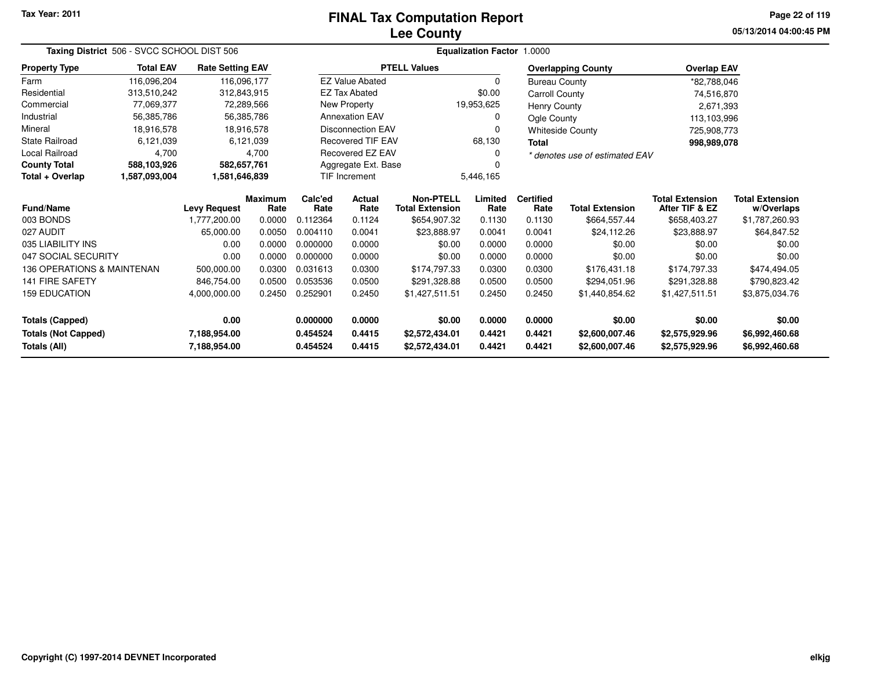### **Lee CountyFINAL Tax Computation Report**

**05/13/2014 04:00:45 PM Page 22 of 119**

| Taxing District 506 - SVCC SCHOOL DIST 506<br><b>Total EAV</b><br><b>Rate Setting EAV</b><br>116,096,204<br>116,096,177<br>313,510,242<br>312,843,915<br>77,069,377<br>72,289,566<br>56,385,786<br>56,385,786 |                                |                     |                        |                 |                          |                                            | Equalization Factor 1.0000 |                          |                                |                                          |                                      |  |
|---------------------------------------------------------------------------------------------------------------------------------------------------------------------------------------------------------------|--------------------------------|---------------------|------------------------|-----------------|--------------------------|--------------------------------------------|----------------------------|--------------------------|--------------------------------|------------------------------------------|--------------------------------------|--|
| <b>Property Type</b>                                                                                                                                                                                          |                                |                     |                        |                 |                          | <b>PTELL Values</b>                        |                            |                          | <b>Overlapping County</b>      | <b>Overlap EAV</b>                       |                                      |  |
| Farm                                                                                                                                                                                                          |                                |                     |                        |                 | <b>EZ Value Abated</b>   |                                            | $\Omega$                   | <b>Bureau County</b>     |                                | *82,788,046                              |                                      |  |
| Residential                                                                                                                                                                                                   |                                |                     |                        |                 | <b>EZ Tax Abated</b>     |                                            | \$0.00                     | <b>Carroll County</b>    |                                | 74,516,870                               |                                      |  |
| Commercial                                                                                                                                                                                                    |                                |                     |                        |                 | New Property             |                                            | 19,953,625                 | Henry County             |                                | 2,671,393                                |                                      |  |
| Industrial                                                                                                                                                                                                    |                                |                     |                        |                 | <b>Annexation EAV</b>    |                                            | 0                          | Ogle County              |                                | 113,103,996                              |                                      |  |
| Mineral                                                                                                                                                                                                       | 18,916,578                     |                     | 18,916,578             |                 | <b>Disconnection EAV</b> |                                            | $\Omega$                   |                          | <b>Whiteside County</b>        | 725,908,773                              |                                      |  |
| <b>State Railroad</b>                                                                                                                                                                                         | 6,121,039                      |                     | 6,121,039              |                 | <b>Recovered TIF EAV</b> |                                            | 68,130                     | <b>Total</b>             |                                | 998,989,078                              |                                      |  |
| <b>Local Railroad</b>                                                                                                                                                                                         | 4,700                          |                     | 4,700                  |                 | Recovered EZ EAV         |                                            | 0                          |                          | * denotes use of estimated EAV |                                          |                                      |  |
| <b>County Total</b>                                                                                                                                                                                           | 588,103,926                    | 582,657,761         |                        |                 | Aggregate Ext. Base      |                                            |                            |                          |                                |                                          |                                      |  |
| Total + Overlap                                                                                                                                                                                               | 1,587,093,004<br>1,581,646,839 |                     |                        |                 | <b>TIF Increment</b>     |                                            | 5,446,165                  |                          |                                |                                          |                                      |  |
| <b>Fund/Name</b>                                                                                                                                                                                              |                                | <b>Levy Request</b> | <b>Maximum</b><br>Rate | Calc'ed<br>Rate | Actual<br>Rate           | <b>Non-PTELL</b><br><b>Total Extension</b> | Limited<br>Rate            | <b>Certified</b><br>Rate | <b>Total Extension</b>         | <b>Total Extension</b><br>After TIF & EZ | <b>Total Extension</b><br>w/Overlaps |  |
| 003 BONDS                                                                                                                                                                                                     |                                | 1,777,200.00        | 0.0000                 | 0.112364        | 0.1124                   | \$654,907.32                               | 0.1130                     | 0.1130                   | \$664,557.44                   | \$658,403.27                             | \$1,787,260.93                       |  |
| 027 AUDIT                                                                                                                                                                                                     |                                | 65,000.00           | 0.0050                 | 0.004110        | 0.0041                   | \$23,888.97                                | 0.0041                     | 0.0041                   | \$24,112.26                    | \$23,888.97                              | \$64,847.52                          |  |
| 035 LIABILITY INS                                                                                                                                                                                             |                                | 0.00                | 0.0000                 | 0.000000        | 0.0000                   | \$0.00                                     | 0.0000                     | 0.0000                   | \$0.00                         | \$0.00                                   | \$0.00                               |  |
| 047 SOCIAL SECURITY                                                                                                                                                                                           |                                | 0.00                | 0.0000                 | 0.000000        | 0.0000                   | \$0.00                                     | 0.0000                     | 0.0000                   | \$0.00                         | \$0.00                                   | \$0.00                               |  |
| 136 OPERATIONS & MAINTENAN                                                                                                                                                                                    |                                | 500,000.00          | 0.0300                 | 0.031613        | 0.0300                   | \$174,797.33                               | 0.0300                     | 0.0300                   | \$176,431.18                   | \$174,797.33                             | \$474,494.05                         |  |
| <b>141 FIRE SAFETY</b>                                                                                                                                                                                        |                                | 846,754.00          | 0.0500                 | 0.053536        | 0.0500                   | \$291.328.88                               | 0.0500                     | 0.0500                   | \$294,051.96                   | \$291,328.88                             | \$790,823.42                         |  |
| <b>159 EDUCATION</b>                                                                                                                                                                                          |                                | 4,000,000.00        | 0.2450                 | 0.252901        | 0.2450                   | \$1,427,511.51                             | 0.2450                     | 0.2450                   | \$1,440,854.62                 | \$1,427,511.51                           | \$3,875,034.76                       |  |
| <b>Totals (Capped)</b>                                                                                                                                                                                        |                                | 0.00                |                        | 0.000000        | 0.0000                   | \$0.00                                     | 0.0000                     | 0.0000                   | \$0.00                         | \$0.00                                   | \$0.00                               |  |
| <b>Totals (Not Capped)</b><br>7,188,954.00                                                                                                                                                                    |                                |                     | 0.454524               | 0.4415          | \$2,572,434.01           | 0.4421                                     | 0.4421                     | \$2,600,007.46           | \$2,575,929.96                 | \$6,992,460.68                           |                                      |  |
| <b>Totals (All)</b>                                                                                                                                                                                           |                                | 7,188,954.00        |                        | 0.454524        | 0.4415                   | \$2,572,434.01                             | 0.4421                     | 0.4421                   | \$2,600,007.46                 | \$2,575,929.96                           | \$6,992,460.68                       |  |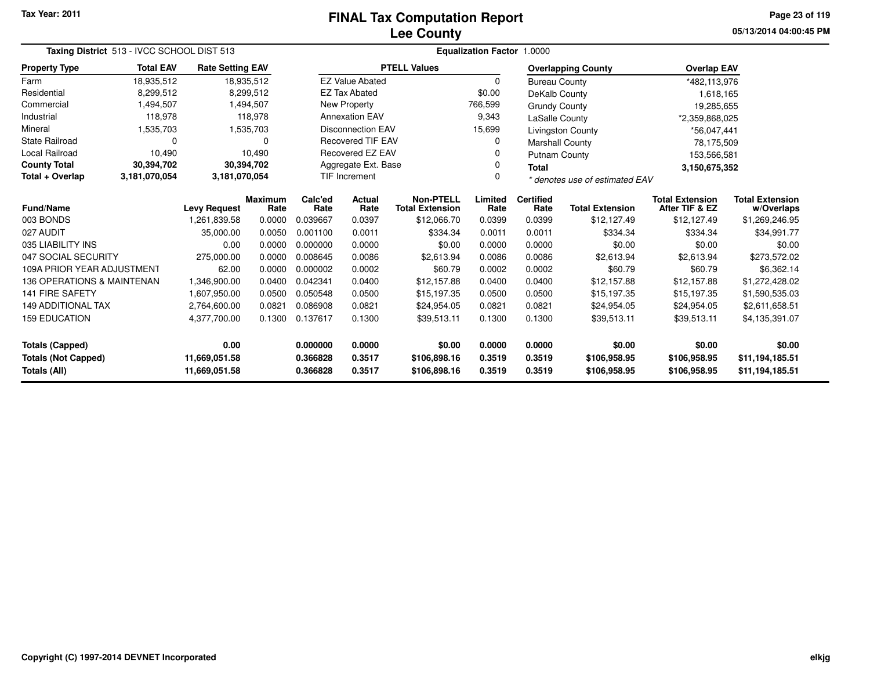# **Lee CountyFINAL Tax Computation Report**

**05/13/2014 04:00:45 PM Page 23 of 119**

| Taxing District 513 - IVCC SCHOOL DIST 513<br><b>Total EAV</b><br><b>Rate Setting EAV</b> |                                       |               |            |                 |                                                                    |                                            | Equalization Factor 1.0000 |                          |                           |                                          |                                      |
|-------------------------------------------------------------------------------------------|---------------------------------------|---------------|------------|-----------------|--------------------------------------------------------------------|--------------------------------------------|----------------------------|--------------------------|---------------------------|------------------------------------------|--------------------------------------|
| <b>Property Type</b>                                                                      |                                       |               |            |                 |                                                                    | <b>PTELL Values</b>                        |                            |                          | <b>Overlapping County</b> | <b>Overlap EAV</b>                       |                                      |
| Farm                                                                                      | 18,935,512                            |               | 18,935,512 |                 | <b>EZ Value Abated</b>                                             |                                            | $\Omega$                   | <b>Bureau County</b>     |                           | *482,113,976                             |                                      |
| Residential                                                                               | 8,299,512                             |               | 8,299,512  |                 | <b>EZ Tax Abated</b>                                               |                                            | \$0.00                     | DeKalb County            |                           | 1,618,165                                |                                      |
| Commercial                                                                                | 1,494,507                             |               | 1,494,507  |                 | New Property                                                       |                                            | 766,599                    | <b>Grundy County</b>     |                           | 19,285,655                               |                                      |
| Industrial                                                                                | 118,978                               |               | 118,978    |                 | <b>Annexation EAV</b><br>9,343<br>LaSalle County                   |                                            |                            |                          | *2,359,868,025            |                                          |                                      |
| Mineral                                                                                   | 1,535,703                             |               | 1,535,703  |                 | <b>Disconnection EAV</b><br>15,699<br><b>Livingston County</b>     |                                            |                            |                          |                           | *56,047,441                              |                                      |
| <b>State Railroad</b>                                                                     | 0                                     |               | $\Omega$   |                 | <b>Recovered TIF EAV</b><br>0<br><b>Marshall County</b>            |                                            |                            |                          |                           | 78,175,509                               |                                      |
| Local Railroad                                                                            | 10,490                                |               | 10,490     |                 | Recovered EZ EAV                                                   | 0<br><b>Putnam County</b>                  |                            |                          |                           | 153,566,581                              |                                      |
| <b>County Total</b>                                                                       | 30,394,702                            |               | 30,394,702 |                 | Aggregate Ext. Base<br>0<br>Total                                  |                                            |                            |                          | 3,150,675,352             |                                          |                                      |
| Total + Overlap                                                                           | 3,181,070,054                         | 3,181,070,054 |            |                 | <b>TIF Increment</b><br>$\Omega$<br>* denotes use of estimated EAV |                                            |                            |                          |                           |                                          |                                      |
| <b>Fund/Name</b>                                                                          | <b>Maximum</b><br><b>Levy Request</b> |               | Rate       | Calc'ed<br>Rate | Actual<br>Rate                                                     | <b>Non-PTELL</b><br><b>Total Extension</b> | Limited<br>Rate            | <b>Certified</b><br>Rate | <b>Total Extension</b>    | <b>Total Extension</b><br>After TIF & EZ | <b>Total Extension</b><br>w/Overlaps |
| 003 BONDS                                                                                 |                                       | 1,261,839.58  | 0.0000     | 0.039667        | 0.0397                                                             | \$12,066.70                                | 0.0399                     | 0.0399                   | \$12,127.49               | \$12,127.49                              | \$1,269,246.95                       |
| 027 AUDIT                                                                                 |                                       | 35,000.00     | 0.0050     | 0.001100        | 0.0011                                                             | \$334.34                                   | 0.0011                     | 0.0011                   | \$334.34                  | \$334.34                                 | \$34,991.77                          |
| 035 LIABILITY INS                                                                         |                                       | 0.00          | 0.0000     | 0.000000        | 0.0000                                                             | \$0.00                                     | 0.0000                     | 0.0000                   | \$0.00                    | \$0.00                                   | \$0.00                               |
| 047 SOCIAL SECURITY                                                                       |                                       | 275,000.00    | 0.0000     | 0.008645        | 0.0086                                                             | \$2,613.94                                 | 0.0086                     | 0.0086                   | \$2,613.94                | \$2,613.94                               | \$273,572.02                         |
| 109A PRIOR YEAR ADJUSTMENT                                                                |                                       | 62.00         | 0.0000     | 0.000002        | 0.0002                                                             | \$60.79                                    | 0.0002                     | 0.0002                   | \$60.79                   | \$60.79                                  | \$6,362.14                           |
| 136 OPERATIONS & MAINTENAN                                                                |                                       | 1,346,900.00  | 0.0400     | 0.042341        | 0.0400                                                             | \$12,157.88                                | 0.0400                     | 0.0400                   | \$12,157.88               | \$12,157.88                              | \$1,272,428.02                       |
| <b>141 FIRE SAFETY</b>                                                                    |                                       | 1,607,950.00  | 0.0500     | 0.050548        | 0.0500                                                             | \$15,197.35                                | 0.0500                     | 0.0500                   | \$15,197.35               | \$15,197.35                              | \$1,590,535.03                       |
| <b>149 ADDITIONAL TAX</b>                                                                 |                                       | 2,764,600.00  | 0.0821     | 0.086908        | 0.0821                                                             | \$24,954.05                                | 0.0821                     | 0.0821                   | \$24,954.05               | \$24,954.05                              | \$2,611,658.51                       |
| <b>159 EDUCATION</b>                                                                      |                                       | 4,377,700.00  | 0.1300     | 0.137617        | 0.1300                                                             | \$39,513.11                                | 0.1300                     | 0.1300                   | \$39,513.11               | \$39,513.11                              | \$4,135,391.07                       |
| <b>Totals (Capped)</b>                                                                    |                                       | 0.00          |            | 0.000000        | 0.0000                                                             | \$0.00                                     | 0.0000                     | 0.0000                   | \$0.00                    | \$0.00                                   | \$0.00                               |
|                                                                                           |                                       | 11,669,051.58 |            | 0.366828        | 0.3517                                                             | \$106,898.16                               | 0.3519                     | 0.3519                   | \$106,958.95              | \$106,958.95                             | \$11,194,185.51                      |
| <b>Totals (Not Capped)</b><br>Totals (All)<br>11,669,051.58                               |                                       |               | 0.366828   | 0.3517          | \$106,898.16                                                       | 0.3519                                     | 0.3519                     | \$106,958.95             | \$106,958.95              | \$11,194,185.51                          |                                      |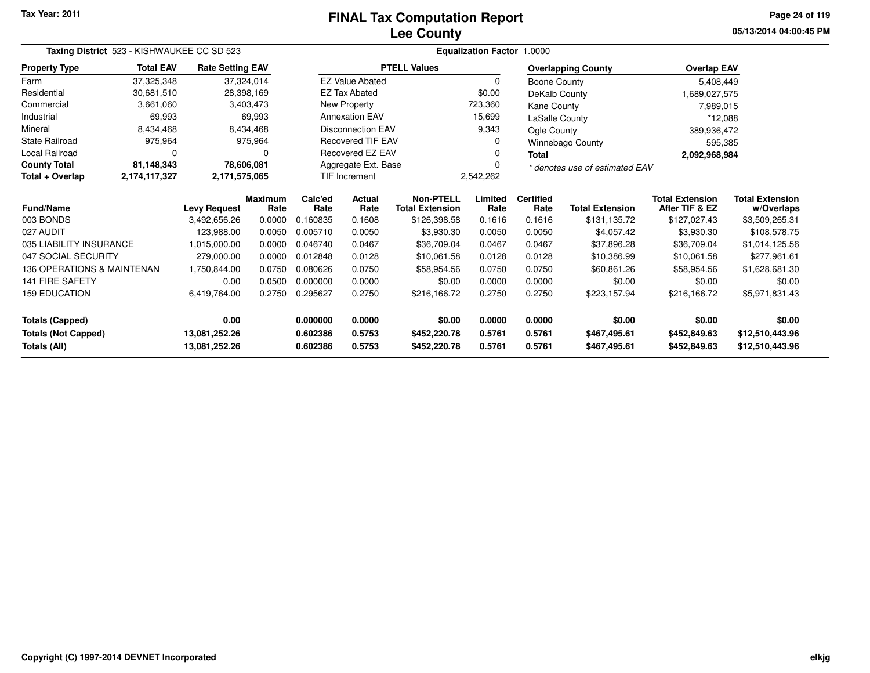# **Lee CountyFINAL Tax Computation Report**

**05/13/2014 04:00:45 PM Page 24 of 119**

|                            | Taxing District 523 - KISHWAUKEE CC SD 523 |                         |                 |                                   |                                              |                                            | <b>Equalization Factor 1.0000</b> |                          |                           |                                          |                                      |
|----------------------------|--------------------------------------------|-------------------------|-----------------|-----------------------------------|----------------------------------------------|--------------------------------------------|-----------------------------------|--------------------------|---------------------------|------------------------------------------|--------------------------------------|
| <b>Property Type</b>       | <b>Total EAV</b>                           | <b>Rate Setting EAV</b> |                 |                                   |                                              | <b>PTELL Values</b>                        |                                   |                          | <b>Overlapping County</b> | <b>Overlap EAV</b>                       |                                      |
| Farm                       | 37,325,348                                 |                         | 37,324,014      |                                   | <b>EZ Value Abated</b>                       |                                            | $\Omega$                          | Boone County             |                           | 5,408,449                                |                                      |
| Residential                | 30,681,510                                 |                         | 28,398,169      |                                   | <b>EZ Tax Abated</b>                         |                                            | \$0.00                            | DeKalb County            |                           | 1,689,027,575                            |                                      |
| Commercial                 | 3,661,060                                  |                         | 3,403,473       |                                   | <b>New Property</b>                          |                                            | 723,360                           | Kane County              |                           | 7,989,015                                |                                      |
| Industrial                 | 69,993                                     |                         | 69,993          |                                   | <b>Annexation EAV</b>                        |                                            | 15,699                            | LaSalle County           |                           | *12,088                                  |                                      |
| Mineral                    | 8,434,468                                  |                         | 8,434,468       |                                   | <b>Disconnection EAV</b>                     |                                            | 9,343                             | Ogle County              |                           | 389,936,472                              |                                      |
| <b>State Railroad</b>      | 975,964                                    |                         | 975,964         |                                   | <b>Recovered TIF EAV</b><br>Winnebago County |                                            |                                   |                          | 595,385                   |                                          |                                      |
| Local Railroad             | $\Omega$                                   |                         | 0               |                                   | <b>Recovered EZ EAV</b><br><b>Total</b>      |                                            |                                   |                          | 2,092,968,984             |                                          |                                      |
| <b>County Total</b>        | 81,148,343                                 |                         | 78,606,081      |                                   | Aggregate Ext. Base                          | * denotes use of estimated EAV             |                                   |                          |                           |                                          |                                      |
| Total + Overlap            | 2,174,117,327                              | 2,171,575,065           |                 | 2,542,262<br><b>TIF Increment</b> |                                              |                                            |                                   |                          |                           |                                          |                                      |
| Fund/Name                  |                                            | <b>Levy Request</b>     | Maximum<br>Rate | Calc'ed<br>Rate                   | Actual<br>Rate                               | <b>Non-PTELL</b><br><b>Total Extension</b> | Limited<br>Rate                   | <b>Certified</b><br>Rate | <b>Total Extension</b>    | <b>Total Extension</b><br>After TIF & EZ | <b>Total Extension</b><br>w/Overlaps |
| 003 BONDS                  |                                            | 3,492,656.26            | 0.0000          | 0.160835                          | 0.1608                                       | \$126,398.58                               | 0.1616                            | 0.1616                   | \$131,135.72              | \$127,027.43                             | \$3,509,265.31                       |
| 027 AUDIT                  |                                            | 123,988.00              | 0.0050          | 0.005710                          | 0.0050                                       | \$3,930.30                                 | 0.0050                            | 0.0050                   | \$4,057.42                | \$3,930.30                               | \$108,578.75                         |
| 035 LIABILITY INSURANCE    |                                            | 1,015,000.00            | 0.0000          | 0.046740                          | 0.0467                                       | \$36,709.04                                | 0.0467                            | 0.0467                   | \$37,896.28               | \$36,709.04                              | \$1,014,125.56                       |
| 047 SOCIAL SECURITY        |                                            | 279,000.00              | 0.0000          | 0.012848                          | 0.0128                                       | \$10,061.58                                | 0.0128                            | 0.0128                   | \$10,386.99               | \$10,061.58                              | \$277,961.61                         |
| 136 OPERATIONS & MAINTENAN |                                            | 1,750,844.00            | 0.0750          | 0.080626                          | 0.0750                                       | \$58,954.56                                | 0.0750                            | 0.0750                   | \$60,861.26               | \$58,954.56                              | \$1,628,681.30                       |
| 141 FIRE SAFETY            |                                            | 0.00                    | 0.0500          | 0.000000                          | 0.0000                                       | \$0.00                                     | 0.0000                            | 0.0000                   | \$0.00                    | \$0.00                                   | \$0.00                               |
| <b>159 EDUCATION</b>       |                                            | 6,419,764.00            | 0.2750          | 0.295627                          | 0.2750                                       | \$216,166.72                               | 0.2750                            | 0.2750                   | \$223,157.94              | \$216,166.72                             | \$5,971,831.43                       |
| <b>Totals (Capped)</b>     |                                            | 0.00                    |                 | 0.000000                          | 0.0000                                       | \$0.00                                     | 0.0000                            | 0.0000                   | \$0.00                    | \$0.00                                   | \$0.00                               |
| <b>Totals (Not Capped)</b> |                                            | 13,081,252.26           |                 | 0.602386                          | 0.5753                                       | \$452,220.78                               | 0.5761                            | 0.5761                   | \$467,495.61              | \$452,849.63                             | \$12,510,443.96                      |
| Totals (All)               |                                            | 13,081,252.26           |                 | 0.602386                          | 0.5753                                       | \$452,220.78                               | 0.5761                            | 0.5761                   | \$467,495.61              | \$452,849.63                             | \$12,510,443.96                      |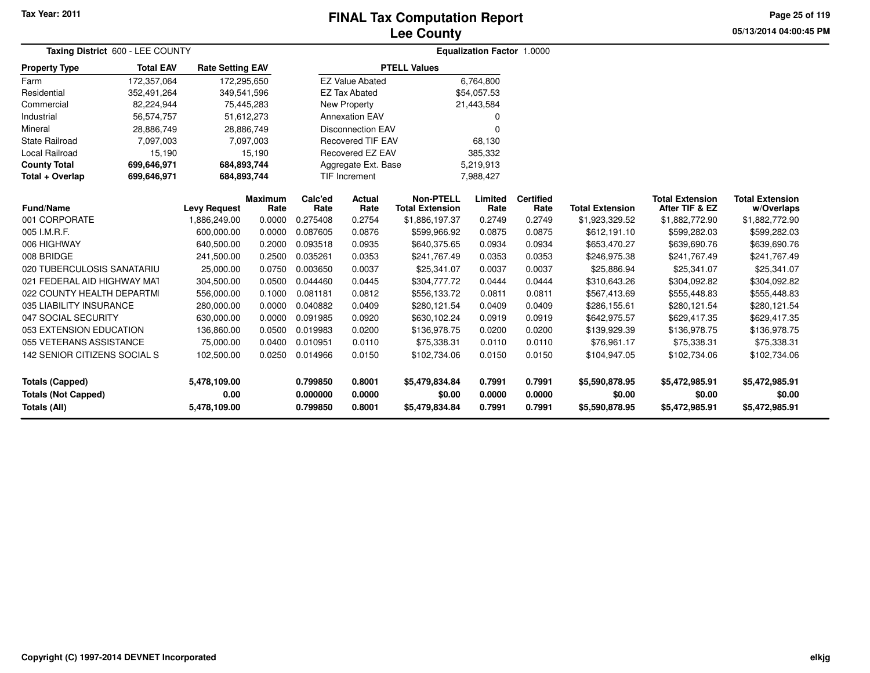## **Lee CountyFINAL Tax Computation Report**

**05/13/2014 04:00:45 PM Page 25 of 119**

| Taxing District 600 - LEE COUNTY                  |                  |                         |                        |                      |                            |                                            | <b>Equalization Factor 1.0000</b> |                          |                          |                                          |                                      |  |
|---------------------------------------------------|------------------|-------------------------|------------------------|----------------------|----------------------------|--------------------------------------------|-----------------------------------|--------------------------|--------------------------|------------------------------------------|--------------------------------------|--|
| <b>Property Type</b>                              | <b>Total EAV</b> | <b>Rate Setting EAV</b> |                        |                      |                            | <b>PTELL Values</b>                        |                                   |                          |                          |                                          |                                      |  |
| Farm                                              | 172,357,064      | 172,295,650             |                        |                      | <b>EZ Value Abated</b>     |                                            | 6,764,800                         |                          |                          |                                          |                                      |  |
| Residential                                       | 352,491,264      | 349,541,596             |                        |                      | <b>EZ Tax Abated</b>       |                                            | \$54,057.53                       |                          |                          |                                          |                                      |  |
| Commercial                                        | 82,224,944       | 75,445,283              |                        |                      | New Property               |                                            | 21,443,584                        |                          |                          |                                          |                                      |  |
| Industrial                                        | 56,574,757       | 51,612,273              |                        |                      | <b>Annexation EAV</b>      |                                            | 0                                 |                          |                          |                                          |                                      |  |
| Mineral                                           | 28,886,749       | 28,886,749              |                        |                      | <b>Disconnection EAV</b>   |                                            | $\Omega$                          |                          |                          |                                          |                                      |  |
| <b>State Railroad</b>                             | 7,097,003        |                         | 7,097,003              |                      | <b>Recovered TIF EAV</b>   |                                            | 68,130                            |                          |                          |                                          |                                      |  |
| Local Railroad                                    | 15,190           |                         | 15,190                 |                      | Recovered EZ EAV           |                                            | 385,332                           |                          |                          |                                          |                                      |  |
| <b>County Total</b>                               | 699,646,971      | 684,893,744             |                        |                      | Aggregate Ext. Base        |                                            | 5,219,913                         |                          |                          |                                          |                                      |  |
| Total + Overlap                                   | 699,646,971      | 684,893,744             |                        |                      | TIF Increment<br>7,988,427 |                                            |                                   |                          |                          |                                          |                                      |  |
| <b>Fund/Name</b>                                  |                  | <b>Levy Request</b>     | <b>Maximum</b><br>Rate | Calc'ed<br>Rate      | <b>Actual</b><br>Rate      | <b>Non-PTELL</b><br><b>Total Extension</b> | Limited<br>Rate                   | <b>Certified</b><br>Rate | <b>Total Extension</b>   | <b>Total Extension</b><br>After TIF & EZ | <b>Total Extension</b><br>w/Overlaps |  |
| 001 CORPORATE                                     |                  | 1,886,249.00            | 0.0000                 | 0.275408             | 0.2754                     | \$1,886,197.37                             | 0.2749                            | 0.2749                   | \$1,923,329.52           | \$1,882,772.90                           | \$1,882,772.90                       |  |
| 005 I.M.R.F.                                      |                  | 600,000.00              | 0.0000                 | 0.087605             | 0.0876                     | \$599,966.92                               | 0.0875                            | 0.0875                   | \$612,191.10             | \$599,282.03                             | \$599,282.03                         |  |
| 006 HIGHWAY                                       |                  | 640,500.00              | 0.2000                 | 0.093518             | 0.0935                     | \$640,375.65                               | 0.0934                            | 0.0934                   | \$653,470.27             | \$639,690.76                             | \$639,690.76                         |  |
| 008 BRIDGE                                        |                  | 241,500.00              | 0.2500                 | 0.035261             | 0.0353                     | \$241,767.49                               | 0.0353                            | 0.0353                   | \$246,975.38             | \$241,767.49                             | \$241,767.49                         |  |
| 020 TUBERCULOSIS SANATARIU                        |                  | 25,000.00               | 0.0750                 | 0.003650             | 0.0037                     | \$25,341.07                                | 0.0037                            | 0.0037                   | \$25,886.94              | \$25,341.07                              | \$25,341.07                          |  |
| 021 FEDERAL AID HIGHWAY MAT                       |                  | 304,500.00              | 0.0500                 | 0.044460             | 0.0445                     | \$304,777.72                               | 0.0444                            | 0.0444                   | \$310,643.26             | \$304,092.82                             | \$304,092.82                         |  |
| 022 COUNTY HEALTH DEPARTMI                        |                  | 556,000.00              | 0.1000                 | 0.081181             | 0.0812                     | \$556,133.72                               | 0.0811                            | 0.0811                   | \$567,413.69             | \$555,448.83                             | \$555,448.83                         |  |
| 035 LIABILITY INSURANCE                           |                  | 280,000.00              | 0.0000                 | 0.040882             | 0.0409                     | \$280,121.54                               | 0.0409                            | 0.0409                   | \$286,155.61             | \$280,121.54                             | \$280,121.54                         |  |
| 047 SOCIAL SECURITY                               |                  | 630,000.00              | 0.0000                 | 0.091985             | 0.0920                     | \$630,102.24                               | 0.0919                            | 0.0919                   | \$642,975.57             | \$629,417.35                             | \$629,417.35                         |  |
| 053 EXTENSION EDUCATION                           |                  | 136,860.00              | 0.0500                 | 0.019983             | 0.0200                     | \$136,978.75                               | 0.0200                            | 0.0200                   | \$139,929.39             | \$136,978.75                             | \$136,978.75                         |  |
| 055 VETERANS ASSISTANCE                           |                  | 75,000.00               | 0.0400                 | 0.010951             | 0.0110                     | \$75,338.31                                | 0.0110                            | 0.0110                   | \$76,961.17              | \$75,338.31                              | \$75,338.31                          |  |
| 142 SENIOR CITIZENS SOCIAL S                      |                  | 102,500.00              | 0.0250                 | 0.014966             | 0.0150                     | \$102,734.06                               | 0.0150                            | 0.0150                   | \$104,947.05             | \$102,734.06                             | \$102,734.06                         |  |
| <b>Totals (Capped)</b>                            |                  | 5,478,109.00            |                        | 0.799850             | 0.8001                     | \$5,479,834.84                             | 0.7991                            | 0.7991                   | \$5,590,878.95           | \$5,472,985.91                           | \$5,472,985.91                       |  |
| <b>Totals (Not Capped)</b><br><b>Totals (All)</b> |                  | 0.00<br>5,478,109.00    |                        | 0.000000<br>0.799850 | 0.0000<br>0.8001           | \$0.00<br>\$5,479,834.84                   | 0.0000<br>0.7991                  | 0.0000<br>0.7991         | \$0.00<br>\$5,590,878.95 | \$0.00<br>\$5,472,985.91                 | \$0.00<br>\$5,472,985.91             |  |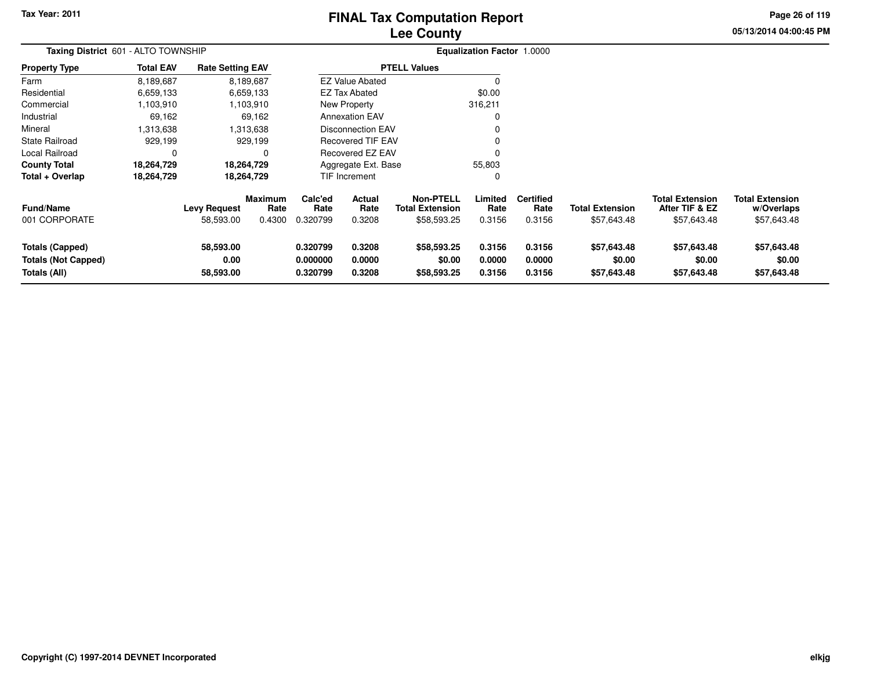# **Lee CountyFINAL Tax Computation Report**

**05/13/2014 04:00:45 PM Page 26 of 119**

| Taxing District 601 - ALTO TOWNSHIP                                  |                  |                                |                        |                                  |                            |                                            | <b>Equalization Factor 1.0000</b> |                            |                                      |                                          |                                      |
|----------------------------------------------------------------------|------------------|--------------------------------|------------------------|----------------------------------|----------------------------|--------------------------------------------|-----------------------------------|----------------------------|--------------------------------------|------------------------------------------|--------------------------------------|
| <b>Property Type</b>                                                 | <b>Total EAV</b> | <b>Rate Setting EAV</b>        |                        |                                  |                            | <b>PTELL Values</b>                        |                                   |                            |                                      |                                          |                                      |
| Farm                                                                 | 8,189,687        |                                | 8,189,687              |                                  | <b>EZ Value Abated</b>     |                                            | 0                                 |                            |                                      |                                          |                                      |
| Residential                                                          | 6,659,133        |                                | 6,659,133              |                                  | <b>EZ Tax Abated</b>       |                                            | \$0.00                            |                            |                                      |                                          |                                      |
| Commercial                                                           | 1,103,910        |                                | 1,103,910              |                                  | New Property               |                                            | 316,211                           |                            |                                      |                                          |                                      |
| Industrial                                                           | 69,162           |                                | 69,162                 |                                  | <b>Annexation EAV</b>      |                                            | 0                                 |                            |                                      |                                          |                                      |
| Mineral                                                              | 1,313,638        |                                | 1,313,638              |                                  | <b>Disconnection EAV</b>   |                                            | 0                                 |                            |                                      |                                          |                                      |
| State Railroad                                                       | 929,199          |                                | 929,199                |                                  | <b>Recovered TIF EAV</b>   |                                            | 0                                 |                            |                                      |                                          |                                      |
| Local Railroad                                                       | $\Omega$         |                                |                        |                                  | Recovered EZ EAV           |                                            | 0                                 |                            |                                      |                                          |                                      |
| <b>County Total</b>                                                  | 18,264,729       |                                | 18,264,729             |                                  | Aggregate Ext. Base        |                                            | 55,803                            |                            |                                      |                                          |                                      |
| Total + Overlap                                                      | 18,264,729       |                                | 18,264,729             |                                  | TIF Increment              |                                            | 0                                 |                            |                                      |                                          |                                      |
| <b>Fund/Name</b>                                                     |                  | <b>Levy Request</b>            | <b>Maximum</b><br>Rate | Calc'ed<br>Rate                  | Actual<br>Rate             | <b>Non-PTELL</b><br><b>Total Extension</b> | Limited<br>Rate                   | <b>Certified</b><br>Rate   | <b>Total Extension</b>               | <b>Total Extension</b><br>After TIF & EZ | <b>Total Extension</b><br>w/Overlaps |
| 001 CORPORATE                                                        |                  | 58,593.00                      | 0.4300                 | 0.320799                         | 0.3208                     | \$58,593.25                                | 0.3156                            | 0.3156                     | \$57,643.48                          | \$57,643.48                              | \$57,643.48                          |
| <b>Totals (Capped)</b><br><b>Totals (Not Capped)</b><br>Totals (All) |                  | 58,593.00<br>0.00<br>58,593.00 |                        | 0.320799<br>0.000000<br>0.320799 | 0.3208<br>0.0000<br>0.3208 | \$58,593.25<br>\$0.00<br>\$58,593.25       | 0.3156<br>0.0000<br>0.3156        | 0.3156<br>0.0000<br>0.3156 | \$57,643.48<br>\$0.00<br>\$57,643.48 | \$57,643.48<br>\$0.00<br>\$57,643.48     | \$57,643.48<br>\$0.00<br>\$57,643.48 |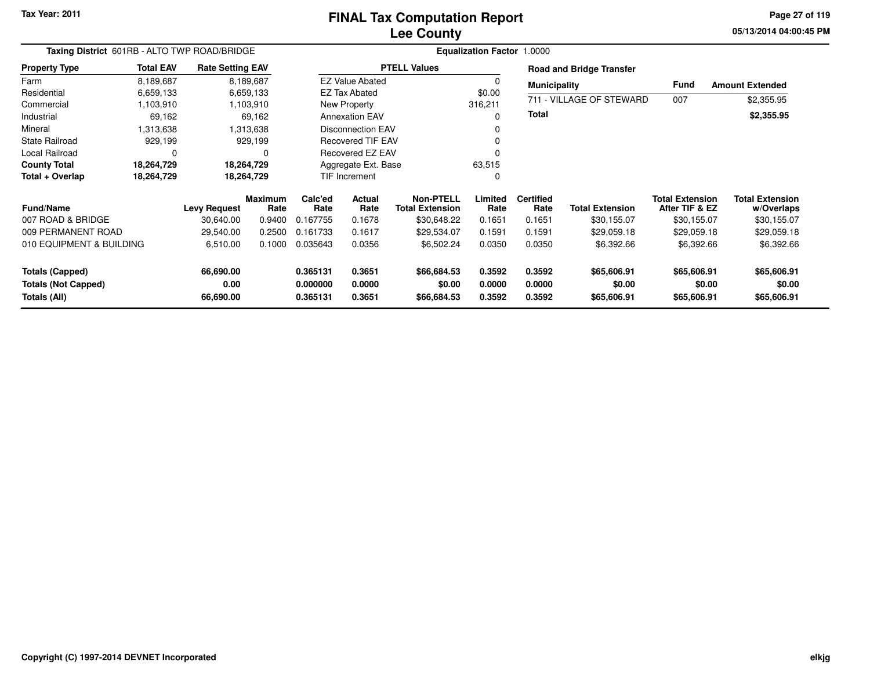## **Lee CountyFINAL Tax Computation Report**

**05/13/2014 04:00:45 PM Page 27 of 119**

| Taxing District 601RB - ALTO TWP ROAD/BRIDGE |                  | <b>Equalization Factor 1.0000</b> |                        |                      |                          |                                            |                  |                          |                                 |                                          |                                      |
|----------------------------------------------|------------------|-----------------------------------|------------------------|----------------------|--------------------------|--------------------------------------------|------------------|--------------------------|---------------------------------|------------------------------------------|--------------------------------------|
| <b>Property Type</b>                         | <b>Total EAV</b> | <b>Rate Setting EAV</b>           |                        |                      |                          | <b>PTELL Values</b>                        |                  |                          | <b>Road and Bridge Transfer</b> |                                          |                                      |
| Farm                                         | 8,189,687        |                                   | 8,189,687              |                      | <b>EZ Value Abated</b>   |                                            |                  | <b>Municipality</b>      |                                 | Fund                                     | <b>Amount Extended</b>               |
| Residential                                  | 6,659,133        |                                   | 6,659,133              |                      | <b>EZ Tax Abated</b>     |                                            | \$0.00           |                          |                                 |                                          |                                      |
| Commercial                                   | 1,103,910        |                                   | 1,103,910              |                      | New Property             |                                            | 316,211          |                          | 711 - VILLAGE OF STEWARD        | 007                                      | \$2,355.95                           |
| Industrial                                   | 69,162           |                                   | 69,162                 |                      | <b>Annexation EAV</b>    |                                            |                  | Total                    |                                 |                                          | \$2,355.95                           |
| Mineral                                      | 1,313,638        |                                   | 1,313,638              |                      | <b>Disconnection EAV</b> |                                            |                  |                          |                                 |                                          |                                      |
| <b>State Railroad</b>                        | 929,199          |                                   | 929,199                |                      | <b>Recovered TIF EAV</b> |                                            |                  |                          |                                 |                                          |                                      |
| Local Railroad                               | $\Omega$         |                                   | $\Omega$               |                      | Recovered EZ EAV         |                                            |                  |                          |                                 |                                          |                                      |
| <b>County Total</b>                          | 18,264,729       |                                   | 18,264,729             | Aggregate Ext. Base  |                          |                                            | 63,515           |                          |                                 |                                          |                                      |
| Total + Overlap                              | 18,264,729       |                                   | 18,264,729             | TIF Increment        |                          |                                            |                  |                          |                                 |                                          |                                      |
| <b>Fund/Name</b>                             |                  | Levy Request                      | <b>Maximum</b><br>Rate | Calc'ed<br>Rate      | Actual<br>Rate           | <b>Non-PTELL</b><br><b>Total Extension</b> | Limited<br>Rate  | <b>Certified</b><br>Rate | <b>Total Extension</b>          | <b>Total Extension</b><br>After TIF & EZ | <b>Total Extension</b><br>w/Overlaps |
| 007 ROAD & BRIDGE                            |                  | 30,640.00                         | 0.9400                 | 0.167755             | 0.1678                   | \$30,648.22                                | 0.1651           | 0.1651                   | \$30,155.07                     | \$30,155.07                              | \$30,155.07                          |
| 009 PERMANENT ROAD                           |                  | 29,540.00                         | 0.2500                 | 0.161733             | 0.1617                   | \$29,534.07                                | 0.1591           | 0.1591                   | \$29,059.18                     | \$29,059.18                              | \$29,059.18                          |
| 010 EQUIPMENT & BUILDING                     |                  | 6,510.00                          | 0.1000                 | 0.035643             | 0.0356                   | \$6,502.24                                 | 0.0350           | 0.0350                   | \$6,392.66                      | \$6,392.66                               | \$6,392.66                           |
| <b>Totals (Capped)</b>                       |                  | 66,690.00                         |                        | 0.365131             | 0.3651                   | \$66,684.53                                | 0.3592           | 0.3592                   | \$65,606.91                     | \$65,606.91                              | \$65,606.91                          |
| <b>Totals (Not Capped)</b><br>Totals (All)   |                  | 0.00<br>66,690.00                 |                        | 0.000000<br>0.365131 | 0.0000<br>0.3651         | \$0.00<br>\$66,684.53                      | 0.0000<br>0.3592 | 0.0000<br>0.3592         | \$0.00<br>\$65,606.91           | \$0.00<br>\$65,606.91                    | \$0.00<br>\$65,606.91                |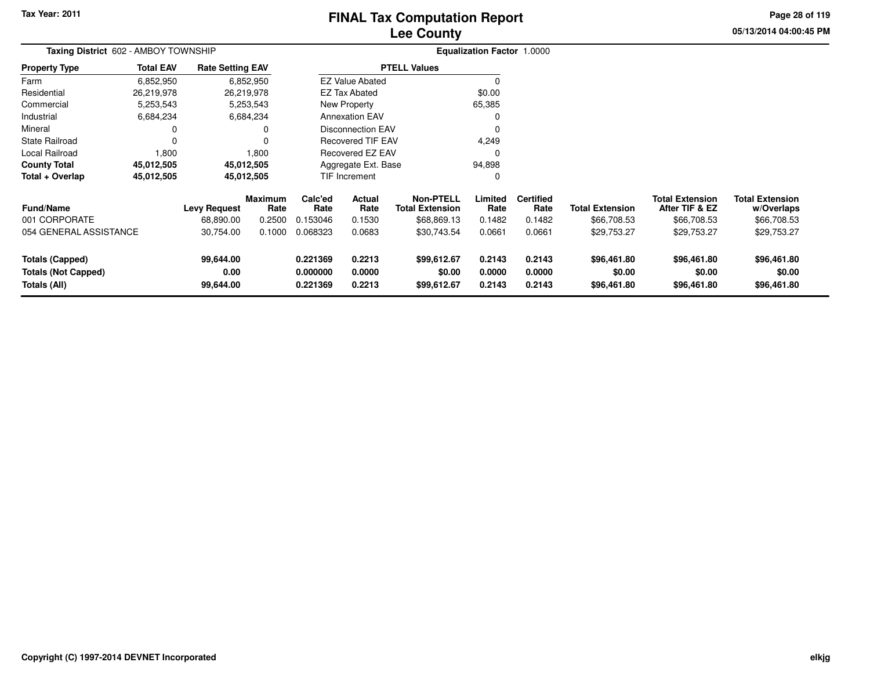# **Lee CountyFINAL Tax Computation Report**

**05/13/2014 04:00:45 PM Page 28 of 119**

| Taxing District 602 - AMBOY TOWNSHIP                                 |                  |                                |                 |                                  | <b>Equalization Factor 1.0000</b> |                                            |                            |                            |                                      |                                          |                                      |  |
|----------------------------------------------------------------------|------------------|--------------------------------|-----------------|----------------------------------|-----------------------------------|--------------------------------------------|----------------------------|----------------------------|--------------------------------------|------------------------------------------|--------------------------------------|--|
| <b>Property Type</b>                                                 | <b>Total EAV</b> | <b>Rate Setting EAV</b>        |                 |                                  |                                   | <b>PTELL Values</b>                        |                            |                            |                                      |                                          |                                      |  |
| Farm                                                                 | 6,852,950        |                                | 6,852,950       |                                  | <b>EZ Value Abated</b>            |                                            | $\Omega$                   |                            |                                      |                                          |                                      |  |
| Residential                                                          | 26,219,978       |                                | 26,219,978      |                                  | EZ Tax Abated                     |                                            | \$0.00                     |                            |                                      |                                          |                                      |  |
| Commercial                                                           | 5,253,543        |                                | 5,253,543       |                                  | New Property                      |                                            | 65,385                     |                            |                                      |                                          |                                      |  |
| Industrial                                                           | 6,684,234        |                                | 6,684,234       |                                  | <b>Annexation EAV</b>             |                                            | 0                          |                            |                                      |                                          |                                      |  |
| Mineral                                                              | 0                |                                | 0               |                                  | <b>Disconnection EAV</b>          |                                            | 0                          |                            |                                      |                                          |                                      |  |
| <b>State Railroad</b>                                                | 0                |                                | 0               |                                  | <b>Recovered TIF EAV</b>          |                                            | 4,249                      |                            |                                      |                                          |                                      |  |
| Local Railroad                                                       | 1,800            |                                | 1,800           |                                  | <b>Recovered EZ EAV</b>           |                                            | $\Omega$                   |                            |                                      |                                          |                                      |  |
| <b>County Total</b>                                                  | 45,012,505       |                                | 45,012,505      |                                  | 94,898<br>Aggregate Ext. Base     |                                            |                            |                            |                                      |                                          |                                      |  |
| Total + Overlap                                                      | 45,012,505       |                                | 45,012,505      |                                  | <b>TIF Increment</b>              |                                            | 0                          |                            |                                      |                                          |                                      |  |
| <b>Fund/Name</b>                                                     |                  | <b>Levy Request</b>            | Maximum<br>Rate | Calc'ed<br>Rate                  | <b>Actual</b><br>Rate             | <b>Non-PTELL</b><br><b>Total Extension</b> | Limited<br>Rate            | <b>Certified</b><br>Rate   | <b>Total Extension</b>               | <b>Total Extension</b><br>After TIF & EZ | <b>Total Extension</b><br>w/Overlaps |  |
| 001 CORPORATE                                                        |                  | 68.890.00                      | 0.2500          | 0.153046                         | 0.1530                            | \$68,869.13                                | 0.1482                     | 0.1482                     | \$66,708.53                          | \$66,708.53                              | \$66,708.53                          |  |
| 054 GENERAL ASSISTANCE                                               |                  | 30,754.00                      | 0.1000          | 0.068323                         | 0.0683                            | \$30,743.54                                | 0.0661                     | 0.0661                     | \$29,753.27                          | \$29,753.27                              | \$29,753.27                          |  |
| <b>Totals (Capped)</b><br><b>Totals (Not Capped)</b><br>Totals (All) |                  | 99,644.00<br>0.00<br>99,644.00 |                 | 0.221369<br>0.000000<br>0.221369 | 0.2213<br>0.0000<br>0.2213        | \$99,612.67<br>\$0.00<br>\$99,612.67       | 0.2143<br>0.0000<br>0.2143 | 0.2143<br>0.0000<br>0.2143 | \$96,461.80<br>\$0.00<br>\$96,461.80 | \$96,461.80<br>\$0.00<br>\$96,461.80     | \$96,461.80<br>\$0.00<br>\$96,461.80 |  |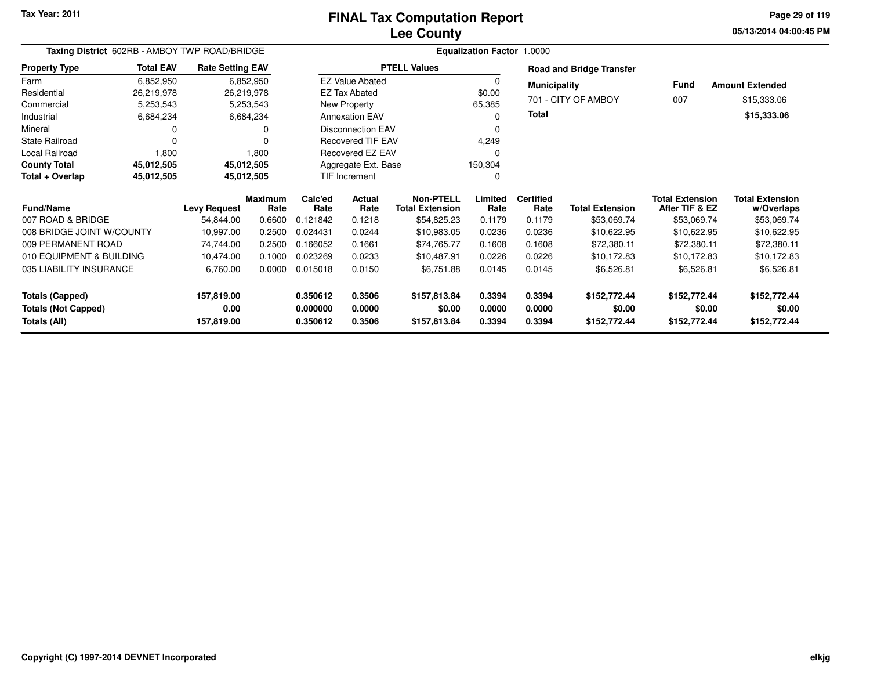### **Lee CountyFINAL Tax Computation Report**

**05/13/2014 04:00:45 PM Page 29 of 119**

| Taxing District 602RB - AMBOY TWP ROAD/BRIDGE        |                  |                         |                        | Equalization Factor 1.0000 |                         |                                            |                  |                          |                                 |                                          |                                      |  |  |
|------------------------------------------------------|------------------|-------------------------|------------------------|----------------------------|-------------------------|--------------------------------------------|------------------|--------------------------|---------------------------------|------------------------------------------|--------------------------------------|--|--|
| <b>Property Type</b>                                 | <b>Total EAV</b> | <b>Rate Setting EAV</b> |                        |                            |                         | <b>PTELL Values</b>                        |                  |                          | <b>Road and Bridge Transfer</b> |                                          |                                      |  |  |
| Farm                                                 | 6,852,950        |                         | 6,852,950              |                            | <b>EZ Value Abated</b>  |                                            | $\Omega$         | <b>Municipality</b>      |                                 | <b>Fund</b>                              | <b>Amount Extended</b>               |  |  |
| Residential                                          | 26,219,978       | 26,219,978              |                        |                            | <b>EZ Tax Abated</b>    |                                            | \$0.00           |                          | 701 - CITY OF AMBOY             | 007                                      | \$15,333.06                          |  |  |
| Commercial                                           | 5,253,543        |                         | 5,253,543              |                            | New Property            |                                            | 65,385           |                          |                                 |                                          |                                      |  |  |
| Industrial                                           | 6,684,234        |                         | 6,684,234              |                            | <b>Annexation EAV</b>   |                                            | 0                | Total                    |                                 |                                          | \$15,333.06                          |  |  |
| Mineral                                              | 0                |                         | 0                      | <b>Disconnection EAV</b>   |                         |                                            |                  |                          |                                 |                                          |                                      |  |  |
| <b>State Railroad</b>                                | $\Omega$         |                         | O                      | <b>Recovered TIF EAV</b>   |                         |                                            | 4,249            |                          |                                 |                                          |                                      |  |  |
| Local Railroad                                       | 1,800            |                         | 1,800                  |                            | <b>Recovered EZ EAV</b> |                                            | 0                |                          |                                 |                                          |                                      |  |  |
| <b>County Total</b>                                  | 45,012,505       | 45,012,505              |                        |                            | Aggregate Ext. Base     |                                            | 150,304          |                          |                                 |                                          |                                      |  |  |
| Total + Overlap                                      | 45,012,505       | 45,012,505              |                        | <b>TIF Increment</b>       |                         |                                            | 0                |                          |                                 |                                          |                                      |  |  |
| <b>Fund/Name</b>                                     |                  | <b>Levy Request</b>     | <b>Maximum</b><br>Rate | Calc'ed<br>Rate            | Actual<br>Rate          | <b>Non-PTELL</b><br><b>Total Extension</b> | Limited<br>Rate  | <b>Certified</b><br>Rate | <b>Total Extension</b>          | <b>Total Extension</b><br>After TIF & EZ | <b>Total Extension</b><br>w/Overlaps |  |  |
| 007 ROAD & BRIDGE                                    |                  | 54,844.00               | 0.6600                 | 0.121842                   | 0.1218                  | \$54,825.23                                | 0.1179           | 0.1179                   | \$53,069.74                     | \$53,069.74                              | \$53,069.74                          |  |  |
| 008 BRIDGE JOINT W/COUNTY                            |                  | 10,997.00               | 0.2500                 | 0.024431                   | 0.0244                  | \$10,983.05                                | 0.0236           | 0.0236                   | \$10,622.95                     | \$10,622.95                              | \$10,622.95                          |  |  |
| 009 PERMANENT ROAD                                   |                  | 74,744.00               | 0.2500                 | 0.166052                   | 0.1661                  | \$74,765.77                                | 0.1608           | 0.1608                   | \$72,380.11                     | \$72,380.11                              | \$72,380.11                          |  |  |
| 010 EQUIPMENT & BUILDING                             |                  | 10,474.00               | 0.1000                 | 0.023269                   | 0.0233                  | \$10,487.91                                | 0.0226           | 0.0226                   | \$10,172.83                     | \$10,172.83                              | \$10,172.83                          |  |  |
| 035 LIABILITY INSURANCE                              |                  | 6,760.00                | 0.0000                 | 0.015018                   | 0.0150                  | \$6,751.88                                 | 0.0145           | 0.0145                   | \$6,526.81                      | \$6,526.81                               | \$6,526.81                           |  |  |
| <b>Totals (Capped)</b><br><b>Totals (Not Capped)</b> |                  | 157,819.00<br>0.00      |                        | 0.350612<br>0.000000       | 0.3506<br>0.0000        | \$157,813.84<br>\$0.00                     | 0.3394<br>0.0000 | 0.3394<br>0.0000         | \$152,772.44<br>\$0.00          | \$152,772.44<br>\$0.00                   | \$152,772.44<br>\$0.00               |  |  |
| Totals (All)                                         |                  | 157,819.00              |                        | 0.350612                   | 0.3506                  | \$157,813.84                               | 0.3394           | 0.3394                   | \$152,772.44                    | \$152,772.44                             | \$152,772.44                         |  |  |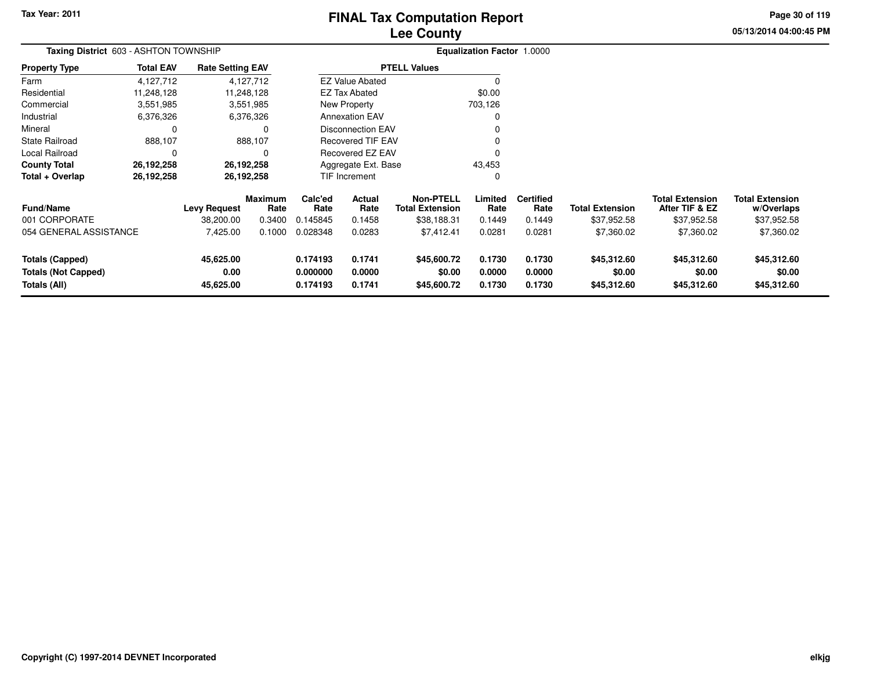# **Lee CountyFINAL Tax Computation Report**

**05/13/2014 04:00:45 PM Page 30 of 119**

| Taxing District 603 - ASHTON TOWNSHIP                                |                  |                                |                                  |                                  | <b>Equalization Factor 1.0000</b> |                                                           |                            |                                    |                                      |                                                         |                                                     |
|----------------------------------------------------------------------|------------------|--------------------------------|----------------------------------|----------------------------------|-----------------------------------|-----------------------------------------------------------|----------------------------|------------------------------------|--------------------------------------|---------------------------------------------------------|-----------------------------------------------------|
| <b>Property Type</b>                                                 | <b>Total EAV</b> | <b>Rate Setting EAV</b>        |                                  |                                  |                                   | <b>PTELL Values</b>                                       |                            |                                    |                                      |                                                         |                                                     |
| Farm                                                                 | 4,127,712        |                                | 4,127,712                        |                                  | <b>EZ Value Abated</b>            |                                                           |                            |                                    |                                      |                                                         |                                                     |
| Residential                                                          | 11,248,128       |                                | 11,248,128                       |                                  | <b>EZ Tax Abated</b>              |                                                           | \$0.00                     |                                    |                                      |                                                         |                                                     |
| Commercial                                                           | 3,551,985        |                                | 3,551,985                        |                                  | New Property                      |                                                           | 703,126                    |                                    |                                      |                                                         |                                                     |
| Industrial                                                           | 6,376,326        |                                | 6,376,326                        |                                  | <b>Annexation EAV</b>             |                                                           |                            |                                    |                                      |                                                         |                                                     |
| Mineral                                                              | $\Omega$         |                                | 0                                |                                  | <b>Disconnection EAV</b>          |                                                           |                            |                                    |                                      |                                                         |                                                     |
| <b>State Railroad</b>                                                | 888,107          |                                | 888,107                          |                                  | <b>Recovered TIF EAV</b>          |                                                           |                            |                                    |                                      |                                                         |                                                     |
| Local Railroad                                                       | $\Omega$         |                                |                                  |                                  | <b>Recovered EZ EAV</b>           |                                                           |                            |                                    |                                      |                                                         |                                                     |
| <b>County Total</b>                                                  | 26,192,258       |                                | 26,192,258                       |                                  | Aggregate Ext. Base<br>43,453     |                                                           |                            |                                    |                                      |                                                         |                                                     |
| Total + Overlap                                                      | 26,192,258       |                                | 26,192,258                       |                                  | TIF Increment                     |                                                           | 0                          |                                    |                                      |                                                         |                                                     |
| <b>Fund/Name</b><br>001 CORPORATE                                    |                  | Levy Request<br>38,200.00      | <b>Maximum</b><br>Rate<br>0.3400 | Calc'ed<br>Rate<br>0.145845      | Actual<br>Rate<br>0.1458          | <b>Non-PTELL</b><br><b>Total Extension</b><br>\$38,188.31 | Limited<br>Rate<br>0.1449  | <b>Certified</b><br>Rate<br>0.1449 | Total Extension<br>\$37,952.58       | <b>Total Extension</b><br>After TIF & EZ<br>\$37,952.58 | <b>Total Extension</b><br>w/Overlaps<br>\$37,952.58 |
| 054 GENERAL ASSISTANCE                                               |                  | 7,425.00                       | 0.1000                           | 0.028348                         | 0.0283                            | \$7,412.41                                                | 0.0281                     | 0.0281                             | \$7,360.02                           | \$7,360.02                                              | \$7,360.02                                          |
| <b>Totals (Capped)</b><br><b>Totals (Not Capped)</b><br>Totals (All) |                  | 45,625.00<br>0.00<br>45,625.00 |                                  | 0.174193<br>0.000000<br>0.174193 | 0.1741<br>0.0000<br>0.1741        | \$45,600.72<br>\$0.00<br>\$45,600.72                      | 0.1730<br>0.0000<br>0.1730 | 0.1730<br>0.0000<br>0.1730         | \$45,312.60<br>\$0.00<br>\$45,312.60 | \$45,312.60<br>\$0.00<br>\$45,312.60                    | \$45,312.60<br>\$0.00<br>\$45,312.60                |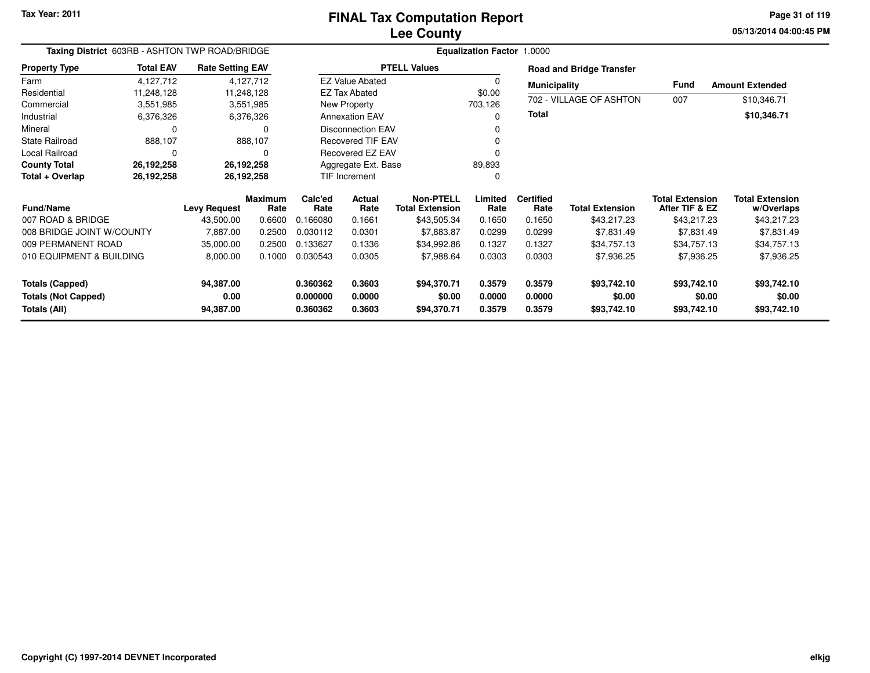# **Lee CountyFINAL Tax Computation Report**

**05/13/2014 04:00:45 PM Page 31 of 119**

| Taxing District 603RB - ASHTON TWP ROAD/BRIDGE |                  |                         |                        |                      | Equalization Factor 1.0000 |                                            |                  |                          |                                 |                                          |                                      |
|------------------------------------------------|------------------|-------------------------|------------------------|----------------------|----------------------------|--------------------------------------------|------------------|--------------------------|---------------------------------|------------------------------------------|--------------------------------------|
| <b>Property Type</b>                           | <b>Total EAV</b> | <b>Rate Setting EAV</b> |                        |                      |                            | <b>PTELL Values</b>                        |                  |                          | <b>Road and Bridge Transfer</b> |                                          |                                      |
| Farm                                           | 4,127,712        |                         | 4,127,712              |                      | <b>EZ Value Abated</b>     |                                            |                  | <b>Municipality</b>      |                                 | <b>Fund</b>                              | <b>Amount Extended</b>               |
| Residential                                    | 11,248,128       |                         | 11,248,128             |                      | EZ Tax Abated              |                                            | \$0.00           |                          |                                 |                                          |                                      |
| Commercial                                     | 3,551,985        |                         | 3,551,985              |                      | New Property               |                                            | 703,126          |                          | 702 - VILLAGE OF ASHTON         | 007                                      | \$10,346.71                          |
| Industrial                                     | 6,376,326        |                         | 6,376,326              |                      | <b>Annexation EAV</b>      |                                            |                  | <b>Total</b>             |                                 |                                          | \$10,346.71                          |
| Mineral                                        | 0                |                         | 0                      |                      | <b>Disconnection EAV</b>   |                                            |                  |                          |                                 |                                          |                                      |
| <b>State Railroad</b>                          | 888,107          |                         | 888,107                |                      | <b>Recovered TIF EAV</b>   |                                            |                  |                          |                                 |                                          |                                      |
| <b>Local Railroad</b>                          | 0                |                         | 0                      | Recovered EZ EAV     |                            |                                            |                  |                          |                                 |                                          |                                      |
| <b>County Total</b>                            | 26,192,258       | 26,192,258              |                        |                      | Aggregate Ext. Base        |                                            | 89,893           |                          |                                 |                                          |                                      |
| Total + Overlap                                | 26,192,258       | 26,192,258              |                        | TIF Increment        |                            |                                            | 0                |                          |                                 |                                          |                                      |
| Fund/Name                                      |                  | <b>Levy Request</b>     | <b>Maximum</b><br>Rate | Calc'ed<br>Rate      | Actual<br>Rate             | <b>Non-PTELL</b><br><b>Total Extension</b> | Limited<br>Rate  | <b>Certified</b><br>Rate | <b>Total Extension</b>          | <b>Total Extension</b><br>After TIF & EZ | <b>Total Extension</b><br>w/Overlaps |
| 007 ROAD & BRIDGE                              |                  | 43,500.00               | 0.6600                 | 0.166080             | 0.1661                     | \$43,505.34                                | 0.1650           | 0.1650                   | \$43,217.23                     | \$43,217.23                              | \$43,217.23                          |
| 008 BRIDGE JOINT W/COUNTY                      |                  | 7,887.00                | 0.2500                 | 0.030112             | 0.0301                     | \$7,883.87                                 | 0.0299           | 0.0299                   | \$7,831.49                      | \$7,831.49                               | \$7,831.49                           |
| 009 PERMANENT ROAD                             |                  | 35,000.00               | 0.2500                 | 0.133627             | 0.1336                     | \$34,992.86                                | 0.1327           | 0.1327                   | \$34,757.13                     | \$34,757.13                              | \$34,757.13                          |
| 010 EQUIPMENT & BUILDING                       |                  | 8,000.00                | 0.1000                 | 0.030543             | 0.0305                     | \$7,988.64                                 | 0.0303           | 0.0303                   | \$7,936.25                      | \$7,936.25                               | \$7,936.25                           |
| <b>Totals (Capped)</b>                         |                  | 94,387.00               |                        | 0.360362             | 0.3603                     | \$94,370.71                                | 0.3579           | 0.3579                   | \$93,742.10                     | \$93,742.10                              | \$93,742.10                          |
| <b>Totals (Not Capped)</b><br>Totals (All)     |                  | 0.00<br>94,387.00       |                        | 0.000000<br>0.360362 | 0.0000<br>0.3603           | \$0.00<br>\$94,370.71                      | 0.0000<br>0.3579 | 0.0000<br>0.3579         | \$0.00<br>\$93,742.10           | \$0.00<br>\$93,742.10                    | \$0.00<br>\$93,742.10                |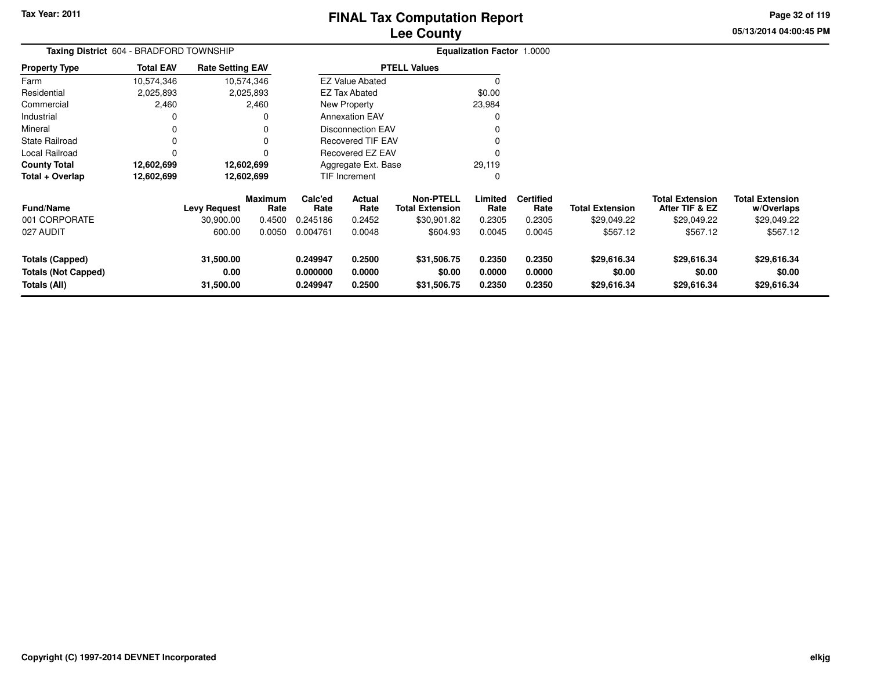**05/13/2014 04:00:45 PM Page 32 of 119**

| Taxing District 604 - BRADFORD TOWNSHIP                              |                  |                                  |                           |                                  |                               |                                                           | Equalization Factor 1.0000 |                                    |                                       |                                                         |                                                     |  |
|----------------------------------------------------------------------|------------------|----------------------------------|---------------------------|----------------------------------|-------------------------------|-----------------------------------------------------------|----------------------------|------------------------------------|---------------------------------------|---------------------------------------------------------|-----------------------------------------------------|--|
| <b>Property Type</b>                                                 | <b>Total EAV</b> | <b>Rate Setting EAV</b>          |                           |                                  |                               | <b>PTELL Values</b>                                       |                            |                                    |                                       |                                                         |                                                     |  |
| Farm                                                                 | 10,574,346       |                                  | 10,574,346                |                                  | <b>EZ Value Abated</b>        |                                                           |                            |                                    |                                       |                                                         |                                                     |  |
| Residential                                                          | 2,025,893        |                                  | 2,025,893                 |                                  | EZ Tax Abated                 |                                                           | \$0.00                     |                                    |                                       |                                                         |                                                     |  |
| Commercial                                                           | 2,460            |                                  | 2,460                     |                                  | New Property                  |                                                           | 23,984                     |                                    |                                       |                                                         |                                                     |  |
| Industrial                                                           |                  |                                  | 0                         |                                  | <b>Annexation EAV</b>         |                                                           |                            |                                    |                                       |                                                         |                                                     |  |
| Mineral                                                              |                  |                                  |                           |                                  | Disconnection EAV             |                                                           |                            |                                    |                                       |                                                         |                                                     |  |
| State Railroad                                                       |                  |                                  |                           |                                  | Recovered TIF EAV             |                                                           |                            |                                    |                                       |                                                         |                                                     |  |
| Local Railroad                                                       |                  |                                  |                           |                                  | Recovered EZ EAV              |                                                           |                            |                                    |                                       |                                                         |                                                     |  |
| <b>County Total</b>                                                  | 12,602,699       |                                  | 12,602,699                |                                  | Aggregate Ext. Base<br>29,119 |                                                           |                            |                                    |                                       |                                                         |                                                     |  |
| Total + Overlap                                                      | 12,602,699       |                                  | 12,602,699                |                                  | <b>TIF Increment</b>          |                                                           |                            |                                    |                                       |                                                         |                                                     |  |
| <b>Fund/Name</b><br>001 CORPORATE                                    |                  | <b>Levy Request</b><br>30,900.00 | Maximum<br>Rate<br>0.4500 | Calc'ed<br>Rate<br>0.245186      | Actual<br>Rate<br>0.2452      | <b>Non-PTELL</b><br><b>Total Extension</b><br>\$30,901.82 | Limited<br>Rate<br>0.2305  | <b>Certified</b><br>Rate<br>0.2305 | <b>Total Extension</b><br>\$29,049.22 | <b>Total Extension</b><br>After TIF & EZ<br>\$29,049.22 | <b>Total Extension</b><br>w/Overlaps<br>\$29,049.22 |  |
| 027 AUDIT                                                            |                  | 600.00                           | 0.0050                    | 0.004761                         | 0.0048                        | \$604.93                                                  | 0.0045                     | 0.0045                             | \$567.12                              | \$567.12                                                | \$567.12                                            |  |
| <b>Totals (Capped)</b><br><b>Totals (Not Capped)</b><br>Totals (All) |                  | 31,500.00<br>0.00<br>31,500.00   |                           | 0.249947<br>0.000000<br>0.249947 | 0.2500<br>0.0000<br>0.2500    | \$31,506.75<br>\$0.00<br>\$31,506.75                      | 0.2350<br>0.0000<br>0.2350 | 0.2350<br>0.0000<br>0.2350         | \$29,616.34<br>\$0.00<br>\$29,616.34  | \$29,616.34<br>\$0.00<br>\$29,616.34                    | \$29,616.34<br>\$0.00<br>\$29,616.34                |  |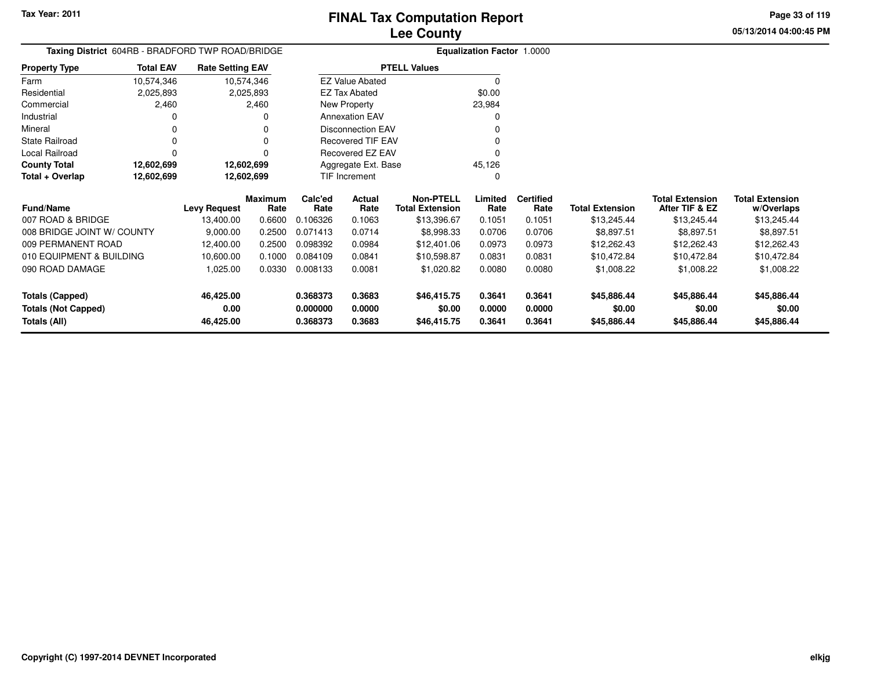**05/13/2014 04:00:45 PMPage 33 of 119**

| Taxing District 604RB - BRADFORD TWP ROAD/BRIDGE |                  |                         |                 |                 | <b>Equalization Factor 1.0000</b> |                                            |                 |                          |                        |                                          |                                      |
|--------------------------------------------------|------------------|-------------------------|-----------------|-----------------|-----------------------------------|--------------------------------------------|-----------------|--------------------------|------------------------|------------------------------------------|--------------------------------------|
| <b>Property Type</b>                             | <b>Total EAV</b> | <b>Rate Setting EAV</b> |                 |                 |                                   | <b>PTELL Values</b>                        |                 |                          |                        |                                          |                                      |
| Farm                                             | 10,574,346       | 10,574,346              |                 |                 | <b>EZ Value Abated</b>            |                                            | $\Omega$        |                          |                        |                                          |                                      |
| Residential                                      | 2,025,893        |                         | 2,025,893       |                 | <b>EZ Tax Abated</b>              |                                            | \$0.00          |                          |                        |                                          |                                      |
| Commercial                                       | 2,460            |                         | 2,460           |                 | New Property                      |                                            | 23,984          |                          |                        |                                          |                                      |
| Industrial                                       |                  |                         |                 |                 | <b>Annexation EAV</b>             |                                            |                 |                          |                        |                                          |                                      |
| Mineral                                          |                  |                         |                 |                 | <b>Disconnection EAV</b>          |                                            |                 |                          |                        |                                          |                                      |
| <b>State Railroad</b>                            |                  |                         |                 |                 | <b>Recovered TIF EAV</b>          |                                            |                 |                          |                        |                                          |                                      |
| Local Railroad                                   |                  |                         |                 |                 | Recovered EZ EAV                  |                                            |                 |                          |                        |                                          |                                      |
| <b>County Total</b>                              | 12,602,699       | 12,602,699              |                 |                 | Aggregate Ext. Base               |                                            | 45,126          |                          |                        |                                          |                                      |
| Total + Overlap                                  | 12,602,699       | 12,602,699              |                 |                 | TIF Increment                     |                                            | O               |                          |                        |                                          |                                      |
| <b>Fund/Name</b>                                 |                  | <b>Levy Request</b>     | Maximum<br>Rate | Calc'ed<br>Rate | Actual<br>Rate                    | <b>Non-PTELL</b><br><b>Total Extension</b> | Limited<br>Rate | <b>Certified</b><br>Rate | <b>Total Extension</b> | <b>Total Extension</b><br>After TIF & EZ | <b>Total Extension</b><br>w/Overlaps |
| 007 ROAD & BRIDGE                                |                  | 13,400.00               | 0.6600          | 0.106326        | 0.1063                            | \$13,396.67                                | 0.1051          | 0.1051                   | \$13,245.44            | \$13,245.44                              | \$13,245.44                          |
| 008 BRIDGE JOINT W/ COUNTY                       |                  | 9,000.00                | 0.2500          | 0.071413        | 0.0714                            | \$8,998.33                                 | 0.0706          | 0.0706                   | \$8,897.51             | \$8,897.51                               | \$8,897.51                           |
| 009 PERMANENT ROAD                               |                  | 12,400.00               | 0.2500          | 0.098392        | 0.0984                            | \$12,401.06                                | 0.0973          | 0.0973                   | \$12,262.43            | \$12,262.43                              | \$12,262.43                          |
| 010 EQUIPMENT & BUILDING                         |                  | 10,600.00               | 0.1000          | 0.084109        | 0.0841                            | \$10,598.87                                | 0.0831          | 0.0831                   | \$10,472.84            | \$10,472.84                              | \$10,472.84                          |
| 090 ROAD DAMAGE                                  |                  | 1,025.00                | 0.0330          | 0.008133        | 0.0081                            | \$1,020.82                                 | 0.0080          | 0.0080                   | \$1,008.22             | \$1,008.22                               | \$1,008.22                           |
| <b>Totals (Capped)</b>                           |                  | 46,425.00               |                 | 0.368373        | 0.3683                            | \$46,415.75                                | 0.3641          | 0.3641                   | \$45,886.44            | \$45,886.44                              | \$45,886.44                          |
| <b>Totals (Not Capped)</b>                       |                  | 0.00                    |                 | 0.000000        | 0.0000                            | \$0.00                                     | 0.0000          | 0.0000                   | \$0.00                 | \$0.00                                   | \$0.00                               |
| Totals (All)                                     |                  | 46,425.00               |                 | 0.368373        | 0.3683                            | \$46,415.75                                | 0.3641          | 0.3641                   | \$45,886.44            | \$45,886.44                              | \$45,886.44                          |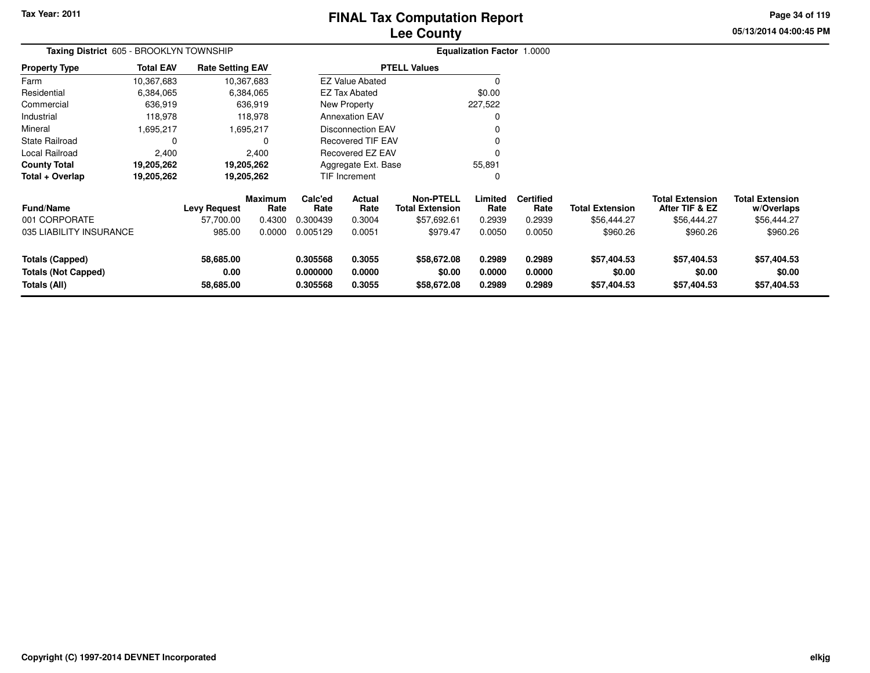# **Lee CountyFINAL Tax Computation Report**

**05/13/2014 04:00:45 PM Page 34 of 119**

| Taxing District 605 - BROOKLYN TOWNSHIP<br><b>Property Type</b> |                                                     |           |                                                                                                                       |                                                                |                                                                                                 | <b>Equalization Factor 1.0000</b>                            |                          |                        |                                          |                                      |
|-----------------------------------------------------------------|-----------------------------------------------------|-----------|-----------------------------------------------------------------------------------------------------------------------|----------------------------------------------------------------|-------------------------------------------------------------------------------------------------|--------------------------------------------------------------|--------------------------|------------------------|------------------------------------------|--------------------------------------|
| <b>Total EAV</b>                                                |                                                     |           |                                                                                                                       |                                                                |                                                                                                 |                                                              |                          |                        |                                          |                                      |
| 10,367,683                                                      |                                                     |           |                                                                                                                       |                                                                |                                                                                                 | $\Omega$                                                     |                          |                        |                                          |                                      |
| 6,384,065                                                       |                                                     |           |                                                                                                                       |                                                                |                                                                                                 | \$0.00                                                       |                          |                        |                                          |                                      |
| 636,919                                                         |                                                     |           |                                                                                                                       |                                                                |                                                                                                 | 227,522                                                      |                          |                        |                                          |                                      |
| 118,978                                                         |                                                     |           |                                                                                                                       |                                                                |                                                                                                 | 0                                                            |                          |                        |                                          |                                      |
| .695,217                                                        |                                                     |           |                                                                                                                       | <b>Disconnection EAV</b><br>0<br><b>Recovered TIF EAV</b><br>0 |                                                                                                 |                                                              |                          |                        |                                          |                                      |
| 0                                                               |                                                     | $\Omega$  |                                                                                                                       |                                                                |                                                                                                 |                                                              |                          |                        |                                          |                                      |
| 2,400                                                           |                                                     | 2,400     | <b>Recovered EZ EAV</b><br>$\Omega$                                                                                   |                                                                |                                                                                                 |                                                              |                          |                        |                                          |                                      |
|                                                                 |                                                     |           | Aggregate Ext. Base<br>55,891                                                                                         |                                                                |                                                                                                 |                                                              |                          |                        |                                          |                                      |
|                                                                 | 19,205,262                                          |           |                                                                                                                       |                                                                |                                                                                                 | 0                                                            |                          |                        |                                          |                                      |
|                                                                 | <b>Levy Request</b>                                 | Rate      | Calc'ed<br>Rate                                                                                                       | Actual<br>Rate                                                 | <b>Non-PTELL</b><br><b>Total Extension</b>                                                      | Limited<br>Rate                                              | <b>Certified</b><br>Rate | <b>Total Extension</b> | <b>Total Extension</b><br>After TIF & EZ | <b>Total Extension</b><br>w/Overlaps |
|                                                                 | 57,700.00                                           | 0.4300    | 0.300439                                                                                                              | 0.3004                                                         | \$57,692.61                                                                                     | 0.2939                                                       | 0.2939                   | \$56,444.27            | \$56,444.27                              | \$56,444.27                          |
|                                                                 | 985.00                                              | 0.0000    | 0.005129                                                                                                              | 0.0051                                                         | \$979.47                                                                                        | 0.0050                                                       | 0.0050                   | \$960.26               | \$960.26                                 | \$960.26                             |
|                                                                 | 58,685.00<br>0.00                                   |           | 0.305568<br>0.000000                                                                                                  | 0.3055<br>0.0000                                               | \$58,672.08<br>\$0.00                                                                           | 0.2989<br>0.0000                                             | 0.2989<br>0.0000         | \$57,404.53<br>\$0.00  | \$57,404.53<br>\$0.00                    | \$57,404.53<br>\$0.00<br>\$57,404.53 |
|                                                                 | 19,205,262<br>19,205,262<br>035 LIABILITY INSURANCE | 58,685.00 | <b>Rate Setting EAV</b><br>10,367,683<br>6,384,065<br>636,919<br>118,978<br>1,695,217<br>19,205,262<br><b>Maximum</b> | 0.305568                                                       | <b>EZ Tax Abated</b><br><b>New Property</b><br><b>Annexation EAV</b><br>TIF Increment<br>0.3055 | <b>PTELL Values</b><br><b>EZ Value Abated</b><br>\$58,672.08 | 0.2989                   | 0.2989                 | \$57,404.53                              | \$57,404.53                          |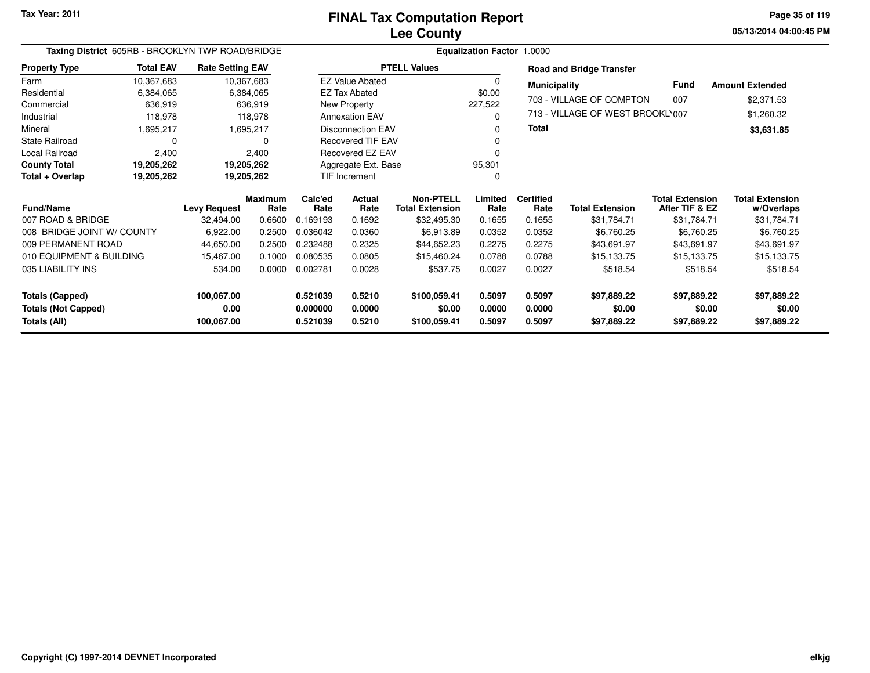**05/13/2014 04:00:45 PM Page 35 of 119**

| Taxing District 605RB - BROOKLYN TWP ROAD/BRIDGE |                  |                         |                        |                     |                          | Equalization Factor 1.0000                 |                 |                          |                                  |                                          |                                      |
|--------------------------------------------------|------------------|-------------------------|------------------------|---------------------|--------------------------|--------------------------------------------|-----------------|--------------------------|----------------------------------|------------------------------------------|--------------------------------------|
| <b>Property Type</b>                             | <b>Total EAV</b> | <b>Rate Setting EAV</b> |                        |                     |                          | <b>PTELL Values</b>                        |                 |                          | <b>Road and Bridge Transfer</b>  |                                          |                                      |
| Farm                                             | 10,367,683       | 10,367,683              |                        |                     | <b>EZ Value Abated</b>   |                                            | 0               | <b>Municipality</b>      |                                  | <b>Fund</b>                              | <b>Amount Extended</b>               |
| Residential                                      | 6,384,065        |                         | 6,384,065              |                     | <b>EZ Tax Abated</b>     |                                            | \$0.00          |                          | 703 - VILLAGE OF COMPTON         | 007                                      |                                      |
| Commercial                                       | 636,919          |                         | 636,919                |                     | New Property             |                                            | 227,522         |                          |                                  |                                          | \$2,371.53                           |
| Industrial                                       | 118,978          |                         | 118,978                |                     | <b>Annexation EAV</b>    |                                            | 0               |                          | 713 - VILLAGE OF WEST BROOKL'007 |                                          | \$1,260.32                           |
| Mineral                                          | 1,695,217        |                         | 1,695,217              |                     | Disconnection EAV        |                                            | 0               | Total                    |                                  |                                          | \$3,631.85                           |
| <b>State Railroad</b>                            | 0                |                         | O                      |                     | <b>Recovered TIF EAV</b> |                                            | 0               |                          |                                  |                                          |                                      |
| Local Railroad                                   | 2,400            |                         | 2,400                  |                     | Recovered EZ EAV         |                                            | O               |                          |                                  |                                          |                                      |
| <b>County Total</b>                              | 19,205,262       | 19,205,262              |                        | Aggregate Ext. Base |                          |                                            | 95,301          |                          |                                  |                                          |                                      |
| Total + Overlap                                  | 19,205,262       | 19,205,262              |                        | TIF Increment       |                          |                                            | 0               |                          |                                  |                                          |                                      |
| <b>Fund/Name</b>                                 |                  | <b>Levy Request</b>     | <b>Maximum</b><br>Rate | Calc'ed<br>Rate     | Actual<br>Rate           | <b>Non-PTELL</b><br><b>Total Extension</b> | Limited<br>Rate | <b>Certified</b><br>Rate | <b>Total Extension</b>           | <b>Total Extension</b><br>After TIF & EZ | <b>Total Extension</b><br>w/Overlaps |
| 007 ROAD & BRIDGE                                |                  | 32,494.00               | 0.6600                 | 0.169193            | 0.1692                   | \$32,495.30                                | 0.1655          | 0.1655                   | \$31,784.71                      | \$31,784.71                              | \$31,784.71                          |
| 008 BRIDGE JOINT W/ COUNTY                       |                  | 6,922.00                | 0.2500                 | 0.036042            | 0.0360                   | \$6,913.89                                 | 0.0352          | 0.0352                   | \$6,760.25                       | \$6,760.25                               | \$6,760.25                           |
| 009 PERMANENT ROAD                               |                  | 44,650.00               | 0.2500                 | 0.232488            | 0.2325                   | \$44,652.23                                | 0.2275          | 0.2275                   | \$43,691.97                      | \$43,691.97                              | \$43,691.97                          |
| 010 EQUIPMENT & BUILDING                         |                  | 15,467.00               | 0.1000                 | 0.080535            | 0.0805                   | \$15,460.24                                | 0.0788          | 0.0788                   | \$15,133.75                      | \$15,133.75                              | \$15,133.75                          |
| 035 LIABILITY INS                                |                  | 534.00                  | 0.0000                 | 0.002781            | 0.0028                   | \$537.75                                   | 0.0027          | 0.0027                   | \$518.54                         | \$518.54                                 | \$518.54                             |
| <b>Totals (Capped)</b>                           |                  | 100,067.00              |                        | 0.521039            | 0.5210                   | \$100,059.41                               | 0.5097          | 0.5097                   | \$97,889.22                      | \$97,889.22                              | \$97,889.22                          |
| <b>Totals (Not Capped)</b>                       |                  | 0.00                    |                        | 0.000000            | 0.0000                   | \$0.00                                     | 0.0000          | 0.0000                   | \$0.00                           | \$0.00                                   | \$0.00                               |
| Totals (All)                                     |                  | 100,067.00              |                        | 0.521039            | 0.5210                   | \$100,059.41                               | 0.5097          | 0.5097                   | \$97,889.22                      | \$97,889.22                              | \$97,889.22                          |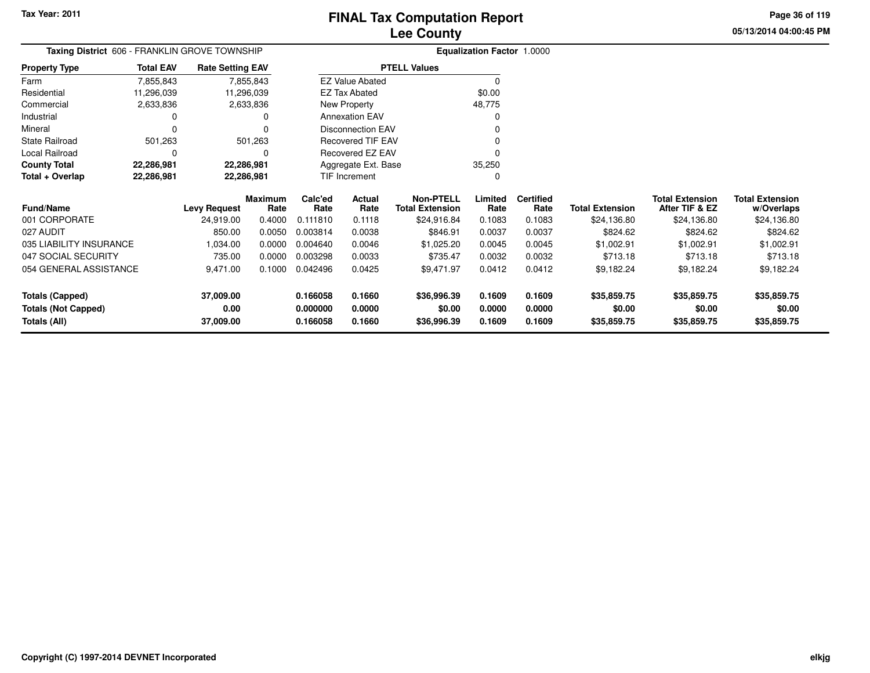**05/13/2014 04:00:45 PMPage 36 of 119**

| Taxing District 606 - FRANKLIN GROVE TOWNSHIP |                                                  |                         |                 |                          |                          |                                            |                 |                          |                        |                                          |                                      |
|-----------------------------------------------|--------------------------------------------------|-------------------------|-----------------|--------------------------|--------------------------|--------------------------------------------|-----------------|--------------------------|------------------------|------------------------------------------|--------------------------------------|
| <b>Property Type</b>                          | <b>Total EAV</b>                                 | <b>Rate Setting EAV</b> |                 |                          |                          | <b>PTELL Values</b>                        |                 |                          |                        |                                          |                                      |
| Farm                                          | 7,855,843                                        |                         | 7,855,843       |                          | <b>EZ Value Abated</b>   |                                            | $\Omega$        |                          |                        |                                          |                                      |
| Residential                                   | 11,296,039                                       | 11,296,039              |                 |                          | <b>EZ Tax Abated</b>     |                                            | \$0.00          |                          |                        |                                          |                                      |
| Commercial                                    | 2,633,836                                        |                         | 2,633,836       |                          | <b>New Property</b>      |                                            | 48,775          |                          |                        |                                          |                                      |
| Industrial                                    |                                                  |                         | O               |                          | <b>Annexation EAV</b>    |                                            |                 |                          |                        |                                          |                                      |
| Mineral                                       |                                                  |                         | 0               |                          | <b>Disconnection EAV</b> |                                            |                 |                          |                        |                                          |                                      |
| <b>State Railroad</b>                         | 501,263                                          |                         | 501,263         | <b>Recovered TIF EAV</b> |                          |                                            |                 |                          |                        |                                          |                                      |
| Local Railroad                                | O                                                |                         | O               | Recovered EZ EAV         |                          |                                            |                 |                          |                        |                                          |                                      |
| <b>County Total</b>                           | 22,286,981                                       | 22,286,981              |                 | Aggregate Ext. Base      |                          |                                            | 35,250          |                          |                        |                                          |                                      |
| Total + Overlap                               | 22,286,981<br>22,286,981<br><b>TIF Increment</b> |                         |                 | 0                        |                          |                                            |                 |                          |                        |                                          |                                      |
| <b>Fund/Name</b>                              |                                                  | <b>Levy Request</b>     | Maximum<br>Rate | Calc'ed<br>Rate          | Actual<br>Rate           | <b>Non-PTELL</b><br><b>Total Extension</b> | Limited<br>Rate | <b>Certified</b><br>Rate | <b>Total Extension</b> | <b>Total Extension</b><br>After TIF & EZ | <b>Total Extension</b><br>w/Overlaps |
| 001 CORPORATE                                 |                                                  | 24,919.00               | 0.4000          | 0.111810                 | 0.1118                   | \$24,916.84                                | 0.1083          | 0.1083                   | \$24,136.80            | \$24,136.80                              | \$24,136.80                          |
| 027 AUDIT                                     |                                                  | 850.00                  | 0.0050          | 0.003814                 | 0.0038                   | \$846.91                                   | 0.0037          | 0.0037                   | \$824.62               | \$824.62                                 | \$824.62                             |
| 035 LIABILITY INSURANCE                       |                                                  | 1,034.00                | 0.0000          | 0.004640                 | 0.0046                   | \$1,025.20                                 | 0.0045          | 0.0045                   | \$1,002.91             | \$1,002.91                               | \$1,002.91                           |
| 047 SOCIAL SECURITY                           |                                                  | 735.00                  | 0.0000          | 0.003298                 | 0.0033                   | \$735.47                                   | 0.0032          | 0.0032                   | \$713.18               | \$713.18                                 | \$713.18                             |
| 054 GENERAL ASSISTANCE                        |                                                  | 9,471.00                | 0.1000          | 0.042496                 | 0.0425                   | \$9,471.97                                 | 0.0412          | 0.0412                   | \$9,182.24             | \$9,182.24                               | \$9,182.24                           |
| <b>Totals (Capped)</b>                        |                                                  | 37,009.00               |                 | 0.166058                 | 0.1660                   | \$36,996.39                                | 0.1609          | 0.1609                   | \$35,859.75            | \$35,859.75                              | \$35,859.75                          |
| <b>Totals (Not Capped)</b>                    |                                                  | 0.00                    |                 | 0.000000                 | 0.0000                   | \$0.00                                     | 0.0000          | 0.0000                   | \$0.00                 | \$0.00                                   | \$0.00                               |
| Totals (All)                                  |                                                  | 37,009.00               |                 | 0.166058                 | 0.1660                   | \$36,996.39                                | 0.1609          | 0.1609                   | \$35,859.75            | \$35,859.75                              | \$35,859.75                          |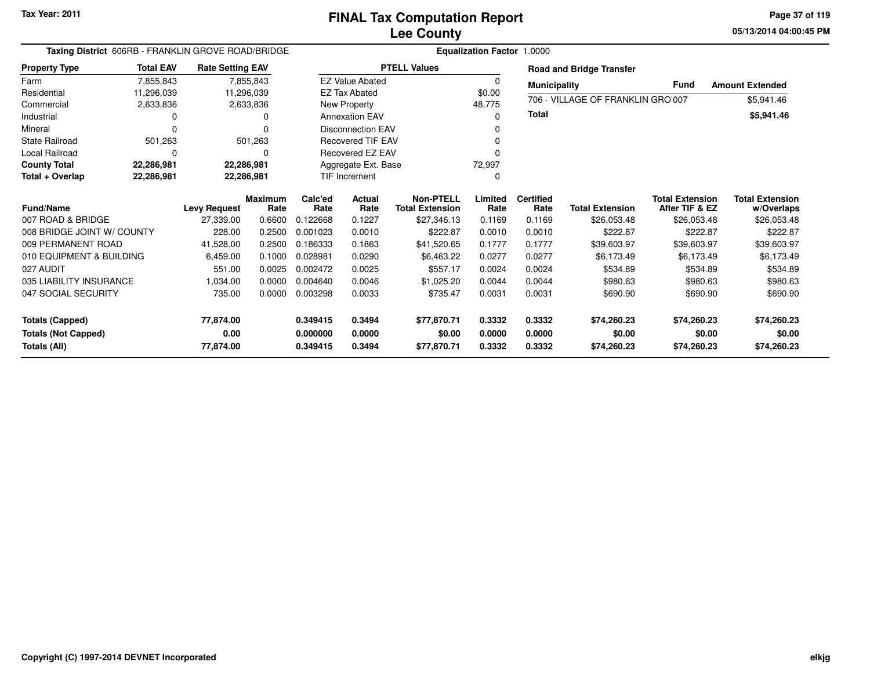**05/13/2014 04:00:45 PMPage 37 of 119**

|                            | Taxing District 606RB - FRANKLIN GROVE ROAD/BRIDGE |                         |                |          |                          |                        | <b>Equalization Factor</b> | 1.0000              |                                   |                        |                        |
|----------------------------|----------------------------------------------------|-------------------------|----------------|----------|--------------------------|------------------------|----------------------------|---------------------|-----------------------------------|------------------------|------------------------|
| <b>Property Type</b>       | <b>Total EAV</b>                                   | <b>Rate Setting EAV</b> |                |          |                          | <b>PTELL Values</b>    |                            |                     | <b>Road and Bridge Transfer</b>   |                        |                        |
| Farm                       | 7,855,843                                          |                         | 7,855,843      |          | <b>EZ Value Abated</b>   |                        | 0                          | <b>Municipality</b> |                                   | Fund                   | <b>Amount Extended</b> |
| Residential                | 11,296,039                                         |                         | 11,296,039     |          | <b>EZ Tax Abated</b>     |                        | \$0.00                     |                     | 706 - VILLAGE OF FRANKLIN GRO 007 |                        |                        |
| Commercial                 | 2,633,836                                          |                         | 2,633,836      |          | New Property             |                        | 48,775                     |                     |                                   |                        | \$5,941.46             |
| Industrial                 |                                                    |                         | U              |          | <b>Annexation EAV</b>    |                        | 0                          | Total               |                                   |                        | \$5,941.46             |
| Mineral                    |                                                    |                         | 0              |          | <b>Disconnection EAV</b> |                        |                            |                     |                                   |                        |                        |
| <b>State Railroad</b>      | 501,263                                            |                         | 501,263        |          | <b>Recovered TIF EAV</b> |                        |                            |                     |                                   |                        |                        |
| Local Railroad             |                                                    |                         | 0              |          | Recovered EZ EAV         |                        | 0                          |                     |                                   |                        |                        |
| <b>County Total</b>        | 22,286,981                                         |                         | 22,286,981     |          | Aggregate Ext. Base      |                        | 72,997                     |                     |                                   |                        |                        |
| Total + Overlap            | 22,286,981                                         |                         | 22,286,981     |          | TIF Increment            |                        | 0                          |                     |                                   |                        |                        |
|                            |                                                    |                         | <b>Maximum</b> | Calc'ed  | Actual                   | <b>Non-PTELL</b>       | Limited                    | <b>Certified</b>    |                                   | <b>Total Extension</b> | <b>Total Extension</b> |
| <b>Fund/Name</b>           |                                                    | <b>Levy Request</b>     | Rate           | Rate     | Rate                     | <b>Total Extension</b> | Rate                       | Rate                | <b>Total Extension</b>            | After TIF & EZ         | w/Overlaps             |
| 007 ROAD & BRIDGE          |                                                    | 27,339.00               | 0.6600         | 0.122668 | 0.1227                   | \$27,346.13            | 0.1169                     | 0.1169              | \$26,053.48                       | \$26,053.48            | \$26,053.48            |
| 008 BRIDGE JOINT W/ COUNTY |                                                    | 228.00                  | 0.2500         | 0.001023 | 0.0010                   | \$222.87               | 0.0010                     | 0.0010              | \$222.87                          | \$222.87               | \$222.87               |
| 009 PERMANENT ROAD         |                                                    | 41,528.00               | 0.2500         | 0.186333 | 0.1863                   | \$41,520.65            | 0.1777                     | 0.1777              | \$39,603.97                       | \$39,603.97            | \$39,603.97            |
| 010 EQUIPMENT & BUILDING   |                                                    | 6,459.00                | 0.1000         | 0.028981 | 0.0290                   | \$6,463.22             | 0.0277                     | 0.0277              | \$6,173.49                        | \$6,173.49             | \$6,173.49             |
| 027 AUDIT                  |                                                    | 551.00                  | 0.0025         | 0.002472 | 0.0025                   | \$557.17               | 0.0024                     | 0.0024              | \$534.89                          | \$534.89               | \$534.89               |
| 035 LIABILITY INSURANCE    |                                                    | 1.034.00                | 0.0000         | 0.004640 | 0.0046                   | \$1,025.20             | 0.0044                     | 0.0044              | \$980.63                          | \$980.63               | \$980.63               |
| 047 SOCIAL SECURITY        |                                                    | 735.00                  | 0.0000         | 0.003298 | 0.0033                   | \$735.47               | 0.0031                     | 0.0031              | \$690.90                          | \$690.90               | \$690.90               |
|                            |                                                    |                         |                |          |                          |                        |                            |                     |                                   |                        |                        |
| <b>Totals (Capped)</b>     |                                                    | 77,874.00               |                | 0.349415 | 0.3494                   | \$77,870.71            | 0.3332                     | 0.3332              | \$74,260.23                       | \$74,260.23            | \$74,260.23            |
| <b>Totals (Not Capped)</b> |                                                    | 0.00                    |                | 0.000000 | 0.0000                   | \$0.00                 | 0.0000                     | 0.0000              | \$0.00                            | \$0.00                 | \$0.00                 |
| Totals (All)               |                                                    | 77,874.00               |                | 0.349415 | 0.3494                   | \$77,870.71            | 0.3332                     | 0.3332              | \$74,260.23                       | \$74,260.23            | \$74,260.23            |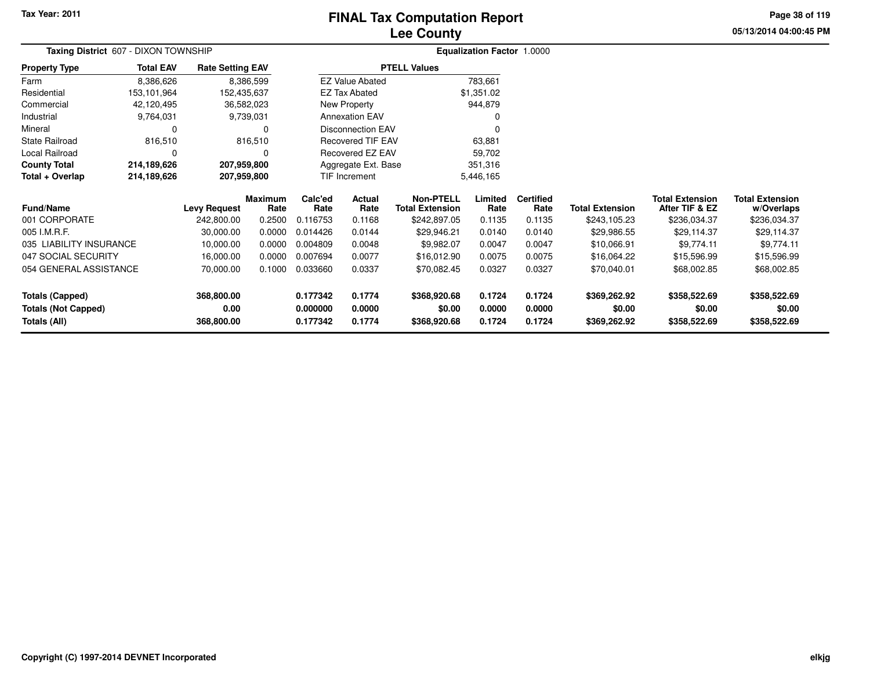#### **Lee CountyFINAL Tax Computation Report**

**05/13/2014 04:00:45 PM Page 38 of 119**

| Taxing District 607 - DIXON TOWNSHIP |                  |                         |                        |                 |                          |                                            | <b>Equalization Factor 1.0000</b> |                          |                        |                                          |                                      |
|--------------------------------------|------------------|-------------------------|------------------------|-----------------|--------------------------|--------------------------------------------|-----------------------------------|--------------------------|------------------------|------------------------------------------|--------------------------------------|
| <b>Property Type</b>                 | <b>Total EAV</b> | <b>Rate Setting EAV</b> |                        |                 |                          | <b>PTELL Values</b>                        |                                   |                          |                        |                                          |                                      |
| Farm                                 | 8,386,626        |                         | 8,386,599              |                 | <b>EZ Value Abated</b>   |                                            | 783,661                           |                          |                        |                                          |                                      |
| Residential                          | 153,101,964      | 152,435,637             |                        |                 | EZ Tax Abated            |                                            | \$1,351.02                        |                          |                        |                                          |                                      |
| Commercial                           | 42,120,495       |                         | 36,582,023             |                 | New Property             |                                            | 944,879                           |                          |                        |                                          |                                      |
| Industrial                           | 9,764,031        |                         | 9,739,031              |                 | <b>Annexation EAV</b>    |                                            |                                   |                          |                        |                                          |                                      |
| Mineral                              | 0                |                         | 0                      |                 | <b>Disconnection EAV</b> |                                            | 0                                 |                          |                        |                                          |                                      |
| <b>State Railroad</b>                | 816,510          |                         | 816,510                |                 | <b>Recovered TIF EAV</b> |                                            | 63,881                            |                          |                        |                                          |                                      |
| Local Railroad                       | 0                |                         | 0                      |                 | Recovered EZ EAV         |                                            | 59,702                            |                          |                        |                                          |                                      |
| <b>County Total</b>                  | 214,189,626      | 207,959,800             |                        |                 | Aggregate Ext. Base      |                                            | 351,316                           |                          |                        |                                          |                                      |
| Total + Overlap                      | 214,189,626      | 207,959,800             |                        |                 | TIF Increment            |                                            | 5,446,165                         |                          |                        |                                          |                                      |
| <b>Fund/Name</b>                     |                  | <b>Levy Request</b>     | <b>Maximum</b><br>Rate | Calc'ed<br>Rate | <b>Actual</b><br>Rate    | <b>Non-PTELL</b><br><b>Total Extension</b> | Limited<br>Rate                   | <b>Certified</b><br>Rate | <b>Total Extension</b> | <b>Total Extension</b><br>After TIF & EZ | <b>Total Extension</b><br>w/Overlaps |
| 001 CORPORATE                        |                  | 242,800.00              | 0.2500                 | 0.116753        | 0.1168                   | \$242,897.05                               | 0.1135                            | 0.1135                   | \$243,105.23           | \$236,034.37                             | \$236,034.37                         |
| 005 I.M.R.F.                         |                  | 30,000.00               | 0.0000                 | 0.014426        | 0.0144                   | \$29,946.21                                | 0.0140                            | 0.0140                   | \$29,986.55            | \$29,114.37                              | \$29,114.37                          |
| 035 LIABILITY INSURANCE              |                  | 10,000.00               | 0.0000                 | 0.004809        | 0.0048                   | \$9,982.07                                 | 0.0047                            | 0.0047                   | \$10,066.91            | \$9,774.11                               | \$9,774.11                           |
| 047 SOCIAL SECURITY                  |                  | 16,000.00               | 0.0000                 | 0.007694        | 0.0077                   | \$16,012.90                                | 0.0075                            | 0.0075                   | \$16,064.22            | \$15,596.99                              | \$15,596.99                          |
| 054 GENERAL ASSISTANCE               |                  | 70,000.00               | 0.1000                 | 0.033660        | 0.0337                   | \$70,082.45                                | 0.0327                            | 0.0327                   | \$70,040.01            | \$68,002.85                              | \$68,002.85                          |
| <b>Totals (Capped)</b>               |                  | 368,800.00              |                        | 0.177342        | 0.1774                   | \$368,920.68                               | 0.1724                            | 0.1724                   | \$369,262.92           | \$358,522.69                             | \$358,522.69                         |
| <b>Totals (Not Capped)</b>           |                  | 0.00                    |                        | 0.000000        | 0.0000                   | \$0.00                                     | 0.0000                            | 0.0000                   | \$0.00                 | \$0.00                                   | \$0.00                               |
| Totals (All)                         |                  | 368,800.00              |                        | 0.177342        | 0.1774                   | \$368,920.68                               | 0.1724                            | 0.1724                   | \$369,262.92           | \$358,522.69                             | \$358,522.69                         |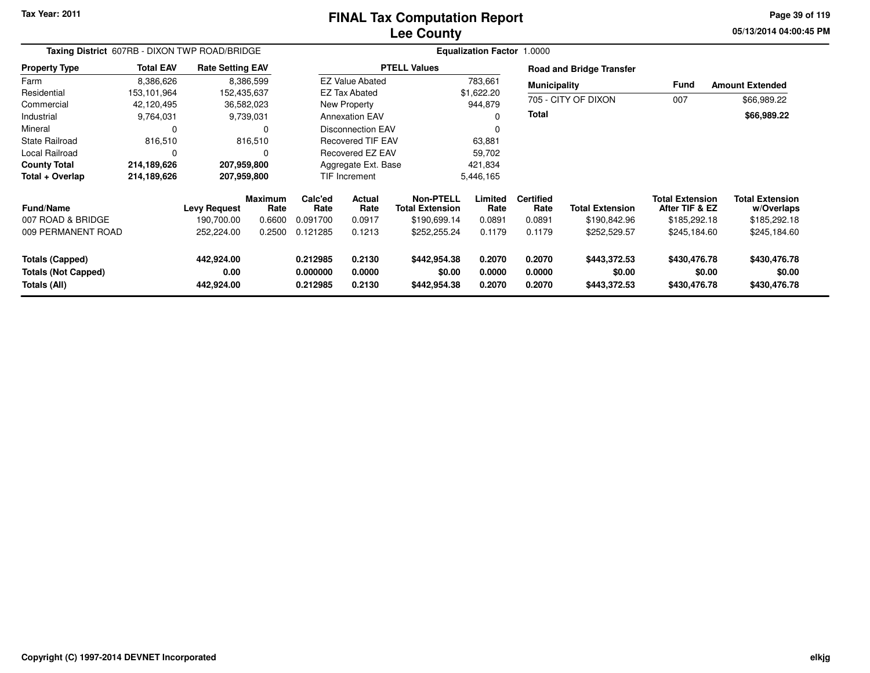#### **Lee CountyFINAL Tax Computation Report**

**05/13/2014 04:00:45 PM Page 39 of 119**

| Taxing District 607RB - DIXON TWP ROAD/BRIDGE |                  |                         | Equalization Factor 1.0000 |                          |                         |                                     |                  |                          |                                 |                                          |                                      |
|-----------------------------------------------|------------------|-------------------------|----------------------------|--------------------------|-------------------------|-------------------------------------|------------------|--------------------------|---------------------------------|------------------------------------------|--------------------------------------|
| <b>Property Type</b>                          | <b>Total EAV</b> | <b>Rate Setting EAV</b> |                            |                          |                         | <b>PTELL Values</b>                 |                  |                          | <b>Road and Bridge Transfer</b> |                                          |                                      |
| Farm                                          | 8,386,626        |                         | 8,386,599                  |                          | <b>EZ Value Abated</b>  |                                     | 783,661          | <b>Municipality</b>      |                                 | <b>Fund</b>                              | <b>Amount Extended</b>               |
| Residential                                   | 153,101,964      | 152,435,637             |                            |                          | <b>EZ Tax Abated</b>    |                                     | \$1,622.20       |                          |                                 |                                          |                                      |
| Commercial                                    | 42,120,495       |                         | 36,582,023                 |                          | New Property            |                                     | 944,879          |                          | 705 - CITY OF DIXON             | 007                                      | \$66,989.22                          |
| Industrial                                    | 9,764,031        |                         | 9,739,031                  |                          | <b>Annexation EAV</b>   |                                     |                  | <b>Total</b>             |                                 |                                          | \$66,989.22                          |
| Mineral                                       | 0                |                         |                            | <b>Disconnection EAV</b> |                         |                                     | 0                |                          |                                 |                                          |                                      |
| <b>State Railroad</b>                         | 816,510          |                         | 816,510                    | <b>Recovered TIF EAV</b> |                         | 63,881                              |                  |                          |                                 |                                          |                                      |
| <b>Local Railroad</b>                         | $\Omega$         |                         |                            |                          | <b>Recovered EZ EAV</b> |                                     | 59,702           |                          |                                 |                                          |                                      |
| <b>County Total</b>                           | 214,189,626      | 207,959,800             |                            |                          | Aggregate Ext. Base     |                                     | 421,834          |                          |                                 |                                          |                                      |
| Total + Overlap                               | 214,189,626      | 207,959,800             |                            |                          | <b>TIF Increment</b>    |                                     | 5,446,165        |                          |                                 |                                          |                                      |
| Fund/Name                                     |                  | <b>Levy Request</b>     | <b>Maximum</b><br>Rate     | Calc'ed<br>Rate          | Actual<br>Rate          | Non-PTELL<br><b>Total Extension</b> | Limited<br>Rate  | <b>Certified</b><br>Rate | <b>Total Extension</b>          | <b>Total Extension</b><br>After TIF & EZ | <b>Total Extension</b><br>w/Overlaps |
| 007 ROAD & BRIDGE                             |                  | 190.700.00              | 0.6600                     | 0.091700                 | 0.0917                  | \$190,699.14                        | 0.0891           | 0.0891                   | \$190,842.96                    | \$185,292.18                             | \$185,292.18                         |
| 009 PERMANENT ROAD                            |                  | 252,224.00              | 0.2500                     | 0.121285                 | 0.1213                  | \$252,255.24                        | 0.1179           | 0.1179                   | \$252,529.57                    | \$245,184.60                             | \$245,184.60                         |
| <b>Totals (Capped)</b>                        |                  | 442,924.00              |                            | 0.212985                 | 0.2130                  | \$442,954.38                        | 0.2070           | 0.2070                   | \$443,372.53                    | \$430,476.78                             | \$430,476.78                         |
| <b>Totals (Not Capped)</b><br>Totals (All)    |                  | 0.00<br>442,924.00      |                            | 0.000000<br>0.212985     | 0.0000<br>0.2130        | \$0.00<br>\$442,954.38              | 0.0000<br>0.2070 | 0.0000<br>0.2070         | \$0.00<br>\$443,372.53          | \$0.00<br>\$430,476.78                   | \$0.00<br>\$430,476.78               |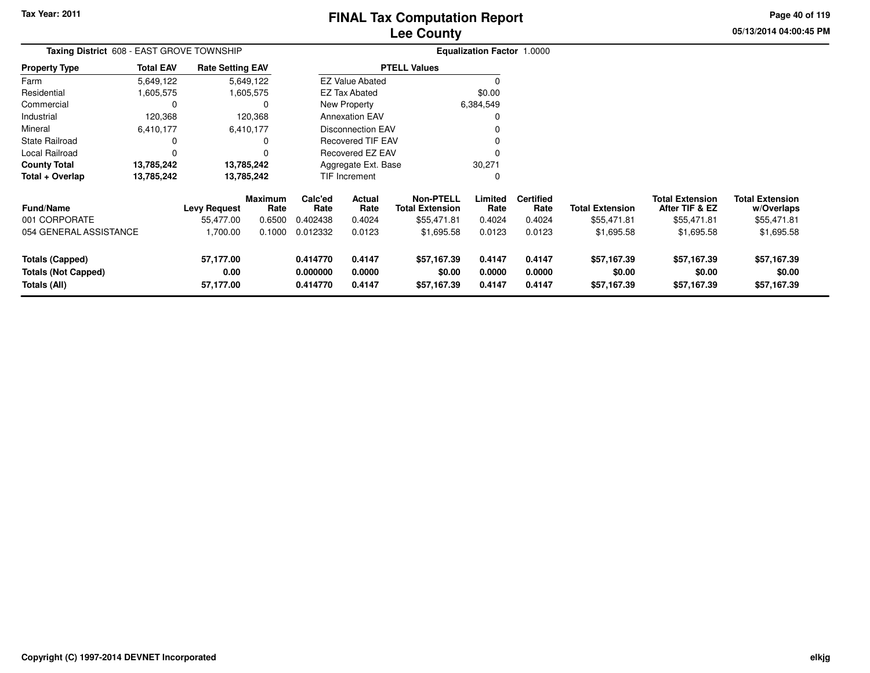### **Lee CountyFINAL Tax Computation Report**

**05/13/2014 04:00:45 PM Page 40 of 119**

| <b>Taxing District</b> 608 - EAST GROVE TOWNSHIP |                  |                         |                        |                 | Equalization Factor 1.0000 |                                            |                 |                          |                        |                                          |                                      |
|--------------------------------------------------|------------------|-------------------------|------------------------|-----------------|----------------------------|--------------------------------------------|-----------------|--------------------------|------------------------|------------------------------------------|--------------------------------------|
| <b>Property Type</b>                             | <b>Total EAV</b> | <b>Rate Setting EAV</b> |                        |                 |                            | <b>PTELL Values</b>                        |                 |                          |                        |                                          |                                      |
| Farm                                             | 5,649,122        |                         | 5,649,122              |                 | <b>EZ Value Abated</b>     |                                            |                 |                          |                        |                                          |                                      |
| Residential                                      | 605,575,         |                         | 1,605,575              |                 | EZ Tax Abated              |                                            | \$0.00          |                          |                        |                                          |                                      |
| Commercial                                       | 0                |                         | 0                      |                 | New Property               |                                            | 6,384,549       |                          |                        |                                          |                                      |
| Industrial                                       | 120,368          |                         | 120,368                |                 | <b>Annexation EAV</b>      |                                            | 0               |                          |                        |                                          |                                      |
| Mineral                                          | 6,410,177        |                         | 6,410,177              |                 | <b>Disconnection EAV</b>   |                                            |                 |                          |                        |                                          |                                      |
| <b>State Railroad</b>                            | 0                |                         | 0                      |                 | <b>Recovered TIF EAV</b>   |                                            |                 |                          |                        |                                          |                                      |
| Local Railroad                                   | 0                |                         | O                      |                 | <b>Recovered EZ EAV</b>    |                                            |                 |                          |                        |                                          |                                      |
| <b>County Total</b>                              | 13,785,242       |                         | 13,785,242             |                 | Aggregate Ext. Base        |                                            | 30,271          |                          |                        |                                          |                                      |
| Total + Overlap                                  | 13,785,242       |                         | 13,785,242             |                 | TIF Increment              |                                            | 0               |                          |                        |                                          |                                      |
| <b>Fund/Name</b>                                 |                  | <b>Levy Request</b>     | <b>Maximum</b><br>Rate | Calc'ed<br>Rate | Actual<br>Rate             | <b>Non-PTELL</b><br><b>Total Extension</b> | Limited<br>Rate | <b>Certified</b><br>Rate | <b>Total Extension</b> | <b>Total Extension</b><br>After TIF & EZ | <b>Total Extension</b><br>w/Overlaps |
| 001 CORPORATE                                    |                  | 55,477.00               | 0.6500                 | 0.402438        | 0.4024                     | \$55,471.81                                | 0.4024          | 0.4024                   | \$55,471.81            | \$55,471.81                              | \$55,471.81                          |
| 054 GENERAL ASSISTANCE                           |                  | 1,700.00                | 0.1000                 | 0.012332        | 0.0123                     | \$1,695.58                                 | 0.0123          | 0.0123                   | \$1,695.58             | \$1,695.58                               | \$1,695.58                           |
| <b>Totals (Capped)</b>                           |                  | 57,177.00               |                        | 0.414770        | 0.4147                     | \$57,167.39                                | 0.4147          | 0.4147                   | \$57,167.39            | \$57,167.39                              | \$57,167.39                          |
| <b>Totals (Not Capped)</b>                       |                  | 0.00                    |                        | 0.000000        | 0.0000                     | \$0.00                                     | 0.0000          | 0.0000                   | \$0.00                 | \$0.00                                   | \$0.00                               |
| Totals (All)                                     |                  | 57,177.00               |                        | 0.414770        | 0.4147                     | \$57,167.39                                | 0.4147          | 0.4147                   | \$57,167.39            | \$57,167.39                              | \$57,167.39                          |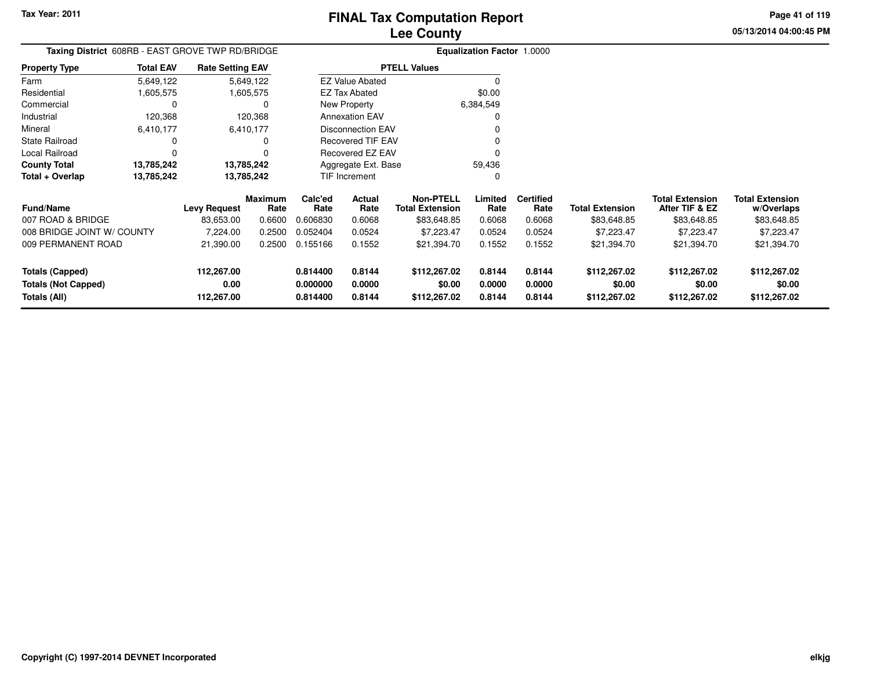**05/13/2014 04:00:45 PMPage 41 of 119**

## **Equalization Factor** 1.0000 **Taxing District** 608RB - EAST GROVE TWP RD/BRIDGE

| <b>Property Type</b> | <b>Total EAV</b> | <b>Rate Setting EAV</b> | <b>PTELL Values</b>      |           |
|----------------------|------------------|-------------------------|--------------------------|-----------|
| Farm                 | 5,649,122        | 5,649,122               | <b>EZ Value Abated</b>   |           |
| Residential          | 1,605,575        | 1,605,575               | EZ Tax Abated            | \$0.00    |
| Commercial           |                  | 0                       | New Property             | 6,384,549 |
| Industrial           | 120,368          | 120.368                 | <b>Annexation EAV</b>    |           |
| Mineral              | 6,410,177        | 6,410,177               | Disconnection EAV        |           |
| State Railroad       |                  | 0                       | <b>Recovered TIF EAV</b> |           |
| Local Railroad       |                  | $\Omega$                | Recovered EZ EAV         |           |
| <b>County Total</b>  | 13,785,242       | 13,785,242              | Aggregate Ext. Base      | 59.436    |
| Total + Overlap      | 13,785,242       | 13,785,242              | <b>TIF Increment</b>     |           |

| <b>Fund/Name</b><br>007 ROAD & BRIDGE<br>008 BRIDGE JOINT W/ COUNTY<br>009 PERMANENT ROAD | <b>Levy Request</b><br>83.653.00<br>7.224.00<br>21.390.00 | Maximum<br>Rate<br>0.6600<br>0.2500<br>0.2500 | Calc'ed<br>Rate<br>0.606830<br>0.052404<br>0.155166 | Actual<br>Rate<br>0.6068<br>0.0524<br>0.1552 | Non-PTELL<br>Total Extension<br>\$83,648.85<br>\$7.223.47<br>\$21,394.70 | Limited<br>Rate<br>0.6068<br>0.0524<br>0.1552 | <b>Certified</b><br>Rate<br>0.6068<br>0.0524<br>0.1552 | <b>Total Extension</b><br>\$83,648.85<br>\$7.223.47<br>\$21,394.70 | <b>Total Extension</b><br>After TIF & EZ<br>\$83,648.85<br>\$7.223.47<br>\$21,394.70 | <b>Total Extension</b><br>w/Overlaps<br>\$83,648.85<br>\$7,223.47<br>\$21,394.70 |
|-------------------------------------------------------------------------------------------|-----------------------------------------------------------|-----------------------------------------------|-----------------------------------------------------|----------------------------------------------|--------------------------------------------------------------------------|-----------------------------------------------|--------------------------------------------------------|--------------------------------------------------------------------|--------------------------------------------------------------------------------------|----------------------------------------------------------------------------------|
| Totals (Capped)                                                                           | 112.267.00                                                |                                               | 0.814400                                            | 0.8144                                       | \$112,267.02                                                             | 0.8144                                        | 0.8144                                                 | \$112,267.02                                                       | \$112,267.02                                                                         | \$112,267.02                                                                     |
| <b>Totals (Not Capped)</b>                                                                | 0.00                                                      |                                               | 0.000000                                            | 0.0000                                       | \$0.00                                                                   | 0.0000                                        | 0.0000                                                 | \$0.00                                                             | \$0.00                                                                               | \$0.00                                                                           |
| Totals (All)                                                                              | 112.267.00                                                |                                               | 0.814400                                            | 0.8144                                       | \$112,267.02                                                             | 0.8144                                        | 0.8144                                                 | \$112,267.02                                                       | \$112,267.02                                                                         | \$112,267.02                                                                     |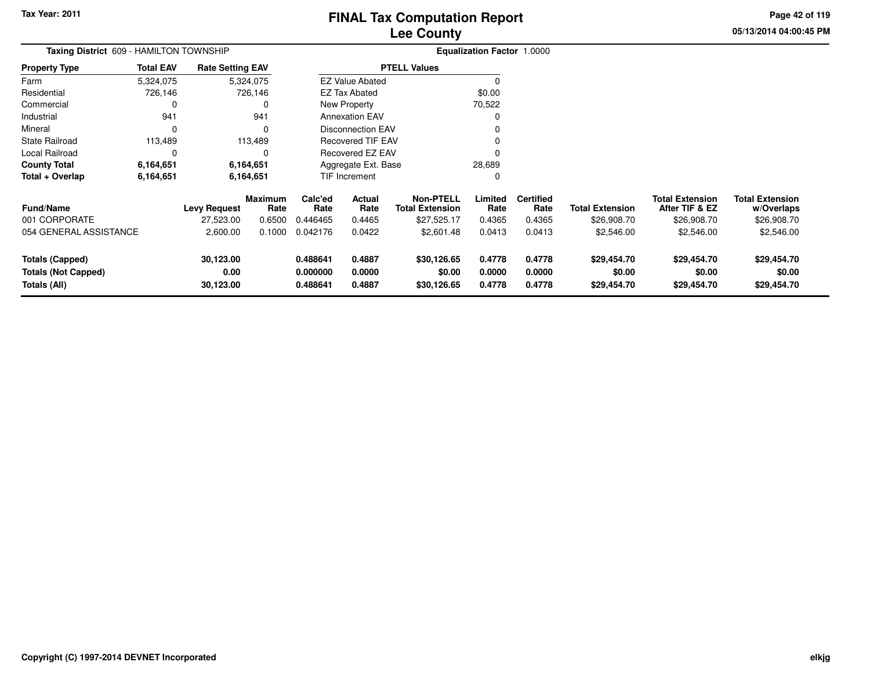**05/13/2014 04:00:45 PM Page 42 of 119**

| Taxing District 609 - HAMILTON TOWNSHIP                              |                  |                                |                        |                                  |                            |                                            | <b>Equalization Factor 1.0000</b> |                            |                                      |                                          |                                      |
|----------------------------------------------------------------------|------------------|--------------------------------|------------------------|----------------------------------|----------------------------|--------------------------------------------|-----------------------------------|----------------------------|--------------------------------------|------------------------------------------|--------------------------------------|
| Property Type                                                        | <b>Total EAV</b> | <b>Rate Setting EAV</b>        |                        |                                  |                            | <b>PTELL Values</b>                        |                                   |                            |                                      |                                          |                                      |
| Farm                                                                 | 5,324,075        |                                | 5,324,075              |                                  | <b>EZ Value Abated</b>     |                                            |                                   |                            |                                      |                                          |                                      |
| Residential                                                          | 726,146          |                                | 726,146                |                                  | <b>EZ Tax Abated</b>       |                                            | \$0.00                            |                            |                                      |                                          |                                      |
| Commercial                                                           | 0                |                                |                        |                                  | New Property               |                                            | 70,522                            |                            |                                      |                                          |                                      |
| Industrial                                                           | 941              |                                | 941                    |                                  | <b>Annexation EAV</b>      |                                            | 0                                 |                            |                                      |                                          |                                      |
| Mineral                                                              | $\Omega$         |                                |                        |                                  | <b>Disconnection EAV</b>   |                                            |                                   |                            |                                      |                                          |                                      |
| State Railroad                                                       | 113,489          |                                | 113,489                |                                  | <b>Recovered TIF EAV</b>   |                                            |                                   |                            |                                      |                                          |                                      |
| Local Railroad                                                       | 0                |                                |                        |                                  | Recovered EZ EAV           |                                            |                                   |                            |                                      |                                          |                                      |
| County Total                                                         | 6,164,651        |                                | 6,164,651              |                                  | Aggregate Ext. Base        |                                            | 28,689                            |                            |                                      |                                          |                                      |
| Total + Overlap                                                      | 6,164,651        |                                | 6,164,651              |                                  | TIF Increment              |                                            | 0                                 |                            |                                      |                                          |                                      |
| <b>Fund/Name</b>                                                     |                  | <b>Levy Request</b>            | <b>Maximum</b><br>Rate | Calc'ed<br>Rate                  | Actual<br>Rate             | <b>Non-PTELL</b><br><b>Total Extension</b> | Limited<br>Rate                   | <b>Certified</b><br>Rate   | <b>Total Extension</b>               | <b>Total Extension</b><br>After TIF & EZ | <b>Total Extension</b><br>w/Overlaps |
| 001 CORPORATE                                                        |                  | 27,523.00                      | 0.6500                 | 0.446465                         | 0.4465                     | \$27,525.17                                | 0.4365                            | 0.4365                     | \$26,908.70                          | \$26,908.70                              | \$26,908.70                          |
| 054 GENERAL ASSISTANCE                                               |                  | 2,600.00                       | 0.1000                 | 0.042176                         | 0.0422                     | \$2,601.48                                 | 0.0413                            | 0.0413                     | \$2,546.00                           | \$2,546.00                               | \$2,546.00                           |
| <b>Totals (Capped)</b><br><b>Totals (Not Capped)</b><br>Totals (All) |                  | 30,123.00<br>0.00<br>30,123.00 |                        | 0.488641<br>0.000000<br>0.488641 | 0.4887<br>0.0000<br>0.4887 | \$30,126.65<br>\$0.00<br>\$30,126.65       | 0.4778<br>0.0000<br>0.4778        | 0.4778<br>0.0000<br>0.4778 | \$29,454.70<br>\$0.00<br>\$29,454.70 | \$29,454.70<br>\$0.00<br>\$29,454.70     | \$29,454.70<br>\$0.00<br>\$29,454.70 |
|                                                                      |                  |                                |                        |                                  |                            |                                            |                                   |                            |                                      |                                          |                                      |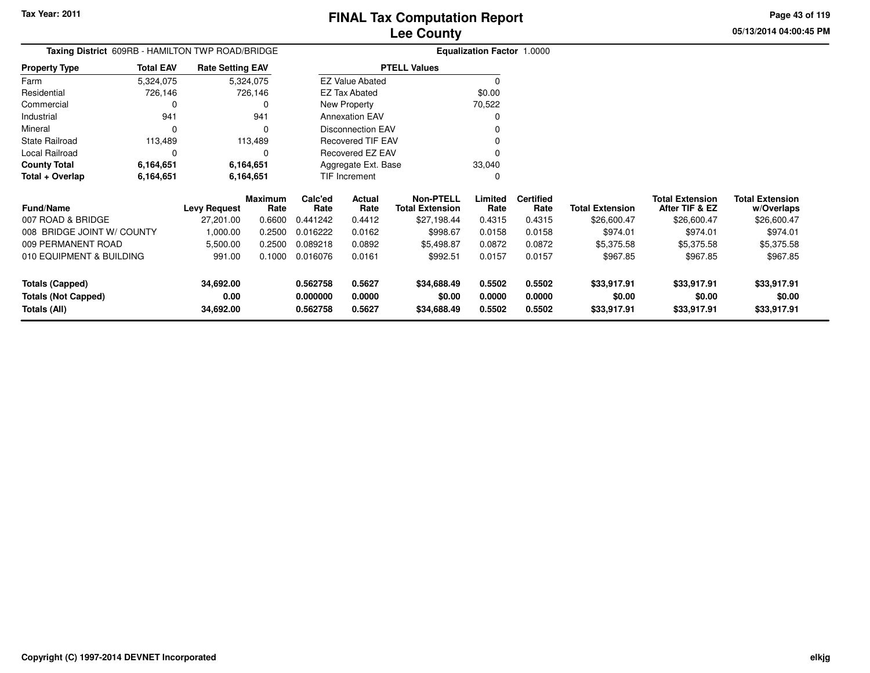**Totals (All)**

#### **Lee CountyFINAL Tax Computation Report**

**0.562758 0.5627 \$34,688.49 0.5502 0.5502 \$33,917.91 \$33,917.91 \$33,917.91**

**05/13/2014 04:00:45 PMPage 43 of 119**

> **w/Overlaps** \$26,600.47

| Taxing District 609RB - HAMILTON TWP ROAD/BRIDGE |                  |                         |                        |                 |                          |                                            | Equalization Factor 1.0000 |                          |                        |                                          |                                      |
|--------------------------------------------------|------------------|-------------------------|------------------------|-----------------|--------------------------|--------------------------------------------|----------------------------|--------------------------|------------------------|------------------------------------------|--------------------------------------|
| <b>Property Type</b>                             | <b>Total EAV</b> | <b>Rate Setting EAV</b> |                        |                 |                          | <b>PTELL Values</b>                        |                            |                          |                        |                                          |                                      |
| Farm                                             | 5,324,075        |                         | 5,324,075              |                 | <b>EZ Value Abated</b>   |                                            |                            |                          |                        |                                          |                                      |
| Residential                                      | 726,146          |                         | 726,146                |                 | <b>EZ Tax Abated</b>     |                                            | \$0.00                     |                          |                        |                                          |                                      |
| Commercial                                       |                  |                         |                        |                 | New Property             |                                            | 70,522                     |                          |                        |                                          |                                      |
| Industrial                                       | 941              |                         | 941                    |                 | <b>Annexation EAV</b>    |                                            |                            |                          |                        |                                          |                                      |
| Mineral                                          |                  |                         | 0                      |                 | <b>Disconnection EAV</b> |                                            |                            |                          |                        |                                          |                                      |
| <b>State Railroad</b>                            | 113,489          |                         | 113,489                |                 | <b>Recovered TIF EAV</b> |                                            |                            |                          |                        |                                          |                                      |
| Local Railroad                                   |                  |                         | n                      |                 | Recovered EZ EAV         |                                            |                            |                          |                        |                                          |                                      |
| <b>County Total</b>                              | 6,164,651        |                         | 6,164,651              |                 | Aggregate Ext. Base      |                                            | 33,040                     |                          |                        |                                          |                                      |
| Total + Overlap                                  | 6,164,651        |                         | 6,164,651              |                 | TIF Increment            |                                            |                            |                          |                        |                                          |                                      |
| <b>Fund/Name</b>                                 |                  | Levy Request            | <b>Maximum</b><br>Rate | Calc'ed<br>Rate | Actual<br>Rate           | <b>Non-PTELL</b><br><b>Total Extension</b> | Limited<br>Rate            | <b>Certified</b><br>Rate | <b>Total Extension</b> | <b>Total Extension</b><br>After TIF & EZ | <b>Total Extension</b><br>w/Overlaps |
| 007 ROAD & BRIDGE                                |                  | 27,201.00               | 0.6600                 | 0.441242        | 0.4412                   | \$27,198.44                                | 0.4315                     | 0.4315                   | \$26,600.47            | \$26,600.47                              | \$26,600.47                          |
| 008 BRIDGE JOINT W/ COUNTY                       |                  | 1,000.00                | 0.2500                 | 0.016222        | 0.0162                   | \$998.67                                   | 0.0158                     | 0.0158                   | \$974.01               | \$974.01                                 | \$974.01                             |
| 009 PERMANENT ROAD                               |                  | 5,500.00                | 0.2500                 | 0.089218        | 0.0892                   | \$5,498.87                                 | 0.0872                     | 0.0872                   | \$5,375.58             | \$5,375.58                               | \$5,375.58                           |
| 010 EQUIPMENT & BUILDING                         |                  | 991.00                  | 0.1000                 | 0.016076        | 0.0161                   | \$992.51                                   | 0.0157                     | 0.0157                   | \$967.85               | \$967.85                                 | \$967.85                             |
| <b>Totals (Capped)</b>                           |                  | 34,692.00               |                        | 0.562758        | 0.5627                   | \$34,688.49                                | 0.5502                     | 0.5502                   | \$33,917.91            | \$33,917.91                              | \$33,917.91                          |
| <b>Totals (Not Capped)</b>                       |                  | 0.00                    |                        | 0.000000        | 0.0000                   | \$0.00                                     | 0.0000                     | 0.0000                   | \$0.00                 | \$0.00                                   | \$0.00                               |

**34,692.00**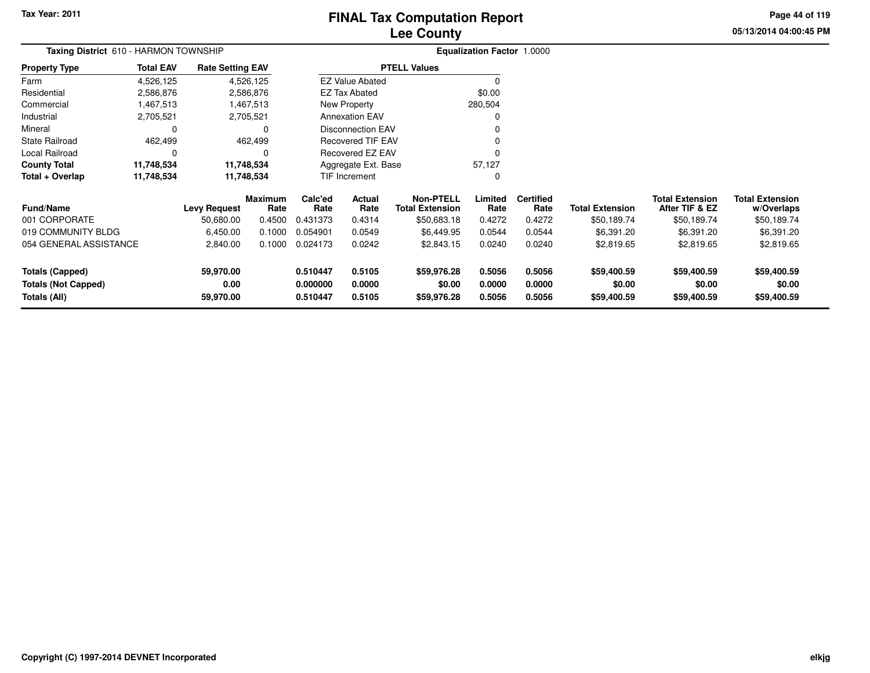### **Lee CountyFINAL Tax Computation Report**

**05/13/2014 04:00:45 PMPage 44 of 119**

|                  |                   |                                                              |                                                                                                                                      |                  |                                                                                | <b>Equalization Factor 1.0000</b>                                                                                                                |                          |                        |                                          |                                      |
|------------------|-------------------|--------------------------------------------------------------|--------------------------------------------------------------------------------------------------------------------------------------|------------------|--------------------------------------------------------------------------------|--------------------------------------------------------------------------------------------------------------------------------------------------|--------------------------|------------------------|------------------------------------------|--------------------------------------|
| <b>Total EAV</b> |                   |                                                              |                                                                                                                                      |                  |                                                                                |                                                                                                                                                  |                          |                        |                                          |                                      |
| 4,526,125        |                   |                                                              |                                                                                                                                      |                  |                                                                                | $\Omega$                                                                                                                                         |                          |                        |                                          |                                      |
| 2,586,876        |                   |                                                              |                                                                                                                                      |                  |                                                                                | \$0.00                                                                                                                                           |                          |                        |                                          |                                      |
| 1,467,513        |                   |                                                              |                                                                                                                                      |                  |                                                                                |                                                                                                                                                  |                          |                        |                                          |                                      |
| 2,705,521        |                   |                                                              |                                                                                                                                      |                  |                                                                                | 0                                                                                                                                                |                          |                        |                                          |                                      |
| 0                |                   | 0                                                            |                                                                                                                                      |                  |                                                                                |                                                                                                                                                  |                          |                        |                                          |                                      |
| 462,499          |                   |                                                              |                                                                                                                                      |                  |                                                                                | 0                                                                                                                                                |                          |                        |                                          |                                      |
| 0                |                   | 0                                                            |                                                                                                                                      |                  |                                                                                |                                                                                                                                                  |                          |                        |                                          |                                      |
| 11,748,534       |                   |                                                              |                                                                                                                                      |                  |                                                                                | 57,127                                                                                                                                           |                          |                        |                                          |                                      |
| 11,748,534       |                   |                                                              |                                                                                                                                      |                  |                                                                                | 0                                                                                                                                                |                          |                        |                                          |                                      |
|                  |                   | Rate                                                         | Calc'ed<br>Rate                                                                                                                      | Actual<br>Rate   | Non-PTELL<br><b>Total Extension</b>                                            | Limited<br>Rate                                                                                                                                  | <b>Certified</b><br>Rate | <b>Total Extension</b> | <b>Total Extension</b><br>After TIF & EZ | <b>Total Extension</b><br>w/Overlaps |
|                  | 50,680.00         | 0.4500                                                       | 0.431373                                                                                                                             | 0.4314           | \$50,683.18                                                                    | 0.4272                                                                                                                                           | 0.4272                   | \$50,189.74            | \$50,189.74                              | \$50,189.74                          |
|                  | 6,450.00          | 0.1000                                                       | 0.054901                                                                                                                             | 0.0549           | \$6,449.95                                                                     | 0.0544                                                                                                                                           | 0.0544                   | \$6,391.20             | \$6,391.20                               | \$6,391.20                           |
|                  | 2,840.00          | 0.1000                                                       | 0.024173                                                                                                                             | 0.0242           | \$2,843.15                                                                     | 0.0240                                                                                                                                           | 0.0240                   | \$2,819.65             | \$2,819.65                               | \$2,819.65                           |
|                  | 59,970.00         |                                                              | 0.510447                                                                                                                             | 0.5105           | \$59,976.28                                                                    | 0.5056                                                                                                                                           | 0.5056                   | \$59,400.59            | \$59,400.59                              | \$59,400.59                          |
|                  | 0.00<br>59,970.00 |                                                              | 0.000000<br>0.510447                                                                                                                 | 0.0000<br>0.5105 | \$0.00<br>\$59,976.28                                                          | 0.0000<br>0.5056                                                                                                                                 | 0.0000<br>0.5056         | \$0.00<br>\$59,400.59  | \$0.00<br>\$59,400.59                    | \$0.00<br>\$59,400.59                |
|                  |                   | Taxing District 610 - HARMON TOWNSHIP<br><b>Levy Request</b> | <b>Rate Setting EAV</b><br>4,526,125<br>2,586,876<br>1,467,513<br>2,705,521<br>462,499<br>11,748,534<br>11,748,534<br><b>Maximum</b> |                  | <b>EZ Tax Abated</b><br>New Property<br><b>Annexation EAV</b><br>TIF Increment | <b>PTELL Values</b><br><b>EZ Value Abated</b><br><b>Disconnection EAV</b><br><b>Recovered TIF EAV</b><br>Recovered EZ EAV<br>Aggregate Ext. Base | 280,504                  |                        |                                          |                                      |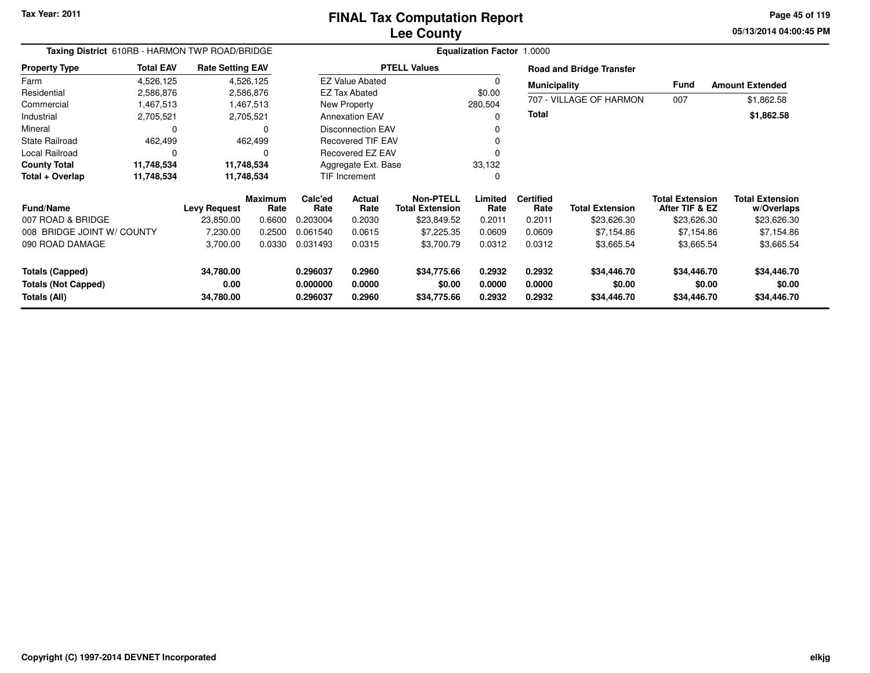#### **Lee CountyFINAL Tax Computation Report**

**05/13/2014 04:00:45 PM Page 45 of 119**

| Taxing District 610RB - HARMON TWP ROAD/BRIDGE |                  |                         |                        |                      |                          |                                            | <b>Equalization Factor 1.0000</b> |                          |                                 |                                          |                                      |
|------------------------------------------------|------------------|-------------------------|------------------------|----------------------|--------------------------|--------------------------------------------|-----------------------------------|--------------------------|---------------------------------|------------------------------------------|--------------------------------------|
| <b>Property Type</b>                           | <b>Total EAV</b> | <b>Rate Setting EAV</b> |                        |                      |                          | <b>PTELL Values</b>                        |                                   |                          | <b>Road and Bridge Transfer</b> |                                          |                                      |
| Farm                                           | 4,526,125        |                         | 4,526,125              |                      | <b>EZ Value Abated</b>   |                                            | $\Omega$                          | <b>Municipality</b>      |                                 | Fund                                     | <b>Amount Extended</b>               |
| Residential                                    | 2,586,876        |                         | 2,586,876              |                      | EZ Tax Abated            |                                            | \$0.00                            |                          |                                 |                                          |                                      |
| Commercial                                     | 1,467,513        |                         | 1,467,513              |                      | New Property             |                                            | 280,504                           |                          | 707 - VILLAGE OF HARMON         | 007                                      | \$1,862.58                           |
| Industrial                                     | 2,705,521        |                         | 2,705,521              |                      | <b>Annexation EAV</b>    |                                            |                                   | <b>Total</b>             |                                 |                                          | \$1,862.58                           |
| Mineral                                        |                  |                         | 0                      |                      | <b>Disconnection EAV</b> |                                            |                                   |                          |                                 |                                          |                                      |
| <b>State Railroad</b>                          | 462,499          |                         | 462,499                |                      | <b>Recovered TIF EAV</b> |                                            |                                   |                          |                                 |                                          |                                      |
| Local Railroad                                 | $\Omega$         |                         | 0                      |                      | Recovered EZ EAV         |                                            |                                   |                          |                                 |                                          |                                      |
| <b>County Total</b>                            | 11,748,534       |                         | 11,748,534             |                      | Aggregate Ext. Base      |                                            | 33,132                            |                          |                                 |                                          |                                      |
| Total + Overlap                                | 11,748,534       |                         | 11,748,534             |                      | TIF Increment            |                                            | 0                                 |                          |                                 |                                          |                                      |
| <b>Fund/Name</b>                               |                  | <b>Levy Request</b>     | <b>Maximum</b><br>Rate | Calc'ed<br>Rate      | Actual<br>Rate           | <b>Non-PTELL</b><br><b>Total Extension</b> | Limited<br>Rate                   | <b>Certified</b><br>Rate | <b>Total Extension</b>          | <b>Total Extension</b><br>After TIF & EZ | <b>Total Extension</b><br>w/Overlaps |
| 007 ROAD & BRIDGE                              |                  | 23,850.00               | 0.6600                 | 0.203004             | 0.2030                   | \$23,849.52                                | 0.2011                            | 0.2011                   | \$23,626.30                     | \$23,626.30                              | \$23,626.30                          |
| 008 BRIDGE JOINT W/ COUNTY                     |                  | 7,230.00                | 0.2500                 | 0.061540             | 0.0615                   | \$7,225.35                                 | 0.0609                            | 0.0609                   | \$7,154.86                      | \$7,154.86                               | \$7,154.86                           |
| 090 ROAD DAMAGE                                |                  | 3,700.00                | 0.0330                 | 0.031493             | 0.0315                   | \$3,700.79                                 | 0.0312                            | 0.0312                   | \$3,665.54                      | \$3,665.54                               | \$3,665.54                           |
| <b>Totals (Capped)</b>                         |                  | 34,780.00               |                        | 0.296037             | 0.2960                   | \$34,775.66                                | 0.2932                            | 0.2932                   | \$34,446.70                     | \$34,446.70                              | \$34,446.70                          |
| <b>Totals (Not Capped)</b><br>Totals (All)     |                  | 0.00<br>34,780.00       |                        | 0.000000<br>0.296037 | 0.0000<br>0.2960         | \$0.00<br>\$34,775.66                      | 0.0000<br>0.2932                  | 0.0000<br>0.2932         | \$0.00<br>\$34,446.70           | \$0.00<br>\$34,446.70                    | \$0.00<br>\$34,446.70                |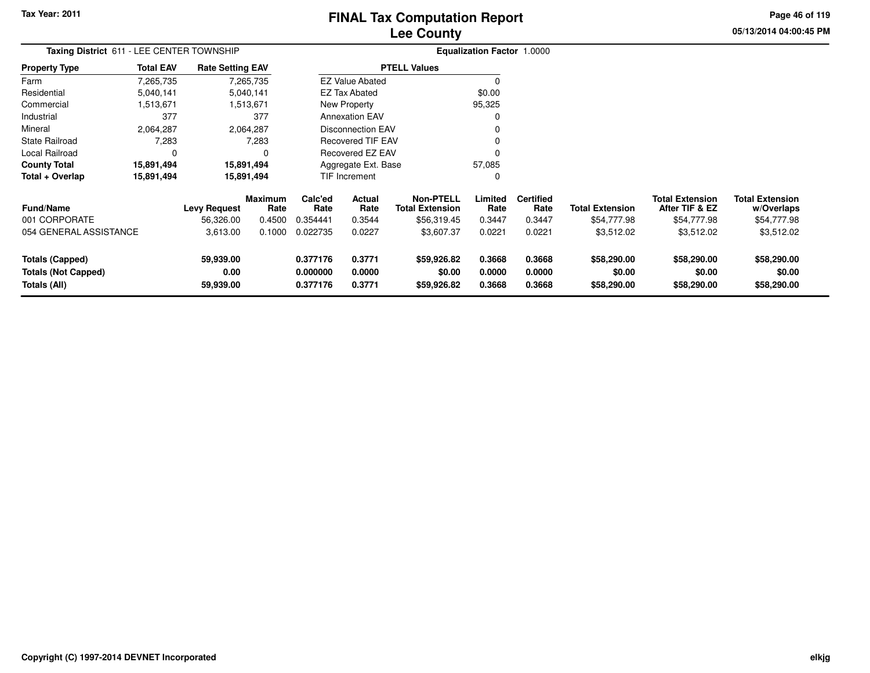### **Lee CountyFINAL Tax Computation Report**

**05/13/2014 04:00:45 PM Page 46 of 119**

| Taxing District 611 - LEE CENTER TOWNSHIP |                  |                         |                        |                 |                          |                                            | <b>Equalization Factor 1.0000</b> |                          |                        |                                          |                                      |
|-------------------------------------------|------------------|-------------------------|------------------------|-----------------|--------------------------|--------------------------------------------|-----------------------------------|--------------------------|------------------------|------------------------------------------|--------------------------------------|
| <b>Property Type</b>                      | <b>Total EAV</b> | <b>Rate Setting EAV</b> |                        |                 |                          | <b>PTELL Values</b>                        |                                   |                          |                        |                                          |                                      |
| Farm                                      | 7,265,735        |                         | 7,265,735              |                 | <b>EZ Value Abated</b>   |                                            | $\Omega$                          |                          |                        |                                          |                                      |
| Residential                               | 5,040,141        |                         | 5,040,141              |                 | <b>EZ Tax Abated</b>     |                                            | \$0.00                            |                          |                        |                                          |                                      |
| Commercial                                | 1,513,671        |                         | 1,513,671              |                 | New Property             |                                            | 95,325                            |                          |                        |                                          |                                      |
| Industrial                                | 377              |                         | 377                    |                 | <b>Annexation EAV</b>    |                                            | O                                 |                          |                        |                                          |                                      |
| Mineral                                   | 2,064,287        |                         | 2,064,287              |                 | Disconnection EAV        |                                            | O                                 |                          |                        |                                          |                                      |
| State Railroad                            | 7,283            |                         | 7,283                  |                 | <b>Recovered TIF EAV</b> |                                            | O                                 |                          |                        |                                          |                                      |
| Local Railroad                            |                  |                         | $\Omega$               |                 | <b>Recovered EZ EAV</b>  |                                            |                                   |                          |                        |                                          |                                      |
| <b>County Total</b>                       | 15,891,494       |                         | 15,891,494             |                 | Aggregate Ext. Base      |                                            | 57,085                            |                          |                        |                                          |                                      |
| Total + Overlap                           | 15,891,494       |                         | 15,891,494             |                 | <b>TIF Increment</b>     |                                            | 0                                 |                          |                        |                                          |                                      |
| <b>Fund/Name</b>                          |                  | <b>Levy Request</b>     | <b>Maximum</b><br>Rate | Calc'ed<br>Rate | Actual<br>Rate           | <b>Non-PTELL</b><br><b>Total Extension</b> | Limited<br>Rate                   | <b>Certified</b><br>Rate | <b>Total Extension</b> | <b>Total Extension</b><br>After TIF & EZ | <b>Total Extension</b><br>w/Overlaps |
| 001 CORPORATE                             |                  | 56,326.00               | 0.4500                 | 0.354441        | 0.3544                   | \$56,319.45                                | 0.3447                            | 0.3447                   | \$54,777.98            | \$54,777.98                              | \$54,777.98                          |
| 054 GENERAL ASSISTANCE                    |                  | 3,613.00                | 0.1000                 | 0.022735        | 0.0227                   | \$3,607.37                                 | 0.0221                            | 0.0221                   | \$3,512.02             | \$3,512.02                               | \$3,512.02                           |
| <b>Totals (Capped)</b>                    |                  | 59,939.00               |                        | 0.377176        | 0.3771                   | \$59,926.82                                | 0.3668                            | 0.3668                   | \$58,290.00            | \$58,290.00                              | \$58,290.00                          |
| <b>Totals (Not Capped)</b>                |                  | 0.00                    |                        | 0.000000        | 0.0000                   | \$0.00                                     | 0.0000                            | 0.0000                   | \$0.00                 | \$0.00                                   | \$0.00                               |
| Totals (All)                              |                  | 59,939.00               |                        | 0.377176        | 0.3771                   | \$59,926.82                                | 0.3668                            | 0.3668                   | \$58,290.00            | \$58,290.00                              | \$58,290.00                          |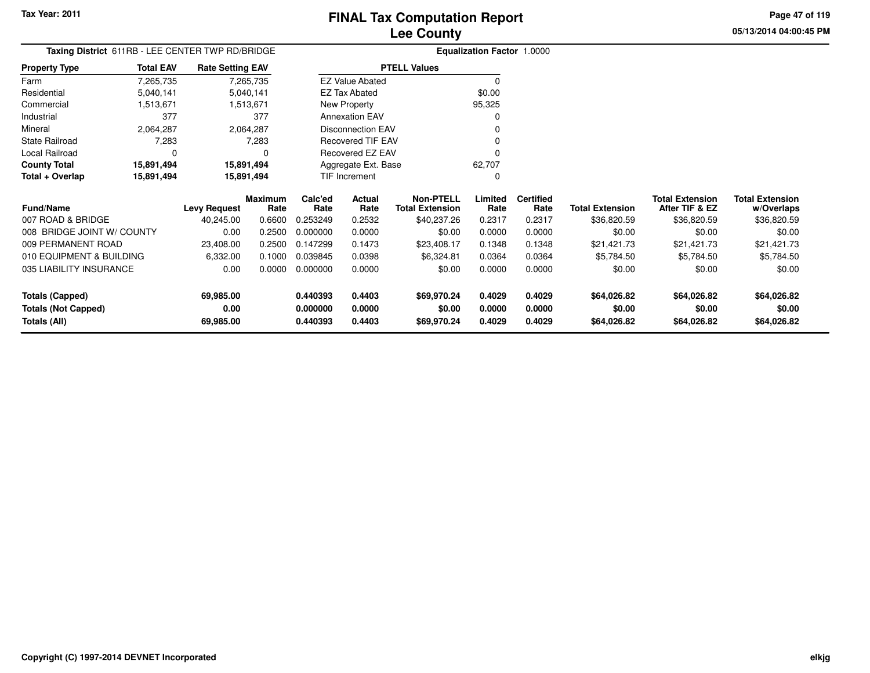**0.440393 0.4403 \$69,970.24 0.4029 0.4029 \$64,026.82 \$64,026.82 \$64,026.82**

**05/13/2014 04:00:45 PMPage 47 of 119**

|                            | Taxing District 611RB - LEE CENTER TWP RD/BRIDGE<br><b>Total EAV</b><br><b>Rate Setting EAV</b> |                     |                        |                 |                          |                                            | Equalization Factor 1.0000 |                          |                        |                                          |                                      |
|----------------------------|-------------------------------------------------------------------------------------------------|---------------------|------------------------|-----------------|--------------------------|--------------------------------------------|----------------------------|--------------------------|------------------------|------------------------------------------|--------------------------------------|
| <b>Property Type</b>       |                                                                                                 |                     |                        |                 |                          | <b>PTELL Values</b>                        |                            |                          |                        |                                          |                                      |
| Farm                       | 7,265,735                                                                                       |                     | 7,265,735              |                 | <b>EZ Value Abated</b>   |                                            | $\Omega$                   |                          |                        |                                          |                                      |
| Residential                | 5,040,141                                                                                       |                     | 5,040,141              |                 | EZ Tax Abated            |                                            | \$0.00                     |                          |                        |                                          |                                      |
| Commercial                 | 1,513,671                                                                                       |                     | 1,513,671              |                 | New Property             |                                            | 95,325                     |                          |                        |                                          |                                      |
| Industrial                 | 377                                                                                             |                     | 377                    |                 | <b>Annexation EAV</b>    |                                            | $\Omega$                   |                          |                        |                                          |                                      |
| Mineral                    | 2,064,287                                                                                       |                     | 2,064,287              |                 | <b>Disconnection EAV</b> |                                            | O                          |                          |                        |                                          |                                      |
| <b>State Railroad</b>      | 7,283                                                                                           |                     | 7,283                  |                 | Recovered TIF EAV        |                                            | O                          |                          |                        |                                          |                                      |
| Local Railroad             | $\Omega$                                                                                        |                     | 0                      |                 | Recovered EZ EAV         |                                            | $\Omega$                   |                          |                        |                                          |                                      |
| <b>County Total</b>        | 15,891,494                                                                                      | 15,891,494          |                        |                 | Aggregate Ext. Base      |                                            | 62,707                     |                          |                        |                                          |                                      |
| Total + Overlap            | 15,891,494                                                                                      | 15,891,494          |                        |                 | <b>TIF Increment</b>     |                                            | $\Omega$                   |                          |                        |                                          |                                      |
| <b>Fund/Name</b>           |                                                                                                 | <b>Levy Request</b> | <b>Maximum</b><br>Rate | Calc'ed<br>Rate | Actual<br>Rate           | <b>Non-PTELL</b><br><b>Total Extension</b> | Limited<br>Rate            | <b>Certified</b><br>Rate | <b>Total Extension</b> | <b>Total Extension</b><br>After TIF & EZ | <b>Total Extension</b><br>w/Overlaps |
| 007 ROAD & BRIDGE          |                                                                                                 | 40,245.00           | 0.6600                 | 0.253249        | 0.2532                   | \$40,237.26                                | 0.2317                     | 0.2317                   | \$36,820.59            | \$36,820.59                              | \$36,820.59                          |
| 008 BRIDGE JOINT W/ COUNTY |                                                                                                 | 0.00                | 0.2500                 | 0.000000        | 0.0000                   | \$0.00                                     | 0.0000                     | 0.0000                   | \$0.00                 | \$0.00                                   | \$0.00                               |
| 009 PERMANENT ROAD         |                                                                                                 | 23,408.00           | 0.2500                 | 0.147299        | 0.1473                   | \$23,408.17                                | 0.1348                     | 0.1348                   | \$21,421.73            | \$21,421.73                              | \$21,421.73                          |
| 010 EQUIPMENT & BUILDING   |                                                                                                 | 6,332.00            | 0.1000                 | 0.039845        | 0.0398                   | \$6,324.81                                 | 0.0364                     | 0.0364                   | \$5,784.50             | \$5,784.50                               | \$5,784.50                           |
| 035 LIABILITY INSURANCE    |                                                                                                 | 0.00                | 0.0000                 | 0.000000        | 0.0000                   | \$0.00                                     | 0.0000                     | 0.0000                   | \$0.00                 | \$0.00                                   | \$0.00                               |
| <b>Totals (Capped)</b>     |                                                                                                 | 69,985.00           |                        | 0.440393        | 0.4403                   | \$69,970.24                                | 0.4029                     | 0.4029                   | \$64,026.82            | \$64,026.82                              | \$64,026.82                          |
| <b>Totals (Not Capped)</b> |                                                                                                 | 0.00                |                        | 0.000000        | 0.0000                   | \$0.00                                     | 0.0000                     | 0.0000                   | \$0.00                 | \$0.00                                   | \$0.00                               |
| Totals (All)               |                                                                                                 | 69,985.00           |                        | 0.440393        | 0.4403                   | \$69,970.24                                | 0.4029                     | 0.4029                   | \$64,026.82            | \$64,026.82                              | \$64,026.82                          |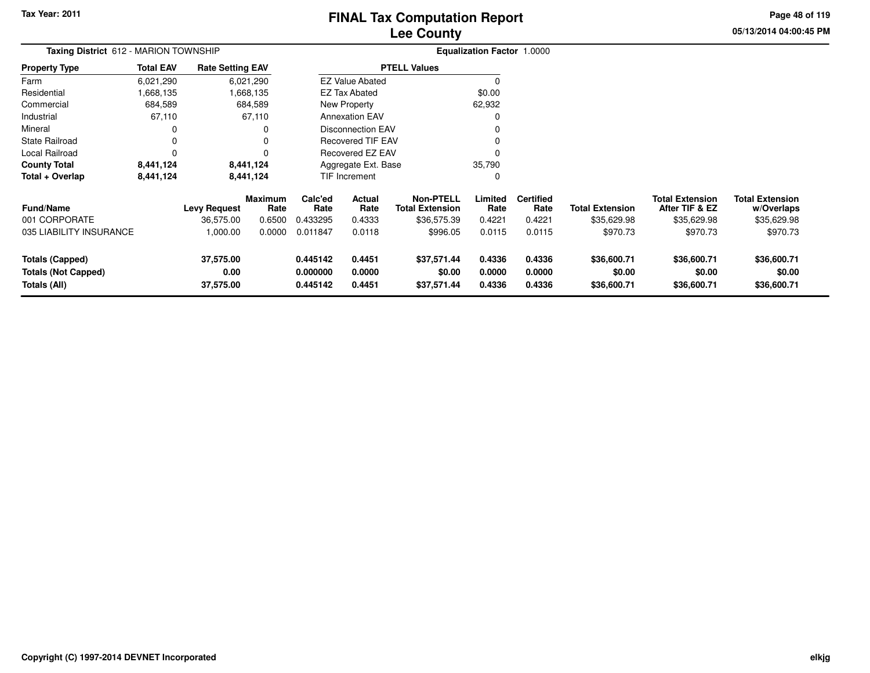### **Lee CountyFINAL Tax Computation Report**

**05/13/2014 04:00:45 PM Page 48 of 119**

| Taxing District 612 - MARION TOWNSHIP                                |                  |                                |                        | Equalization Factor 1.0000                           |                            |                                            |                            |                            |                                      |                                          |                                      |  |
|----------------------------------------------------------------------|------------------|--------------------------------|------------------------|------------------------------------------------------|----------------------------|--------------------------------------------|----------------------------|----------------------------|--------------------------------------|------------------------------------------|--------------------------------------|--|
| Property Type                                                        | <b>Total EAV</b> | <b>Rate Setting EAV</b>        |                        |                                                      |                            | <b>PTELL Values</b>                        |                            |                            |                                      |                                          |                                      |  |
| Farm                                                                 | 6,021,290        |                                | 6,021,290              |                                                      | <b>EZ Value Abated</b>     |                                            |                            |                            |                                      |                                          |                                      |  |
| Residential                                                          | 1,668,135        |                                | 1,668,135              |                                                      | EZ Tax Abated              |                                            | \$0.00                     |                            |                                      |                                          |                                      |  |
| Commercial                                                           | 684,589          |                                | 684,589                |                                                      | New Property               |                                            | 62,932                     |                            |                                      |                                          |                                      |  |
| Industrial                                                           | 67,110           |                                | 67,110                 |                                                      | <b>Annexation EAV</b>      |                                            |                            |                            |                                      |                                          |                                      |  |
| Mineral                                                              | 0                |                                | 0                      | <b>Disconnection EAV</b><br><b>Recovered TIF EAV</b> |                            |                                            |                            |                            |                                      |                                          |                                      |  |
| State Railroad                                                       | $\mathbf 0$      |                                | 0                      |                                                      |                            |                                            |                            |                            |                                      |                                          |                                      |  |
| Local Railroad                                                       | $\Omega$         |                                | 0                      |                                                      | <b>Recovered EZ EAV</b>    |                                            |                            |                            |                                      |                                          |                                      |  |
| County Total                                                         | 8,441,124        |                                | 8,441,124              |                                                      | Aggregate Ext. Base        |                                            | 35,790                     |                            |                                      |                                          |                                      |  |
| Total + Overlap                                                      | 8,441,124        |                                | 8,441,124              |                                                      | TIF Increment              |                                            |                            |                            |                                      |                                          |                                      |  |
| <b>Fund/Name</b>                                                     |                  | <b>Levy Request</b>            | <b>Maximum</b><br>Rate | Calc'ed<br>Rate                                      | Actual<br>Rate             | <b>Non-PTELL</b><br><b>Total Extension</b> | Limited<br>Rate            | <b>Certified</b><br>Rate   | <b>Total Extension</b>               | <b>Total Extension</b><br>After TIF & EZ | <b>Total Extension</b><br>w/Overlaps |  |
| 001 CORPORATE                                                        |                  | 36,575.00                      | 0.6500                 | 0.433295                                             | 0.4333                     | \$36,575.39                                | 0.4221                     | 0.4221                     | \$35,629.98                          | \$35,629.98                              | \$35,629.98                          |  |
| 035 LIABILITY INSURANCE                                              |                  | 1,000.00                       | 0.0000                 | 0.011847                                             | 0.0118                     | \$996.05                                   | 0.0115                     | 0.0115                     | \$970.73                             | \$970.73                                 | \$970.73                             |  |
| <b>Totals (Capped)</b><br><b>Totals (Not Capped)</b><br>Totals (All) |                  | 37,575.00<br>0.00<br>37,575.00 |                        | 0.445142<br>0.000000<br>0.445142                     | 0.4451<br>0.0000<br>0.4451 | \$37,571.44<br>\$0.00<br>\$37,571.44       | 0.4336<br>0.0000<br>0.4336 | 0.4336<br>0.0000<br>0.4336 | \$36,600.71<br>\$0.00<br>\$36,600.71 | \$36,600.71<br>\$0.00<br>\$36,600.71     | \$36,600.71<br>\$0.00<br>\$36,600.71 |  |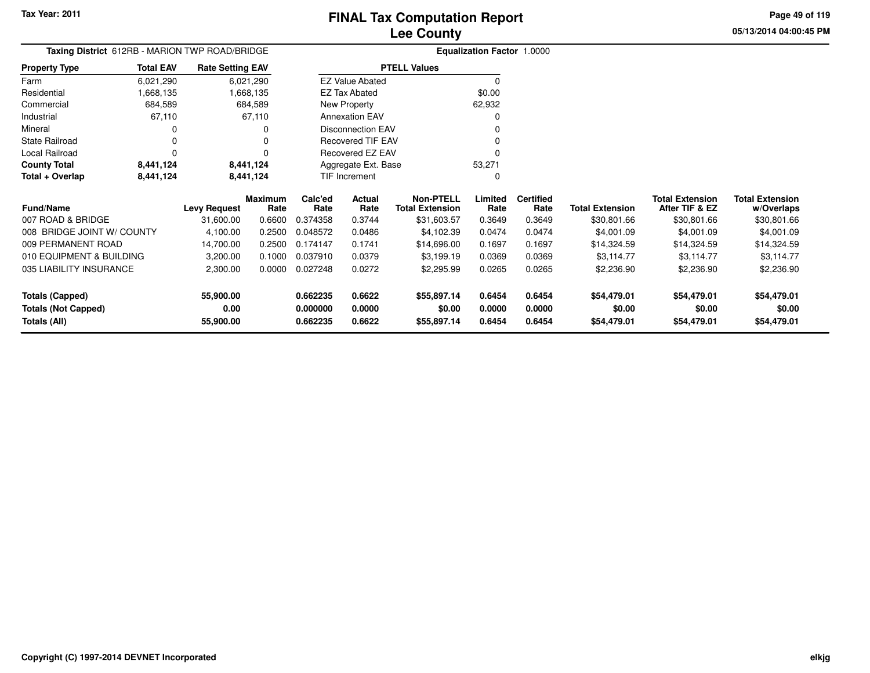**Totals (All)**

#### **Lee CountyFINAL Tax Computation Report**

**0.662235 0.6622 \$55,897.14 0.6454 0.6454 \$54,479.01 \$54,479.01 \$54,479.01**

**05/13/2014 04:00:45 PMPage 49 of 119**

> **w/Overlaps**\$30,801.66

| Taxing District 612RB - MARION TWP ROAD/BRIDGE |                  |                         |                 |                 |                          |                                            | Equalization Factor 1.0000 |                          |                        |                                          |                                      |
|------------------------------------------------|------------------|-------------------------|-----------------|-----------------|--------------------------|--------------------------------------------|----------------------------|--------------------------|------------------------|------------------------------------------|--------------------------------------|
| <b>Property Type</b>                           | <b>Total EAV</b> | <b>Rate Setting EAV</b> |                 |                 |                          | <b>PTELL Values</b>                        |                            |                          |                        |                                          |                                      |
| Farm                                           | 6,021,290        |                         | 6,021,290       |                 | <b>EZ Value Abated</b>   |                                            |                            |                          |                        |                                          |                                      |
| Residential                                    | 1,668,135        |                         | 1,668,135       |                 | <b>EZ Tax Abated</b>     |                                            | \$0.00                     |                          |                        |                                          |                                      |
| Commercial                                     | 684,589          |                         | 684,589         |                 | New Property             |                                            | 62,932                     |                          |                        |                                          |                                      |
| Industrial                                     | 67,110           |                         | 67,110          |                 | <b>Annexation EAV</b>    |                                            |                            |                          |                        |                                          |                                      |
| Mineral                                        |                  |                         |                 |                 | <b>Disconnection EAV</b> |                                            |                            |                          |                        |                                          |                                      |
| <b>State Railroad</b>                          |                  |                         |                 |                 | <b>Recovered TIF EAV</b> |                                            |                            |                          |                        |                                          |                                      |
| Local Railroad                                 |                  |                         |                 |                 | Recovered EZ EAV         |                                            |                            |                          |                        |                                          |                                      |
| <b>County Total</b>                            | 8,441,124        |                         | 8,441,124       |                 | Aggregate Ext. Base      |                                            | 53,271                     |                          |                        |                                          |                                      |
| Total + Overlap                                | 8,441,124        |                         | 8,441,124       |                 | TIF Increment            |                                            |                            |                          |                        |                                          |                                      |
| <b>Fund/Name</b>                               |                  | <b>Levy Request</b>     | Maximum<br>Rate | Calc'ed<br>Rate | Actual<br>Rate           | <b>Non-PTELL</b><br><b>Total Extension</b> | Limited<br>Rate            | <b>Certified</b><br>Rate | <b>Total Extension</b> | <b>Total Extension</b><br>After TIF & EZ | <b>Total Extension</b><br>w/Overlaps |
| 007 ROAD & BRIDGE                              |                  | 31,600.00               | 0.6600          | 0.374358        | 0.3744                   | \$31,603.57                                | 0.3649                     | 0.3649                   | \$30,801.66            | \$30,801.66                              | \$30,801.66                          |
| 008 BRIDGE JOINT W/ COUNTY                     |                  | 4,100.00                | 0.2500          | 0.048572        | 0.0486                   | \$4,102.39                                 | 0.0474                     | 0.0474                   | \$4,001.09             | \$4,001.09                               | \$4,001.09                           |
| 009 PERMANENT ROAD                             |                  | 14,700.00               | 0.2500          | 0.174147        | 0.1741                   | \$14,696.00                                | 0.1697                     | 0.1697                   | \$14,324.59            | \$14,324.59                              | \$14,324.59                          |
| 010 EQUIPMENT & BUILDING                       |                  | 3,200.00                | 0.1000          | 0.037910        | 0.0379                   | \$3,199.19                                 | 0.0369                     | 0.0369                   | \$3,114.77             | \$3,114.77                               | \$3,114.77                           |
| 035 LIABILITY INSURANCE                        |                  | 2,300.00                | 0.0000          | 0.027248        | 0.0272                   | \$2,295.99                                 | 0.0265                     | 0.0265                   | \$2,236.90             | \$2,236.90                               | \$2,236.90                           |
| <b>Totals (Capped)</b>                         |                  | 55,900.00               |                 | 0.662235        | 0.6622                   | \$55,897.14                                | 0.6454                     | 0.6454                   | \$54,479.01            | \$54,479.01                              | \$54,479.01                          |
| <b>Totals (Not Capped)</b>                     |                  | 0.00                    |                 | 0.000000        | 0.0000                   | \$0.00                                     | 0.0000                     | 0.0000                   | \$0.00                 | \$0.00                                   | \$0.00                               |

**55,900.00**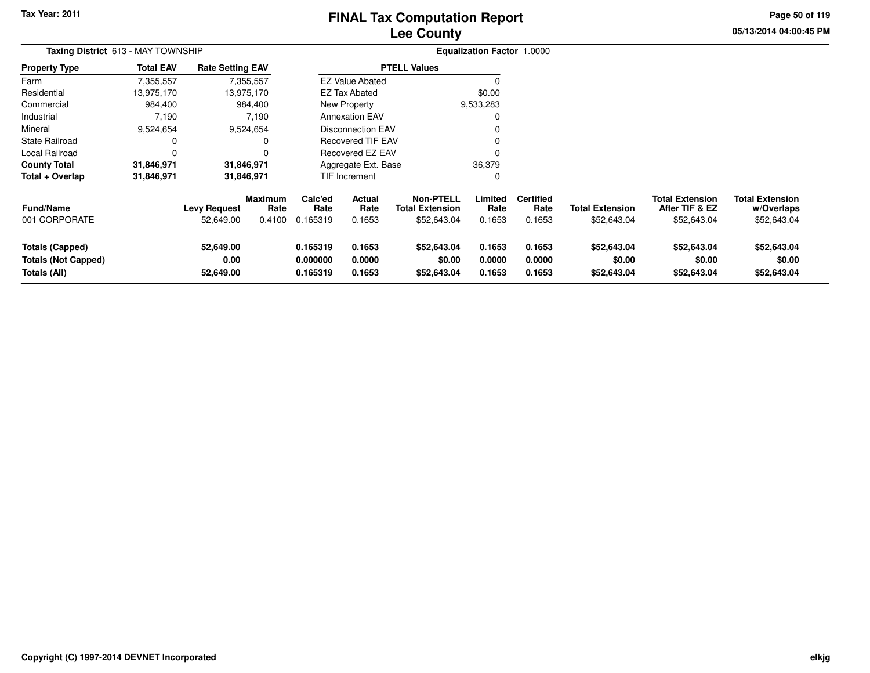### **Lee CountyFINAL Tax Computation Report**

**05/13/2014 04:00:45 PMPage 50 of 119**

| Taxing District 613 - MAY TOWNSHIP                                   |                  |                                  |                                  |                                  |                                 |                                                           | <b>Equalization Factor 1.0000</b> |                                    |                                       |                                                         |                                                     |
|----------------------------------------------------------------------|------------------|----------------------------------|----------------------------------|----------------------------------|---------------------------------|-----------------------------------------------------------|-----------------------------------|------------------------------------|---------------------------------------|---------------------------------------------------------|-----------------------------------------------------|
| <b>Property Type</b>                                                 | <b>Total EAV</b> | <b>Rate Setting EAV</b>          |                                  |                                  |                                 | <b>PTELL Values</b>                                       |                                   |                                    |                                       |                                                         |                                                     |
| Farm                                                                 | 7,355,557        |                                  | 7,355,557                        |                                  | <b>EZ Value Abated</b>          |                                                           | $\Omega$                          |                                    |                                       |                                                         |                                                     |
| Residential                                                          | 13,975,170       |                                  | 13,975,170                       |                                  | EZ Tax Abated                   |                                                           | \$0.00                            |                                    |                                       |                                                         |                                                     |
| Commercial                                                           | 984,400          |                                  | 984,400                          |                                  | New Property                    |                                                           | 9,533,283                         |                                    |                                       |                                                         |                                                     |
| Industrial                                                           | 7,190            |                                  | 7,190                            |                                  | <b>Annexation EAV</b>           |                                                           |                                   |                                    |                                       |                                                         |                                                     |
| Mineral                                                              | 9,524,654        |                                  | 9,524,654                        |                                  | <b>Disconnection EAV</b>        |                                                           |                                   |                                    |                                       |                                                         |                                                     |
| <b>State Railroad</b>                                                |                  |                                  |                                  |                                  | <b>Recovered TIF EAV</b>        |                                                           |                                   |                                    |                                       |                                                         |                                                     |
| Local Railroad                                                       |                  |                                  |                                  |                                  | Recovered EZ EAV                |                                                           |                                   |                                    |                                       |                                                         |                                                     |
| <b>County Total</b>                                                  | 31,846,971       |                                  | 31,846,971                       |                                  | Aggregate Ext. Base             |                                                           | 36,379                            |                                    |                                       |                                                         |                                                     |
| Total + Overlap                                                      | 31,846,971       |                                  | 31,846,971                       |                                  | TIF Increment                   |                                                           | 0                                 |                                    |                                       |                                                         |                                                     |
| <b>Fund/Name</b><br>001 CORPORATE                                    |                  | <b>Levy Request</b><br>52,649.00 | <b>Maximum</b><br>Rate<br>0.4100 | Calc'ed<br>Rate<br>0.165319      | <b>Actual</b><br>Rate<br>0.1653 | <b>Non-PTELL</b><br><b>Total Extension</b><br>\$52,643.04 | Limited<br>Rate<br>0.1653         | <b>Certified</b><br>Rate<br>0.1653 | <b>Total Extension</b><br>\$52,643.04 | <b>Total Extension</b><br>After TIF & EZ<br>\$52,643.04 | <b>Total Extension</b><br>w/Overlaps<br>\$52,643.04 |
| <b>Totals (Capped)</b><br><b>Totals (Not Capped)</b><br>Totals (All) |                  | 52,649.00<br>0.00<br>52,649.00   |                                  | 0.165319<br>0.000000<br>0.165319 | 0.1653<br>0.0000<br>0.1653      | \$52,643.04<br>\$0.00<br>\$52,643.04                      | 0.1653<br>0.0000<br>0.1653        | 0.1653<br>0.0000<br>0.1653         | \$52,643.04<br>\$0.00<br>\$52,643.04  | \$52,643.04<br>\$0.00<br>\$52,643.04                    | \$52,643.04<br>\$0.00<br>\$52,643.04                |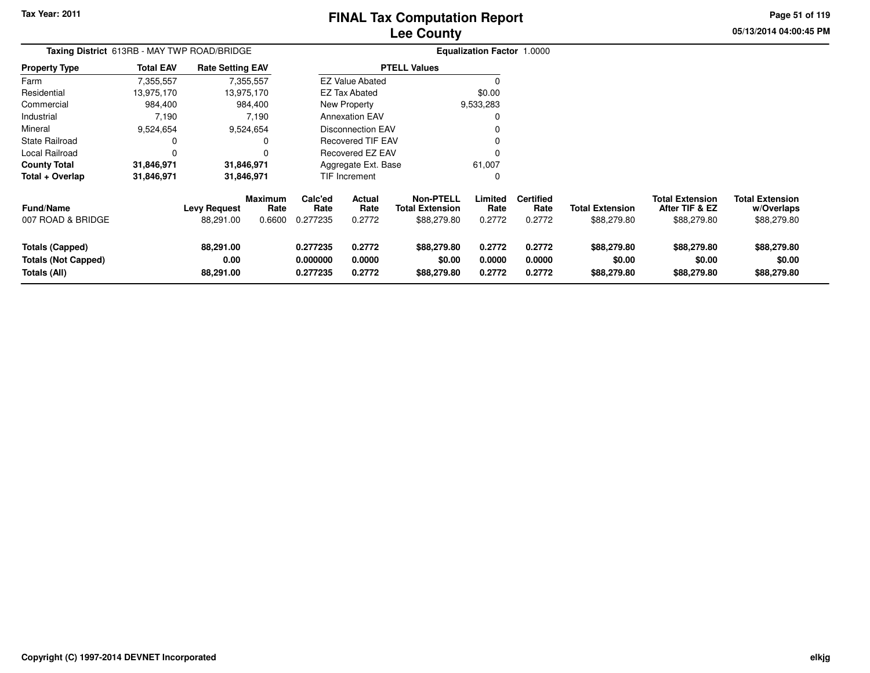### **Lee CountyFINAL Tax Computation Report**

**05/13/2014 04:00:45 PM Page 51 of 119**

| Taxing District 613RB - MAY TWP ROAD/BRIDGE                   |                  |                                |                        |                                  |                            |                                            | <b>Equalization Factor 1.0000</b> |                            |                                      |                                          |                                      |
|---------------------------------------------------------------|------------------|--------------------------------|------------------------|----------------------------------|----------------------------|--------------------------------------------|-----------------------------------|----------------------------|--------------------------------------|------------------------------------------|--------------------------------------|
| <b>Property Type</b>                                          | <b>Total EAV</b> | <b>Rate Setting EAV</b>        |                        |                                  |                            | <b>PTELL Values</b>                        |                                   |                            |                                      |                                          |                                      |
| Farm                                                          | 7,355,557        |                                | 7,355,557              |                                  | <b>EZ Value Abated</b>     |                                            |                                   |                            |                                      |                                          |                                      |
| Residential                                                   | 13,975,170       |                                | 13,975,170             |                                  | <b>EZ Tax Abated</b>       |                                            | \$0.00                            |                            |                                      |                                          |                                      |
| Commercial                                                    | 984,400          |                                | 984,400                |                                  | New Property               |                                            | 9,533,283                         |                            |                                      |                                          |                                      |
| Industrial                                                    | 7,190            |                                | 7,190                  |                                  | <b>Annexation EAV</b>      |                                            | $\Omega$                          |                            |                                      |                                          |                                      |
| Mineral                                                       | 9,524,654        |                                | 9,524,654              |                                  | <b>Disconnection EAV</b>   |                                            |                                   |                            |                                      |                                          |                                      |
| <b>State Railroad</b>                                         | 0                |                                | 0                      |                                  | <b>Recovered TIF EAV</b>   |                                            |                                   |                            |                                      |                                          |                                      |
| Local Railroad                                                | $\Omega$         |                                | ŋ                      |                                  | <b>Recovered EZ EAV</b>    |                                            | O                                 |                            |                                      |                                          |                                      |
| <b>County Total</b>                                           | 31,846,971       |                                | 31,846,971             |                                  | Aggregate Ext. Base        |                                            | 61,007                            |                            |                                      |                                          |                                      |
| Total + Overlap                                               | 31,846,971       |                                | 31,846,971             |                                  | TIF Increment              |                                            | 0                                 |                            |                                      |                                          |                                      |
| <b>Fund/Name</b>                                              |                  | <b>Levy Request</b>            | <b>Maximum</b><br>Rate | Calc'ed<br>Rate                  | <b>Actual</b><br>Rate      | <b>Non-PTELL</b><br><b>Total Extension</b> | Limited<br>Rate                   | <b>Certified</b><br>Rate   | <b>Total Extension</b>               | <b>Total Extension</b><br>After TIF & EZ | <b>Total Extension</b><br>w/Overlaps |
| 007 ROAD & BRIDGE                                             |                  | 88,291.00                      | 0.6600                 | 0.277235                         | 0.2772                     | \$88,279.80                                | 0.2772                            | 0.2772                     | \$88,279.80                          | \$88,279.80                              | \$88,279.80                          |
| Totals (Capped)<br><b>Totals (Not Capped)</b><br>Totals (All) |                  | 88,291.00<br>0.00<br>88,291.00 |                        | 0.277235<br>0.000000<br>0.277235 | 0.2772<br>0.0000<br>0.2772 | \$88,279.80<br>\$0.00<br>\$88,279.80       | 0.2772<br>0.0000<br>0.2772        | 0.2772<br>0.0000<br>0.2772 | \$88,279.80<br>\$0.00<br>\$88,279.80 | \$88,279.80<br>\$0.00<br>\$88,279.80     | \$88,279.80<br>\$0.00<br>\$88,279.80 |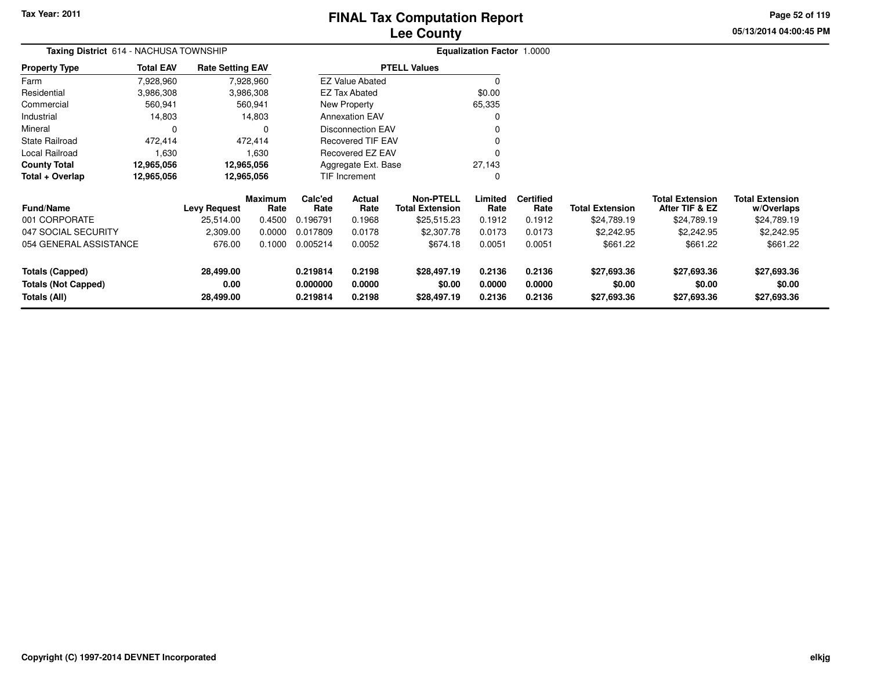**Totals (Not Capped)**

**Totals (All)**

**0.00**

**28,499.00**

#### **Lee CountyFINAL Tax Computation Report**

**0.000000 0.0000 \$0.00 0.0000 0.0000 \$0.00 \$0.00 \$0.00**

**0.219814 0.2198 \$28,497.19 0.2136 0.2136 \$27,693.36 \$27,693.36 \$27,693.36**

**05/13/2014 04:00:45 PMPage 52 of 119**

#### **Equalization Factor** 1.0000 **Taxing District** 614 - NACHUSA TOWNSHIP**Property Type**3,986,308 3,986,308 560,941 Farm ResidentialCommercial 560,941 560,94114,803 Industrial 14,803 14,803 $\mathbf 0$ Mineral 0 0472,414 State Railroad 472,414 1,630 Local Railroad 1,630 12,965,056 **County Total 12,965,056 12,965,056**12,965,056 **Total + Overlap 12,965,056 12,965,056** 7,928,9603,986,308 **Fund/Name Levy Request Rate Limited Certified** Rate **w/Overlaps** \$24,789.19 **Total ExtensionAfter TIF & EZ** \$24,789.19 **Total ExtensionRate Total Extension Rate Total Extension**\$24,789.19 **Maximum Calc'ed Rate**0.196791 **Actual RateNon-PTELL**\$25,515.23 001 CORPORATE 25,514.00 0.4500 0.196791 0.1968 \$25,515.23 0.1912 0.1912 \$24,789.19 \$24,789.19 \$24,789.19 047 SOCIAL SECURITY 2,309.00 0.0000 0.017809 0.0178 \$2,307.78 0.0173 0.0173 \$2,242.95 \$2,242.95 \$2,242.95 054 GENERAL ASSISTANCEE 676.00 0.1000 0.005214 0.0052 \$674.18 0.0051 0.0051 \$661.22 \$661.22 \$661.22 **Totals (Capped) 28,499.00 0.219814 0.2198 \$28,497.19 0.2136 0.2136 \$27,693.36 \$27,693.36 \$27,693.36** 7,928,960**Total EAVRate Setting EAV PTELL Values**  $\overline{\overline{0}}$  \$0.00 65,335 $\mathbf 0$ Annexation EAV v o Disconnection EAV $\sim$  0 Recovered TIF EAV0 v Recovered EZ EAV <sup>0</sup> 27,143 $\mathbf{0}$ New Property EZ Tax AbatedEZ Value AbatedAggregate Ext. BaseTIF Increment0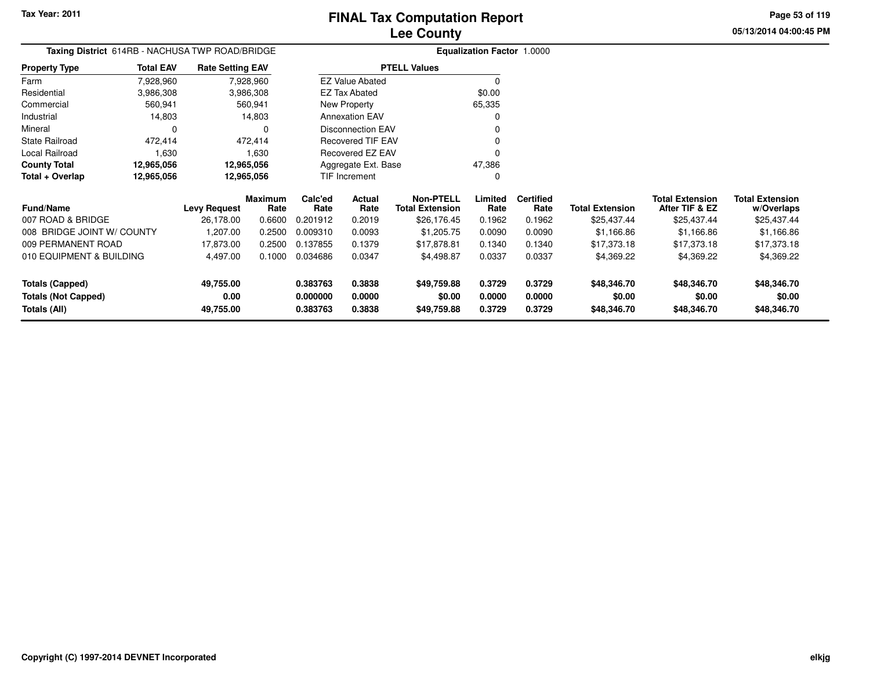**Totals (Not Capped)**

**Totals (All)**

#### **Lee CountyFINAL Tax Computation Report**

**0.000000 0.0000 \$0.00 0.0000 0.0000 \$0.00 \$0.00 \$0.00**

**0.383763 0.3838 \$49,759.88 0.3729 0.3729 \$48,346.70 \$48,346.70 \$48,346.70**

**05/13/2014 04:00:45 PMPage 53 of 119**

|                            | Taxing District 614RB - NACHUSA TWP ROAD/BRIDGE |                         |                |          |                          |                        | <b>Equalization Factor</b> | 1.0000           |                        |                        |                        |
|----------------------------|-------------------------------------------------|-------------------------|----------------|----------|--------------------------|------------------------|----------------------------|------------------|------------------------|------------------------|------------------------|
| <b>Property Type</b>       | <b>Total EAV</b>                                | <b>Rate Setting EAV</b> |                |          |                          | <b>PTELL Values</b>    |                            |                  |                        |                        |                        |
| Farm                       | 7,928,960                                       |                         | 7,928,960      |          | <b>EZ Value Abated</b>   |                        | $\Omega$                   |                  |                        |                        |                        |
| Residential                | 3,986,308                                       |                         | 3,986,308      |          | <b>EZ Tax Abated</b>     |                        | \$0.00                     |                  |                        |                        |                        |
| Commercial                 | 560,941                                         |                         | 560,941        |          | New Property             |                        | 65,335                     |                  |                        |                        |                        |
| Industrial                 | 14,803                                          |                         | 14,803         |          | <b>Annexation EAV</b>    |                        | 0                          |                  |                        |                        |                        |
| Mineral                    | 0                                               |                         |                |          | <b>Disconnection EAV</b> |                        | 0                          |                  |                        |                        |                        |
| <b>State Railroad</b>      | 472,414                                         |                         | 472,414        |          | <b>Recovered TIF EAV</b> |                        | 0                          |                  |                        |                        |                        |
| Local Railroad             | 1,630                                           |                         | 1,630          |          | Recovered EZ EAV         |                        | 0                          |                  |                        |                        |                        |
| <b>County Total</b>        | 12,965,056                                      | 12,965,056              |                |          | Aggregate Ext. Base      |                        | 47,386                     |                  |                        |                        |                        |
| Total + Overlap            | 12,965,056                                      | 12,965,056              |                |          | TIF Increment            |                        | 0                          |                  |                        |                        |                        |
|                            |                                                 |                         | <b>Maximum</b> | Calc'ed  | Actual                   | <b>Non-PTELL</b>       | Limited                    | <b>Certified</b> |                        | <b>Total Extension</b> | <b>Total Extension</b> |
| <b>Fund/Name</b>           |                                                 | <b>Levy Request</b>     | Rate           | Rate     | Rate                     | <b>Total Extension</b> | Rate                       | Rate             | <b>Total Extension</b> | After TIF & EZ         | w/Overlaps             |
| 007 ROAD & BRIDGE          |                                                 | 26,178.00               | 0.6600         | 0.201912 | 0.2019                   | \$26,176.45            | 0.1962                     | 0.1962           | \$25,437.44            | \$25,437.44            | \$25,437.44            |
| 008 BRIDGE JOINT W/ COUNTY |                                                 | 1,207.00                | 0.2500         | 0.009310 | 0.0093                   | \$1,205.75             | 0.0090                     | 0.0090           | \$1,166.86             | \$1,166.86             | \$1,166.86             |
| 009 PERMANENT ROAD         |                                                 | 17,873.00               | 0.2500         | 0.137855 | 0.1379                   | \$17,878.81            | 0.1340                     | 0.1340           | \$17,373.18            | \$17,373.18            | \$17,373.18            |
| 010 EQUIPMENT & BUILDING   |                                                 | 4,497.00                | 0.1000         | 0.034686 | 0.0347                   | \$4,498.87             | 0.0337                     | 0.0337           | \$4,369.22             | \$4,369.22             | \$4,369.22             |
| <b>Totals (Capped)</b>     |                                                 | 49,755.00               |                | 0.383763 | 0.3838                   | \$49,759.88            | 0.3729                     | 0.3729           | \$48,346.70            | \$48,346.70            | \$48,346.70            |

**0.00**

**49,755.00**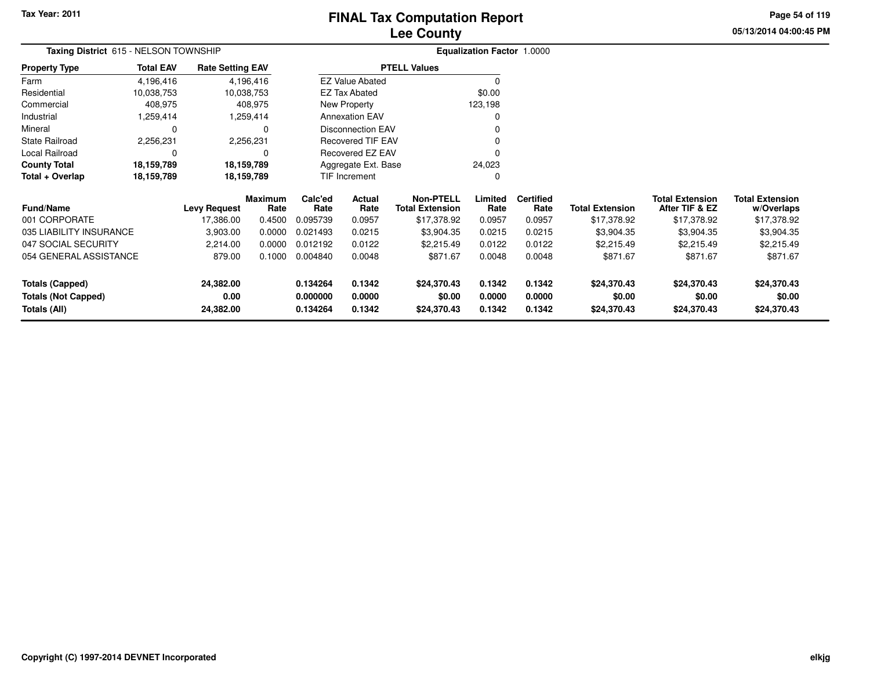**Property Type**

**Total + Overlap**

**County Total 18,159,789 18,159,789**

**18,159,789 18,159,789**

FarmResidential

Mineral

### **Lee CountyFINAL Tax Computation Report**

24,023 $\mathbf 0$  **05/13/2014 04:00:45 PMPage 54 of 119**

#### **Equalization Factor** 1.0000 **Taxing District** 615 - NELSON TOWNSHIP10,038,753 10,038,753 408,975 Commercial 408,975 408,9751,259,414 Industrial 1,259,414 1,259,414 $\mathbf 0$  0 02,256,231 State Railroad 2,256,231  $\mathbf 0$ Local Railroad 0 0 4,196,41610,038,753 4,196,416**Total EAV Rate Setting EAV PTELL Values**  $\overline{0}$  \$0.00 123,198 $\pmb{0}$ Annexation EAV v o Disconnection EAV $\sim$  0 Recovered TIF EAV0 v Recovered EZ EAV <sup>0</sup> New Property EZ Tax AbatedEZ Value Abated

Aggregate Ext. BaseTIF Increment

18,159,789

18,159,789

| <b>Fund/Name</b>           | <b>Levy Request</b> | <b>Maximum</b><br>Rate | Calc'ed<br>Rate | Actual<br>Rate | Non-PTELL<br><b>Total Extension</b> | Limited<br>Rate | <b>Certified</b><br>Rate | <b>Total Extension</b> | <b>Total Extension</b><br>After TIF & EZ | <b>Total Extension</b><br>w/Overlaps |
|----------------------------|---------------------|------------------------|-----------------|----------------|-------------------------------------|-----------------|--------------------------|------------------------|------------------------------------------|--------------------------------------|
| 001 CORPORATE              | 17.386.00           | 0.4500                 | 0.095739        | 0.0957         | \$17,378.92                         | 0.0957          | 0.0957                   | \$17,378.92            | \$17,378.92                              | \$17,378.92                          |
| 035 LIABILITY INSURANCE    | 3,903.00            | 0.0000                 | 0.021493        | 0.0215         | \$3,904.35                          | 0.0215          | 0.0215                   | \$3,904.35             | \$3,904.35                               | \$3,904.35                           |
| 047 SOCIAL SECURITY        | 2.214.00            | 0.0000                 | 0.012192        | 0.0122         | \$2,215.49                          | 0.0122          | 0.0122                   | \$2,215.49             | \$2,215.49                               | \$2,215.49                           |
| 054 GENERAL ASSISTANCE     | 879.00              | 0.1000                 | 0.004840        | 0.0048         | \$871.67                            | 0.0048          | 0.0048                   | \$871.67               | \$871.67                                 | \$871.67                             |
| Totals (Capped)            | 24.382.00           |                        | 0.134264        | 0.1342         | \$24,370.43                         | 0.1342          | 0.1342                   | \$24,370.43            | \$24.370.43                              | \$24,370.43                          |
| <b>Totals (Not Capped)</b> | 0.00                |                        | 0.000000        | 0.0000         | \$0.00                              | 0.0000          | 0.0000                   | \$0.00                 | \$0.00                                   | \$0.00                               |
| Totals (All)               | 24,382.00           |                        | 0.134264        | 0.1342         | \$24,370.43                         | 0.1342          | 0.1342                   | \$24,370.43            | \$24,370.43                              | \$24,370.43                          |

0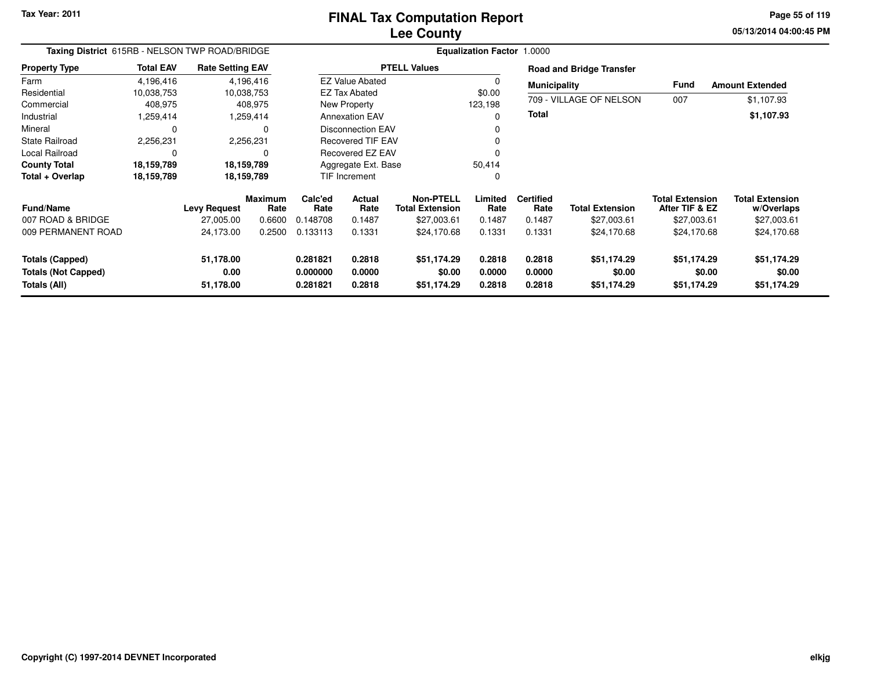#### **Lee CountyFINAL Tax Computation Report**

**05/13/2014 04:00:45 PM Page 55 of 119**

| Taxing District 615RB - NELSON TWP ROAD/BRIDGE                       |                  |                                |                 |                                  |                                        |                                            | <b>Equalization Factor 1.0000</b> |                            |                                      |                                          |                                      |
|----------------------------------------------------------------------|------------------|--------------------------------|-----------------|----------------------------------|----------------------------------------|--------------------------------------------|-----------------------------------|----------------------------|--------------------------------------|------------------------------------------|--------------------------------------|
| <b>Property Type</b>                                                 | <b>Total EAV</b> | <b>Rate Setting EAV</b>        |                 |                                  |                                        | <b>PTELL Values</b>                        |                                   |                            | <b>Road and Bridge Transfer</b>      |                                          |                                      |
| Farm                                                                 | 4,196,416        |                                | 4,196,416       |                                  | <b>EZ Value Abated</b>                 |                                            | $\Omega$                          | <b>Municipality</b>        |                                      | Fund                                     | <b>Amount Extended</b>               |
| Residential                                                          | 10,038,753       |                                | 10,038,753      |                                  | <b>EZ Tax Abated</b>                   |                                            | \$0.00                            |                            |                                      |                                          |                                      |
| Commercial                                                           | 408,975          |                                | 408,975         |                                  | New Property                           |                                            | 123,198                           |                            | 709 - VILLAGE OF NELSON              | 007                                      | \$1,107.93                           |
| Industrial                                                           | 1,259,414        |                                | 1,259,414       |                                  | <b>Annexation EAV</b>                  |                                            |                                   | Total                      |                                      |                                          | \$1,107.93                           |
| Mineral                                                              | 0                |                                | 0               |                                  | Disconnection EAV<br>Recovered TIF EAV |                                            |                                   |                            |                                      |                                          |                                      |
| <b>State Railroad</b>                                                | 2,256,231        |                                | 2,256,231       |                                  |                                        |                                            |                                   |                            |                                      |                                          |                                      |
| Local Railroad                                                       | 0                |                                | $\Omega$        |                                  | Recovered EZ EAV                       |                                            |                                   |                            |                                      |                                          |                                      |
| <b>County Total</b>                                                  | 18,159,789       |                                | 18,159,789      |                                  | Aggregate Ext. Base                    |                                            | 50,414                            |                            |                                      |                                          |                                      |
| Total + Overlap                                                      | 18,159,789       |                                | 18,159,789      |                                  | <b>TIF Increment</b>                   |                                            | 0                                 |                            |                                      |                                          |                                      |
| <b>Fund/Name</b>                                                     |                  | <b>Levy Request</b>            | Maximum<br>Rate | Calc'ed<br>Rate                  | <b>Actual</b><br>Rate                  | <b>Non-PTELL</b><br><b>Total Extension</b> | Limited<br>Rate                   | <b>Certified</b><br>Rate   | <b>Total Extension</b>               | <b>Total Extension</b><br>After TIF & EZ | <b>Total Extension</b><br>w/Overlaps |
| 007 ROAD & BRIDGE                                                    |                  | 27,005.00                      | 0.6600          | 0.148708                         | 0.1487                                 | \$27,003.61                                | 0.1487                            | 0.1487                     | \$27,003.61                          | \$27,003.61                              | \$27,003.61                          |
| 009 PERMANENT ROAD                                                   |                  | 24,173.00                      | 0.2500          | 0.133113                         | 0.1331                                 | \$24,170.68                                | 0.1331                            | 0.1331                     | \$24,170.68                          | \$24,170.68                              | \$24,170.68                          |
| <b>Totals (Capped)</b><br><b>Totals (Not Capped)</b><br>Totals (All) |                  | 51,178.00<br>0.00<br>51,178.00 |                 | 0.281821<br>0.000000<br>0.281821 | 0.2818<br>0.0000<br>0.2818             | \$51,174.29<br>\$0.00<br>\$51,174.29       | 0.2818<br>0.0000<br>0.2818        | 0.2818<br>0.0000<br>0.2818 | \$51,174.29<br>\$0.00<br>\$51,174.29 | \$51,174.29<br>\$0.00<br>\$51,174.29     | \$51,174.29<br>\$0.00<br>\$51,174.29 |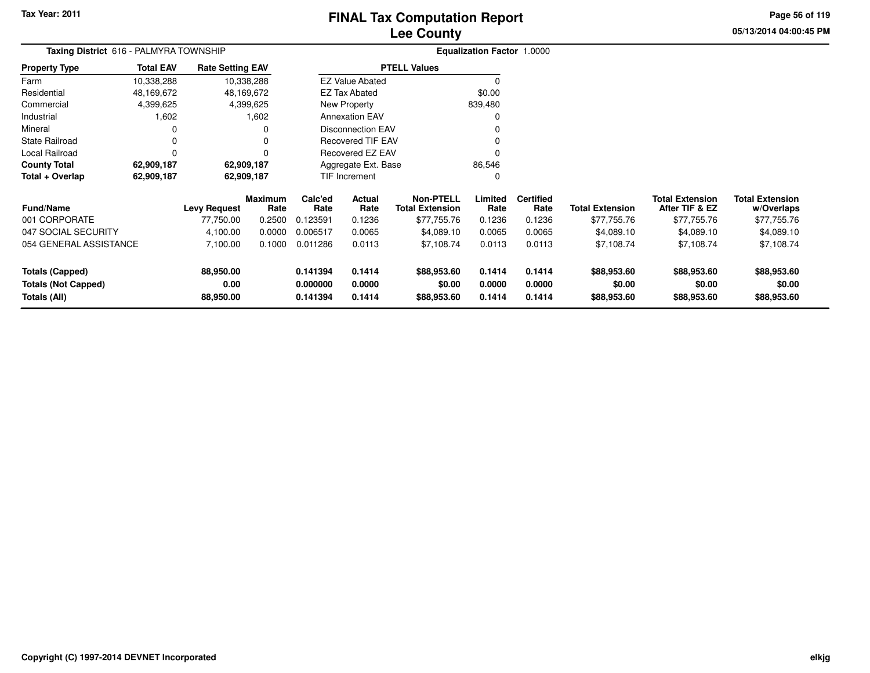### **Lee CountyFINAL Tax Computation Report**

**05/13/2014 04:00:45 PM Page 56 of 119**

| Taxing District 616 - PALMYRA TOWNSHIP |                  |                         |                        |                 | Equalization Factor 1.0000 |                                            |                 |                          |                        |                                          |                                      |
|----------------------------------------|------------------|-------------------------|------------------------|-----------------|----------------------------|--------------------------------------------|-----------------|--------------------------|------------------------|------------------------------------------|--------------------------------------|
| <b>Property Type</b>                   | <b>Total EAV</b> | <b>Rate Setting EAV</b> |                        |                 |                            | <b>PTELL Values</b>                        |                 |                          |                        |                                          |                                      |
| Farm                                   | 10,338,288       | 10,338,288              |                        |                 | <b>EZ Value Abated</b>     |                                            | $\Omega$        |                          |                        |                                          |                                      |
| Residential                            | 48,169,672       | 48,169,672              |                        |                 | <b>EZ Tax Abated</b>       |                                            | \$0.00          |                          |                        |                                          |                                      |
| Commercial                             | 4,399,625        |                         | 4,399,625              |                 | New Property               |                                            | 839,480         |                          |                        |                                          |                                      |
| Industrial                             | 1,602            |                         | 1,602                  |                 | <b>Annexation EAV</b>      |                                            | $\Omega$        |                          |                        |                                          |                                      |
| Mineral                                | $\Omega$         |                         | 0                      |                 | <b>Disconnection EAV</b>   |                                            |                 |                          |                        |                                          |                                      |
| <b>State Railroad</b>                  | 0                |                         | $\Omega$               |                 | <b>Recovered TIF EAV</b>   |                                            | 0               |                          |                        |                                          |                                      |
| Local Railroad                         | 0                |                         | $\Omega$               |                 | <b>Recovered EZ EAV</b>    |                                            | $\Omega$        |                          |                        |                                          |                                      |
| <b>County Total</b>                    | 62,909,187       | 62,909,187              |                        |                 | Aggregate Ext. Base        |                                            | 86,546          |                          |                        |                                          |                                      |
| Total + Overlap                        | 62,909,187       | 62,909,187              |                        |                 | TIF Increment              |                                            | $\Omega$        |                          |                        |                                          |                                      |
| <b>Fund/Name</b>                       |                  | <b>Levy Request</b>     | <b>Maximum</b><br>Rate | Calc'ed<br>Rate | Actual<br>Rate             | <b>Non-PTELL</b><br><b>Total Extension</b> | Limited<br>Rate | <b>Certified</b><br>Rate | <b>Total Extension</b> | <b>Total Extension</b><br>After TIF & EZ | <b>Total Extension</b><br>w/Overlaps |
| 001 CORPORATE                          |                  | 77,750.00               | 0.2500                 | 0.123591        | 0.1236                     | \$77,755.76                                | 0.1236          | 0.1236                   | \$77,755.76            | \$77,755.76                              | \$77,755.76                          |
| 047 SOCIAL SECURITY                    |                  | 4,100.00                | 0.0000                 | 0.006517        | 0.0065                     | \$4,089.10                                 | 0.0065          | 0.0065                   | \$4,089.10             | \$4,089.10                               | \$4,089.10                           |
| 054 GENERAL ASSISTANCE                 |                  | 7,100.00                | 0.1000                 | 0.011286        | 0.0113                     | \$7,108.74                                 | 0.0113          | 0.0113                   | \$7,108.74             | \$7,108.74                               | \$7,108.74                           |
| <b>Totals (Capped)</b>                 |                  | 88,950.00               |                        | 0.141394        | 0.1414                     | \$88,953.60                                | 0.1414          | 0.1414                   | \$88,953.60            | \$88,953.60                              | \$88,953.60                          |
| <b>Totals (Not Capped)</b>             |                  | 0.00                    |                        | 0.000000        | 0.0000                     | \$0.00                                     | 0.0000          | 0.0000                   | \$0.00                 | \$0.00                                   | \$0.00                               |
| Totals (All)                           |                  | 88,950.00               |                        | 0.141394        | 0.1414                     | \$88,953.60                                | 0.1414          | 0.1414                   | \$88,953.60            | \$88,953.60                              | \$88,953.60                          |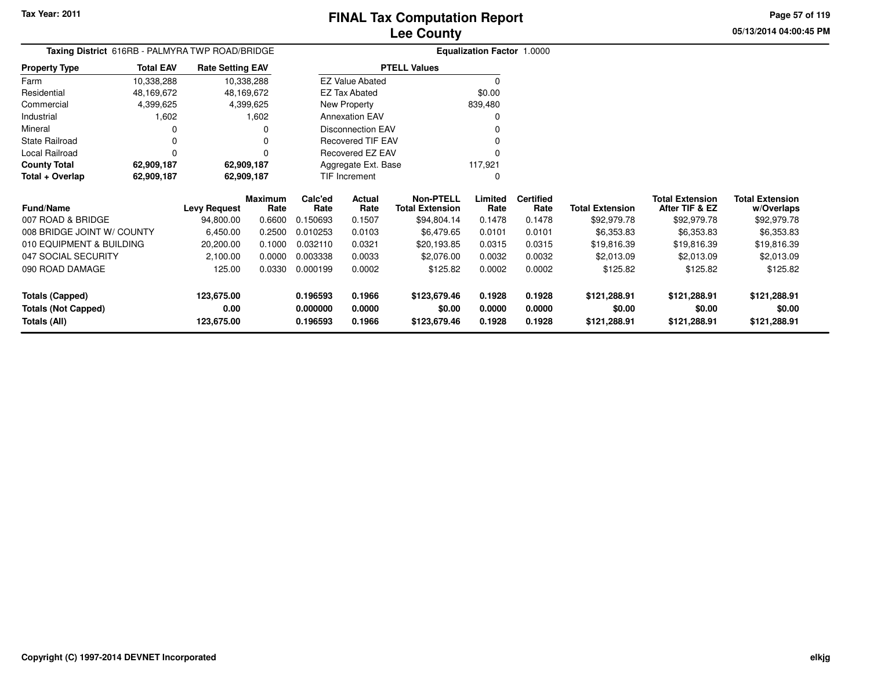**05/13/2014 04:00:45 PMPage 57 of 119**

|                            | <b>Taxing District</b> 616RB - PALMYRA TWP ROAD/BRIDGE |                         |                 |                 |                          |                                            | <b>Equalization Factor 1.0000</b> |                          |                        |                                          |                                      |
|----------------------------|--------------------------------------------------------|-------------------------|-----------------|-----------------|--------------------------|--------------------------------------------|-----------------------------------|--------------------------|------------------------|------------------------------------------|--------------------------------------|
| Property Type              | <b>Total EAV</b>                                       | <b>Rate Setting EAV</b> |                 |                 |                          | <b>PTELL Values</b>                        |                                   |                          |                        |                                          |                                      |
| Farm                       | 10,338,288                                             |                         | 10,338,288      |                 | <b>EZ Value Abated</b>   |                                            | 0                                 |                          |                        |                                          |                                      |
| Residential                | 48,169,672                                             |                         | 48,169,672      |                 | <b>EZ Tax Abated</b>     |                                            | \$0.00                            |                          |                        |                                          |                                      |
| Commercial                 | 4,399,625                                              |                         | 4,399,625       |                 | New Property             |                                            | 839,480                           |                          |                        |                                          |                                      |
| Industrial                 | 1,602                                                  |                         | 1,602           |                 | <b>Annexation EAV</b>    |                                            | O                                 |                          |                        |                                          |                                      |
| Mineral                    | 0                                                      |                         | 0               |                 | <b>Disconnection EAV</b> |                                            |                                   |                          |                        |                                          |                                      |
| State Railroad             | 0                                                      |                         |                 |                 | <b>Recovered TIF EAV</b> |                                            |                                   |                          |                        |                                          |                                      |
| Local Railroad             | 0                                                      |                         |                 |                 | Recovered EZ EAV         |                                            |                                   |                          |                        |                                          |                                      |
| <b>County Total</b>        | 62,909,187                                             | 62,909,187              |                 |                 | Aggregate Ext. Base      |                                            | 117,921                           |                          |                        |                                          |                                      |
| Total + Overlap            | 62,909,187                                             | 62,909,187              |                 |                 | TIF Increment            |                                            | O                                 |                          |                        |                                          |                                      |
| Fund/Name                  |                                                        | Levy Request            | Maximum<br>Rate | Calc'ed<br>Rate | Actual<br>Rate           | <b>Non-PTELL</b><br><b>Total Extension</b> | Limited<br>Rate                   | <b>Certified</b><br>Rate | <b>Total Extension</b> | <b>Total Extension</b><br>After TIF & EZ | <b>Total Extension</b><br>w/Overlaps |
| 007 ROAD & BRIDGE          |                                                        | 94,800.00               | 0.6600          | 0.150693        | 0.1507                   | \$94,804.14                                | 0.1478                            | 0.1478                   | \$92,979.78            | \$92,979.78                              | \$92,979.78                          |
| 008 BRIDGE JOINT W/ COUNTY |                                                        | 6,450.00                | 0.2500          | 0.010253        | 0.0103                   | \$6,479.65                                 | 0.0101                            | 0.0101                   | \$6,353.83             | \$6,353.83                               | \$6,353.83                           |
| 010 EQUIPMENT & BUILDING   |                                                        | 20,200.00               | 0.1000          | 0.032110        | 0.0321                   | \$20,193.85                                | 0.0315                            | 0.0315                   | \$19,816.39            | \$19,816.39                              | \$19,816.39                          |
| 047 SOCIAL SECURITY        |                                                        | 2,100.00                | 0.0000          | 0.003338        | 0.0033                   | \$2,076.00                                 | 0.0032                            | 0.0032                   | \$2,013.09             | \$2,013.09                               | \$2,013.09                           |
| 090 ROAD DAMAGE            |                                                        | 125.00                  | 0.0330          | 0.000199        | 0.0002                   | \$125.82                                   | 0.0002                            | 0.0002                   | \$125.82               | \$125.82                                 | \$125.82                             |
| <b>Totals (Capped)</b>     |                                                        | 123,675.00              |                 | 0.196593        | 0.1966                   | \$123,679.46                               | 0.1928                            | 0.1928                   | \$121,288.91           | \$121,288.91                             | \$121,288.91                         |
| <b>Totals (Not Capped)</b> |                                                        | 0.00                    |                 | 0.000000        | 0.0000                   | \$0.00                                     | 0.0000                            | 0.0000                   | \$0.00                 | \$0.00                                   | \$0.00                               |
| Totals (All)               |                                                        | 123,675.00              |                 | 0.196593        | 0.1966                   | \$123,679.46                               | 0.1928                            | 0.1928                   | \$121,288.91           | \$121,288.91                             | \$121,288.91                         |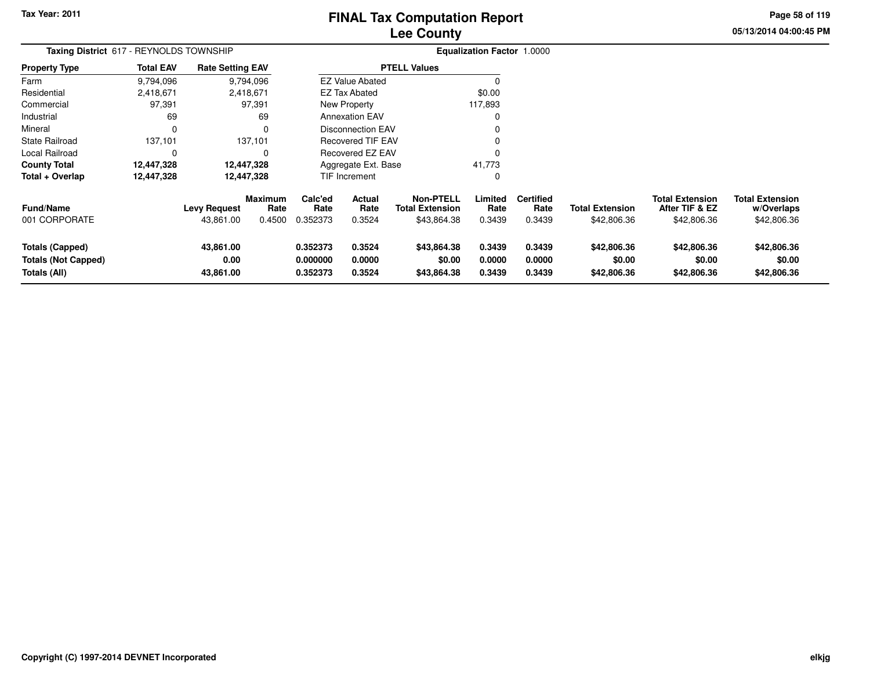### **Lee CountyFINAL Tax Computation Report**

**05/13/2014 04:00:45 PM Page 58 of 119**

| Taxing District 617 - REYNOLDS TOWNSHIP                              |                  |                                  |                                  |                                  |                            |                                                           | Equalization Factor 1.0000 |                                    |                                       |                                                         |                                                     |
|----------------------------------------------------------------------|------------------|----------------------------------|----------------------------------|----------------------------------|----------------------------|-----------------------------------------------------------|----------------------------|------------------------------------|---------------------------------------|---------------------------------------------------------|-----------------------------------------------------|
| Property Type                                                        | <b>Total EAV</b> | <b>Rate Setting EAV</b>          |                                  |                                  |                            | <b>PTELL Values</b>                                       |                            |                                    |                                       |                                                         |                                                     |
| Farm                                                                 | 9,794,096        |                                  | 9,794,096                        |                                  | EZ Value Abated            |                                                           | $\Omega$                   |                                    |                                       |                                                         |                                                     |
| Residential                                                          | 2,418,671        |                                  | 2,418,671                        |                                  | <b>EZ Tax Abated</b>       |                                                           | \$0.00                     |                                    |                                       |                                                         |                                                     |
| Commercial                                                           | 97,391           |                                  | 97,391                           |                                  | New Property               |                                                           | 117,893                    |                                    |                                       |                                                         |                                                     |
| Industrial                                                           | 69               |                                  | 69                               |                                  | <b>Annexation EAV</b>      |                                                           |                            |                                    |                                       |                                                         |                                                     |
| Mineral                                                              | 0                |                                  |                                  |                                  | <b>Disconnection EAV</b>   |                                                           |                            |                                    |                                       |                                                         |                                                     |
| State Railroad                                                       | 137,101          |                                  | 137,101                          |                                  | <b>Recovered TIF EAV</b>   |                                                           |                            |                                    |                                       |                                                         |                                                     |
| Local Railroad                                                       | 0                |                                  |                                  |                                  | Recovered EZ EAV           |                                                           |                            |                                    |                                       |                                                         |                                                     |
| County Total                                                         | 12,447,328       |                                  | 12,447,328                       |                                  | Aggregate Ext. Base        |                                                           | 41,773                     |                                    |                                       |                                                         |                                                     |
| Total + Overlap                                                      | 12,447,328       |                                  | 12,447,328                       |                                  | TIF Increment              |                                                           | 0                          |                                    |                                       |                                                         |                                                     |
| <b>Fund/Name</b><br>001 CORPORATE                                    |                  | <b>Levy Request</b><br>43,861.00 | <b>Maximum</b><br>Rate<br>0.4500 | Calc'ed<br>Rate<br>0.352373      | Actual<br>Rate<br>0.3524   | <b>Non-PTELL</b><br><b>Total Extension</b><br>\$43,864.38 | Limited<br>Rate<br>0.3439  | <b>Certified</b><br>Rate<br>0.3439 | <b>Total Extension</b><br>\$42,806.36 | <b>Total Extension</b><br>After TIF & EZ<br>\$42,806.36 | <b>Total Extension</b><br>w/Overlaps<br>\$42,806.36 |
| <b>Totals (Capped)</b><br><b>Totals (Not Capped)</b><br>Totals (All) |                  | 43,861.00<br>0.00<br>43,861.00   |                                  | 0.352373<br>0.000000<br>0.352373 | 0.3524<br>0.0000<br>0.3524 | \$43,864.38<br>\$0.00<br>\$43,864.38                      | 0.3439<br>0.0000<br>0.3439 | 0.3439<br>0.0000<br>0.3439         | \$42,806.36<br>\$0.00<br>\$42,806.36  | \$42,806.36<br>\$0.00<br>\$42,806.36                    | \$42,806.36<br>\$0.00<br>\$42,806.36                |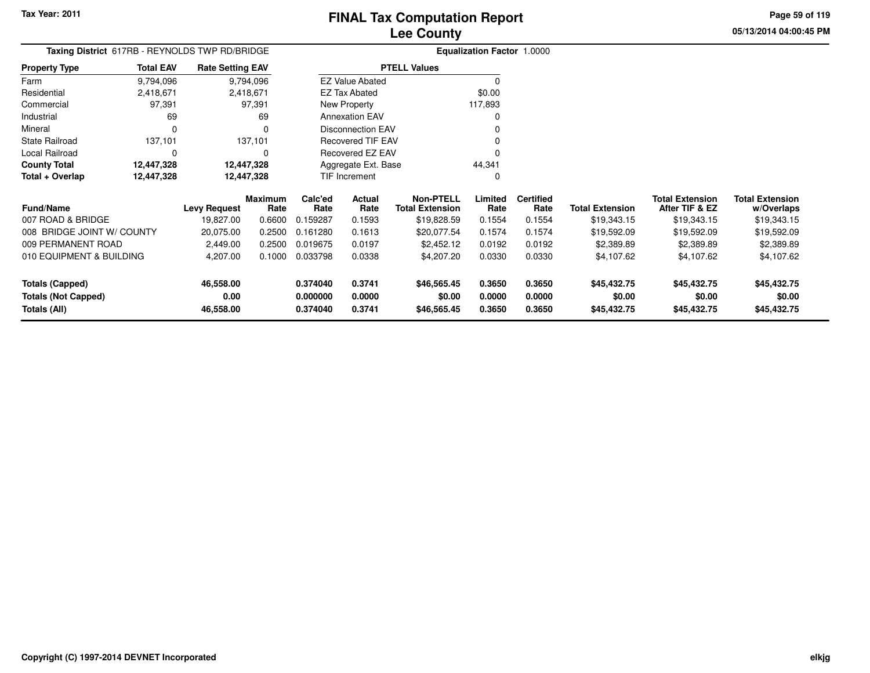# **FINAL Tax Computation Report**

**05/13/2014 04:00:45 PMPage 59 of 119**

## **Lee County**

|                      |                  | Taxing District 617RB - REYNOLDS TWP RD/BRIDGE |                        | Equalization Factor 1.0000 |
|----------------------|------------------|------------------------------------------------|------------------------|----------------------------|
| <b>Property Type</b> | <b>Total EAV</b> | <b>Rate Setting EAV</b>                        | <b>PTELL Values</b>    |                            |
| Farm                 | 9,794,096        | 9,794,096                                      | <b>EZ Value Abated</b> |                            |
| Residential          | 2,418,671        | 2,418,671                                      | EZ Tax Abated          | \$0.00                     |
| Commercial           | 97.391           | 97.391                                         | New Property           | 117,893                    |
| Industrial           | 69               | 69                                             | <b>Annexation EAV</b>  | 0                          |
| Mineral              | 0                | $\Omega$                                       | Disconnection EAV      | 0                          |
| State Railroad       | 137,101          | 137,101                                        | Recovered TIF EAV      | 0                          |
| Local Railroad       | 0                | 0                                              | Recovered EZ EAV       | 0                          |
| <b>County Total</b>  | 12,447,328       | 12,447,328                                     | Aggregate Ext. Base    | 44.341                     |
| Total + Overlap      | 12,447,328       | 12,447,328                                     | <b>TIF Increment</b>   | 0                          |
|                      |                  |                                                |                        |                            |

| <b>Fund/Name</b>                                       | <b>Levy Request</b>            | <b>Maximum</b><br>Rate | Calc'ed<br>Rate                  | <b>Actual</b><br>Rate      | <b>Non-PTELL</b><br><b>Total Extension</b> | Limited<br>Rate            | <b>Certified</b><br>Rate   | <b>Total Extension</b>               | <b>Total Extension</b><br>After TIF & EZ | <b>Total Extension</b><br>w/Overlaps |
|--------------------------------------------------------|--------------------------------|------------------------|----------------------------------|----------------------------|--------------------------------------------|----------------------------|----------------------------|--------------------------------------|------------------------------------------|--------------------------------------|
| 007 ROAD & BRIDGE                                      | 19,827.00                      | 0.6600                 | 0.159287                         | 0.1593                     | \$19,828.59                                | 0.1554                     | 0.1554                     | \$19,343.15                          | \$19,343.15                              | \$19,343.15                          |
| 008 BRIDGE JOINT W/ COUNTY                             | 20,075.00                      | 0.2500                 | 0.161280                         | 0.1613                     | \$20,077.54                                | 0.1574                     | 0.1574                     | \$19.592.09                          | \$19,592.09                              | \$19,592.09                          |
| 009 PERMANENT ROAD                                     | 2.449.00                       | 0.2500                 | 0.019675                         | 0.0197                     | \$2,452.12                                 | 0.0192                     | 0.0192                     | \$2,389.89                           | \$2,389.89                               | \$2,389.89                           |
| 010 EQUIPMENT & BUILDING                               | 4.207.00                       | 0.1000                 | 0.033798                         | 0.0338                     | \$4,207.20                                 | 0.0330                     | 0.0330                     | \$4,107.62                           | \$4,107.62                               | \$4,107.62                           |
| Totals (Capped)<br>Totals (Not Capped)<br>Totals (All) | 46.558.00<br>0.00<br>46,558.00 |                        | 0.374040<br>0.000000<br>0.374040 | 0.3741<br>0.0000<br>0.3741 | \$46,565,45<br>\$0.00<br>\$46,565.45       | 0.3650<br>0.0000<br>0.3650 | 0.3650<br>0.0000<br>0.3650 | \$45,432.75<br>\$0.00<br>\$45,432.75 | \$45,432.75<br>\$0.00<br>\$45,432.75     | \$45,432.75<br>\$0.00<br>\$45,432.75 |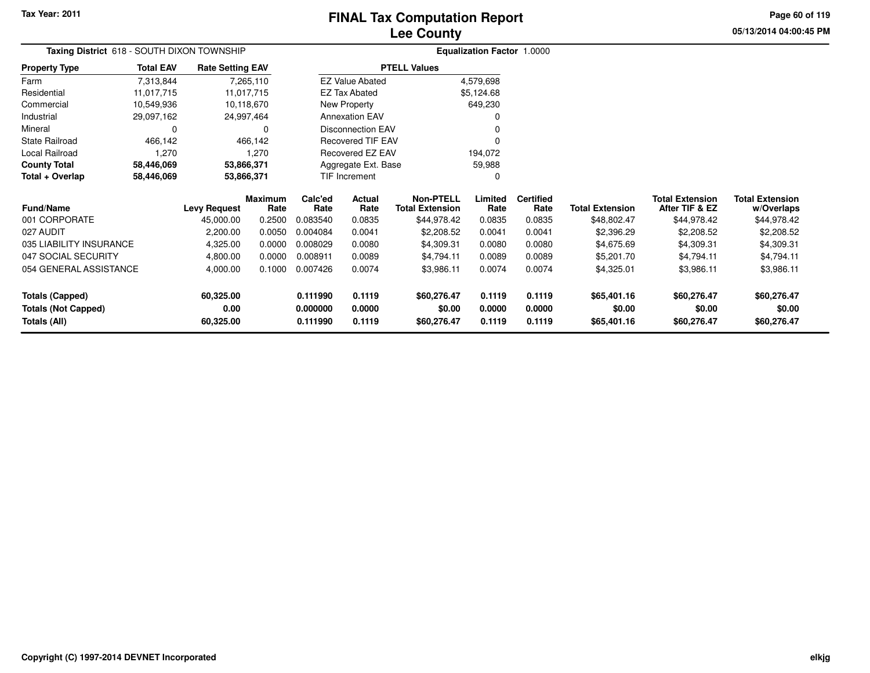### **Lee CountyFINAL Tax Computation Report**

**05/13/2014 04:00:45 PM Page 60 of 119**

| Taxing District 618 - SOUTH DIXON TOWNSHIP<br><b>Rate Setting EAV</b> |                  |                     |                 |                 |                          |                                            | Equalization Factor 1.0000 |                          |                        |                                          |                                      |
|-----------------------------------------------------------------------|------------------|---------------------|-----------------|-----------------|--------------------------|--------------------------------------------|----------------------------|--------------------------|------------------------|------------------------------------------|--------------------------------------|
| <b>Property Type</b>                                                  | <b>Total EAV</b> |                     |                 |                 |                          | <b>PTELL Values</b>                        |                            |                          |                        |                                          |                                      |
| Farm                                                                  | 7,313,844        |                     | 7,265,110       |                 | <b>EZ Value Abated</b>   |                                            | 4,579,698                  |                          |                        |                                          |                                      |
| Residential                                                           | 11,017,715       |                     | 11,017,715      |                 | <b>EZ Tax Abated</b>     |                                            | \$5,124.68                 |                          |                        |                                          |                                      |
| Commercial                                                            | 10,549,936       |                     | 10,118,670      |                 | New Property             |                                            | 649,230                    |                          |                        |                                          |                                      |
| Industrial                                                            | 29,097,162       |                     | 24,997,464      |                 | <b>Annexation EAV</b>    |                                            |                            |                          |                        |                                          |                                      |
| Mineral                                                               | 0                |                     | 0               |                 | <b>Disconnection EAV</b> |                                            |                            |                          |                        |                                          |                                      |
| <b>State Railroad</b>                                                 | 466,142          |                     | 466,142         |                 | <b>Recovered TIF EAV</b> |                                            |                            |                          |                        |                                          |                                      |
| Local Railroad                                                        | 1,270            |                     | 1,270           |                 | Recovered EZ EAV         |                                            | 194,072                    |                          |                        |                                          |                                      |
| <b>County Total</b>                                                   | 58,446,069       |                     | 53,866,371      |                 | Aggregate Ext. Base      |                                            | 59,988                     |                          |                        |                                          |                                      |
| Total + Overlap                                                       | 58,446,069       | 53,866,371          |                 |                 | <b>TIF Increment</b>     |                                            |                            |                          |                        |                                          |                                      |
| <b>Fund/Name</b>                                                      |                  | <b>Levy Request</b> | Maximum<br>Rate | Calc'ed<br>Rate | Actual<br>Rate           | <b>Non-PTELL</b><br><b>Total Extension</b> | Limited<br>Rate            | <b>Certified</b><br>Rate | <b>Total Extension</b> | <b>Total Extension</b><br>After TIF & EZ | <b>Total Extension</b><br>w/Overlaps |
| 001 CORPORATE                                                         |                  | 45,000.00           | 0.2500          | 0.083540        | 0.0835                   | \$44,978.42                                | 0.0835                     | 0.0835                   | \$48,802.47            | \$44,978.42                              | \$44,978.42                          |
| 027 AUDIT                                                             |                  | 2,200.00            | 0.0050          | 0.004084        | 0.0041                   | \$2,208.52                                 | 0.0041                     | 0.0041                   | \$2,396.29             | \$2,208.52                               | \$2,208.52                           |
| 035 LIABILITY INSURANCE                                               |                  | 4,325.00            | 0.0000          | 0.008029        | 0.0080                   | \$4,309.31                                 | 0.0080                     | 0.0080                   | \$4,675.69             | \$4,309.31                               | \$4,309.31                           |
| 047 SOCIAL SECURITY                                                   |                  | 4,800.00            | 0.0000          | 0.008911        | 0.0089                   | \$4,794.11                                 | 0.0089                     | 0.0089                   | \$5,201.70             | \$4,794.11                               | \$4,794.11                           |
| 054 GENERAL ASSISTANCE                                                |                  | 4,000.00            | 0.1000          | 0.007426        | 0.0074                   | \$3,986.11                                 | 0.0074                     | 0.0074                   | \$4,325.01             | \$3,986.11                               | \$3,986.11                           |
| <b>Totals (Capped)</b>                                                |                  | 60,325.00           |                 | 0.111990        | 0.1119                   | \$60,276.47                                | 0.1119                     | 0.1119                   | \$65,401.16            | \$60,276.47                              | \$60,276.47                          |
| <b>Totals (Not Capped)</b>                                            |                  | 0.00                |                 | 0.000000        | 0.0000                   | \$0.00                                     | 0.0000                     | 0.0000                   | \$0.00                 | \$0.00                                   | \$0.00                               |
| Totals (All)                                                          |                  | 60,325.00           |                 | 0.111990        | 0.1119                   | \$60,276.47                                | 0.1119                     | 0.1119                   | \$65,401.16            | \$60,276.47                              | \$60,276.47                          |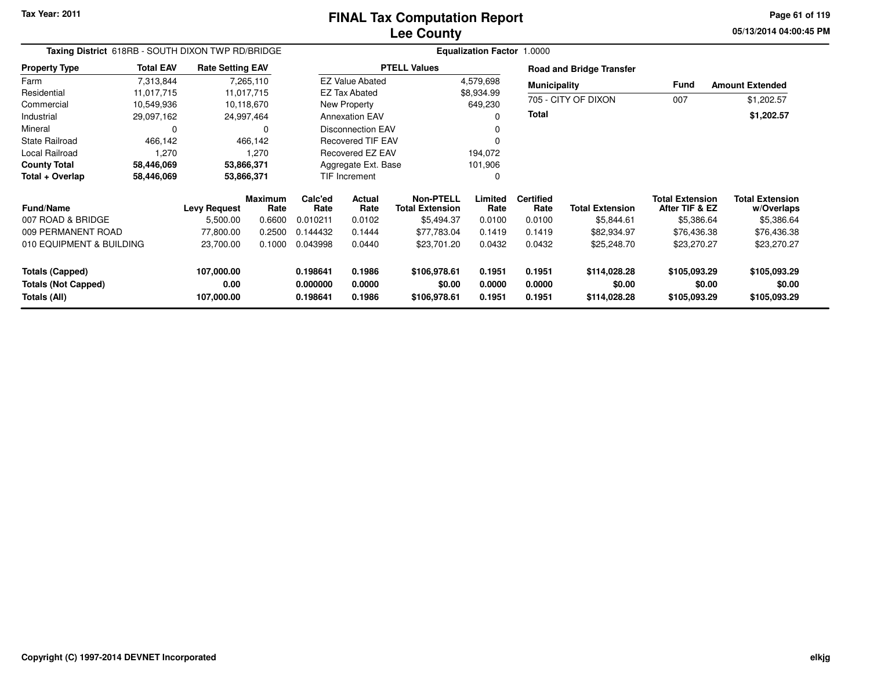**05/13/2014 04:00:45 PM Page 61 of 119**

| Taxing District 618RB - SOUTH DIXON TWP RD/BRIDGE |                  |                         |                        |                 |                          | <b>Equalization Factor</b>                 |                 |                          |                                 |                                          |                                      |
|---------------------------------------------------|------------------|-------------------------|------------------------|-----------------|--------------------------|--------------------------------------------|-----------------|--------------------------|---------------------------------|------------------------------------------|--------------------------------------|
| <b>Property Type</b>                              | <b>Total EAV</b> | <b>Rate Setting EAV</b> |                        |                 |                          | <b>PTELL Values</b>                        |                 |                          | <b>Road and Bridge Transfer</b> |                                          |                                      |
| Farm                                              | 7,313,844        |                         | 7,265,110              |                 | <b>EZ Value Abated</b>   |                                            | 4,579,698       | <b>Municipality</b>      |                                 | Fund                                     | <b>Amount Extended</b>               |
| Residential                                       | 11,017,715       |                         | 11,017,715             |                 | <b>EZ Tax Abated</b>     |                                            | \$8,934.99      |                          | 705 - CITY OF DIXON             |                                          |                                      |
| Commercial                                        | 10,549,936       |                         | 10,118,670             |                 | New Property             |                                            | 649,230         |                          |                                 | 007                                      | \$1,202.57                           |
| Industrial                                        | 29,097,162       |                         | 24,997,464             |                 | <b>Annexation EAV</b>    |                                            | 0               | Total                    |                                 |                                          | \$1,202.57                           |
| Mineral                                           | 0                |                         | 0                      |                 | <b>Disconnection EAV</b> |                                            |                 |                          |                                 |                                          |                                      |
| <b>State Railroad</b>                             | 466,142          |                         | 466,142                |                 | <b>Recovered TIF EAV</b> |                                            |                 |                          |                                 |                                          |                                      |
| Local Railroad                                    | 1,270            |                         | 1,270                  |                 | Recovered EZ EAV         |                                            | 194,072         |                          |                                 |                                          |                                      |
| <b>County Total</b>                               | 58,446,069       |                         | 53,866,371             |                 | Aggregate Ext. Base      |                                            | 101,906         |                          |                                 |                                          |                                      |
| Total + Overlap                                   | 58,446,069       |                         | 53,866,371             |                 | <b>TIF Increment</b>     |                                            | 0               |                          |                                 |                                          |                                      |
| <b>Fund/Name</b>                                  |                  | <b>Levy Request</b>     | <b>Maximum</b><br>Rate | Calc'ed<br>Rate | Actual<br>Rate           | <b>Non-PTELL</b><br><b>Total Extension</b> | Limited<br>Rate | <b>Certified</b><br>Rate | <b>Total Extension</b>          | <b>Total Extension</b><br>After TIF & EZ | <b>Total Extension</b><br>w/Overlaps |
| 007 ROAD & BRIDGE                                 |                  | 5,500.00                | 0.6600                 | 0.010211        | 0.0102                   | \$5,494.37                                 | 0.0100          | 0.0100                   | \$5,844.61                      | \$5,386.64                               | \$5,386.64                           |
| 009 PERMANENT ROAD                                |                  | 77,800.00               | 0.2500                 | 0.144432        | 0.1444                   | \$77,783.04                                | 0.1419          | 0.1419                   | \$82,934.97                     | \$76,436.38                              | \$76,436.38                          |
| 010 EQUIPMENT & BUILDING                          |                  | 23,700.00               | 0.1000                 | 0.043998        | 0.0440                   | \$23,701.20                                | 0.0432          | 0.0432                   | \$25,248.70                     | \$23,270.27                              | \$23,270.27                          |
| <b>Totals (Capped)</b>                            |                  | 107,000.00              |                        | 0.198641        | 0.1986                   | \$106,978.61                               | 0.1951          | 0.1951                   | \$114,028.28                    | \$105,093.29                             | \$105,093.29                         |
| <b>Totals (Not Capped)</b>                        |                  | 0.00                    |                        | 0.000000        | 0.0000                   | \$0.00                                     | 0.0000          | 0.0000                   | \$0.00                          | \$0.00                                   | \$0.00                               |
| Totals (All)                                      |                  | 107,000.00              |                        | 0.198641        | 0.1986                   | \$106,978.61                               | 0.1951          | 0.1951                   | \$114,028.28                    | \$105,093.29                             | \$105,093.29                         |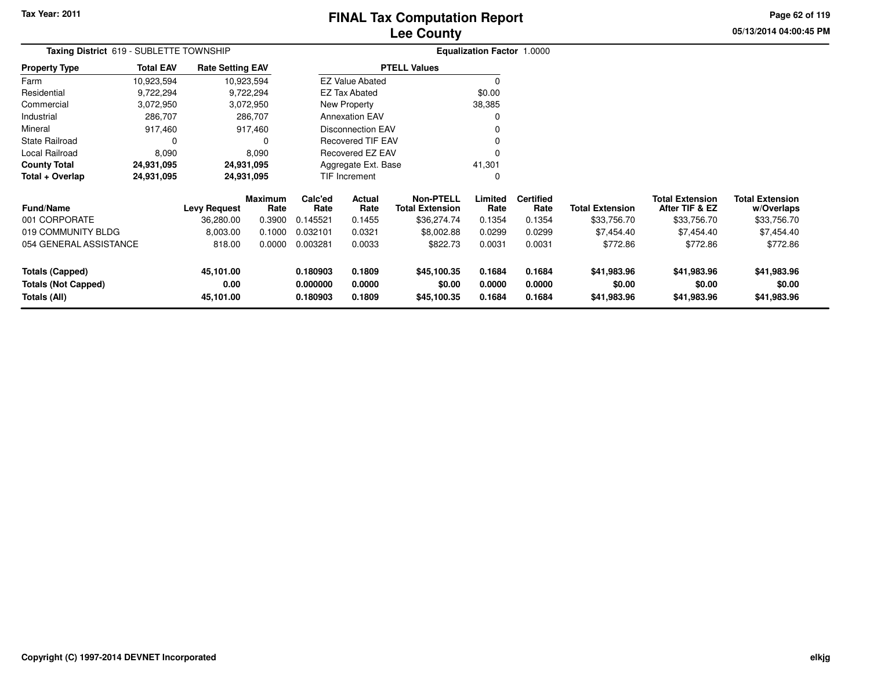### **Lee CountyFINAL Tax Computation Report**

**05/13/2014 04:00:45 PM Page 62 of 119**

| Taxing District 619 - SUBLETTE TOWNSHIP    |                  |                         |                        |                      | <b>Equalization Factor 1.0000</b> |                                            |                  |                          |                        |                                          |                                      |
|--------------------------------------------|------------------|-------------------------|------------------------|----------------------|-----------------------------------|--------------------------------------------|------------------|--------------------------|------------------------|------------------------------------------|--------------------------------------|
| <b>Property Type</b>                       | <b>Total EAV</b> | <b>Rate Setting EAV</b> |                        |                      |                                   | <b>PTELL Values</b>                        |                  |                          |                        |                                          |                                      |
| Farm                                       | 10,923,594       |                         | 10,923,594             |                      | <b>EZ Value Abated</b>            |                                            | $\Omega$         |                          |                        |                                          |                                      |
| Residential                                | 9,722,294        |                         | 9,722,294              |                      | <b>EZ Tax Abated</b>              |                                            | \$0.00           |                          |                        |                                          |                                      |
| Commercial                                 | 3,072,950        |                         | 3,072,950              |                      | New Property                      |                                            | 38,385           |                          |                        |                                          |                                      |
| Industrial                                 | 286,707          |                         | 286,707                |                      | <b>Annexation EAV</b>             |                                            | O                |                          |                        |                                          |                                      |
| Mineral                                    | 917,460          |                         | 917,460                |                      | <b>Disconnection EAV</b>          |                                            |                  |                          |                        |                                          |                                      |
| <b>State Railroad</b>                      | 0                |                         | 0                      |                      | <b>Recovered TIF EAV</b>          |                                            |                  |                          |                        |                                          |                                      |
| Local Railroad                             | 8,090            |                         | 8,090                  |                      | Recovered EZ EAV                  |                                            |                  |                          |                        |                                          |                                      |
| <b>County Total</b>                        | 24,931,095       |                         | 24,931,095             |                      | Aggregate Ext. Base               |                                            | 41,301           |                          |                        |                                          |                                      |
| Total + Overlap                            | 24,931,095       |                         | 24,931,095             |                      | TIF Increment                     |                                            | 0                |                          |                        |                                          |                                      |
| <b>Fund/Name</b>                           |                  | <b>Levy Request</b>     | <b>Maximum</b><br>Rate | Calc'ed<br>Rate      | Actual<br>Rate                    | <b>Non-PTELL</b><br><b>Total Extension</b> | Limited<br>Rate  | <b>Certified</b><br>Rate | <b>Total Extension</b> | <b>Total Extension</b><br>After TIF & EZ | <b>Total Extension</b><br>w/Overlaps |
| 001 CORPORATE                              |                  | 36,280.00               | 0.3900                 | 0.145521             | 0.1455                            | \$36,274.74                                | 0.1354           | 0.1354                   | \$33,756.70            | \$33,756.70                              | \$33,756.70                          |
| 019 COMMUNITY BLDG                         |                  | 8,003.00                | 0.1000                 | 0.032101             | 0.0321                            | \$8,002.88                                 | 0.0299           | 0.0299                   | \$7,454.40             | \$7,454.40                               | \$7,454.40                           |
| 054 GENERAL ASSISTANCE                     |                  | 818.00                  | 0.0000                 | 0.003281             | 0.0033                            | \$822.73                                   | 0.0031           | 0.0031                   | \$772.86               | \$772.86                                 | \$772.86                             |
| <b>Totals (Capped)</b>                     |                  | 45,101.00               |                        | 0.180903             | 0.1809                            | \$45,100.35                                | 0.1684           | 0.1684                   | \$41,983.96            | \$41,983.96                              | \$41,983.96                          |
| <b>Totals (Not Capped)</b><br>Totals (All) |                  | 0.00<br>45,101.00       |                        | 0.000000<br>0.180903 | 0.0000<br>0.1809                  | \$0.00<br>\$45,100.35                      | 0.0000<br>0.1684 | 0.0000<br>0.1684         | \$0.00<br>\$41,983.96  | \$0.00<br>\$41,983.96                    | \$0.00<br>\$41,983.96                |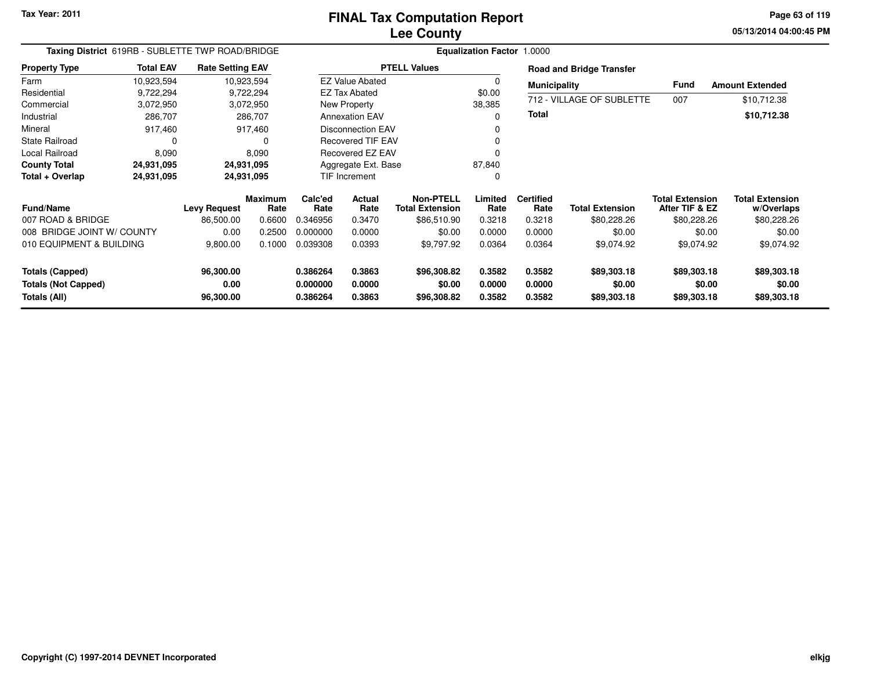**05/13/2014 04:00:45 PM Page 63 of 119**

| Taxing District 619RB - SUBLETTE TWP ROAD/BRIDGE                     |                                               |                                |                 |                                  |                                            | <b>Equalization Factor 1.0000</b>    |                            |                            |                                          |                                      |                                      |
|----------------------------------------------------------------------|-----------------------------------------------|--------------------------------|-----------------|----------------------------------|--------------------------------------------|--------------------------------------|----------------------------|----------------------------|------------------------------------------|--------------------------------------|--------------------------------------|
| <b>Property Type</b>                                                 | <b>Total EAV</b>                              | <b>Rate Setting EAV</b>        |                 |                                  |                                            | <b>PTELL Values</b>                  |                            |                            | <b>Road and Bridge Transfer</b>          |                                      |                                      |
| Farm                                                                 | 10,923,594                                    |                                | 10,923,594      |                                  | <b>EZ Value Abated</b>                     |                                      |                            | <b>Municipality</b>        |                                          | <b>Fund</b>                          | <b>Amount Extended</b>               |
| Residential                                                          | 9,722,294                                     |                                | 9,722,294       |                                  | <b>EZ Tax Abated</b>                       |                                      | \$0.00                     |                            |                                          |                                      |                                      |
| Commercial                                                           | 3,072,950                                     |                                | 3,072,950       |                                  | New Property                               |                                      | 38,385                     |                            | 712 - VILLAGE OF SUBLETTE                | 007                                  | \$10,712.38                          |
| Industrial                                                           | 286,707                                       |                                | 286,707         |                                  | <b>Annexation EAV</b>                      |                                      | $\Omega$                   | <b>Total</b>               |                                          |                                      | \$10,712.38                          |
| Mineral                                                              | 917,460                                       |                                | 917,460         |                                  | <b>Disconnection EAV</b>                   |                                      |                            |                            |                                          |                                      |                                      |
| <b>State Railroad</b>                                                | 0                                             |                                | $\Omega$        |                                  | <b>Recovered TIF EAV</b>                   |                                      |                            |                            |                                          |                                      |                                      |
| Local Railroad                                                       | 8,090                                         |                                | 8,090           |                                  | Recovered EZ EAV                           |                                      |                            |                            |                                          |                                      |                                      |
| <b>County Total</b>                                                  | 24,931,095                                    |                                | 24,931,095      |                                  | Aggregate Ext. Base                        |                                      | 87,840                     |                            |                                          |                                      |                                      |
| Total + Overlap                                                      | 24,931,095                                    |                                | 24,931,095      |                                  | TIF Increment                              |                                      | 0                          |                            |                                          |                                      |                                      |
| <b>Fund/Name</b>                                                     | <b>Maximum</b><br><b>Levy Request</b><br>Rate |                                | Calc'ed<br>Rate | Actual<br>Rate                   | <b>Non-PTELL</b><br><b>Total Extension</b> | Limited<br>Rate                      | <b>Certified</b><br>Rate   | <b>Total Extension</b>     | <b>Total Extension</b><br>After TIF & EZ | <b>Total Extension</b><br>w/Overlaps |                                      |
| 007 ROAD & BRIDGE                                                    |                                               | 86,500.00                      | 0.6600          | 0.346956                         | 0.3470                                     | \$86,510.90                          | 0.3218                     | 0.3218                     | \$80,228.26                              | \$80,228.26                          | \$80,228.26                          |
| 008 BRIDGE JOINT W/ COUNTY                                           |                                               | 0.00                           | 0.2500          | 0.000000                         | 0.0000                                     | \$0.00                               | 0.0000                     | 0.0000                     | \$0.00                                   | \$0.00                               | \$0.00                               |
| 010 EQUIPMENT & BUILDING                                             |                                               | 9,800.00                       | 0.1000          | 0.039308                         | 0.0393                                     | \$9,797.92                           | 0.0364                     | 0.0364                     | \$9,074.92                               | \$9,074.92                           | \$9,074.92                           |
| <b>Totals (Capped)</b><br><b>Totals (Not Capped)</b><br>Totals (All) |                                               | 96,300.00<br>0.00<br>96,300.00 |                 | 0.386264<br>0.000000<br>0.386264 | 0.3863<br>0.0000<br>0.3863                 | \$96,308.82<br>\$0.00<br>\$96,308.82 | 0.3582<br>0.0000<br>0.3582 | 0.3582<br>0.0000<br>0.3582 | \$89,303.18<br>\$0.00<br>\$89,303.18     | \$89,303.18<br>\$0.00<br>\$89,303.18 | \$89,303.18<br>\$0.00<br>\$89,303.18 |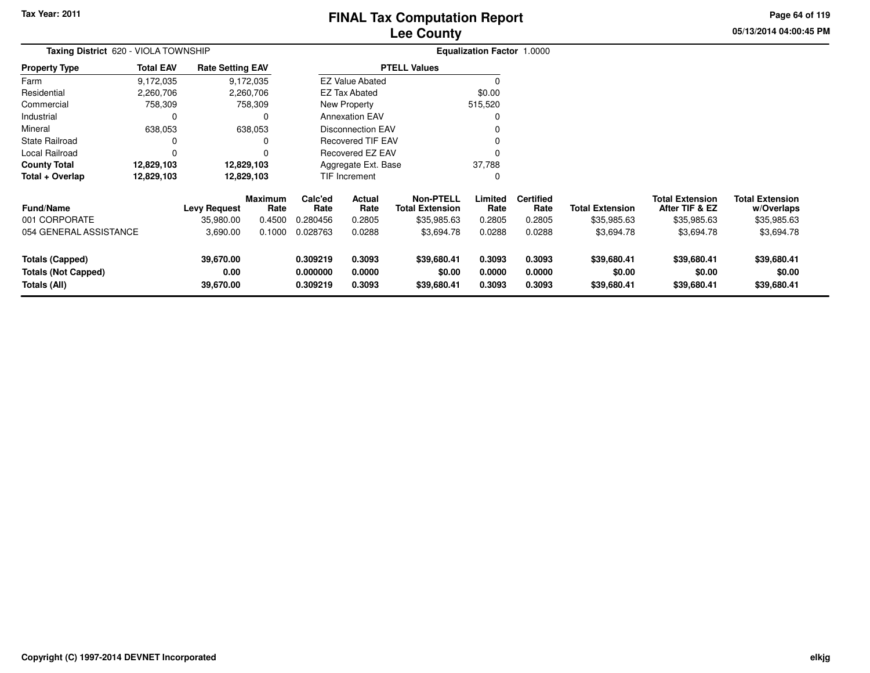### **Lee CountyFINAL Tax Computation Report**

**05/13/2014 04:00:45 PM Page 64 of 119**

| Taxing District 620 - VIOLA TOWNSHIP                                 |                  |                                |                        |                                  |                            |                                            | Equalization Factor 1.0000 |                            |                                      |                                          |                                      |  |
|----------------------------------------------------------------------|------------------|--------------------------------|------------------------|----------------------------------|----------------------------|--------------------------------------------|----------------------------|----------------------------|--------------------------------------|------------------------------------------|--------------------------------------|--|
| Property Type                                                        | <b>Total EAV</b> | <b>Rate Setting EAV</b>        |                        |                                  |                            | <b>PTELL Values</b>                        |                            |                            |                                      |                                          |                                      |  |
| Farm                                                                 | 9,172,035        |                                | 9,172,035              |                                  | <b>EZ Value Abated</b>     |                                            |                            |                            |                                      |                                          |                                      |  |
| Residential                                                          | 2,260,706        |                                | 2,260,706              |                                  | EZ Tax Abated              |                                            | \$0.00                     |                            |                                      |                                          |                                      |  |
| Commercial                                                           | 758,309          |                                | 758,309                |                                  | New Property               |                                            | 515,520                    |                            |                                      |                                          |                                      |  |
| Industrial                                                           | 0                |                                | 0                      |                                  | <b>Annexation EAV</b>      |                                            |                            |                            |                                      |                                          |                                      |  |
| Mineral                                                              | 638,053          |                                | 638,053                |                                  | <b>Disconnection EAV</b>   |                                            |                            |                            |                                      |                                          |                                      |  |
| State Railroad                                                       | 0                |                                | 0                      |                                  | <b>Recovered TIF EAV</b>   |                                            |                            |                            |                                      |                                          |                                      |  |
| Local Railroad                                                       | 0                |                                | n                      |                                  | Recovered EZ EAV           |                                            |                            |                            |                                      |                                          |                                      |  |
| County Total                                                         | 12,829,103       |                                | 12,829,103             |                                  | Aggregate Ext. Base        |                                            | 37,788                     |                            |                                      |                                          |                                      |  |
| Total + Overlap                                                      | 12,829,103       |                                | 12,829,103             |                                  | <b>TIF Increment</b>       |                                            |                            |                            |                                      |                                          |                                      |  |
| <b>Fund/Name</b>                                                     |                  | <b>Levy Request</b>            | <b>Maximum</b><br>Rate | Calc'ed<br>Rate                  | Actual<br>Rate             | <b>Non-PTELL</b><br><b>Total Extension</b> | Limited<br>Rate            | <b>Certified</b><br>Rate   | <b>Total Extension</b>               | <b>Total Extension</b><br>After TIF & EZ | <b>Total Extension</b><br>w/Overlaps |  |
| 001 CORPORATE                                                        |                  | 35,980.00                      | 0.4500                 | 0.280456                         | 0.2805                     | \$35,985.63                                | 0.2805                     | 0.2805                     | \$35,985.63                          | \$35,985.63                              | \$35,985.63                          |  |
| 054 GENERAL ASSISTANCE                                               |                  | 3,690.00                       | 0.1000                 | 0.028763                         | 0.0288                     | \$3,694.78                                 | 0.0288                     | 0.0288                     | \$3,694.78                           | \$3,694.78                               | \$3,694.78                           |  |
| <b>Totals (Capped)</b><br><b>Totals (Not Capped)</b><br>Totals (All) |                  | 39,670.00<br>0.00<br>39,670.00 |                        | 0.309219<br>0.000000<br>0.309219 | 0.3093<br>0.0000<br>0.3093 | \$39,680.41<br>\$0.00<br>\$39,680.41       | 0.3093<br>0.0000<br>0.3093 | 0.3093<br>0.0000<br>0.3093 | \$39,680.41<br>\$0.00<br>\$39,680.41 | \$39,680.41<br>\$0.00<br>\$39,680.41     | \$39,680.41<br>\$0.00<br>\$39,680.41 |  |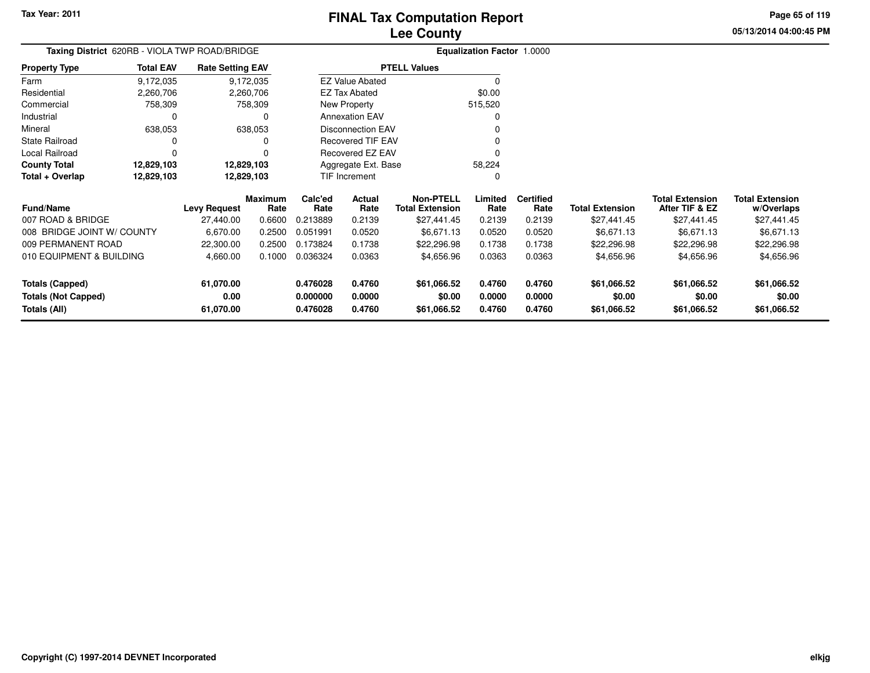**Totals (Not Capped)**

**Totals (All)**

### **Lee CountyFINAL Tax Computation Report**

**0.000000 0.0000 \$0.00 0.0000 0.0000 \$0.00 \$0.00 \$0.00**

**0.476028 0.4760 \$61,066.52 0.4760 0.4760 \$61,066.52 \$61,066.52 \$61,066.52**

**05/13/2014 04:00:45 PMPage 65 of 119**

| Taxing District 620RB - VIOLA TWP ROAD/BRIDGE |                  |                                  |                        |                 | <b>Equalization Factor 1.0000</b> |                                            |                 |                          |                        |                                          |                           |
|-----------------------------------------------|------------------|----------------------------------|------------------------|-----------------|-----------------------------------|--------------------------------------------|-----------------|--------------------------|------------------------|------------------------------------------|---------------------------|
| <b>Property Type</b>                          | <b>Total EAV</b> | <b>Rate Setting EAV</b>          |                        |                 |                                   | <b>PTELL Values</b>                        |                 |                          |                        |                                          |                           |
| Farm                                          | 9,172,035        |                                  | 9,172,035              |                 | <b>EZ Value Abated</b>            |                                            |                 |                          |                        |                                          |                           |
| Residential                                   | 2,260,706        |                                  | 2,260,706              |                 | <b>EZ Tax Abated</b>              |                                            | \$0.00          |                          |                        |                                          |                           |
| Commercial                                    | 758,309          |                                  | 758,309                |                 | New Property                      |                                            | 515,520         |                          |                        |                                          |                           |
| Industrial                                    |                  |                                  | 0                      |                 | <b>Annexation EAV</b>             |                                            |                 |                          |                        |                                          |                           |
| Mineral                                       | 638,053          |                                  | 638,053                |                 | <b>Disconnection EAV</b>          |                                            |                 |                          |                        |                                          |                           |
| <b>State Railroad</b>                         |                  |                                  |                        |                 | <b>Recovered TIF EAV</b>          |                                            |                 |                          |                        |                                          |                           |
| Local Railroad                                |                  |                                  |                        |                 | Recovered EZ EAV                  |                                            |                 |                          |                        |                                          |                           |
| <b>County Total</b>                           | 12,829,103       | 12,829,103                       |                        |                 | Aggregate Ext. Base               |                                            | 58,224          |                          |                        |                                          |                           |
| Total + Overlap                               | 12,829,103       | 12,829,103                       |                        | TIF Increment   |                                   |                                            |                 |                          |                        |                                          |                           |
| <b>Fund/Name</b>                              |                  |                                  | <b>Maximum</b><br>Rate | Calc'ed<br>Rate | Actual<br>Rate                    | <b>Non-PTELL</b><br><b>Total Extension</b> | Limited<br>Rate | <b>Certified</b><br>Rate | <b>Total Extension</b> | <b>Total Extension</b><br>After TIF & EZ | <b>Total Extension</b>    |
| 007 ROAD & BRIDGE                             |                  | <b>Levy Request</b><br>27,440.00 | 0.6600                 | 0.213889        | 0.2139                            | \$27,441.45                                | 0.2139          | 0.2139                   | \$27,441.45            | \$27,441.45                              | w/Overlaps<br>\$27,441.45 |
| 008 BRIDGE JOINT W/ COUNTY                    |                  | 6,670.00                         | 0.2500                 | 0.051991        | 0.0520                            | \$6,671.13                                 | 0.0520          | 0.0520                   | \$6,671.13             | \$6,671.13                               | \$6,671.13                |
| 009 PERMANENT ROAD                            |                  | 22,300.00                        | 0.2500                 | 0.173824        | 0.1738                            | \$22,296.98                                | 0.1738          | 0.1738                   | \$22,296.98            | \$22,296.98                              | \$22,296.98               |
| 010 EQUIPMENT & BUILDING                      |                  | 4,660.00                         | 0.1000                 | 0.036324        | 0.0363                            | \$4,656.96                                 | 0.0363          | 0.0363                   | \$4,656.96             | \$4,656.96                               | \$4,656.96                |
| <b>Totals (Capped)</b>                        |                  | 61,070.00                        |                        | 0.476028        | 0.4760                            | \$61,066.52                                | 0.4760          | 0.4760                   | \$61,066.52            | \$61,066.52                              | \$61,066.52               |

**0.00**

**61,070.00**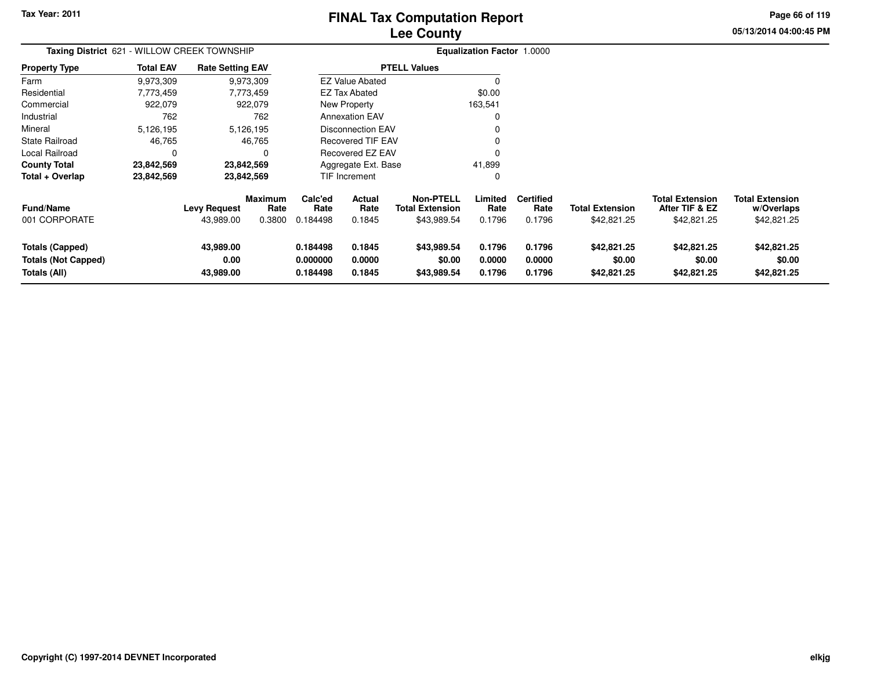### **Lee CountyFINAL Tax Computation Report**

**05/13/2014 04:00:45 PM Page 66 of 119**

| Taxing District 621 - WILLOW CREEK TOWNSHIP                          |                  |                                |                           |                                  |                            |                                                           | <b>Equalization Factor 1.0000</b> |                                    |                                       |                                                         |                                                     |
|----------------------------------------------------------------------|------------------|--------------------------------|---------------------------|----------------------------------|----------------------------|-----------------------------------------------------------|-----------------------------------|------------------------------------|---------------------------------------|---------------------------------------------------------|-----------------------------------------------------|
| <b>Property Type</b>                                                 | <b>Total EAV</b> | <b>Rate Setting EAV</b>        |                           |                                  |                            | <b>PTELL Values</b>                                       |                                   |                                    |                                       |                                                         |                                                     |
| Farm                                                                 | 9,973,309        |                                | 9,973,309                 |                                  | <b>EZ Value Abated</b>     |                                                           | 0                                 |                                    |                                       |                                                         |                                                     |
| Residential                                                          | 7,773,459        |                                | 7,773,459                 |                                  | <b>EZ Tax Abated</b>       |                                                           | \$0.00                            |                                    |                                       |                                                         |                                                     |
| Commercial                                                           | 922,079          |                                | 922,079                   | New Property<br>163,541          |                            |                                                           |                                   |                                    |                                       |                                                         |                                                     |
| Industrial                                                           | 762              |                                | 762                       | <b>Annexation EAV</b>            |                            |                                                           |                                   |                                    |                                       |                                                         |                                                     |
| Mineral                                                              | 5,126,195        |                                | 5,126,195                 |                                  | <b>Disconnection EAV</b>   |                                                           |                                   |                                    |                                       |                                                         |                                                     |
| <b>State Railroad</b>                                                | 46,765           |                                | 46,765                    |                                  | <b>Recovered TIF EAV</b>   |                                                           |                                   |                                    |                                       |                                                         |                                                     |
| Local Railroad                                                       | 0                |                                | 0                         |                                  | Recovered EZ EAV           |                                                           |                                   |                                    |                                       |                                                         |                                                     |
| <b>County Total</b>                                                  | 23,842,569       |                                | 23,842,569                |                                  | Aggregate Ext. Base        |                                                           | 41,899                            |                                    |                                       |                                                         |                                                     |
| Total + Overlap                                                      | 23,842,569       |                                | 23,842,569                |                                  | TIF Increment              |                                                           | 0                                 |                                    |                                       |                                                         |                                                     |
| <b>Fund/Name</b><br>001 CORPORATE                                    |                  | Levy Request<br>43,989.00      | Maximum<br>Rate<br>0.3800 | Calc'ed<br>Rate<br>0.184498      | Actual<br>Rate<br>0.1845   | <b>Non-PTELL</b><br><b>Total Extension</b><br>\$43,989.54 | Limited<br>Rate<br>0.1796         | <b>Certified</b><br>Rate<br>0.1796 | <b>Total Extension</b><br>\$42,821.25 | <b>Total Extension</b><br>After TIF & EZ<br>\$42,821.25 | <b>Total Extension</b><br>w/Overlaps<br>\$42,821.25 |
| <b>Totals (Capped)</b><br><b>Totals (Not Capped)</b><br>Totals (All) |                  | 43,989.00<br>0.00<br>43,989.00 |                           | 0.184498<br>0.000000<br>0.184498 | 0.1845<br>0.0000<br>0.1845 | \$43,989.54<br>\$0.00<br>\$43,989.54                      | 0.1796<br>0.0000<br>0.1796        | 0.1796<br>0.0000<br>0.1796         | \$42,821.25<br>\$0.00<br>\$42,821.25  | \$42,821.25<br>\$0.00<br>\$42,821.25                    | \$42,821.25<br>\$0.00<br>\$42,821.25                |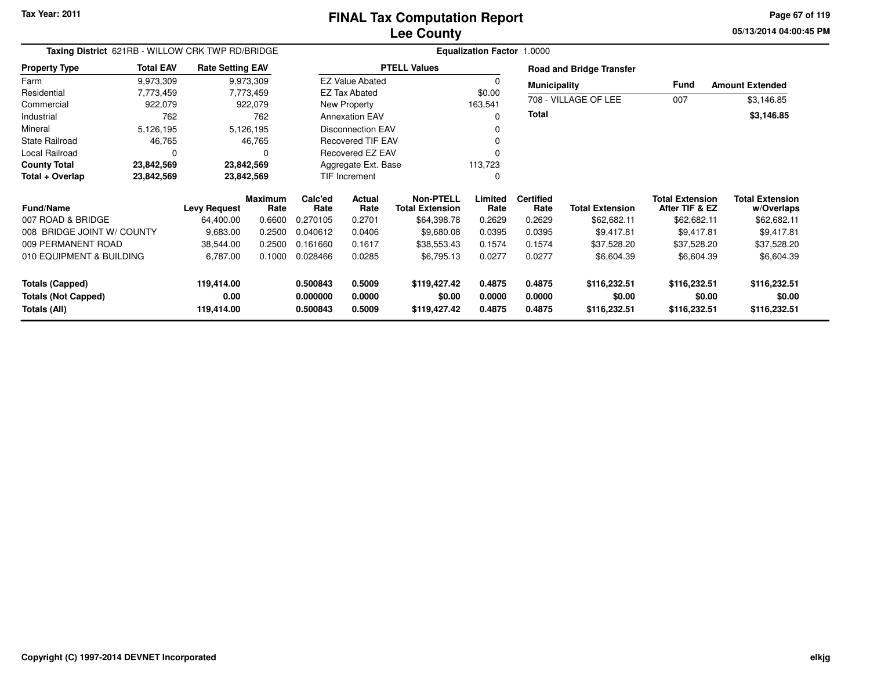**05/13/2014 04:00:45 PMPage 67 of 119**

| Taxing District 621RB - WILLOW CRK TWP RD/BRIDGE |                  |                         |                        |                      |                          |                                            | <b>Equalization Factor 1.0000</b> |                          |                                 |                                          |                                      |
|--------------------------------------------------|------------------|-------------------------|------------------------|----------------------|--------------------------|--------------------------------------------|-----------------------------------|--------------------------|---------------------------------|------------------------------------------|--------------------------------------|
| <b>Property Type</b>                             | <b>Total EAV</b> | <b>Rate Setting EAV</b> |                        |                      |                          | <b>PTELL Values</b>                        |                                   |                          | <b>Road and Bridge Transfer</b> |                                          |                                      |
| Farm                                             | 9,973,309        |                         | 9,973,309              |                      | <b>EZ Value Abated</b>   |                                            | $\Omega$                          | <b>Municipality</b>      |                                 | <b>Fund</b>                              | <b>Amount Extended</b>               |
| Residential                                      | 7,773,459        |                         | 7,773,459              |                      | <b>EZ Tax Abated</b>     |                                            | \$0.00                            |                          | 708 - VILLAGE OF LEE            |                                          |                                      |
| Commercial                                       | 922,079          |                         | 922,079                |                      | New Property             |                                            | 163,541                           |                          |                                 | 007                                      | \$3,146.85                           |
| Industrial                                       | 762              |                         | 762                    |                      | <b>Annexation EAV</b>    |                                            | 0                                 | <b>Total</b>             |                                 |                                          | \$3,146.85                           |
| Mineral                                          | 5,126,195        |                         | 5,126,195              |                      | <b>Disconnection EAV</b> |                                            |                                   |                          |                                 |                                          |                                      |
| <b>State Railroad</b>                            | 46,765           |                         | 46,765                 |                      | <b>Recovered TIF EAV</b> |                                            | 0                                 |                          |                                 |                                          |                                      |
| Local Railroad                                   | 0                |                         |                        |                      | Recovered EZ EAV         |                                            |                                   |                          |                                 |                                          |                                      |
| <b>County Total</b>                              | 23,842,569       | 23,842,569              |                        |                      | Aggregate Ext. Base      |                                            | 113,723                           |                          |                                 |                                          |                                      |
| Total + Overlap                                  | 23,842,569       | 23,842,569              |                        | TIF Increment        |                          |                                            | 0                                 |                          |                                 |                                          |                                      |
| <b>Fund/Name</b>                                 |                  | <b>Levy Request</b>     | <b>Maximum</b><br>Rate | Calc'ed<br>Rate      | Actual<br>Rate           | <b>Non-PTELL</b><br><b>Total Extension</b> | Limited<br>Rate                   | <b>Certified</b><br>Rate | <b>Total Extension</b>          | <b>Total Extension</b><br>After TIF & EZ | <b>Total Extension</b><br>w/Overlaps |
| 007 ROAD & BRIDGE                                |                  | 64,400.00               | 0.6600                 | 0.270105             | 0.2701                   | \$64,398.78                                | 0.2629                            | 0.2629                   | \$62,682.11                     | \$62,682.11                              | \$62,682.11                          |
| 008 BRIDGE JOINT W/ COUNTY                       |                  | 9,683.00                | 0.2500                 | 0.040612             | 0.0406                   | \$9,680.08                                 | 0.0395                            | 0.0395                   | \$9,417.81                      | \$9,417.81                               | \$9,417.81                           |
| 009 PERMANENT ROAD                               |                  | 38,544.00               | 0.2500                 | 0.161660             | 0.1617                   | \$38,553.43                                | 0.1574                            | 0.1574                   | \$37,528.20                     | \$37,528.20                              | \$37,528.20                          |
| 010 EQUIPMENT & BUILDING                         |                  | 6,787.00                | 0.1000                 | 0.028466             | 0.0285                   | \$6,795.13                                 | 0.0277                            | 0.0277                   | \$6,604.39                      | \$6,604.39                               | \$6,604.39                           |
| Totals (Capped)<br><b>Totals (Not Capped)</b>    |                  | 119,414.00<br>0.00      |                        | 0.500843<br>0.000000 | 0.5009<br>0.0000         | \$119,427.42<br>\$0.00                     | 0.4875<br>0.0000                  | 0.4875<br>0.0000         | \$116,232.51<br>\$0.00          | \$116,232.51<br>\$0.00                   | \$116,232.51<br>\$0.00               |
| Totals (All)                                     |                  | 119,414.00              |                        | 0.500843             | 0.5009                   | \$119,427.42                               | 0.4875                            | 0.4875                   | \$116,232.51                    | \$116,232.51                             | \$116,232.51                         |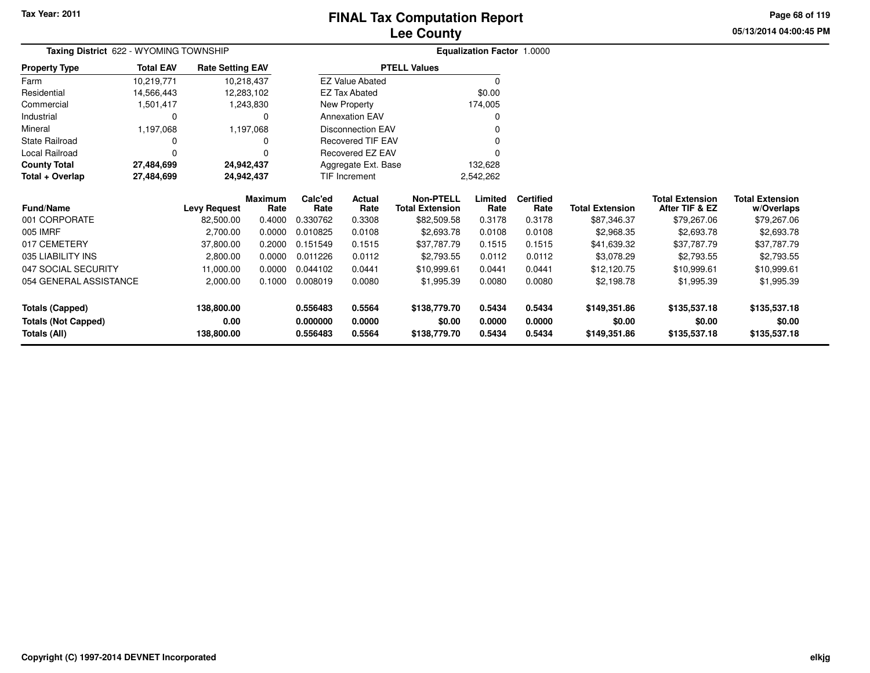### **Lee CountyFINAL Tax Computation Report**

**05/13/2014 04:00:45 PM Page 68 of 119**

| Taxing District 622 - WYOMING TOWNSHIP |                  |                         |                        |                                |                          |                                            | Equalization Factor 1.0000 |                          |                        |                                          |                                      |
|----------------------------------------|------------------|-------------------------|------------------------|--------------------------------|--------------------------|--------------------------------------------|----------------------------|--------------------------|------------------------|------------------------------------------|--------------------------------------|
| <b>Property Type</b>                   | <b>Total EAV</b> | <b>Rate Setting EAV</b> |                        |                                |                          | <b>PTELL Values</b>                        |                            |                          |                        |                                          |                                      |
| Farm                                   | 10,219,771       | 10,218,437              |                        |                                | <b>EZ Value Abated</b>   |                                            | $\Omega$                   |                          |                        |                                          |                                      |
| Residential                            | 14,566,443       | 12,283,102              |                        |                                | <b>EZ Tax Abated</b>     |                                            | \$0.00                     |                          |                        |                                          |                                      |
| Commercial                             | 1,501,417        |                         | 1,243,830              |                                | New Property             |                                            | 174,005                    |                          |                        |                                          |                                      |
| Industrial                             |                  |                         | $\Omega$               |                                | <b>Annexation EAV</b>    |                                            |                            |                          |                        |                                          |                                      |
| Mineral                                | 1,197,068        |                         | 1,197,068              |                                | <b>Disconnection EAV</b> |                                            |                            |                          |                        |                                          |                                      |
| <b>State Railroad</b>                  |                  |                         | O                      |                                | <b>Recovered TIF EAV</b> |                                            |                            |                          |                        |                                          |                                      |
| <b>Local Railroad</b>                  |                  |                         |                        |                                | Recovered EZ EAV         |                                            |                            |                          |                        |                                          |                                      |
| <b>County Total</b>                    | 27,484,699       | 24,942,437              |                        | Aggregate Ext. Base<br>132,628 |                          |                                            |                            |                          |                        |                                          |                                      |
| Total + Overlap<br>27,484,699          |                  | 24,942,437              |                        | TIF Increment                  |                          |                                            | 2,542,262                  |                          |                        |                                          |                                      |
| <b>Fund/Name</b>                       |                  | <b>Levy Request</b>     | <b>Maximum</b><br>Rate | Calc'ed<br>Rate                | Actual<br>Rate           | <b>Non-PTELL</b><br><b>Total Extension</b> | Limited<br>Rate            | <b>Certified</b><br>Rate | <b>Total Extension</b> | <b>Total Extension</b><br>After TIF & EZ | <b>Total Extension</b><br>w/Overlaps |
| 001 CORPORATE                          |                  | 82,500.00               | 0.4000                 | 0.330762                       | 0.3308                   | \$82,509.58                                | 0.3178                     | 0.3178                   | \$87,346.37            | \$79,267.06                              | \$79,267.06                          |
| 005 IMRF                               |                  | 2,700.00                | 0.0000                 | 0.010825                       | 0.0108                   | \$2,693.78                                 | 0.0108                     | 0.0108                   | \$2,968.35             | \$2,693.78                               | \$2,693.78                           |
| 017 CEMETERY                           |                  | 37,800.00               | 0.2000                 | 0.151549                       | 0.1515                   | \$37,787.79                                | 0.1515                     | 0.1515                   | \$41,639.32            | \$37,787.79                              | \$37,787.79                          |
| 035 LIABILITY INS                      |                  | 2,800.00                | 0.0000                 | 0.011226                       | 0.0112                   | \$2,793.55                                 | 0.0112                     | 0.0112                   | \$3,078.29             | \$2,793.55                               | \$2,793.55                           |
| 047 SOCIAL SECURITY                    |                  | 11,000.00               | 0.0000                 | 0.044102                       | 0.0441                   | \$10,999.61                                | 0.0441                     | 0.0441                   | \$12,120.75            | \$10,999.61                              | \$10,999.61                          |
| 054 GENERAL ASSISTANCE                 |                  | 2,000.00                | 0.1000                 | 0.008019                       | 0.0080                   | \$1,995.39                                 | 0.0080                     | 0.0080                   | \$2,198.78             | \$1,995.39                               | \$1,995.39                           |
| <b>Totals (Capped)</b>                 |                  | 138,800.00              |                        | 0.556483                       | 0.5564                   | \$138,779.70                               | 0.5434                     | 0.5434                   | \$149,351.86           | \$135,537.18                             | \$135,537.18                         |
| <b>Totals (Not Capped)</b>             |                  | 0.00                    |                        | 0.000000                       | 0.0000                   | \$0.00                                     | 0.0000                     | 0.0000                   | \$0.00                 | \$0.00                                   | \$0.00                               |
| Totals (All)                           |                  | 138,800.00              |                        | 0.556483                       | 0.5564                   | \$138,779.70                               | 0.5434                     | 0.5434                   | \$149,351.86           | \$135,537.18                             | \$135,537.18                         |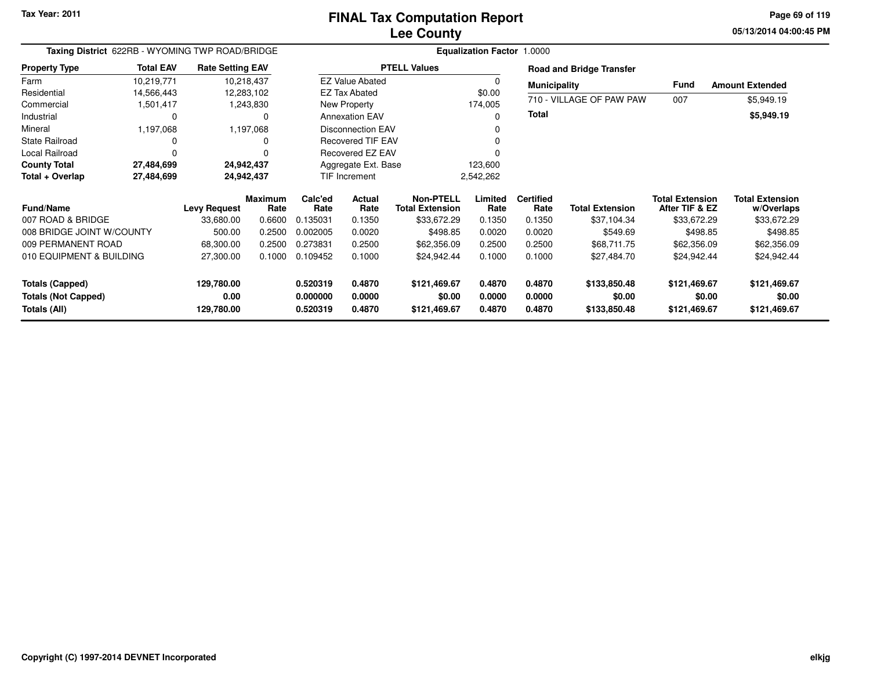**05/13/2014 04:00:45 PM Page 69 of 119**

| Taxing District 622RB - WYOMING TWP ROAD/BRIDGE                      | <b>Equalization Factor 1.0000</b> |                                  |                 |                                  |                            |                                            |                            |                            |                                        |                                          |                                        |
|----------------------------------------------------------------------|-----------------------------------|----------------------------------|-----------------|----------------------------------|----------------------------|--------------------------------------------|----------------------------|----------------------------|----------------------------------------|------------------------------------------|----------------------------------------|
| <b>Property Type</b>                                                 | <b>Total EAV</b>                  | <b>Rate Setting EAV</b>          |                 |                                  |                            | <b>PTELL Values</b>                        |                            |                            | <b>Road and Bridge Transfer</b>        |                                          |                                        |
| Farm                                                                 | 10,219,771                        | 10,218,437                       |                 |                                  | <b>EZ Value Abated</b>     |                                            |                            | <b>Municipality</b>        |                                        | <b>Fund</b>                              | <b>Amount Extended</b>                 |
| Residential                                                          | 14,566,443                        | 12,283,102                       |                 |                                  | <b>EZ Tax Abated</b>       |                                            | \$0.00                     |                            |                                        |                                          |                                        |
| Commercial                                                           | 1,501,417                         | 1,243,830                        |                 |                                  | New Property               |                                            | 174,005                    |                            | 710 - VILLAGE OF PAW PAW               | 007                                      | \$5,949.19                             |
| Industrial                                                           |                                   |                                  | 0               |                                  | <b>Annexation EAV</b>      |                                            | ŋ                          | <b>Total</b>               |                                        |                                          | \$5,949.19                             |
| Mineral                                                              | 1,197,068                         | 1,197,068                        |                 |                                  | <b>Disconnection EAV</b>   |                                            |                            |                            |                                        |                                          |                                        |
| <b>State Railroad</b>                                                |                                   |                                  | 0               |                                  | <b>Recovered TIF EAV</b>   |                                            |                            |                            |                                        |                                          |                                        |
| Local Railroad                                                       |                                   |                                  | 0               |                                  | Recovered EZ EAV           |                                            |                            |                            |                                        |                                          |                                        |
| <b>County Total</b>                                                  | 27,484,699                        | 24,942,437                       |                 |                                  | Aggregate Ext. Base        |                                            | 123,600                    |                            |                                        |                                          |                                        |
| Total + Overlap                                                      | 27,484,699                        | 24,942,437                       |                 | <b>TIF Increment</b>             |                            |                                            | 2,542,262                  |                            |                                        |                                          |                                        |
| <b>Fund/Name</b>                                                     |                                   | <b>Levy Request</b>              | Maximum<br>Rate | Calc'ed<br>Rate                  | <b>Actual</b><br>Rate      | <b>Non-PTELL</b><br><b>Total Extension</b> | Limited<br>Rate            | <b>Certified</b><br>Rate   | <b>Total Extension</b>                 | <b>Total Extension</b><br>After TIF & EZ | <b>Total Extension</b><br>w/Overlaps   |
| 007 ROAD & BRIDGE                                                    |                                   | 33,680.00                        | 0.6600          | 0.135031                         | 0.1350                     | \$33,672.29                                | 0.1350                     | 0.1350                     | \$37,104.34                            | \$33,672.29                              | \$33,672.29                            |
| 008 BRIDGE JOINT W/COUNTY                                            |                                   | 500.00                           | 0.2500          | 0.002005                         | 0.0020                     | \$498.85                                   | 0.0020                     | 0.0020                     | \$549.69                               | \$498.85                                 | \$498.85                               |
| 009 PERMANENT ROAD                                                   |                                   | 68,300.00                        | 0.2500          | 0.273831                         | 0.2500                     | \$62,356.09                                | 0.2500                     | 0.2500                     | \$68,711.75                            | \$62,356.09                              | \$62,356.09                            |
| 010 EQUIPMENT & BUILDING                                             |                                   | 27,300.00                        | 0.1000          | 0.109452                         | 0.1000                     | \$24,942.44                                | 0.1000                     | 0.1000                     | \$27,484.70                            | \$24,942.44                              | \$24,942.44                            |
| <b>Totals (Capped)</b><br><b>Totals (Not Capped)</b><br>Totals (All) |                                   | 129,780.00<br>0.00<br>129,780.00 |                 | 0.520319<br>0.000000<br>0.520319 | 0.4870<br>0.0000<br>0.4870 | \$121,469.67<br>\$0.00<br>\$121,469.67     | 0.4870<br>0.0000<br>0.4870 | 0.4870<br>0.0000<br>0.4870 | \$133,850.48<br>\$0.00<br>\$133,850.48 | \$121,469.67<br>\$0.00<br>\$121,469.67   | \$121,469.67<br>\$0.00<br>\$121,469.67 |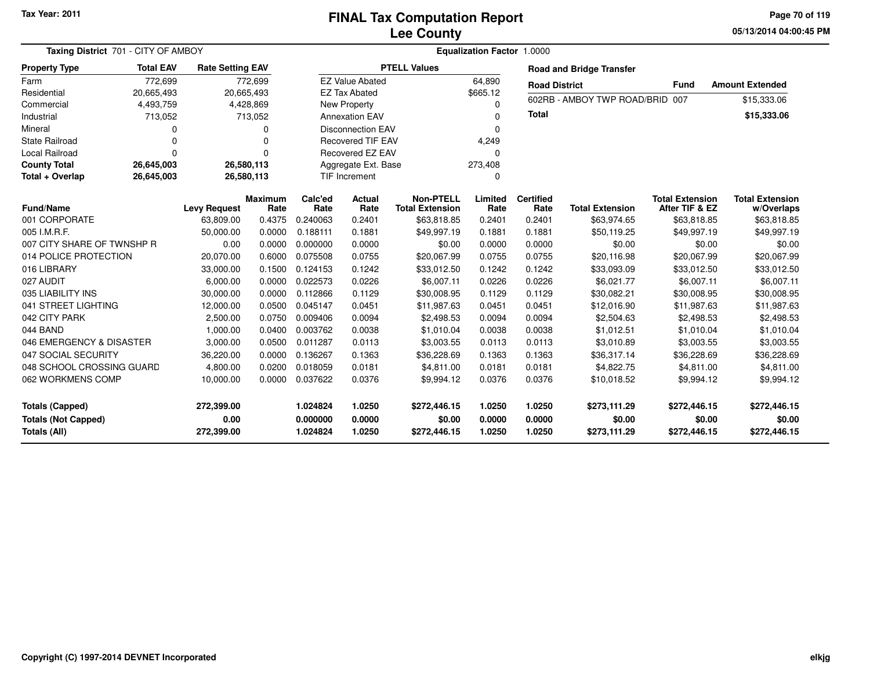#### **Lee CountyFINAL Tax Computation Report**

**05/13/2014 04:00:45 PM Page 70 of 119**

| Taxing District 701 - CITY OF AMBOY           |                  |                         |                        | Equalization Factor 1.0000 |                          |                                            |                  |                          |                                 |                                          |                                      |
|-----------------------------------------------|------------------|-------------------------|------------------------|----------------------------|--------------------------|--------------------------------------------|------------------|--------------------------|---------------------------------|------------------------------------------|--------------------------------------|
| <b>Property Type</b>                          | <b>Total EAV</b> | <b>Rate Setting EAV</b> |                        |                            |                          | <b>PTELL Values</b>                        |                  |                          | <b>Road and Bridge Transfer</b> |                                          |                                      |
| Farm                                          | 772,699          |                         | 772,699                |                            | <b>EZ Value Abated</b>   |                                            | 64,890           | <b>Road District</b>     |                                 | <b>Fund</b>                              | <b>Amount Extended</b>               |
| Residential                                   | 20,665,493       |                         | 20,665,493             |                            | <b>EZ Tax Abated</b>     |                                            | \$665.12         |                          | 602RB - AMBOY TWP ROAD/BRID     | 007                                      |                                      |
| Commercial                                    | 4,493,759        |                         | 4,428,869              |                            | <b>New Property</b>      |                                            | $\Omega$         |                          |                                 |                                          | \$15,333.06                          |
| Industrial                                    | 713,052          |                         | 713,052                |                            | <b>Annexation EAV</b>    |                                            | $\Omega$         | <b>Total</b>             |                                 |                                          | \$15,333.06                          |
| Mineral                                       | 0                |                         | 0                      |                            | <b>Disconnection EAV</b> |                                            | $\Omega$         |                          |                                 |                                          |                                      |
| <b>State Railroad</b>                         | 0                |                         | 0                      |                            | <b>Recovered TIF EAV</b> |                                            | 4,249            |                          |                                 |                                          |                                      |
| <b>Local Railroad</b>                         | $\Omega$         |                         | $\Omega$               |                            | Recovered EZ EAV         |                                            | $\Omega$         |                          |                                 |                                          |                                      |
| <b>County Total</b>                           | 26,645,003       |                         | 26,580,113             |                            | Aggregate Ext. Base      |                                            | 273,408          |                          |                                 |                                          |                                      |
| Total + Overlap                               | 26,645,003       |                         | 26,580,113             | <b>TIF Increment</b>       |                          |                                            | $\Omega$         |                          |                                 |                                          |                                      |
| <b>Fund/Name</b>                              |                  | <b>Levy Request</b>     | <b>Maximum</b><br>Rate | Calc'ed<br>Rate            | Actual<br>Rate           | <b>Non-PTELL</b><br><b>Total Extension</b> | Limited<br>Rate  | <b>Certified</b><br>Rate | <b>Total Extension</b>          | <b>Total Extension</b><br>After TIF & EZ | <b>Total Extension</b><br>w/Overlaps |
| 001 CORPORATE                                 |                  | 63,809.00               | 0.4375                 | 0.240063                   | 0.2401                   | \$63,818.85                                | 0.2401           | 0.2401                   | \$63,974.65                     | \$63,818.85                              | \$63,818.85                          |
| 005 I.M.R.F.                                  |                  | 50,000.00               | 0.0000                 | 0.188111                   | 0.1881                   | \$49,997.19                                | 0.1881           | 0.1881                   | \$50,119.25                     | \$49,997.19                              | \$49,997.19                          |
| 007 CITY SHARE OF TWNSHP R                    |                  | 0.00                    | 0.0000                 | 0.000000                   | 0.0000                   | \$0.00                                     | 0.0000           | 0.0000                   | \$0.00                          | \$0.00                                   | \$0.00                               |
| 014 POLICE PROTECTION                         |                  | 20,070.00               | 0.6000                 | 0.075508                   | 0.0755                   | \$20,067.99                                | 0.0755           | 0.0755                   | \$20,116.98                     | \$20,067.99                              | \$20,067.99                          |
| 016 LIBRARY                                   |                  | 33,000.00               | 0.1500                 | 0.124153                   | 0.1242                   | \$33,012.50                                | 0.1242           | 0.1242                   | \$33,093.09                     | \$33,012.50                              | \$33,012.50                          |
| 027 AUDIT                                     |                  | 6,000.00                | 0.0000                 | 0.022573                   | 0.0226                   | \$6,007.11                                 | 0.0226           | 0.0226                   | \$6,021.77                      | \$6,007.11                               | \$6,007.11                           |
| 035 LIABILITY INS                             |                  | 30,000.00               | 0.0000                 | 0.112866                   | 0.1129                   | \$30,008.95                                | 0.1129           | 0.1129                   | \$30,082.21                     | \$30,008.95                              | \$30,008.95                          |
| 041 STREET LIGHTING                           |                  | 12,000.00               | 0.0500                 | 0.045147                   | 0.0451                   | \$11,987.63                                | 0.0451           | 0.0451                   | \$12,016.90                     | \$11,987.63                              | \$11,987.63                          |
| 042 CITY PARK                                 |                  | 2,500.00                | 0.0750                 | 0.009406                   | 0.0094                   | \$2,498.53                                 | 0.0094           | 0.0094                   | \$2,504.63                      | \$2,498.53                               | \$2,498.53                           |
| 044 BAND                                      |                  | 1,000.00                | 0.0400                 | 0.003762                   | 0.0038                   | \$1,010.04                                 | 0.0038           | 0.0038                   | \$1,012.51                      | \$1,010.04                               | \$1,010.04                           |
| 046 EMERGENCY & DISASTER                      |                  | 3,000.00                | 0.0500                 | 0.011287                   | 0.0113                   | \$3,003.55                                 | 0.0113           | 0.0113                   | \$3,010.89                      | \$3,003.55                               | \$3,003.55                           |
| 047 SOCIAL SECURITY                           |                  | 36,220.00               | 0.0000                 | 0.136267                   | 0.1363                   | \$36,228.69                                | 0.1363           | 0.1363                   | \$36,317.14                     | \$36,228.69                              | \$36,228.69                          |
| 048 SCHOOL CROSSING GUARD                     |                  | 4,800.00                | 0.0200                 | 0.018059                   | 0.0181                   | \$4,811.00                                 | 0.0181           | 0.0181                   | \$4,822.75                      | \$4,811.00                               | \$4,811.00                           |
| 062 WORKMENS COMP                             |                  | 10,000.00               | 0.0000                 | 0.037622                   | 0.0376                   | \$9,994.12                                 | 0.0376           | 0.0376                   | \$10,018.52                     | \$9,994.12                               | \$9,994.12                           |
| Totals (Capped)<br><b>Totals (Not Capped)</b> |                  | 272,399.00<br>0.00      |                        | 1.024824<br>0.000000       | 1.0250<br>0.0000         | \$272,446.15<br>\$0.00                     | 1.0250<br>0.0000 | 1.0250<br>0.0000         | \$273,111.29<br>\$0.00          | \$272,446.15<br>\$0.00                   | \$272,446.15<br>\$0.00               |
| <b>Totals (All)</b>                           |                  | 272,399.00              |                        | 1.024824                   | 1.0250                   | \$272,446.15                               | 1.0250           | 1.0250                   | \$273,111.29                    | \$272,446.15                             | \$272,446.15                         |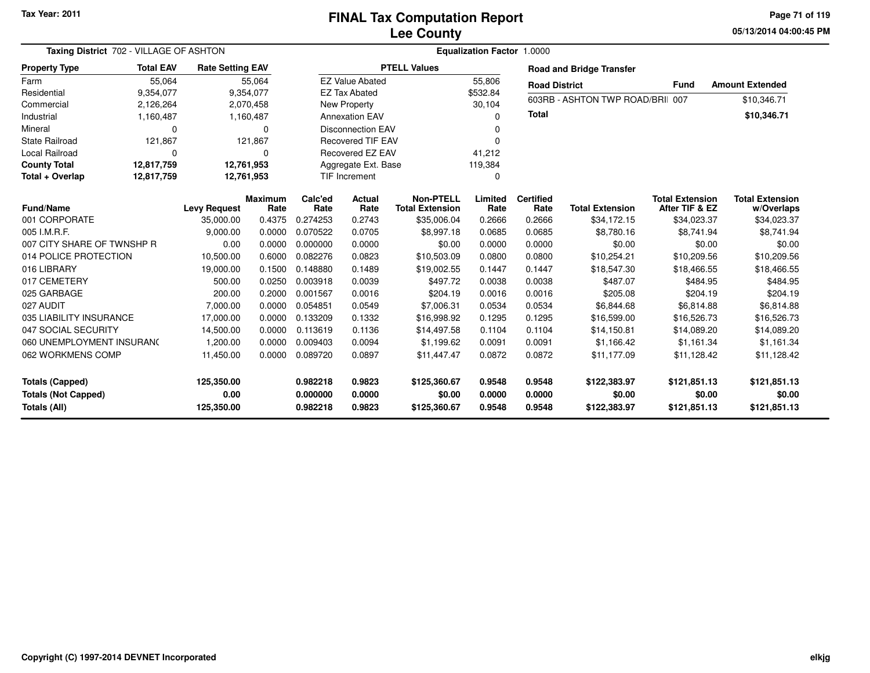**05/13/2014 04:00:45 PM Page 71 of 119**

| Taxing District 702 - VILLAGE OF ASHTON              | Equalization Factor 1.0000 |                         |                        |                      |                          |                                            |                  |                          |                                  |                                          |                                      |
|------------------------------------------------------|----------------------------|-------------------------|------------------------|----------------------|--------------------------|--------------------------------------------|------------------|--------------------------|----------------------------------|------------------------------------------|--------------------------------------|
| <b>Property Type</b>                                 | <b>Total EAV</b>           | <b>Rate Setting EAV</b> |                        |                      |                          | <b>PTELL Values</b>                        |                  |                          | <b>Road and Bridge Transfer</b>  |                                          |                                      |
| Farm                                                 | 55,064                     |                         | 55,064                 |                      | <b>EZ Value Abated</b>   |                                            | 55,806           | <b>Road District</b>     |                                  | <b>Fund</b>                              | <b>Amount Extended</b>               |
| Residential                                          | 9,354,077                  |                         | 9,354,077              |                      | <b>EZ Tax Abated</b>     |                                            | \$532.84         |                          |                                  |                                          |                                      |
| Commercial                                           | 2,126,264                  |                         | 2,070,458              |                      | <b>New Property</b>      |                                            | 30,104           |                          | 603RB - ASHTON TWP ROAD/BRII 007 |                                          | \$10,346.71                          |
| Industrial                                           | 1,160,487                  |                         | 1,160,487              |                      | <b>Annexation EAV</b>    |                                            | <sup>0</sup>     | <b>Total</b>             |                                  |                                          | \$10,346.71                          |
| Mineral                                              | $\Omega$                   |                         | $\Omega$               |                      | <b>Disconnection EAV</b> |                                            | 0                |                          |                                  |                                          |                                      |
| <b>State Railroad</b>                                | 121,867                    |                         | 121,867                |                      | <b>Recovered TIF EAV</b> |                                            | $\Omega$         |                          |                                  |                                          |                                      |
| <b>Local Railroad</b>                                | $\Omega$                   | 0                       |                        |                      | Recovered EZ EAV         |                                            | 41,212           |                          |                                  |                                          |                                      |
| <b>County Total</b>                                  | 12,817,759                 |                         | 12,761,953             |                      | Aggregate Ext. Base      |                                            | 119,384          |                          |                                  |                                          |                                      |
| Total + Overlap                                      | 12,817,759                 |                         | 12,761,953             |                      | <b>TIF Increment</b>     |                                            | $\Omega$         |                          |                                  |                                          |                                      |
| <b>Fund/Name</b>                                     |                            | <b>Levy Request</b>     | <b>Maximum</b><br>Rate | Calc'ed<br>Rate      | Actual<br>Rate           | <b>Non-PTELL</b><br><b>Total Extension</b> | Limited<br>Rate  | <b>Certified</b><br>Rate | <b>Total Extension</b>           | <b>Total Extension</b><br>After TIF & EZ | <b>Total Extension</b><br>w/Overlaps |
| 001 CORPORATE                                        |                            | 35,000.00               | 0.4375                 | 0.274253             | 0.2743                   | \$35,006.04                                | 0.2666           | 0.2666                   | \$34,172.15                      | \$34,023.37                              | \$34,023.37                          |
| 005 I.M.R.F.                                         |                            | 9,000.00                | 0.0000                 | 0.070522             | 0.0705                   | \$8,997.18                                 | 0.0685           | 0.0685                   | \$8,780.16                       | \$8,741.94                               | \$8,741.94                           |
| 007 CITY SHARE OF TWNSHP R                           |                            | 0.00                    | 0.0000                 | 0.000000             | 0.0000                   | \$0.00                                     | 0.0000           | 0.0000                   | \$0.00                           | \$0.00                                   | \$0.00                               |
| 014 POLICE PROTECTION                                |                            | 10,500.00               | 0.6000                 | 0.082276             | 0.0823                   | \$10,503.09                                | 0.0800           | 0.0800                   | \$10,254.21                      | \$10,209.56                              | \$10,209.56                          |
| 016 LIBRARY                                          |                            | 19,000.00               | 0.1500                 | 0.148880             | 0.1489                   | \$19,002.55                                | 0.1447           | 0.1447                   | \$18,547.30                      | \$18,466.55                              | \$18,466.55                          |
| 017 CEMETERY                                         |                            | 500.00                  | 0.0250                 | 0.003918             | 0.0039                   | \$497.72                                   | 0.0038           | 0.0038                   | \$487.07                         | \$484.95                                 | \$484.95                             |
| 025 GARBAGE                                          |                            | 200.00                  | 0.2000                 | 0.001567             | 0.0016                   | \$204.19                                   | 0.0016           | 0.0016                   | \$205.08                         | \$204.19                                 | \$204.19                             |
| 027 AUDIT                                            |                            | 7,000.00                | 0.0000                 | 0.054851             | 0.0549                   | \$7,006.31                                 | 0.0534           | 0.0534                   | \$6,844.68                       | \$6,814.88                               | \$6,814.88                           |
| 035 LIABILITY INSURANCE                              |                            | 17,000.00               | 0.0000                 | 0.133209             | 0.1332                   | \$16,998.92                                | 0.1295           | 0.1295                   | \$16,599.00                      | \$16,526.73                              | \$16,526.73                          |
| 047 SOCIAL SECURITY                                  |                            | 14,500.00               | 0.0000                 | 0.113619             | 0.1136                   | \$14,497.58                                | 0.1104           | 0.1104                   | \$14,150.81                      | \$14,089.20                              | \$14,089.20                          |
| 060 UNEMPLOYMENT INSURANC                            |                            | 1,200.00                | 0.0000                 | 0.009403             | 0.0094                   | \$1,199.62                                 | 0.0091           | 0.0091                   | \$1,166.42                       | \$1,161.34                               | \$1,161.34                           |
| 062 WORKMENS COMP                                    |                            | 11,450.00               | 0.0000                 | 0.089720             | 0.0897                   | \$11,447.47                                | 0.0872           | 0.0872                   | \$11,177.09                      | \$11,128.42                              | \$11,128.42                          |
| <b>Totals (Capped)</b><br><b>Totals (Not Capped)</b> |                            | 125,350.00<br>0.00      |                        | 0.982218<br>0.000000 | 0.9823<br>0.0000         | \$125,360.67<br>\$0.00                     | 0.9548<br>0.0000 | 0.9548<br>0.0000         | \$122,383.97<br>\$0.00           | \$121,851.13<br>\$0.00                   | \$121,851.13<br>\$0.00               |
| Totals (All)                                         |                            | 125,350.00              |                        | 0.982218             | 0.9823                   | \$125,360.67                               | 0.9548           | 0.9548                   | \$122,383.97                     | \$121,851.13                             | \$121,851.13                         |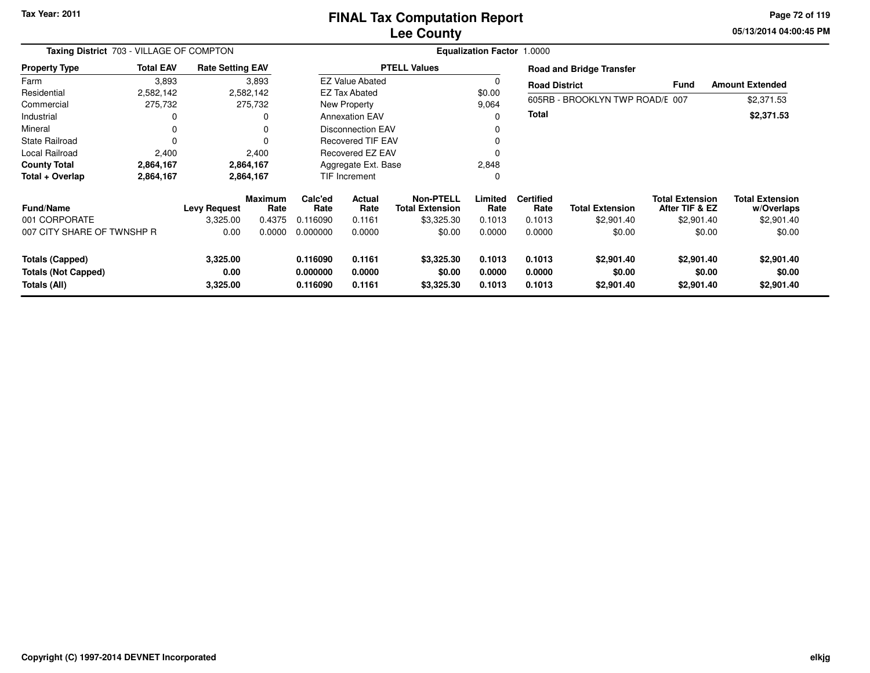#### **Lee CountyFINAL Tax Computation Report**

**05/13/2014 04:00:45 PM Page 72 of 119**

| Taxing District 703 - VILLAGE OF COMPTON |                  |                         |                        | <b>Equalization Factor 1.0000</b> |                |                                            |                 |                                               |                                                        |                                          |                                      |  |
|------------------------------------------|------------------|-------------------------|------------------------|-----------------------------------|----------------|--------------------------------------------|-----------------|-----------------------------------------------|--------------------------------------------------------|------------------------------------------|--------------------------------------|--|
| <b>Property Type</b>                     | <b>Total EAV</b> | <b>Rate Setting EAV</b> |                        | <b>PTELL Values</b>               |                |                                            |                 |                                               | <b>Road and Bridge Transfer</b>                        |                                          |                                      |  |
| Farm                                     | 3,893            | 3,893                   |                        | <b>EZ Value Abated</b>            |                |                                            |                 |                                               | <b>Amount Extended</b><br>Fund<br><b>Road District</b> |                                          |                                      |  |
| Residential                              | 2,582,142        | 2,582,142               |                        | <b>EZ Tax Abated</b>              |                |                                            | \$0.00          |                                               |                                                        |                                          |                                      |  |
| Commercial                               | 275,732          | 275,732                 |                        | New Property                      |                |                                            | 9,064           | 605RB - BROOKLYN TWP ROAD/E 007<br>\$2,371.53 |                                                        |                                          |                                      |  |
| Industrial                               |                  | 0                       |                        | <b>Annexation EAV</b>             |                |                                            | 0               | Total                                         |                                                        |                                          | \$2,371.53                           |  |
| Mineral                                  |                  | 0                       |                        | <b>Disconnection EAV</b>          |                |                                            |                 |                                               |                                                        |                                          |                                      |  |
| <b>State Railroad</b>                    |                  | $\Omega$                |                        | <b>Recovered TIF EAV</b>          |                |                                            |                 |                                               |                                                        |                                          |                                      |  |
| Local Railroad                           | 2,400            | 2,400                   |                        | Recovered EZ EAV                  |                |                                            |                 |                                               |                                                        |                                          |                                      |  |
| <b>County Total</b>                      | 2,864,167        | 2,864,167               |                        | Aggregate Ext. Base               |                | 2,848                                      |                 |                                               |                                                        |                                          |                                      |  |
| Total + Overlap                          | 2,864,167        | 2,864,167               |                        | <b>TIF Increment</b>              |                | 0                                          |                 |                                               |                                                        |                                          |                                      |  |
| <b>Fund/Name</b>                         |                  | <b>Levy Request</b>     | <b>Maximum</b><br>Rate | Calc'ed<br>Rate                   | Actual<br>Rate | <b>Non-PTELL</b><br><b>Total Extension</b> | Limited<br>Rate | <b>Certified</b><br>Rate                      | <b>Total Extension</b>                                 | <b>Total Extension</b><br>After TIF & EZ | <b>Total Extension</b><br>w/Overlaps |  |
| 001 CORPORATE                            |                  | 3,325.00                | 0.4375                 | 0.116090                          | 0.1161         | \$3,325.30                                 | 0.1013          | 0.1013                                        | \$2,901.40                                             | \$2,901.40                               | \$2,901.40                           |  |
| 007 CITY SHARE OF TWNSHP R               |                  | 0.00                    | 0.0000                 | 0.000000                          | 0.0000         | \$0.00                                     | 0.0000          | 0.0000                                        | \$0.00                                                 | \$0.00                                   | \$0.00                               |  |
| <b>Totals (Capped)</b>                   |                  | 3,325.00                |                        | 0.116090                          | 0.1161         | \$3,325.30                                 | 0.1013          | 0.1013                                        | \$2,901.40                                             | \$2,901.40                               | \$2,901.40                           |  |
| <b>Totals (Not Capped)</b>               |                  | 0.00                    |                        | 0.000000                          | 0.0000         | \$0.00                                     | 0.0000          | 0.0000                                        | \$0.00                                                 | \$0.00                                   | \$0.00                               |  |
| Totals (All)                             |                  | 3,325.00                |                        | 0.116090                          | 0.1161         | \$3,325.30                                 | 0.1013          | 0.1013                                        | \$2,901.40                                             | \$2,901.40                               | \$2,901.40                           |  |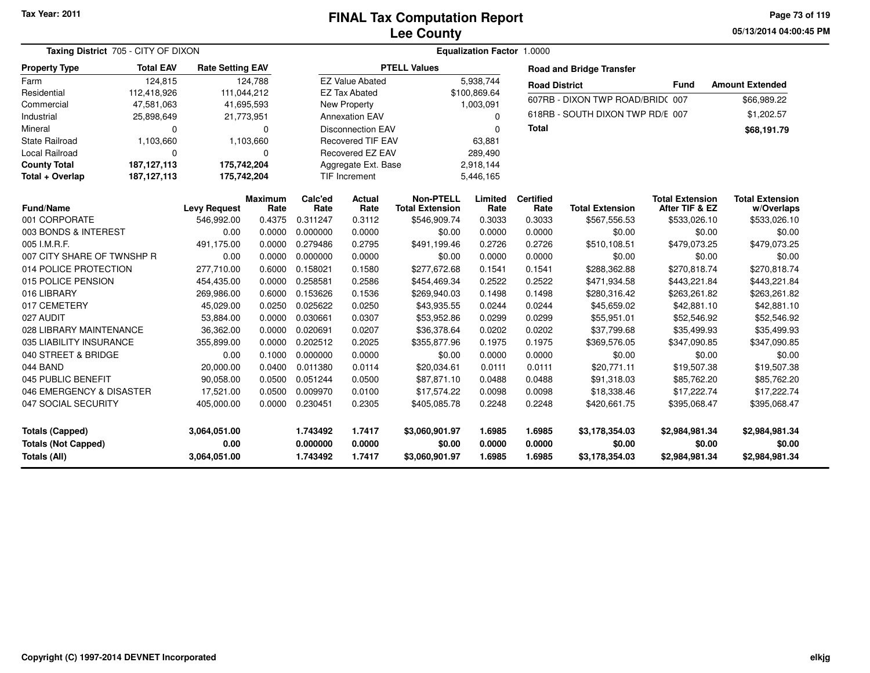**05/13/2014 04:00:45 PMPage 73 of 119**

|                            | Taxing District 705 - CITY OF DIXON |                         |                        |                 |                          |                                            | Equalization Factor 1.0000 |                          |                                  |                                          |                                      |
|----------------------------|-------------------------------------|-------------------------|------------------------|-----------------|--------------------------|--------------------------------------------|----------------------------|--------------------------|----------------------------------|------------------------------------------|--------------------------------------|
| <b>Property Type</b>       | <b>Total EAV</b>                    | <b>Rate Setting EAV</b> |                        |                 |                          | <b>PTELL Values</b>                        |                            |                          | <b>Road and Bridge Transfer</b>  |                                          |                                      |
| Farm                       | 124.815                             |                         | 124.788                |                 | <b>EZ Value Abated</b>   |                                            | 5.938.744                  | <b>Road District</b>     |                                  | <b>Fund</b>                              | <b>Amount Extended</b>               |
| Residential                | 112,418,926                         | 111,044,212             |                        |                 | <b>EZ Tax Abated</b>     |                                            | \$100,869.64               |                          | 607RB - DIXON TWP ROAD/BRID(007  |                                          | \$66,989.22                          |
| Commercial                 | 47,581,063                          |                         | 41,695,593             |                 | <b>New Property</b>      |                                            | 1,003,091                  |                          |                                  |                                          |                                      |
| Industrial                 | 25,898,649                          | 21,773,951              |                        |                 | <b>Annexation EAV</b>    |                                            | $\Omega$                   |                          | 618RB - SOUTH DIXON TWP RD/E 007 |                                          | \$1,202.57                           |
| Mineral                    | 0                                   |                         | $\mathbf 0$            |                 | <b>Disconnection EAV</b> |                                            | $\Omega$                   | Total                    |                                  |                                          | \$68,191.79                          |
| <b>State Railroad</b>      | 1,103,660                           |                         | 1,103,660              |                 | <b>Recovered TIF EAV</b> |                                            | 63,881                     |                          |                                  |                                          |                                      |
| Local Railroad             | 0                                   |                         | 0                      |                 | Recovered EZ EAV         |                                            | 289,490                    |                          |                                  |                                          |                                      |
| <b>County Total</b>        | 187, 127, 113                       | 175,742,204             |                        |                 | Aggregate Ext. Base      |                                            | 2,918,144                  |                          |                                  |                                          |                                      |
| Total + Overlap            | 187, 127, 113                       | 175,742,204             |                        |                 | <b>TIF Increment</b>     |                                            | 5,446,165                  |                          |                                  |                                          |                                      |
| <b>Fund/Name</b>           |                                     | <b>Levy Request</b>     | <b>Maximum</b><br>Rate | Calc'ed<br>Rate | Actual<br>Rate           | <b>Non-PTELL</b><br><b>Total Extension</b> | Limited<br>Rate            | <b>Certified</b><br>Rate | <b>Total Extension</b>           | <b>Total Extension</b><br>After TIF & EZ | <b>Total Extension</b><br>w/Overlaps |
| 001 CORPORATE              |                                     | 546,992.00              | 0.4375                 | 0.311247        | 0.3112                   | \$546,909.74                               | 0.3033                     | 0.3033                   | \$567,556.53                     | \$533,026.10                             | \$533,026.10                         |
| 003 BONDS & INTEREST       |                                     | 0.00                    | 0.0000                 | 0.000000        | 0.0000                   | \$0.00                                     | 0.0000                     | 0.0000                   | \$0.00                           | \$0.00                                   | \$0.00                               |
| 005 I.M.R.F.               |                                     | 491,175.00              | 0.0000                 | 0.279486        | 0.2795                   | \$491,199.46                               | 0.2726                     | 0.2726                   | \$510,108.51                     | \$479,073.25                             | \$479,073.25                         |
| 007 CITY SHARE OF TWNSHP R |                                     | 0.00                    | 0.0000                 | 0.000000        | 0.0000                   | \$0.00                                     | 0.0000                     | 0.0000                   | \$0.00                           | \$0.00                                   | \$0.00                               |
| 014 POLICE PROTECTION      |                                     | 277,710.00              | 0.6000                 | 0.158021        | 0.1580                   | \$277,672.68                               | 0.1541                     | 0.1541                   | \$288,362.88                     | \$270,818.74                             | \$270,818.74                         |
| 015 POLICE PENSION         |                                     | 454,435.00              | 0.0000                 | 0.258581        | 0.2586                   | \$454,469.34                               | 0.2522                     | 0.2522                   | \$471,934.58                     | \$443,221.84                             | \$443,221.84                         |
| 016 LIBRARY                |                                     | 269,986.00              | 0.6000                 | 0.153626        | 0.1536                   | \$269,940.03                               | 0.1498                     | 0.1498                   | \$280,316.42                     | \$263,261.82                             | \$263,261.82                         |
| 017 CEMETERY               |                                     | 45,029.00               | 0.0250                 | 0.025622        | 0.0250                   | \$43,935.55                                | 0.0244                     | 0.0244                   | \$45,659.02                      | \$42,881.10                              | \$42,881.10                          |
| 027 AUDIT                  |                                     | 53,884.00               | 0.0000                 | 0.030661        | 0.0307                   | \$53,952.86                                | 0.0299                     | 0.0299                   | \$55,951.01                      | \$52,546.92                              | \$52,546.92                          |
| 028 LIBRARY MAINTENANCE    |                                     | 36,362.00               | 0.0000                 | 0.020691        | 0.0207                   | \$36,378.64                                | 0.0202                     | 0.0202                   | \$37,799.68                      | \$35,499.93                              | \$35,499.93                          |
| 035 LIABILITY INSURANCE    |                                     | 355,899.00              | 0.0000                 | 0.202512        | 0.2025                   | \$355,877.96                               | 0.1975                     | 0.1975                   | \$369,576.05                     | \$347,090.85                             | \$347,090.85                         |
| 040 STREET & BRIDGE        |                                     | 0.00                    | 0.1000                 | 0.000000        | 0.0000                   | \$0.00                                     | 0.0000                     | 0.0000                   | \$0.00                           | \$0.00                                   | \$0.00                               |
| 044 BAND                   |                                     | 20,000.00               | 0.0400                 | 0.011380        | 0.0114                   | \$20,034.61                                | 0.0111                     | 0.0111                   | \$20,771.11                      | \$19,507.38                              | \$19,507.38                          |
| 045 PUBLIC BENEFIT         |                                     | 90,058.00               | 0.0500                 | 0.051244        | 0.0500                   | \$87,871.10                                | 0.0488                     | 0.0488                   | \$91,318.03                      | \$85,762.20                              | \$85,762.20                          |
| 046 EMERGENCY & DISASTER   |                                     | 17,521.00               | 0.0500                 | 0.009970        | 0.0100                   | \$17,574.22                                | 0.0098                     | 0.0098                   | \$18,338.46                      | \$17,222.74                              | \$17,222.74                          |
| 047 SOCIAL SECURITY        |                                     | 405,000.00              | 0.0000                 | 0.230451        | 0.2305                   | \$405,085.78                               | 0.2248                     | 0.2248                   | \$420.661.75                     | \$395,068.47                             | \$395,068.47                         |
| <b>Totals (Capped)</b>     |                                     | 3,064,051.00            |                        | 1.743492        | 1.7417                   | \$3,060,901.97                             | 1.6985                     | 1.6985                   | \$3,178,354.03                   | \$2,984,981.34                           | \$2,984,981.34                       |
| <b>Totals (Not Capped)</b> |                                     | 0.00                    |                        | 0.000000        | 0.0000                   | \$0.00                                     | 0.0000                     | 0.0000                   | \$0.00                           | \$0.00                                   | \$0.00                               |
| Totals (All)               |                                     | 3,064,051.00            |                        | 1.743492        | 1.7417                   | \$3,060,901.97                             | 1.6985                     | 1.6985                   | \$3,178,354.03                   | \$2,984,981.34                           | \$2,984,981.34                       |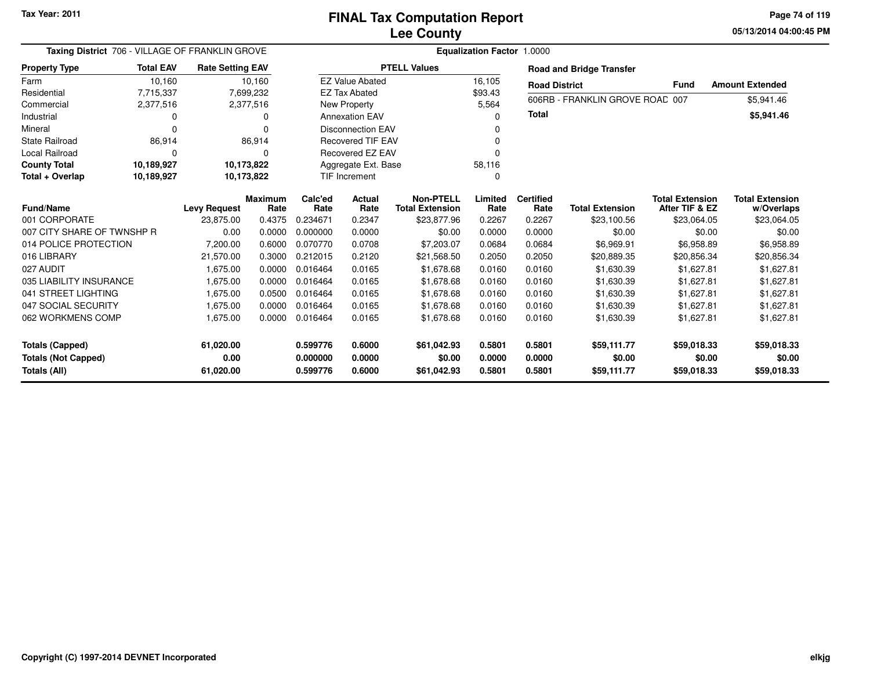**05/13/2014 04:00:45 PM Page 74 of 119**

|                            |                  |                                  | Taxing District 706 - VILLAGE OF FRANKLIN GROVE<br>Equalization Factor 1.0000<br><b>Rate Setting EAV</b> |                      |                          |                                       |                |                      |                                       |                               |                           |
|----------------------------|------------------|----------------------------------|----------------------------------------------------------------------------------------------------------|----------------------|--------------------------|---------------------------------------|----------------|----------------------|---------------------------------------|-------------------------------|---------------------------|
| <b>Property Type</b>       | <b>Total EAV</b> |                                  |                                                                                                          |                      |                          | <b>PTELL Values</b>                   |                |                      | <b>Road and Bridge Transfer</b>       |                               |                           |
| Farm                       | 10,160           |                                  | 10,160                                                                                                   |                      | <b>EZ Value Abated</b>   |                                       | 16,105         | <b>Road District</b> |                                       | <b>Fund</b>                   | <b>Amount Extended</b>    |
| Residential                | 7,715,337        |                                  | 7,699,232                                                                                                |                      | <b>EZ Tax Abated</b>     |                                       | \$93.43        |                      |                                       |                               |                           |
| Commercial                 | 2,377,516        |                                  | 2,377,516                                                                                                |                      | New Property             |                                       | 5,564          |                      | 606RB - FRANKLIN GROVE ROAD 007       |                               | \$5,941.46                |
| Industrial                 |                  |                                  | 0                                                                                                        |                      | <b>Annexation EAV</b>    |                                       |                | <b>Total</b>         |                                       |                               | \$5,941.46                |
| Mineral                    |                  |                                  |                                                                                                          |                      | <b>Disconnection EAV</b> |                                       |                |                      |                                       |                               |                           |
| <b>State Railroad</b>      | 86,914           |                                  | 86,914                                                                                                   |                      | <b>Recovered TIF EAV</b> |                                       |                |                      |                                       |                               |                           |
| Local Railroad             |                  |                                  | 0                                                                                                        |                      | <b>Recovered EZ EAV</b>  |                                       |                |                      |                                       |                               |                           |
| <b>County Total</b>        | 10,189,927       |                                  | 10,173,822                                                                                               | Aggregate Ext. Base  |                          |                                       | 58,116         |                      |                                       |                               |                           |
| Total + Overlap            | 10,189,927       |                                  | 10,173,822                                                                                               | <b>TIF Increment</b> |                          |                                       | 0              |                      |                                       |                               |                           |
|                            | <b>Fund/Name</b> |                                  | <b>Maximum</b>                                                                                           | Calc'ed              | Actual                   | <b>Non-PTELL</b>                      | Limited        | <b>Certified</b>     |                                       | <b>Total Extension</b>        | <b>Total Extension</b>    |
| 001 CORPORATE              |                  | <b>Levy Request</b><br>23,875.00 | Rate<br>0.4375                                                                                           | Rate<br>0.234671     | Rate<br>0.2347           | <b>Total Extension</b><br>\$23,877.96 | Rate<br>0.2267 | Rate<br>0.2267       | <b>Total Extension</b><br>\$23,100.56 | After TIF & EZ<br>\$23,064.05 | w/Overlaps<br>\$23,064.05 |
| 007 CITY SHARE OF TWNSHP R |                  |                                  |                                                                                                          | 0.000000             |                          |                                       |                |                      |                                       |                               |                           |
|                            |                  | 0.00                             | 0.0000                                                                                                   |                      | 0.0000                   | \$0.00                                | 0.0000         | 0.0000               | \$0.00                                | \$0.00                        | \$0.00                    |
| 014 POLICE PROTECTION      |                  | 7,200.00                         | 0.6000                                                                                                   | 0.070770             | 0.0708                   | \$7,203.07                            | 0.0684         | 0.0684               | \$6,969.91                            | \$6,958.89                    | \$6,958.89                |
| 016 LIBRARY                |                  | 21,570.00                        | 0.3000                                                                                                   | 0.212015             | 0.2120                   | \$21,568.50                           | 0.2050         | 0.2050               | \$20,889.35                           | \$20,856.34                   | \$20,856.34               |
| 027 AUDIT                  |                  | 1,675.00                         | 0.0000                                                                                                   | 0.016464             | 0.0165                   | \$1,678.68                            | 0.0160         | 0.0160               | \$1,630.39                            | \$1,627.81                    | \$1,627.81                |
| 035 LIABILITY INSURANCE    |                  | 1,675.00                         | 0.0000                                                                                                   | 0.016464             | 0.0165                   | \$1,678.68                            | 0.0160         | 0.0160               | \$1,630.39                            | \$1,627.81                    | \$1,627.81                |
| 041 STREET LIGHTING        |                  | 1,675.00                         | 0.0500                                                                                                   | 0.016464             | 0.0165                   | \$1,678.68                            | 0.0160         | 0.0160               | \$1,630.39                            | \$1,627.81                    | \$1,627.81                |
| 047 SOCIAL SECURITY        |                  | 1,675.00                         | 0.0000                                                                                                   | 0.016464             | 0.0165                   | \$1,678.68                            | 0.0160         | 0.0160               | \$1,630.39                            | \$1,627.81                    | \$1,627.81                |
| 062 WORKMENS COMP          |                  | 1,675.00                         | 0.0000                                                                                                   | 0.016464             | 0.0165                   | \$1,678.68                            | 0.0160         | 0.0160               | \$1,630.39                            | \$1,627.81                    | \$1,627.81                |
| Totals (Capped)            |                  | 61,020.00                        |                                                                                                          | 0.599776             | 0.6000                   | \$61,042.93                           | 0.5801         | 0.5801               | \$59,111.77                           | \$59,018.33                   | \$59,018.33               |
| <b>Totals (Not Capped)</b> |                  | 0.00                             |                                                                                                          | 0.000000             | 0.0000                   | \$0.00                                | 0.0000         | 0.0000               | \$0.00                                | \$0.00                        | \$0.00                    |
| Totals (All)               |                  | 61,020.00                        |                                                                                                          | 0.599776             | 0.6000                   | \$61,042.93                           | 0.5801         | 0.5801               | \$59,111.77                           | \$59,018.33                   | \$59,018.33               |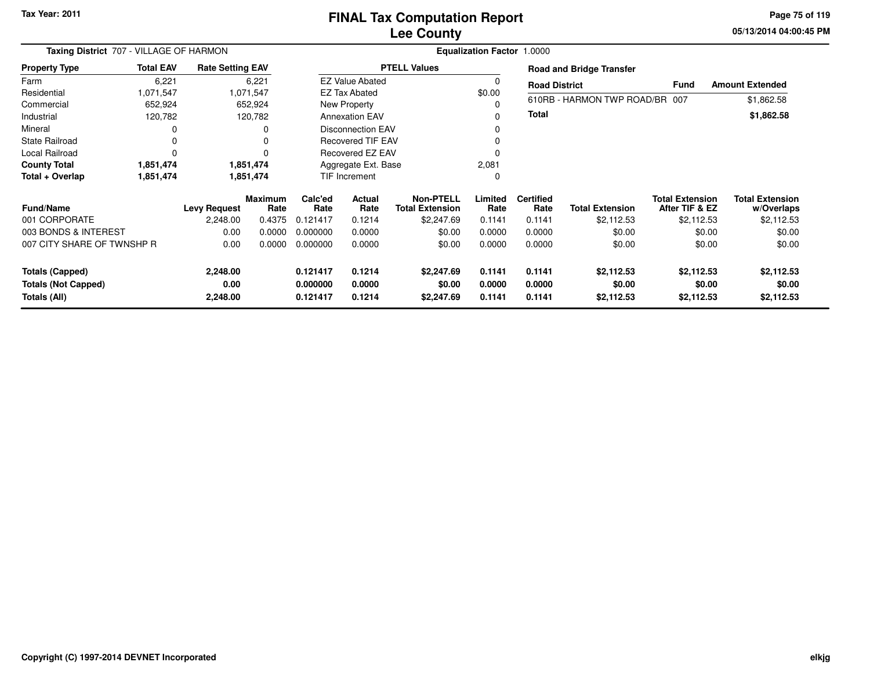# **Lee CountyFINAL Tax Computation Report**

**05/13/2014 04:00:45 PM Page 75 of 119**

|                            | Taxing District 707 - VILLAGE OF HARMON<br><b>Total EAV</b><br><b>Rate Setting EAV</b> |                     |                        |                     |                          |                                            | <b>Equalization Factor 1.0000</b> |                          |                                 |                                          |                                      |
|----------------------------|----------------------------------------------------------------------------------------|---------------------|------------------------|---------------------|--------------------------|--------------------------------------------|-----------------------------------|--------------------------|---------------------------------|------------------------------------------|--------------------------------------|
| <b>Property Type</b>       |                                                                                        |                     |                        |                     |                          | <b>PTELL Values</b>                        |                                   |                          | <b>Road and Bridge Transfer</b> |                                          |                                      |
| Farm                       | 6,221                                                                                  |                     | 6,221                  |                     | <b>EZ Value Abated</b>   |                                            |                                   | <b>Road District</b>     |                                 | <b>Fund</b>                              | <b>Amount Extended</b>               |
| Residential                | 1,071,547                                                                              |                     | 1,071,547              |                     | EZ Tax Abated            |                                            | \$0.00                            |                          |                                 |                                          |                                      |
| Commercial                 | 652,924                                                                                |                     | 652,924                |                     | New Property             |                                            |                                   |                          | 610RB - HARMON TWP ROAD/BR 007  |                                          | \$1,862.58                           |
| Industrial                 | 120,782                                                                                |                     | 120,782                |                     | <b>Annexation EAV</b>    |                                            |                                   | Total                    |                                 |                                          | \$1,862.58                           |
| Mineral                    |                                                                                        |                     | 0                      |                     | <b>Disconnection EAV</b> |                                            |                                   |                          |                                 |                                          |                                      |
| <b>State Railroad</b>      |                                                                                        |                     | 0                      |                     | <b>Recovered TIF EAV</b> |                                            |                                   |                          |                                 |                                          |                                      |
| Local Railroad             |                                                                                        |                     | n                      | Recovered EZ EAV    |                          |                                            |                                   |                          |                                 |                                          |                                      |
| <b>County Total</b>        | 1,851,474                                                                              |                     | 1,851,474              | Aggregate Ext. Base |                          |                                            | 2,081                             |                          |                                 |                                          |                                      |
| Total + Overlap            | 1,851,474                                                                              |                     | 1,851,474              | TIF Increment       |                          |                                            |                                   |                          |                                 |                                          |                                      |
| <b>Fund/Name</b>           |                                                                                        | <b>Levy Request</b> | <b>Maximum</b><br>Rate | Calc'ed<br>Rate     | Actual<br>Rate           | <b>Non-PTELL</b><br><b>Total Extension</b> | Limited<br>Rate                   | <b>Certified</b><br>Rate | <b>Total Extension</b>          | <b>Total Extension</b><br>After TIF & EZ | <b>Total Extension</b><br>w/Overlaps |
| 001 CORPORATE              |                                                                                        | 2,248.00            | 0.4375                 | 0.121417            | 0.1214                   | \$2,247.69                                 | 0.1141                            | 0.1141                   | \$2,112.53                      | \$2,112.53                               | \$2,112.53                           |
| 003 BONDS & INTEREST       |                                                                                        | 0.00                | 0.0000                 | 0.000000            | 0.0000                   | \$0.00                                     | 0.0000                            | 0.0000                   | \$0.00                          | \$0.00                                   | \$0.00                               |
| 007 CITY SHARE OF TWNSHP R |                                                                                        | 0.00                | 0.0000                 | 0.000000            | 0.0000                   | \$0.00                                     | 0.0000                            | 0.0000                   | \$0.00                          | \$0.00                                   | \$0.00                               |
| <b>Totals (Capped)</b>     |                                                                                        | 2,248.00            |                        | 0.121417            | 0.1214                   | \$2,247.69                                 | 0.1141                            | 0.1141                   | \$2,112.53                      | \$2,112.53                               | \$2,112.53                           |
| <b>Totals (Not Capped)</b> |                                                                                        | 0.00                |                        | 0.000000            | 0.0000                   | \$0.00                                     | 0.0000                            | 0.0000                   | \$0.00                          | \$0.00                                   | \$0.00                               |
| Totals (All)               |                                                                                        | 2,248.00            |                        | 0.121417            | 0.1214                   | \$2,247.69                                 | 0.1141                            | 0.1141                   | \$2,112.53                      | \$2,112.53                               | \$2,112.53                           |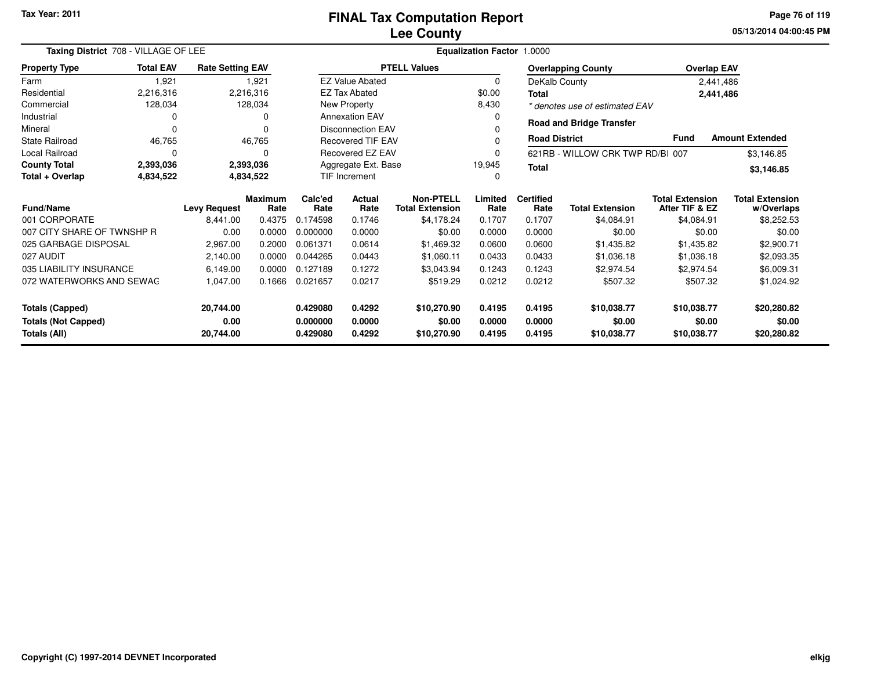**05/13/2014 04:00:45 PM Page 76 of 119**

| Taxing District 708 - VILLAGE OF LEE | Equalization Factor 1.0000 |                         |                        |                               |                          |                                            |                 |                                  |                                 |                                          |                                      |
|--------------------------------------|----------------------------|-------------------------|------------------------|-------------------------------|--------------------------|--------------------------------------------|-----------------|----------------------------------|---------------------------------|------------------------------------------|--------------------------------------|
| <b>Property Type</b>                 | <b>Total EAV</b>           | <b>Rate Setting EAV</b> |                        |                               |                          | <b>PTELL Values</b>                        |                 |                                  | <b>Overlapping County</b>       |                                          | <b>Overlap EAV</b>                   |
| Farm                                 | 1,921                      |                         | 1,921                  |                               | <b>EZ Value Abated</b>   |                                            | $\Omega$        |                                  | DeKalb County                   |                                          | 2,441,486                            |
| Residential                          | 2,216,316                  |                         | 2,216,316              |                               | <b>EZ Tax Abated</b>     |                                            | \$0.00          | <b>Total</b>                     |                                 |                                          | 2,441,486                            |
| Commercial                           | 128,034                    |                         | 128,034                |                               | New Property             |                                            | 8,430           |                                  | * denotes use of estimated EAV  |                                          |                                      |
| Industrial                           | 0                          |                         | 0                      |                               | <b>Annexation EAV</b>    |                                            |                 |                                  | <b>Road and Bridge Transfer</b> |                                          |                                      |
| Mineral                              | O                          |                         | O                      |                               | <b>Disconnection EAV</b> |                                            |                 |                                  |                                 |                                          |                                      |
| <b>State Railroad</b>                | 46,765                     |                         | 46,765                 |                               | Recovered TIF EAV        |                                            |                 | <b>Road District</b>             |                                 | <b>Fund</b>                              | <b>Amount Extended</b>               |
| Local Railroad                       | 0                          |                         | 0                      | Recovered EZ EAV              |                          |                                            |                 | 621RB - WILLOW CRK TWP RD/BI 007 |                                 | \$3,146.85                               |                                      |
| <b>County Total</b>                  | 2,393,036                  |                         | 2,393,036              | Aggregate Ext. Base<br>19,945 |                          |                                            | Total           |                                  |                                 | \$3,146.85                               |                                      |
| Total + Overlap                      | 4,834,522                  |                         | 4,834,522              | <b>TIF Increment</b>          |                          |                                            |                 |                                  |                                 |                                          |                                      |
| <b>Fund/Name</b>                     | <b>Levy Request</b>        |                         | <b>Maximum</b><br>Rate | Calc'ed<br>Rate               | <b>Actual</b><br>Rate    | <b>Non-PTELL</b><br><b>Total Extension</b> | Limited<br>Rate | <b>Certified</b><br>Rate         | <b>Total Extension</b>          | <b>Total Extension</b><br>After TIF & EZ | <b>Total Extension</b><br>w/Overlaps |
| 001 CORPORATE                        |                            | 8,441.00                | 0.4375                 | 0.174598                      | 0.1746                   | \$4,178.24                                 | 0.1707          | 0.1707                           | \$4,084.91                      | \$4,084.91                               | \$8,252.53                           |
| 007 CITY SHARE OF TWNSHP R           |                            | 0.00                    | 0.0000                 | 0.000000                      | 0.0000                   | \$0.00                                     | 0.0000          | 0.0000                           | \$0.00                          | \$0.00                                   | \$0.00                               |
| 025 GARBAGE DISPOSAL                 |                            | 2,967.00                | 0.2000                 | 0.061371                      | 0.0614                   | \$1,469.32                                 | 0.0600          | 0.0600                           | \$1,435.82                      | \$1,435.82                               | \$2,900.71                           |
| 027 AUDIT                            |                            | 2,140.00                | 0.0000                 | 0.044265                      | 0.0443                   | \$1,060.11                                 | 0.0433          | 0.0433                           | \$1,036.18                      | \$1,036.18                               | \$2,093.35                           |
| 035 LIABILITY INSURANCE              |                            | 6,149.00                | 0.0000                 | 0.127189                      | 0.1272                   | \$3,043.94                                 | 0.1243          | 0.1243                           | \$2,974.54                      | \$2,974.54                               | \$6,009.31                           |
| 072 WATERWORKS AND SEWAG             |                            | 1,047.00                | 0.1666                 | 0.021657                      | 0.0217                   | \$519.29                                   | 0.0212          | 0.0212                           | \$507.32                        | \$507.32                                 | \$1,024.92                           |
| <b>Totals (Capped)</b>               |                            | 20,744.00               |                        | 0.429080                      | 0.4292                   | \$10,270.90                                | 0.4195          | 0.4195                           | \$10,038.77                     | \$10,038.77                              | \$20,280.82                          |
| <b>Totals (Not Capped)</b>           |                            | 0.00                    |                        | 0.000000                      | 0.0000                   | \$0.00                                     | 0.0000          | 0.0000<br>\$0.00<br>\$0.00       |                                 |                                          | \$0.00                               |
| Totals (All)                         |                            | 20,744.00               |                        | 0.429080                      | 0.4292                   | \$10,270.90                                | 0.4195          | 0.4195                           | \$20,280.82<br>\$10,038.77      |                                          |                                      |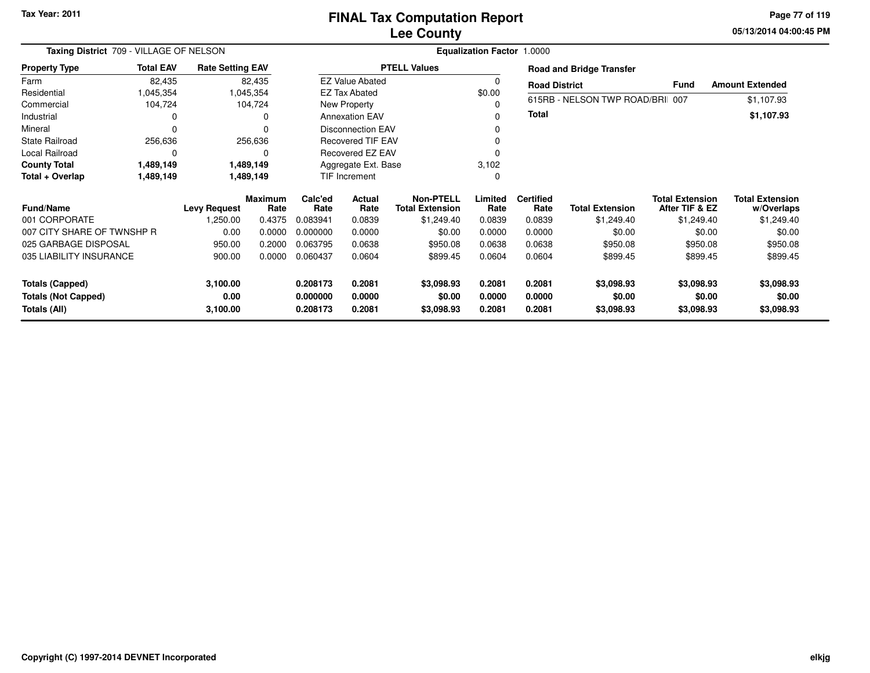**05/13/2014 04:00:45 PM Page 77 of 119**

| Taxing District 709 - VILLAGE OF NELSON    |                  |                         |                        |                      |                          |                                            | <b>Equalization Factor 1.0000</b> |                          |                                 |                                          |                                      |
|--------------------------------------------|------------------|-------------------------|------------------------|----------------------|--------------------------|--------------------------------------------|-----------------------------------|--------------------------|---------------------------------|------------------------------------------|--------------------------------------|
| <b>Property Type</b>                       | <b>Total EAV</b> | <b>Rate Setting EAV</b> |                        |                      |                          | <b>PTELL Values</b>                        |                                   |                          | <b>Road and Bridge Transfer</b> |                                          |                                      |
| Farm                                       | 82,435           |                         | 82,435                 |                      | <b>EZ Value Abated</b>   |                                            | 0                                 | <b>Road District</b>     |                                 | <b>Fund</b>                              | <b>Amount Extended</b>               |
| Residential                                | 1,045,354        |                         | 1,045,354              |                      | <b>EZ Tax Abated</b>     |                                            | \$0.00                            |                          |                                 |                                          |                                      |
| Commercial                                 | 104,724          |                         | 104,724                |                      | New Property             |                                            | 0                                 |                          | 615RB - NELSON TWP ROAD/BRI 007 |                                          | \$1,107.93                           |
| Industrial                                 | 0                |                         | 0                      |                      | <b>Annexation EAV</b>    |                                            | 0                                 | Total                    |                                 |                                          | \$1,107.93                           |
| Mineral                                    | $\Omega$         |                         | $\Omega$               |                      | <b>Disconnection EAV</b> |                                            | 0                                 |                          |                                 |                                          |                                      |
| <b>State Railroad</b>                      | 256,636          |                         | 256,636                |                      | <b>Recovered TIF EAV</b> |                                            | 0                                 |                          |                                 |                                          |                                      |
| Local Railroad                             | 0                |                         | 0                      |                      | Recovered EZ EAV         |                                            |                                   |                          |                                 |                                          |                                      |
| <b>County Total</b>                        | 1,489,149        |                         | 1,489,149              |                      | Aggregate Ext. Base      |                                            | 3,102                             |                          |                                 |                                          |                                      |
| Total + Overlap                            | 1,489,149        |                         | 1,489,149              | TIF Increment        |                          |                                            | 0                                 |                          |                                 |                                          |                                      |
| <b>Fund/Name</b>                           |                  | <b>Levy Request</b>     | <b>Maximum</b><br>Rate | Calc'ed<br>Rate      | Actual<br>Rate           | <b>Non-PTELL</b><br><b>Total Extension</b> | Limited<br>Rate                   | <b>Certified</b><br>Rate | <b>Total Extension</b>          | <b>Total Extension</b><br>After TIF & EZ | <b>Total Extension</b><br>w/Overlaps |
| 001 CORPORATE                              |                  | 1,250.00                | 0.4375                 | 0.083941             | 0.0839                   | \$1,249.40                                 | 0.0839                            | 0.0839                   | \$1,249.40                      | \$1,249.40                               | \$1,249.40                           |
| 007 CITY SHARE OF TWNSHP R                 |                  | 0.00                    | 0.0000                 | 0.000000             | 0.0000                   | \$0.00                                     | 0.0000                            | 0.0000                   | \$0.00                          | \$0.00                                   | \$0.00                               |
| 025 GARBAGE DISPOSAL                       |                  | 950.00                  | 0.2000                 | 0.063795             | 0.0638                   | \$950.08                                   | 0.0638                            | 0.0638                   | \$950.08                        | \$950.08                                 | \$950.08                             |
| 035 LIABILITY INSURANCE                    |                  | 900.00                  | 0.0000                 | 0.060437             | 0.0604                   | \$899.45                                   | 0.0604                            | 0.0604                   | \$899.45                        | \$899.45                                 | \$899.45                             |
| <b>Totals (Capped)</b>                     |                  | 3,100.00                |                        | 0.208173             | 0.2081                   | \$3,098.93                                 | 0.2081                            | 0.2081                   | \$3,098.93                      | \$3,098.93                               | \$3,098.93                           |
| <b>Totals (Not Capped)</b><br>Totals (All) |                  | 0.00<br>3,100.00        |                        | 0.000000<br>0.208173 | 0.0000<br>0.2081         | \$0.00<br>\$3,098.93                       | 0.0000<br>0.2081                  | 0.0000<br>0.2081         | \$0.00<br>\$3,098.93            | \$0.00<br>\$3,098.93                     | \$0.00<br>\$3,098.93                 |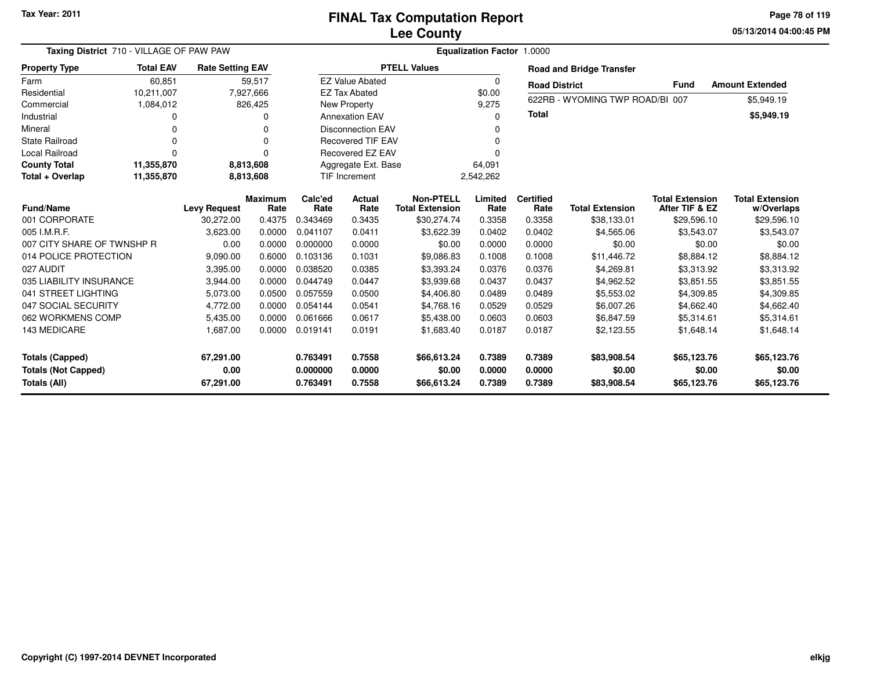**05/13/2014 04:00:45 PM Page 78 of 119**

| Taxing District 710 - VILLAGE OF PAW PAW<br>Equalization Factor 1.0000 |                  |                         |                        |                 |                          |                                            |                 |                          |                                 |                                          |                                      |
|------------------------------------------------------------------------|------------------|-------------------------|------------------------|-----------------|--------------------------|--------------------------------------------|-----------------|--------------------------|---------------------------------|------------------------------------------|--------------------------------------|
| <b>Property Type</b>                                                   | <b>Total EAV</b> | <b>Rate Setting EAV</b> |                        |                 |                          | <b>PTELL Values</b>                        |                 |                          | <b>Road and Bridge Transfer</b> |                                          |                                      |
| Farm                                                                   | 60,851           |                         | 59,517                 |                 | <b>EZ Value Abated</b>   |                                            | 0               | <b>Road District</b>     |                                 | Fund                                     | <b>Amount Extended</b>               |
| Residential                                                            | 10,211,007       |                         | 7,927,666              |                 | <b>EZ Tax Abated</b>     |                                            | \$0.00          |                          | 622RB - WYOMING TWP ROAD/BI 007 |                                          |                                      |
| Commercial                                                             | 1,084,012        |                         | 826,425                |                 | New Property             |                                            | 9,275           |                          |                                 |                                          | \$5,949.19                           |
| Industrial                                                             |                  |                         | 0                      |                 | <b>Annexation EAV</b>    |                                            | <sup>0</sup>    | Total                    |                                 |                                          | \$5,949.19                           |
| Mineral                                                                | 0                |                         | 0                      |                 | <b>Disconnection EAV</b> |                                            |                 |                          |                                 |                                          |                                      |
| <b>State Railroad</b>                                                  | 0                |                         | $\Omega$               |                 | <b>Recovered TIF EAV</b> |                                            | <sup>0</sup>    |                          |                                 |                                          |                                      |
| Local Railroad                                                         | $\Omega$         |                         | 0                      |                 | Recovered EZ EAV         |                                            |                 |                          |                                 |                                          |                                      |
| <b>County Total</b>                                                    | 11,355,870       |                         | 8,813,608              |                 | Aggregate Ext. Base      |                                            | 64,091          |                          |                                 |                                          |                                      |
| Total + Overlap                                                        | 11,355,870       |                         | 8,813,608              |                 | TIF Increment            |                                            | 2,542,262       |                          |                                 |                                          |                                      |
| <b>Fund/Name</b>                                                       |                  | <b>Levy Request</b>     | <b>Maximum</b><br>Rate | Calc'ed<br>Rate | Actual<br>Rate           | <b>Non-PTELL</b><br><b>Total Extension</b> | Limited<br>Rate | <b>Certified</b><br>Rate | <b>Total Extension</b>          | <b>Total Extension</b><br>After TIF & EZ | <b>Total Extension</b><br>w/Overlaps |
| 001 CORPORATE                                                          |                  | 30.272.00               | 0.4375                 | 0.343469        | 0.3435                   | \$30,274.74                                | 0.3358          | 0.3358                   | \$38,133.01                     | \$29,596.10                              | \$29,596.10                          |
| 005 I.M.R.F.                                                           |                  | 3,623.00                | 0.0000                 | 0.041107        | 0.0411                   | \$3,622.39                                 | 0.0402          | 0.0402                   | \$4,565.06                      | \$3,543.07                               | \$3,543.07                           |
| 007 CITY SHARE OF TWNSHP R                                             |                  | 0.00                    | 0.0000                 | 0.000000        | 0.0000                   | \$0.00                                     | 0.0000          | 0.0000                   | \$0.00                          | \$0.00                                   | \$0.00                               |
| 014 POLICE PROTECTION                                                  |                  | 9,090.00                | 0.6000                 | 0.103136        | 0.1031                   | \$9,086.83                                 | 0.1008          | 0.1008                   | \$11,446.72                     | \$8,884.12                               | \$8,884.12                           |
| 027 AUDIT                                                              |                  | 3,395.00                | 0.0000                 | 0.038520        | 0.0385                   | \$3,393.24                                 | 0.0376          | 0.0376                   | \$4,269.81                      | \$3,313.92                               | \$3,313.92                           |
| 035 LIABILITY INSURANCE                                                |                  | 3,944.00                | 0.0000                 | 0.044749        | 0.0447                   | \$3,939.68                                 | 0.0437          | 0.0437                   | \$4,962.52                      | \$3,851.55                               | \$3,851.55                           |
| 041 STREET LIGHTING                                                    |                  | 5,073.00                | 0.0500                 | 0.057559        | 0.0500                   | \$4,406.80                                 | 0.0489          | 0.0489                   | \$5,553.02                      | \$4,309.85                               | \$4,309.85                           |
| 047 SOCIAL SECURITY                                                    |                  | 4,772.00                | 0.0000                 | 0.054144        | 0.0541                   | \$4,768.16                                 | 0.0529          | 0.0529                   | \$6,007.26                      | \$4,662.40                               | \$4,662.40                           |
| 062 WORKMENS COMP                                                      |                  | 5,435.00                | 0.0000                 | 0.061666        | 0.0617                   | \$5,438.00                                 | 0.0603          | 0.0603                   | \$6,847.59                      | \$5,314.61                               | \$5,314.61                           |
| 143 MEDICARE                                                           |                  | 1,687.00                | 0.0000                 | 0.019141        | 0.0191                   | \$1,683.40                                 | 0.0187          | 0.0187                   | \$2,123.55                      | \$1,648.14                               | \$1,648.14                           |
| <b>Totals (Capped)</b>                                                 |                  | 67,291.00               |                        | 0.763491        | 0.7558                   | \$66,613.24                                | 0.7389          | 0.7389                   | \$83,908.54                     | \$65,123.76                              | \$65,123.76                          |
| <b>Totals (Not Capped)</b>                                             |                  | 0.00                    |                        | 0.000000        | 0.0000                   | \$0.00                                     | 0.0000          | 0.0000                   | \$0.00                          | \$0.00                                   | \$0.00                               |
| Totals (All)                                                           |                  | 67,291.00               |                        | 0.763491        | 0.7558                   | \$66,613.24                                | 0.7389          | 0.7389                   | \$83,908.54                     | \$65,123.76                              | \$65,123.76                          |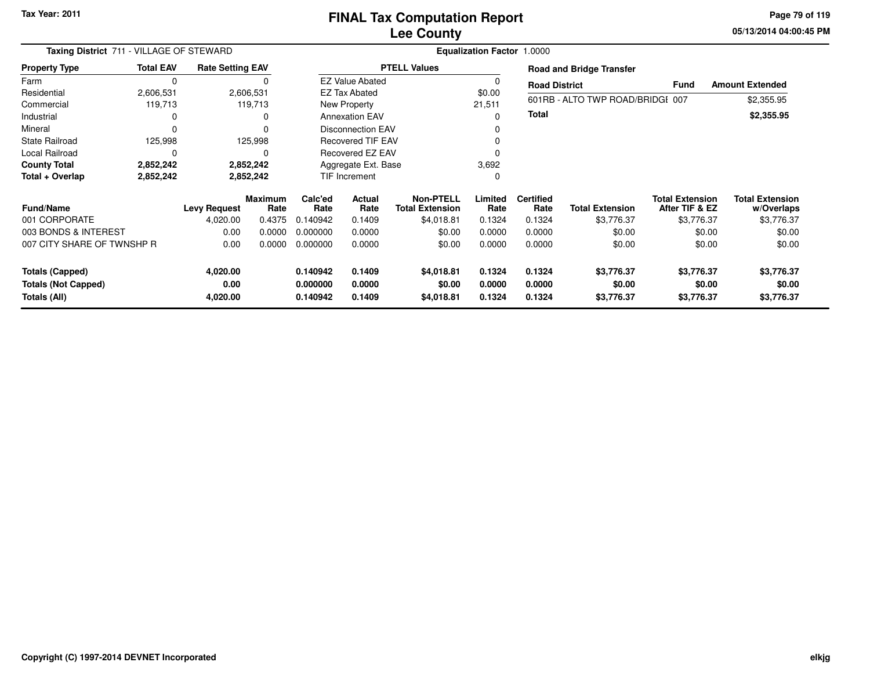**05/13/2014 04:00:45 PM Page 79 of 119**

| Taxing District 711 - VILLAGE OF STEWARD   |                  |                         |                        |                      |                          |                                            | <b>Equalization Factor 1.0000</b> |                          |                                  |                                          |                                      |
|--------------------------------------------|------------------|-------------------------|------------------------|----------------------|--------------------------|--------------------------------------------|-----------------------------------|--------------------------|----------------------------------|------------------------------------------|--------------------------------------|
| <b>Property Type</b>                       | <b>Total EAV</b> | <b>Rate Setting EAV</b> |                        |                      |                          | <b>PTELL Values</b>                        |                                   |                          | <b>Road and Bridge Transfer</b>  |                                          |                                      |
| Farm                                       | $\mathbf 0$      |                         | 0                      |                      | <b>EZ Value Abated</b>   |                                            | O                                 | <b>Road District</b>     |                                  | <b>Fund</b>                              | <b>Amount Extended</b>               |
| Residential                                | 2,606,531        |                         | 2,606,531              |                      | <b>EZ Tax Abated</b>     |                                            | \$0.00                            |                          |                                  |                                          |                                      |
| Commercial                                 | 119,713          |                         | 119,713                |                      | <b>New Property</b>      |                                            | 21,511                            |                          | 601RB - ALTO TWP ROAD/BRIDGI 007 |                                          | \$2,355.95                           |
| Industrial                                 | 0                |                         | 0                      |                      | <b>Annexation EAV</b>    |                                            | 0                                 | <b>Total</b>             |                                  |                                          | \$2,355.95                           |
| Mineral                                    | $\Omega$         |                         | 0                      |                      | Disconnection EAV        |                                            |                                   |                          |                                  |                                          |                                      |
| <b>State Railroad</b>                      | 125,998          |                         | 125,998                |                      | <b>Recovered TIF EAV</b> |                                            |                                   |                          |                                  |                                          |                                      |
| Local Railroad                             | 0                |                         | 0                      |                      | <b>Recovered EZ EAV</b>  |                                            |                                   |                          |                                  |                                          |                                      |
| <b>County Total</b>                        | 2,852,242        |                         | 2,852,242              | Aggregate Ext. Base  |                          |                                            | 3,692                             |                          |                                  |                                          |                                      |
| Total + Overlap                            | 2,852,242        |                         | 2,852,242              |                      | TIF Increment<br>0       |                                            |                                   |                          |                                  |                                          |                                      |
| <b>Fund/Name</b>                           |                  | <b>Levy Request</b>     | <b>Maximum</b><br>Rate | Calc'ed<br>Rate      | Actual<br>Rate           | <b>Non-PTELL</b><br><b>Total Extension</b> | Limited<br>Rate                   | <b>Certified</b><br>Rate | <b>Total Extension</b>           | <b>Total Extension</b><br>After TIF & EZ | <b>Total Extension</b><br>w/Overlaps |
| 001 CORPORATE                              |                  | 4,020.00                | 0.4375                 | 0.140942             | 0.1409                   | \$4,018.81                                 | 0.1324                            | 0.1324                   | \$3,776.37                       | \$3,776.37                               | \$3,776.37                           |
| 003 BONDS & INTEREST                       |                  | 0.00                    | 0.0000                 | 0.000000             | 0.0000                   | \$0.00                                     | 0.0000                            | 0.0000                   | \$0.00                           | \$0.00                                   | \$0.00                               |
| 007 CITY SHARE OF TWNSHP R                 |                  | 0.00                    | 0.0000                 | 0.000000             | 0.0000                   | \$0.00                                     | 0.0000                            | 0.0000                   | \$0.00                           | \$0.00                                   | \$0.00                               |
| <b>Totals (Capped)</b>                     |                  | 4,020.00                |                        | 0.140942             | 0.1409                   | \$4,018.81                                 | 0.1324                            | 0.1324                   | \$3,776.37                       | \$3,776.37                               | \$3,776.37                           |
| <b>Totals (Not Capped)</b><br>Totals (All) |                  | 0.00<br>4,020.00        |                        | 0.000000<br>0.140942 | 0.0000<br>0.1409         | \$0.00<br>\$4,018.81                       | 0.0000<br>0.1324                  | 0.0000<br>0.1324         | \$0.00<br>\$3,776.37             | \$0.00<br>\$3,776.37                     | \$0.00<br>\$3,776.37                 |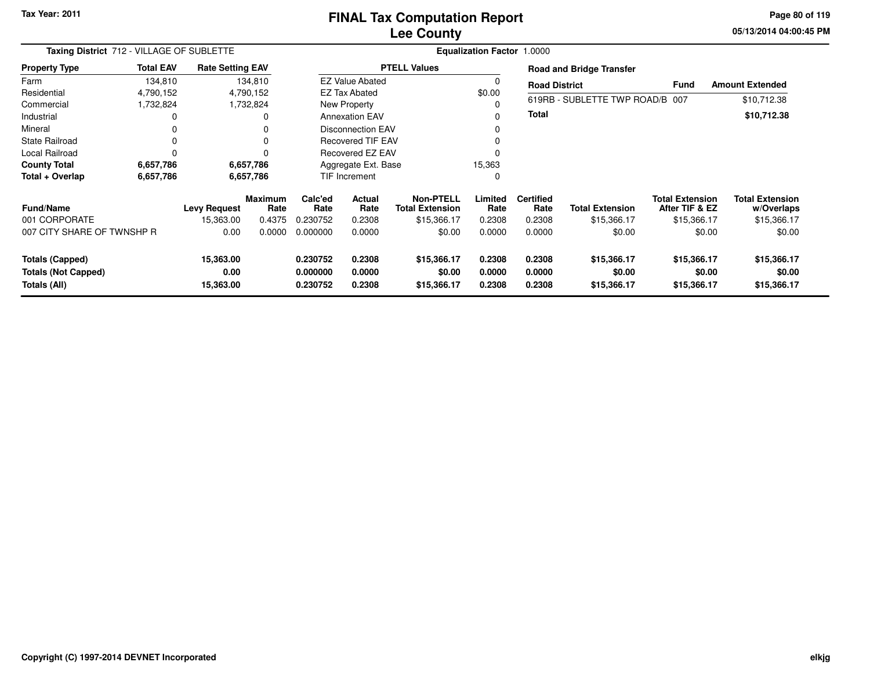### **Lee CountyFINAL Tax Computation Report**

**05/13/2014 04:00:45 PM Page 80 of 119**

| Taxing District 712 - VILLAGE OF SUBLETTE |                  |                         |                        |                               |                          |                                     | Equalization Factor 1.0000 |                          |                                 |                                          |                                      |
|-------------------------------------------|------------------|-------------------------|------------------------|-------------------------------|--------------------------|-------------------------------------|----------------------------|--------------------------|---------------------------------|------------------------------------------|--------------------------------------|
| <b>Property Type</b>                      | <b>Total EAV</b> | <b>Rate Setting EAV</b> |                        |                               |                          | <b>PTELL Values</b>                 |                            |                          | <b>Road and Bridge Transfer</b> |                                          |                                      |
| Farm                                      | 134,810          |                         | 134,810                |                               | <b>EZ Value Abated</b>   |                                     | 0                          | <b>Road District</b>     |                                 | <b>Fund</b>                              | <b>Amount Extended</b>               |
| Residential                               | 4,790,152        |                         | 4,790,152              |                               | <b>EZ Tax Abated</b>     |                                     | \$0.00                     |                          |                                 |                                          |                                      |
| Commercial                                | 1,732,824        |                         | 1,732,824              |                               | New Property             |                                     | 0                          |                          | 619RB - SUBLETTE TWP ROAD/B 007 |                                          | \$10,712.38                          |
| Industrial                                |                  |                         |                        |                               | <b>Annexation EAV</b>    |                                     | 0                          | Total                    |                                 |                                          | \$10,712.38                          |
| Mineral                                   |                  |                         |                        | <b>Disconnection EAV</b><br>0 |                          |                                     |                            |                          |                                 |                                          |                                      |
| State Railroad                            |                  |                         |                        |                               | <b>Recovered TIF EAV</b> |                                     | $\Omega$                   |                          |                                 |                                          |                                      |
| Local Railroad                            |                  |                         |                        |                               | Recovered EZ EAV         |                                     | $\Omega$                   |                          |                                 |                                          |                                      |
| <b>County Total</b>                       | 6,657,786        |                         | 6,657,786              |                               | Aggregate Ext. Base      |                                     |                            |                          |                                 |                                          |                                      |
| Total + Overlap                           | 6,657,786        |                         | 6,657,786              |                               | TIF Increment            |                                     | $\Omega$                   |                          |                                 |                                          |                                      |
| <b>Fund/Name</b>                          |                  | <b>Levy Request</b>     | <b>Maximum</b><br>Rate | Calc'ed<br>Rate               | Actual<br>Rate           | Non-PTELL<br><b>Total Extension</b> | Limited<br>Rate            | <b>Certified</b><br>Rate | <b>Total Extension</b>          | <b>Total Extension</b><br>After TIF & EZ | <b>Total Extension</b><br>w/Overlaps |
| 001 CORPORATE                             |                  | 15,363.00               | 0.4375                 | 0.230752                      | 0.2308                   | \$15,366.17                         | 0.2308                     | 0.2308                   | \$15,366.17                     | \$15,366.17                              | \$15,366.17                          |
| 007 CITY SHARE OF TWNSHP R                |                  | 0.00                    | 0.0000                 | 0.000000                      | 0.0000                   | \$0.00                              | 0.0000                     | 0.0000                   | \$0.00                          | \$0.00                                   | \$0.00                               |
| <b>Totals (Capped)</b>                    |                  | 15,363.00               |                        | 0.230752                      | 0.2308                   | \$15,366.17                         | 0.2308                     | 0.2308                   | \$15,366.17                     | \$15,366.17                              | \$15,366.17                          |
| <b>Totals (Not Capped)</b>                |                  | 0.00                    |                        | 0.000000                      | 0.0000                   | \$0.00                              | 0.0000                     | 0.0000                   | \$0.00                          | \$0.00                                   | \$0.00                               |
| Totals (All)                              |                  | 15,363.00               |                        | 0.230752                      | 0.2308                   | \$15,366.17                         | 0.2308                     | 0.2308                   | \$15,366.17                     | \$15,366.17                              | \$15,366.17                          |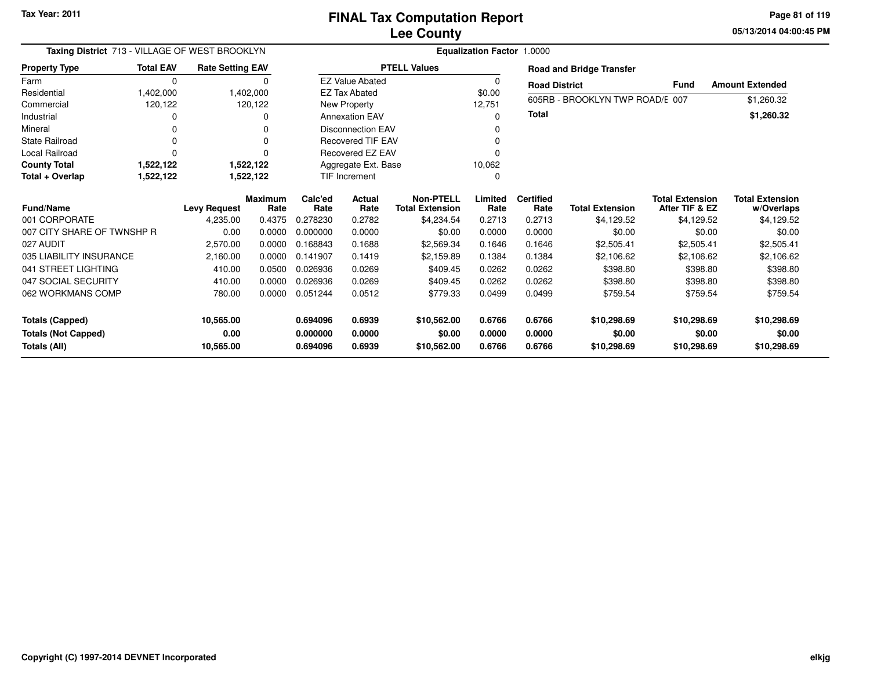**05/13/2014 04:00:45 PM Page 81 of 119**

| Taxing District 713 - VILLAGE OF WEST BROOKLYN       |                  |                         | <b>Equalization Factor 1.0000</b> |                      |                          |                                            |                  |                          |                                 |                                          |                                      |
|------------------------------------------------------|------------------|-------------------------|-----------------------------------|----------------------|--------------------------|--------------------------------------------|------------------|--------------------------|---------------------------------|------------------------------------------|--------------------------------------|
| <b>Property Type</b>                                 | <b>Total EAV</b> | <b>Rate Setting EAV</b> |                                   |                      |                          | <b>PTELL Values</b>                        |                  |                          | <b>Road and Bridge Transfer</b> |                                          |                                      |
| Farm                                                 | $\Omega$         |                         | $\Omega$                          |                      | <b>EZ Value Abated</b>   |                                            | 0                | <b>Road District</b>     |                                 | <b>Fund</b>                              | <b>Amount Extended</b>               |
| Residential                                          | 1,402,000        |                         | 1,402,000                         |                      | <b>EZ Tax Abated</b>     |                                            | \$0.00           |                          | 605RB - BROOKLYN TWP ROAD/E 007 |                                          | \$1,260.32                           |
| Commercial                                           | 120,122          |                         | 120,122                           |                      | New Property             |                                            | 12,751           |                          |                                 |                                          |                                      |
| Industrial                                           | 0                |                         | 0                                 |                      | <b>Annexation EAV</b>    |                                            | 0                | <b>Total</b>             |                                 |                                          | \$1,260.32                           |
| Mineral                                              | ŋ                |                         | n                                 |                      | <b>Disconnection EAV</b> |                                            |                  |                          |                                 |                                          |                                      |
| <b>State Railroad</b>                                |                  |                         |                                   |                      | <b>Recovered TIF EAV</b> |                                            |                  |                          |                                 |                                          |                                      |
| <b>Local Railroad</b>                                |                  |                         |                                   |                      | <b>Recovered EZ EAV</b>  |                                            | 0                |                          |                                 |                                          |                                      |
| <b>County Total</b>                                  | 1,522,122        |                         | 1,522,122                         | Aggregate Ext. Base  |                          |                                            | 10,062           |                          |                                 |                                          |                                      |
| Total + Overlap                                      | 1,522,122        |                         | 1,522,122                         | <b>TIF Increment</b> |                          |                                            | 0                |                          |                                 |                                          |                                      |
| <b>Fund/Name</b>                                     |                  | <b>Levy Request</b>     | <b>Maximum</b><br>Rate            | Calc'ed<br>Rate      | Actual<br>Rate           | <b>Non-PTELL</b><br><b>Total Extension</b> | Limited<br>Rate  | <b>Certified</b><br>Rate | <b>Total Extension</b>          | <b>Total Extension</b><br>After TIF & EZ | <b>Total Extension</b><br>w/Overlaps |
| 001 CORPORATE                                        |                  | 4,235.00                | 0.4375                            | 0.278230             | 0.2782                   | \$4,234.54                                 | 0.2713           | 0.2713                   | \$4,129.52                      | \$4,129.52                               | \$4,129.52                           |
| 007 CITY SHARE OF TWNSHP R                           |                  | 0.00                    | 0.0000                            | 0.000000             | 0.0000                   | \$0.00                                     | 0.0000           | 0.0000                   | \$0.00                          | \$0.00                                   | \$0.00                               |
| 027 AUDIT                                            |                  | 2,570.00                | 0.0000                            | 0.168843             | 0.1688                   | \$2,569.34                                 | 0.1646           | 0.1646                   | \$2,505.41                      | \$2,505.41                               | \$2,505.41                           |
| 035 LIABILITY INSURANCE                              |                  | 2,160.00                | 0.0000                            | 0.141907             | 0.1419                   | \$2.159.89                                 | 0.1384           | 0.1384                   | \$2,106.62                      | \$2,106.62                               | \$2,106.62                           |
| 041 STREET LIGHTING                                  |                  | 410.00                  | 0.0500                            | 0.026936             | 0.0269                   | \$409.45                                   | 0.0262           | 0.0262                   | \$398.80                        | \$398.80                                 | \$398.80                             |
| 047 SOCIAL SECURITY                                  |                  | 410.00                  | 0.0000                            | 0.026936             | 0.0269                   | \$409.45                                   | 0.0262           | 0.0262                   | \$398.80                        | \$398.80                                 | \$398.80                             |
| 062 WORKMANS COMP                                    |                  | 780.00                  | 0.0000                            | 0.051244             | 0.0512                   | \$779.33                                   | 0.0499           | 0.0499                   | \$759.54                        | \$759.54                                 | \$759.54                             |
| <b>Totals (Capped)</b><br><b>Totals (Not Capped)</b> |                  | 10,565.00<br>0.00       |                                   | 0.694096<br>0.000000 | 0.6939<br>0.0000         | \$10,562.00<br>\$0.00                      | 0.6766<br>0.0000 | 0.6766<br>0.0000         | \$10,298.69<br>\$0.00           | \$10,298.69<br>\$0.00                    | \$10,298.69<br>\$0.00                |
| Totals (All)                                         |                  | 10,565.00               |                                   | 0.694096             | 0.6939                   | \$10,562.00                                | 0.6766           | 0.6766                   | \$10,298.69                     | \$10,298.69                              | \$10,298.69                          |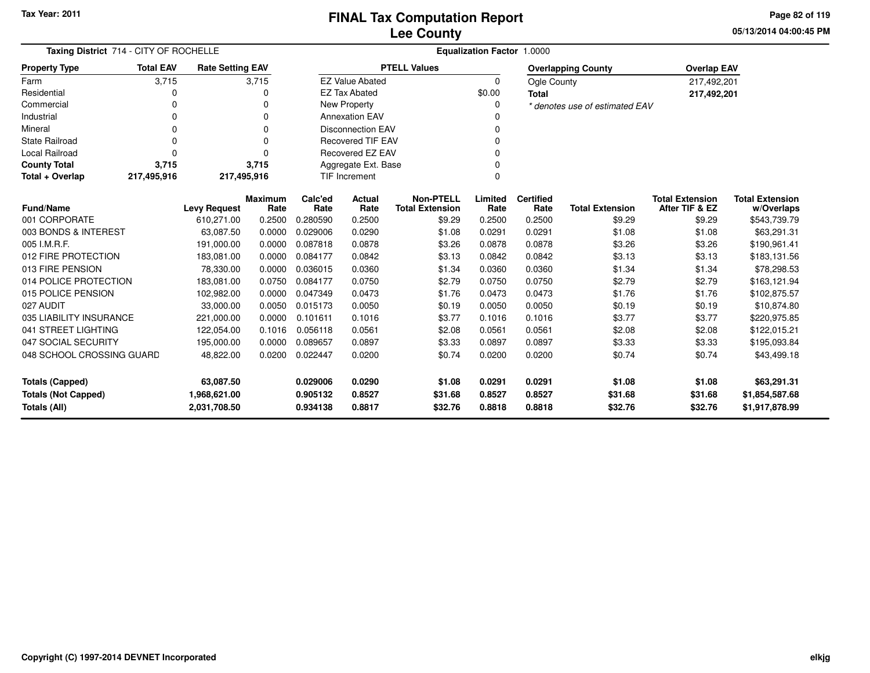**05/13/2014 04:00:45 PM Page 82 of 119**

| Taxing District 714 - CITY OF ROCHELLE                                                                                                                                                                                                                                                                                                          | <b>Equalization Factor 1.0000</b> |                         |                        |                                                 |                          |                                            |                 |                          |                                |                                          |                                      |
|-------------------------------------------------------------------------------------------------------------------------------------------------------------------------------------------------------------------------------------------------------------------------------------------------------------------------------------------------|-----------------------------------|-------------------------|------------------------|-------------------------------------------------|--------------------------|--------------------------------------------|-----------------|--------------------------|--------------------------------|------------------------------------------|--------------------------------------|
| <b>Property Type</b>                                                                                                                                                                                                                                                                                                                            | <b>Total EAV</b>                  | <b>Rate Setting EAV</b> |                        |                                                 |                          | <b>PTELL Values</b>                        |                 |                          | <b>Overlapping County</b>      | <b>Overlap EAV</b>                       |                                      |
| Farm                                                                                                                                                                                                                                                                                                                                            | 3,715                             |                         | 3,715                  |                                                 | <b>EZ Value Abated</b>   |                                            | $\Omega$        | Ogle County              |                                | 217,492,201                              |                                      |
| Residential                                                                                                                                                                                                                                                                                                                                     | 0                                 |                         | 0                      |                                                 | <b>EZ Tax Abated</b>     |                                            | \$0.00          | <b>Total</b>             |                                | 217,492,201                              |                                      |
| Commercial                                                                                                                                                                                                                                                                                                                                      | 0                                 |                         | 0                      |                                                 | <b>New Property</b>      |                                            | 0               |                          | * denotes use of estimated EAV |                                          |                                      |
| Industrial                                                                                                                                                                                                                                                                                                                                      | 0                                 |                         | $\Omega$               |                                                 | <b>Annexation EAV</b>    |                                            |                 |                          |                                |                                          |                                      |
| Mineral                                                                                                                                                                                                                                                                                                                                         | 0                                 |                         | $\Omega$               |                                                 | <b>Disconnection EAV</b> |                                            | 0               |                          |                                |                                          |                                      |
| <b>State Railroad</b>                                                                                                                                                                                                                                                                                                                           | $\mathbf 0$                       |                         | $\mathbf 0$            |                                                 | <b>Recovered TIF EAV</b> |                                            | 0               |                          |                                |                                          |                                      |
| <b>Local Railroad</b>                                                                                                                                                                                                                                                                                                                           | $\Omega$                          |                         | $\Omega$               |                                                 | Recovered EZ EAV         |                                            | $\Omega$        |                          |                                |                                          |                                      |
| <b>County Total</b>                                                                                                                                                                                                                                                                                                                             | 3,715                             |                         | 3,715                  |                                                 | Aggregate Ext. Base      |                                            | $\Omega$        |                          |                                |                                          |                                      |
| Total + Overlap                                                                                                                                                                                                                                                                                                                                 | 217,495,916                       | 217,495,916             |                        | <b>TIF Increment</b><br>0                       |                          |                                            |                 |                          |                                |                                          |                                      |
| <b>Fund/Name</b>                                                                                                                                                                                                                                                                                                                                |                                   | <b>Levy Request</b>     | <b>Maximum</b><br>Rate | Calc'ed<br>Rate                                 | <b>Actual</b><br>Rate    | <b>Non-PTELL</b><br><b>Total Extension</b> | Limited<br>Rate | <b>Certified</b><br>Rate | <b>Total Extension</b>         | <b>Total Extension</b><br>After TIF & EZ | <b>Total Extension</b><br>w/Overlaps |
| 001 CORPORATE                                                                                                                                                                                                                                                                                                                                   |                                   | 610,271.00              | 0.2500                 | 0.280590                                        | 0.2500                   | \$9.29                                     | 0.2500          | 0.2500                   | \$9.29                         | \$9.29                                   | \$543,739.79                         |
| 003 BONDS & INTEREST                                                                                                                                                                                                                                                                                                                            |                                   | 63,087.50               | 0.0000                 | 0.029006                                        | 0.0290                   | \$1.08                                     | 0.0291          | 0.0291                   | \$1.08                         | \$1.08                                   | \$63,291.31                          |
| 005 I.M.R.F.                                                                                                                                                                                                                                                                                                                                    |                                   | 191,000.00              | 0.0000                 | 0.087818                                        | 0.0878                   | \$3.26                                     | 0.0878          | 0.0878                   | \$3.26                         | \$3.26                                   | \$190,961.41                         |
| 012 FIRE PROTECTION                                                                                                                                                                                                                                                                                                                             |                                   | 183,081.00              | 0.0000                 | 0.084177                                        | 0.0842                   | \$3.13                                     | 0.0842          | 0.0842                   | \$3.13                         | \$3.13                                   | \$183,131.56                         |
| 013 FIRE PENSION                                                                                                                                                                                                                                                                                                                                |                                   | 78,330.00               | 0.0000                 | 0.036015                                        | 0.0360                   | \$1.34                                     | 0.0360          | 0.0360                   | \$1.34                         | \$1.34                                   | \$78,298.53                          |
| 014 POLICE PROTECTION                                                                                                                                                                                                                                                                                                                           |                                   | 183,081.00              | 0.0750                 | 0.084177                                        | 0.0750                   | \$2.79                                     | 0.0750          | 0.0750                   | \$2.79                         | \$2.79                                   | \$163,121.94                         |
| 015 POLICE PENSION                                                                                                                                                                                                                                                                                                                              |                                   | 102,982.00              | 0.0000                 | 0.047349                                        | 0.0473                   | \$1.76                                     | 0.0473          | 0.0473                   | \$1.76                         | \$1.76                                   | \$102,875.57                         |
| 027 AUDIT                                                                                                                                                                                                                                                                                                                                       |                                   | 33,000.00               | 0.0050                 | 0.015173                                        | 0.0050                   | \$0.19                                     | 0.0050          | 0.0050                   | \$0.19                         | \$0.19                                   | \$10,874.80                          |
| 035 LIABILITY INSURANCE                                                                                                                                                                                                                                                                                                                         |                                   | 221,000.00              | 0.0000                 | 0.101611                                        | 0.1016                   | \$3.77                                     | 0.1016          | 0.1016                   | \$3.77                         | \$3.77                                   | \$220,975.85                         |
| 041 STREET LIGHTING                                                                                                                                                                                                                                                                                                                             |                                   | 122,054.00              | 0.1016                 | 0.056118                                        | 0.0561                   | \$2.08                                     | 0.0561          | 0.0561                   | \$2.08                         | \$2.08                                   | \$122,015.21                         |
| 047 SOCIAL SECURITY                                                                                                                                                                                                                                                                                                                             |                                   | 195,000.00              | 0.0000                 | 0.089657                                        | 0.0897                   | \$3.33                                     | 0.0897          | 0.0897                   | \$3.33                         | \$3.33                                   | \$195,093.84                         |
| 048 SCHOOL CROSSING GUARD                                                                                                                                                                                                                                                                                                                       |                                   | 48,822.00               | 0.0200                 | 0.022447                                        | 0.0200                   | \$0.74                                     | 0.0200          | 0.0200                   | \$0.74                         | \$0.74                                   | \$43,499.18                          |
| 0.0290<br>0.0291<br><b>Totals (Capped)</b><br>63,087.50<br>0.029006<br>\$1.08<br>0.0291<br>\$1.08<br>\$1.08<br><b>Totals (Not Capped)</b><br>\$31.68<br>0.8527<br>1,968,621.00<br>0.905132<br>0.8527<br>0.8527<br>\$31.68<br>\$31.68<br>0.934138<br>0.8817<br>\$32.76<br>0.8818<br>\$32.76<br>Totals (All)<br>2,031,708.50<br>0.8818<br>\$32.76 |                                   |                         |                        | \$63,291.31<br>\$1,854,587.68<br>\$1,917,878.99 |                          |                                            |                 |                          |                                |                                          |                                      |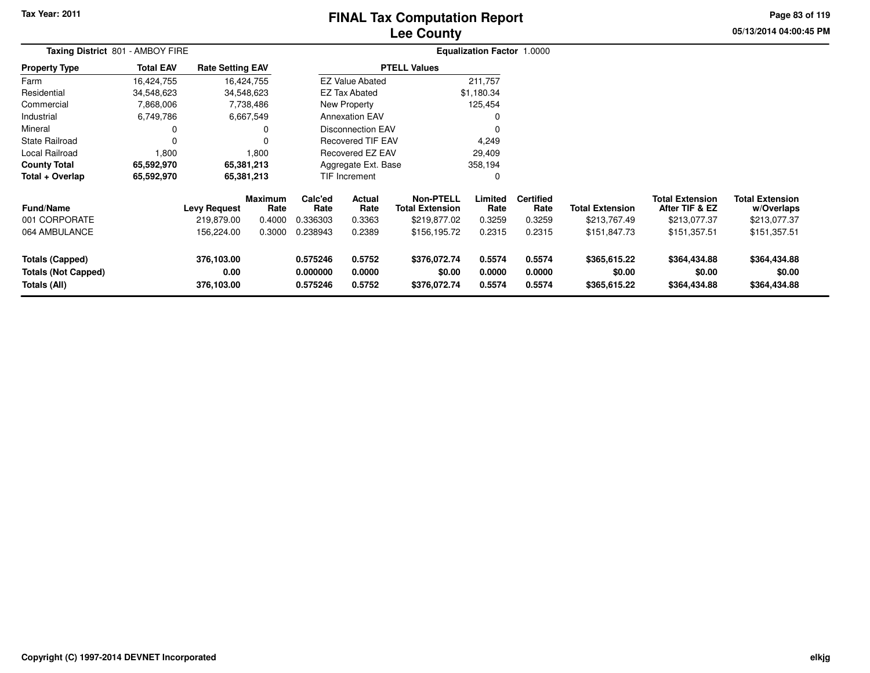# **Lee CountyFINAL Tax Computation Report**

**05/13/2014 04:00:45 PM Page 83 of 119**

| Taxing District 801 - AMBOY FIRE                                     |                  |                                  |                        | Equalization Factor 1.0000        |                            |                                            |                            |                            |                                        |                                          |                                        |  |  |  |
|----------------------------------------------------------------------|------------------|----------------------------------|------------------------|-----------------------------------|----------------------------|--------------------------------------------|----------------------------|----------------------------|----------------------------------------|------------------------------------------|----------------------------------------|--|--|--|
| <b>Property Type</b>                                                 | <b>Total EAV</b> | <b>Rate Setting EAV</b>          |                        |                                   |                            | <b>PTELL Values</b>                        |                            |                            |                                        |                                          |                                        |  |  |  |
| Farm                                                                 | 16,424,755       | 16,424,755                       |                        |                                   | <b>EZ Value Abated</b>     |                                            | 211,757                    |                            |                                        |                                          |                                        |  |  |  |
| Residential                                                          | 34,548,623       | 34,548,623                       |                        |                                   | <b>EZ Tax Abated</b>       |                                            | \$1,180.34                 |                            |                                        |                                          |                                        |  |  |  |
| Commercial                                                           | 7,868,006        |                                  | 7,738,486              |                                   | New Property               |                                            | 125,454                    |                            |                                        |                                          |                                        |  |  |  |
| Industrial                                                           | 6,749,786        |                                  | 6,667,549              |                                   | <b>Annexation EAV</b>      |                                            | 0                          |                            |                                        |                                          |                                        |  |  |  |
| Mineral                                                              | 0                |                                  | 0                      |                                   | <b>Disconnection EAV</b>   |                                            | 0                          |                            |                                        |                                          |                                        |  |  |  |
| <b>State Railroad</b>                                                | $\Omega$         |                                  | $\Omega$               |                                   | <b>Recovered TIF EAV</b>   |                                            | 4,249                      |                            |                                        |                                          |                                        |  |  |  |
| Local Railroad                                                       | 1,800            |                                  | 1,800                  | <b>Recovered EZ EAV</b><br>29,409 |                            |                                            |                            |                            |                                        |                                          |                                        |  |  |  |
| <b>County Total</b>                                                  | 65,592,970       | 65,381,213                       |                        |                                   | Aggregate Ext. Base        |                                            | 358,194                    |                            |                                        |                                          |                                        |  |  |  |
| Total + Overlap                                                      | 65,592,970       | 65,381,213                       |                        |                                   | <b>TIF Increment</b>       |                                            | 0                          |                            |                                        |                                          |                                        |  |  |  |
| <b>Fund/Name</b>                                                     |                  | <b>Levy Request</b>              | <b>Maximum</b><br>Rate | Calc'ed<br>Rate                   | <b>Actual</b><br>Rate      | <b>Non-PTELL</b><br><b>Total Extension</b> | Limited<br>Rate            | <b>Certified</b><br>Rate   | <b>Total Extension</b>                 | <b>Total Extension</b><br>After TIF & EZ | <b>Total Extension</b><br>w/Overlaps   |  |  |  |
| 001 CORPORATE                                                        |                  | 219,879.00                       | 0.4000                 | 0.336303                          | 0.3363                     | \$219,877.02                               | 0.3259                     | 0.3259                     | \$213,767.49                           | \$213,077.37                             | \$213,077.37                           |  |  |  |
| 064 AMBULANCE                                                        |                  | 156,224.00                       | 0.3000                 | 0.238943                          | 0.2389                     | \$156,195.72                               | 0.2315                     | 0.2315                     | \$151,847.73                           | \$151,357.51                             | \$151,357.51                           |  |  |  |
| <b>Totals (Capped)</b><br><b>Totals (Not Capped)</b><br>Totals (All) |                  | 376,103.00<br>0.00<br>376,103.00 |                        | 0.575246<br>0.000000<br>0.575246  | 0.5752<br>0.0000<br>0.5752 | \$376,072.74<br>\$0.00<br>\$376,072.74     | 0.5574<br>0.0000<br>0.5574 | 0.5574<br>0.0000<br>0.5574 | \$365,615.22<br>\$0.00<br>\$365,615.22 | \$364,434.88<br>\$0.00<br>\$364,434.88   | \$364,434.88<br>\$0.00<br>\$364,434.88 |  |  |  |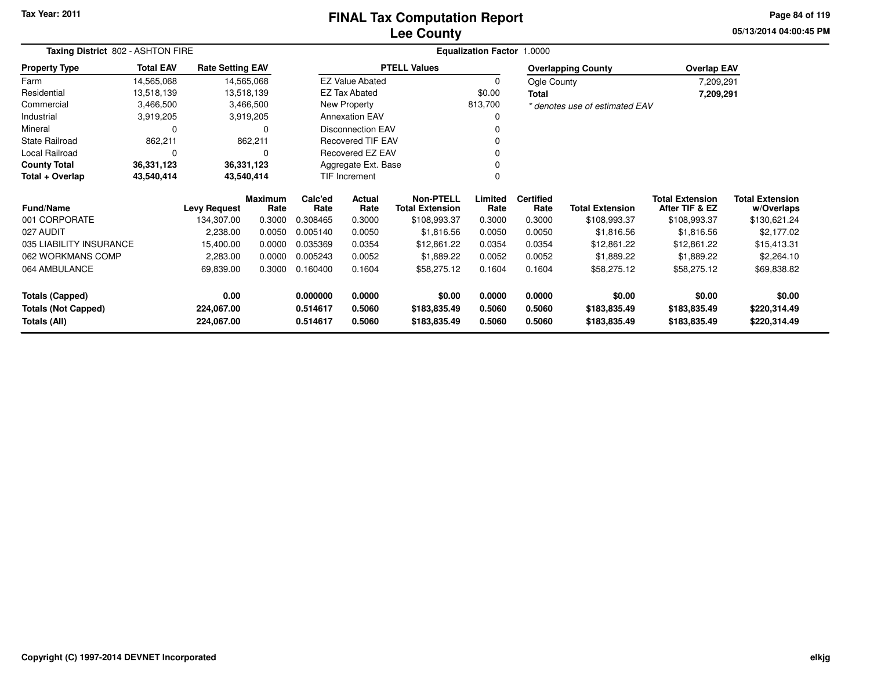### **Lee CountyFINAL Tax Computation Report**

**05/13/2014 04:00:45 PM Page 84 of 119**

| Taxing District 802 - ASHTON FIRE |                            |                         |                        |                 | <b>Equalization Factor 1.0000</b> |                                            |                 |                          |                                |                                          |                                      |
|-----------------------------------|----------------------------|-------------------------|------------------------|-----------------|-----------------------------------|--------------------------------------------|-----------------|--------------------------|--------------------------------|------------------------------------------|--------------------------------------|
| <b>Property Type</b>              | <b>Total EAV</b>           | <b>Rate Setting EAV</b> |                        |                 |                                   | <b>PTELL Values</b>                        |                 |                          | <b>Overlapping County</b>      | <b>Overlap EAV</b>                       |                                      |
| Farm                              | 14,565,068                 |                         | 14,565,068             |                 | <b>EZ Value Abated</b>            |                                            | 0               | Ogle County              |                                | 7,209,291                                |                                      |
| Residential                       | 13,518,139                 |                         | 13,518,139             |                 | <b>EZ Tax Abated</b>              |                                            | \$0.00          | <b>Total</b>             |                                | 7,209,291                                |                                      |
| Commercial                        | 3,466,500                  |                         | 3,466,500              |                 | New Property                      |                                            | 813,700         |                          | * denotes use of estimated EAV |                                          |                                      |
| Industrial                        | 3,919,205                  |                         | 3,919,205              |                 | <b>Annexation EAV</b>             |                                            |                 |                          |                                |                                          |                                      |
| Mineral                           | 0                          |                         | 0                      |                 | <b>Disconnection EAV</b>          |                                            |                 |                          |                                |                                          |                                      |
| <b>State Railroad</b>             | 862,211                    |                         | 862,211                |                 | <b>Recovered TIF EAV</b>          |                                            |                 |                          |                                |                                          |                                      |
| Local Railroad                    | Recovered EZ EAV<br>0<br>0 |                         |                        |                 |                                   |                                            |                 |                          |                                |                                          |                                      |
| <b>County Total</b>               | 36,331,123<br>36,331,123   |                         |                        |                 | Aggregate Ext. Base               |                                            |                 |                          |                                |                                          |                                      |
| Total + Overlap<br>43,540,414     |                            |                         | 43,540,414             |                 | TIF Increment                     |                                            |                 |                          |                                |                                          |                                      |
| <b>Fund/Name</b>                  |                            | <b>Levy Request</b>     | <b>Maximum</b><br>Rate | Calc'ed<br>Rate | <b>Actual</b><br>Rate             | <b>Non-PTELL</b><br><b>Total Extension</b> | Limited<br>Rate | <b>Certified</b><br>Rate | <b>Total Extension</b>         | <b>Total Extension</b><br>After TIF & EZ | <b>Total Extension</b><br>w/Overlaps |
| 001 CORPORATE                     |                            | 134,307.00              | 0.3000                 | 0.308465        | 0.3000                            | \$108,993.37                               | 0.3000          | 0.3000                   | \$108,993.37                   | \$108,993.37                             | \$130,621.24                         |
| 027 AUDIT                         |                            | 2,238.00                | 0.0050                 | 0.005140        | 0.0050                            | \$1,816.56                                 | 0.0050          | 0.0050                   | \$1,816.56                     | \$1,816.56                               | \$2,177.02                           |
| 035 LIABILITY INSURANCE           |                            | 15,400.00               | 0.0000                 | 0.035369        | 0.0354                            | \$12,861.22                                | 0.0354          | 0.0354                   | \$12,861.22                    | \$12,861.22                              | \$15,413.31                          |
| 062 WORKMANS COMP                 |                            | 2,283.00                | 0.0000                 | 0.005243        | 0.0052                            | \$1,889.22                                 | 0.0052          | 0.0052                   | \$1,889.22                     | \$1,889.22                               | \$2,264.10                           |
| 064 AMBULANCE                     |                            | 69,839.00               | 0.3000                 | 0.160400        | 0.1604                            | \$58,275.12                                | 0.1604          | 0.1604                   | \$58,275.12                    | \$58,275.12                              | \$69,838.82                          |
| <b>Totals (Capped)</b>            |                            | 0.00                    |                        | 0.000000        | 0.0000                            | \$0.00                                     | 0.0000          | 0.0000                   | \$0.00                         | \$0.00                                   | \$0.00                               |
| <b>Totals (Not Capped)</b>        |                            | 224,067.00              |                        | 0.514617        | 0.5060                            | \$183,835.49                               | 0.5060          | 0.5060                   | \$183,835.49                   | \$183,835.49                             | \$220,314.49                         |
| Totals (All)                      |                            | 224,067.00              |                        | 0.514617        | 0.5060                            | \$183,835.49                               | 0.5060          | 0.5060                   | \$183,835.49                   | \$183,835.49                             | \$220,314.49                         |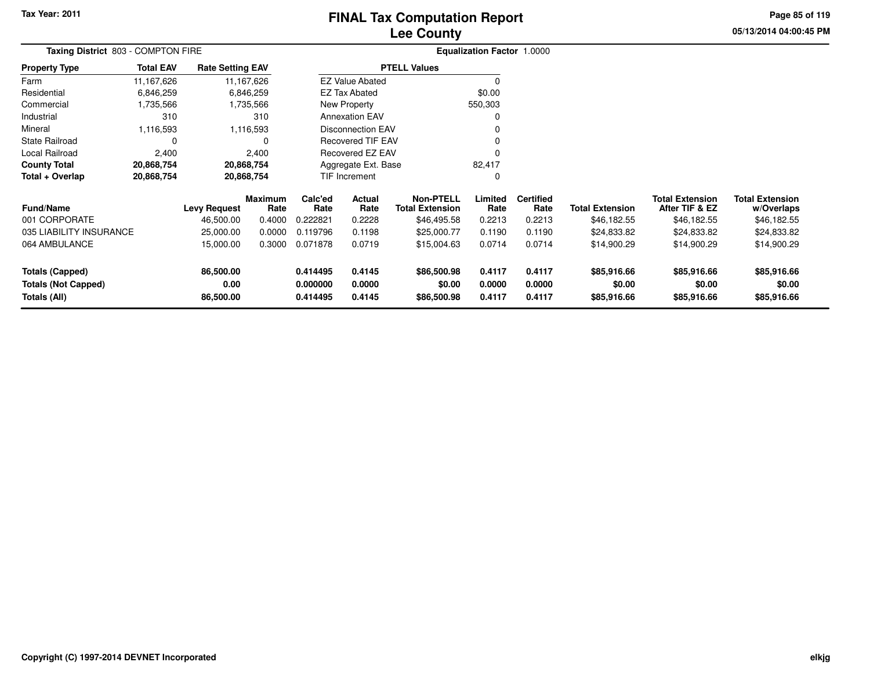# **Lee CountyFINAL Tax Computation Report**

**05/13/2014 04:00:45 PM Page 85 of 119**

| Taxing District 803 - COMPTON FIRE |                     |                         |                        |                     | <b>Equalization Factor 1.0000</b> |                                            |                 |                          |                        |                                          |                                      |
|------------------------------------|---------------------|-------------------------|------------------------|---------------------|-----------------------------------|--------------------------------------------|-----------------|--------------------------|------------------------|------------------------------------------|--------------------------------------|
| <b>Property Type</b>               | <b>Total EAV</b>    | <b>Rate Setting EAV</b> |                        |                     |                                   | <b>PTELL Values</b>                        |                 |                          |                        |                                          |                                      |
| Farm                               | 11,167,626          |                         | 11,167,626             |                     | <b>EZ Value Abated</b>            |                                            | 0               |                          |                        |                                          |                                      |
| Residential                        | 6,846,259           |                         | 6,846,259              |                     | <b>EZ Tax Abated</b>              |                                            | \$0.00          |                          |                        |                                          |                                      |
| Commercial                         | 1,735,566           |                         | 1,735,566              |                     | <b>New Property</b>               |                                            | 550,303         |                          |                        |                                          |                                      |
| Industrial                         | 310                 |                         | 310                    |                     | <b>Annexation EAV</b>             |                                            | 0               |                          |                        |                                          |                                      |
| Mineral                            | 1,116,593           |                         | 1,116,593              |                     | <b>Disconnection EAV</b>          |                                            | 0               |                          |                        |                                          |                                      |
| State Railroad                     | 0                   |                         | 0                      |                     | <b>Recovered TIF EAV</b>          |                                            | 0               |                          |                        |                                          |                                      |
| Local Railroad                     | 2,400<br>20,868,754 |                         | 2,400                  |                     | <b>Recovered EZ EAV</b>           |                                            | 0               |                          |                        |                                          |                                      |
| County Total                       | 20,868,754          |                         |                        | Aggregate Ext. Base |                                   |                                            | 82,417          |                          |                        |                                          |                                      |
| Total + Overlap<br>20,868,754      |                     |                         | 20,868,754             |                     | TIF Increment                     |                                            | 0               |                          |                        |                                          |                                      |
| Fund/Name                          |                     | <b>Levy Request</b>     | <b>Maximum</b><br>Rate | Calc'ed<br>Rate     | Actual<br>Rate                    | <b>Non-PTELL</b><br><b>Total Extension</b> | Limited<br>Rate | <b>Certified</b><br>Rate | <b>Total Extension</b> | <b>Total Extension</b><br>After TIF & EZ | <b>Total Extension</b><br>w/Overlaps |
| 001 CORPORATE                      |                     | 46,500.00               | 0.4000                 | 0.222821            | 0.2228                            | \$46,495.58                                | 0.2213          | 0.2213                   | \$46,182.55            | \$46,182.55                              | \$46,182.55                          |
| 035 LIABILITY INSURANCE            |                     | 25,000.00               | 0.0000                 | 0.119796            | 0.1198                            | \$25,000.77                                | 0.1190          | 0.1190                   | \$24,833.82            | \$24,833.82                              | \$24,833.82                          |
| 064 AMBULANCE                      |                     | 15,000.00               | 0.3000                 | 0.071878            | 0.0719                            | \$15,004.63                                | 0.0714          | 0.0714                   | \$14,900.29            | \$14,900.29                              | \$14,900.29                          |
| <b>Totals (Capped)</b>             |                     | 86,500.00               |                        | 0.414495            | 0.4145                            | \$86,500.98                                | 0.4117          | 0.4117                   | \$85,916.66            | \$85,916.66                              | \$85,916.66                          |
| <b>Totals (Not Capped)</b>         |                     | 0.00                    |                        | 0.000000            | 0.0000                            | \$0.00                                     | 0.0000          | 0.0000                   | \$0.00                 | \$0.00                                   | \$0.00                               |
| Totals (All)                       |                     | 86,500.00               |                        | 0.414495            | 0.4145                            | \$86,500.98                                | 0.4117          | 0.4117                   | \$85,916.66            | \$85,916.66                              | \$85,916.66                          |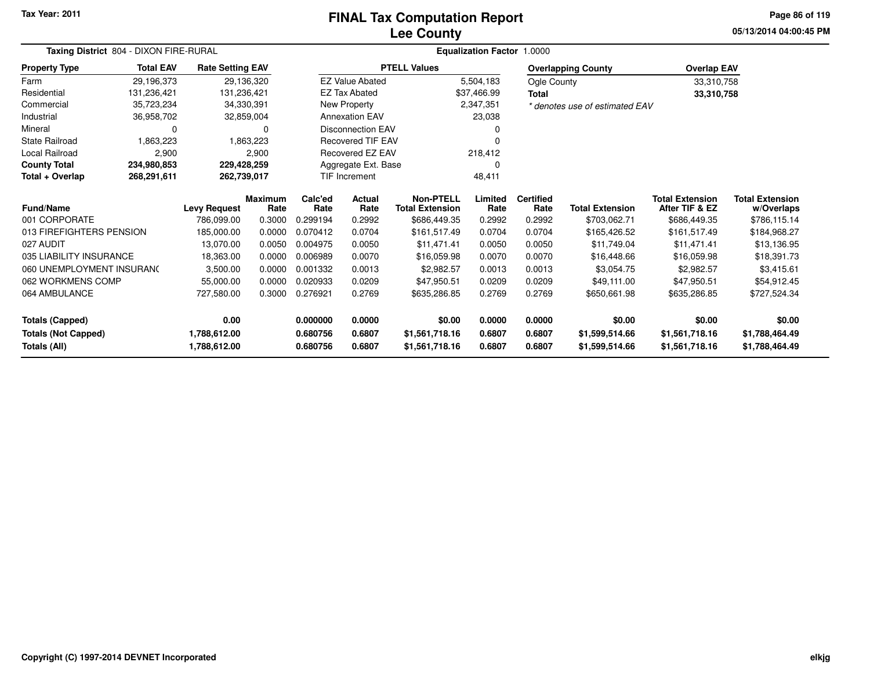#### **Lee CountyFINAL Tax Computation Report**

**05/13/2014 04:00:45 PM Page 86 of 119**

| Taxing District 804 - DIXON FIRE-RURAL |                  |                         |                        |                          |                          |                                     | Equalization Factor 1.0000 |                          |                                |                                          |                                      |
|----------------------------------------|------------------|-------------------------|------------------------|--------------------------|--------------------------|-------------------------------------|----------------------------|--------------------------|--------------------------------|------------------------------------------|--------------------------------------|
| <b>Property Type</b>                   | <b>Total EAV</b> | <b>Rate Setting EAV</b> |                        |                          |                          | <b>PTELL Values</b>                 |                            |                          | <b>Overlapping County</b>      | <b>Overlap EAV</b>                       |                                      |
| Farm                                   | 29,196,373       |                         | 29,136,320             |                          | <b>EZ Value Abated</b>   |                                     | 5,504,183                  | Ogle County              |                                | 33,310,758                               |                                      |
| Residential                            | 131,236,421      | 131,236,421             |                        |                          | <b>EZ Tax Abated</b>     |                                     | \$37,466.99                | <b>Total</b>             |                                | 33,310,758                               |                                      |
| Commercial                             | 35,723,234       |                         | 34,330,391             |                          | New Property             |                                     | 2,347,351                  |                          | * denotes use of estimated EAV |                                          |                                      |
| Industrial                             | 36,958,702       |                         | 32,859,004             |                          | <b>Annexation EAV</b>    |                                     | 23,038                     |                          |                                |                                          |                                      |
| Mineral                                | 0                |                         | 0                      | <b>Disconnection EAV</b> |                          |                                     |                            |                          |                                |                                          |                                      |
| <b>State Railroad</b>                  | 1,863,223        |                         | 1,863,223              |                          | <b>Recovered TIF EAV</b> |                                     | 0                          |                          |                                |                                          |                                      |
| <b>Local Railroad</b>                  | 2,900            |                         | 2,900                  |                          | Recovered EZ EAV         |                                     | 218,412                    |                          |                                |                                          |                                      |
| <b>County Total</b>                    | 234,980,853      |                         | 229,428,259            |                          | Aggregate Ext. Base      |                                     |                            |                          |                                |                                          |                                      |
| Total + Overlap                        | 268,291,611      |                         | 262,739,017            |                          | TIF Increment            |                                     | 48,411                     |                          |                                |                                          |                                      |
| <b>Fund/Name</b>                       |                  | <b>Levy Request</b>     | <b>Maximum</b><br>Rate | Calc'ed<br>Rate          | <b>Actual</b><br>Rate    | Non-PTELL<br><b>Total Extension</b> | Limited<br>Rate            | <b>Certified</b><br>Rate | <b>Total Extension</b>         | <b>Total Extension</b><br>After TIF & EZ | <b>Total Extension</b><br>w/Overlaps |
| 001 CORPORATE                          |                  | 786,099.00              | 0.3000                 | 0.299194                 | 0.2992                   | \$686,449.35                        | 0.2992                     | 0.2992                   | \$703,062.71                   | \$686,449.35                             | \$786,115.14                         |
| 013 FIREFIGHTERS PENSION               |                  | 185,000.00              | 0.0000                 | 0.070412                 | 0.0704                   | \$161,517.49                        | 0.0704                     | 0.0704                   | \$165,426.52                   | \$161,517.49                             | \$184,968.27                         |
| 027 AUDIT                              |                  | 13,070.00               | 0.0050                 | 0.004975                 | 0.0050                   | \$11.471.41                         | 0.0050                     | 0.0050                   | \$11.749.04                    | \$11,471.41                              | \$13,136.95                          |
| 035 LIABILITY INSURANCE                |                  | 18,363.00               | 0.0000                 | 0.006989                 | 0.0070                   | \$16,059.98                         | 0.0070                     | 0.0070                   | \$16,448.66                    | \$16,059.98                              | \$18,391.73                          |
| 060 UNEMPLOYMENT INSURANC              |                  | 3,500.00                | 0.0000                 | 0.001332                 | 0.0013                   | \$2,982.57                          | 0.0013                     | 0.0013                   | \$3,054.75                     | \$2,982.57                               | \$3,415.61                           |
| 062 WORKMENS COMP                      |                  | 55,000.00               | 0.0000                 | 0.020933                 | 0.0209                   | \$47,950.51                         | 0.0209                     | 0.0209                   | \$49.111.00                    | \$47.950.51                              | \$54,912.45                          |
| 064 AMBULANCE                          |                  | 727,580.00              | 0.3000                 | 0.276921                 | 0.2769                   | \$635,286.85                        | 0.2769                     | 0.2769                   | \$650,661.98                   | \$635,286.85                             | \$727,524.34                         |
| <b>Totals (Capped)</b>                 |                  | 0.00                    |                        | 0.000000                 | 0.0000                   | \$0.00                              | 0.0000                     | 0.0000                   | \$0.00                         | \$0.00                                   | \$0.00                               |
| <b>Totals (Not Capped)</b>             |                  | 1,788,612.00            |                        | 0.680756                 | 0.6807                   | \$1,561,718.16                      | 0.6807                     | 0.6807                   | \$1,599,514.66                 | \$1,561,718.16                           | \$1,788,464.49                       |
| Totals (All)                           |                  | 1,788,612.00            |                        | 0.680756                 | 0.6807                   | \$1,561,718.16                      | 0.6807                     | 0.6807                   | \$1,599,514.66                 | \$1,561,718.16                           | \$1,788,464.49                       |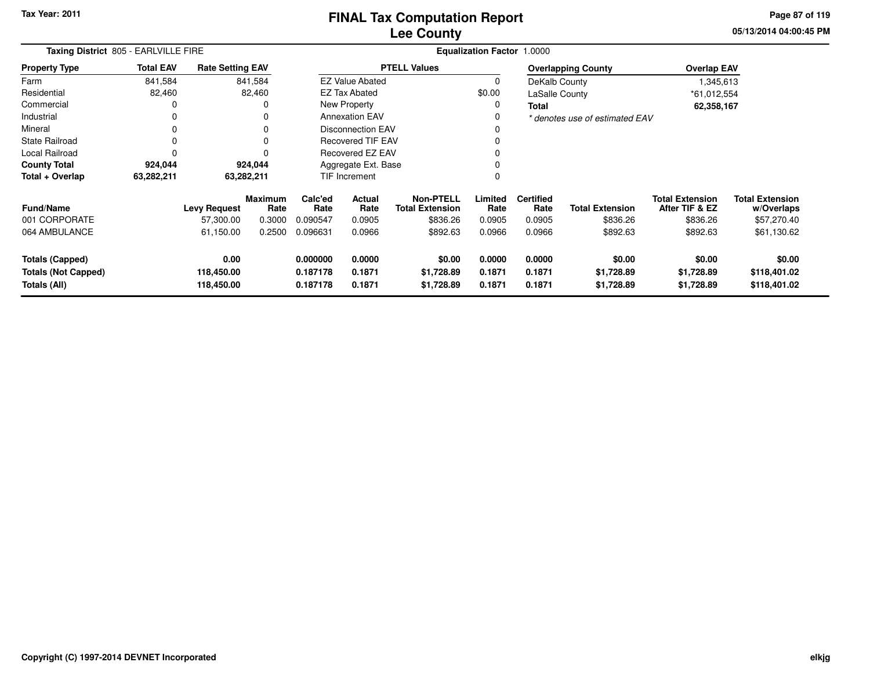### **Lee CountyFINAL Tax Computation Report**

**05/13/2014 04:00:45 PM Page 87 of 119**

|                                                                      | Taxing District 805 - EARLVILLE FIRE |                                  |                        |                                  |                                                              | <b>Equalization Factor</b><br>1.0000 |                            |                            |                                    |                                          |                                        |  |  |  |
|----------------------------------------------------------------------|--------------------------------------|----------------------------------|------------------------|----------------------------------|--------------------------------------------------------------|--------------------------------------|----------------------------|----------------------------|------------------------------------|------------------------------------------|----------------------------------------|--|--|--|
| <b>Property Type</b>                                                 | <b>Total EAV</b>                     | <b>Rate Setting EAV</b>          |                        |                                  |                                                              | <b>PTELL Values</b>                  |                            |                            | <b>Overlapping County</b>          | <b>Overlap EAV</b>                       |                                        |  |  |  |
| Farm                                                                 | 841,584                              |                                  | 841,584                |                                  | <b>EZ Value Abated</b>                                       |                                      | 0                          | DeKalb County              |                                    | 1,345,613                                |                                        |  |  |  |
| Residential                                                          | 82,460                               |                                  | 82,460                 |                                  | <b>EZ Tax Abated</b>                                         |                                      | \$0.00                     | LaSalle County             |                                    | *61,012,554                              |                                        |  |  |  |
| Commercial                                                           |                                      |                                  | O                      |                                  | <b>New Property</b>                                          |                                      | 0                          | <b>Total</b>               |                                    | 62,358,167                               |                                        |  |  |  |
| Industrial                                                           | 0                                    |                                  | 0                      |                                  | <b>Annexation EAV</b>                                        |                                      | 0                          |                            | * denotes use of estimated EAV     |                                          |                                        |  |  |  |
| Mineral                                                              |                                      |                                  | 0                      |                                  | <b>Disconnection EAV</b>                                     |                                      |                            |                            |                                    |                                          |                                        |  |  |  |
| <b>State Railroad</b>                                                |                                      |                                  | 0                      | Recovered TIF EAV                |                                                              |                                      | 0                          |                            |                                    |                                          |                                        |  |  |  |
| <b>Local Railroad</b>                                                |                                      |                                  | n                      | Recovered EZ EAV                 |                                                              |                                      | 0                          |                            |                                    |                                          |                                        |  |  |  |
| <b>County Total</b>                                                  | 924,044                              |                                  | 924,044                | Aggregate Ext. Base              |                                                              |                                      | 0                          |                            |                                    |                                          |                                        |  |  |  |
| Total + Overlap                                                      | 63,282,211                           | 63,282,211                       |                        |                                  | TIF Increment                                                |                                      | 0                          |                            |                                    |                                          |                                        |  |  |  |
| <b>Fund/Name</b>                                                     |                                      | <b>Levy Request</b>              | <b>Maximum</b><br>Rate | Calc'ed<br>Rate                  | <b>Non-PTELL</b><br>Actual<br>Rate<br><b>Total Extension</b> |                                      | Limited<br>Rate            | <b>Certified</b><br>Rate   | <b>Total Extension</b>             | <b>Total Extension</b><br>After TIF & EZ | <b>Total Extension</b><br>w/Overlaps   |  |  |  |
| 001 CORPORATE                                                        |                                      | 57,300.00                        | 0.3000                 | 0.090547                         | 0.0905                                                       | \$836.26                             | 0.0905                     | 0.0905                     | \$836.26                           | \$836.26                                 | \$57,270.40                            |  |  |  |
| 064 AMBULANCE                                                        |                                      | 61,150.00                        | 0.2500                 | 0.096631                         | 0.0966                                                       | \$892.63                             | 0.0966                     | 0.0966                     | \$892.63                           | \$892.63                                 | \$61,130.62                            |  |  |  |
| <b>Totals (Capped)</b><br><b>Totals (Not Capped)</b><br>Totals (All) |                                      | 0.00<br>118,450.00<br>118,450.00 |                        | 0.000000<br>0.187178<br>0.187178 | 0.0000<br>0.1871<br>0.1871                                   | \$0.00<br>\$1,728.89<br>\$1,728.89   | 0.0000<br>0.1871<br>0.1871 | 0.0000<br>0.1871<br>0.1871 | \$0.00<br>\$1,728.89<br>\$1,728.89 | \$0.00<br>\$1,728.89<br>\$1,728.89       | \$0.00<br>\$118,401.02<br>\$118,401.02 |  |  |  |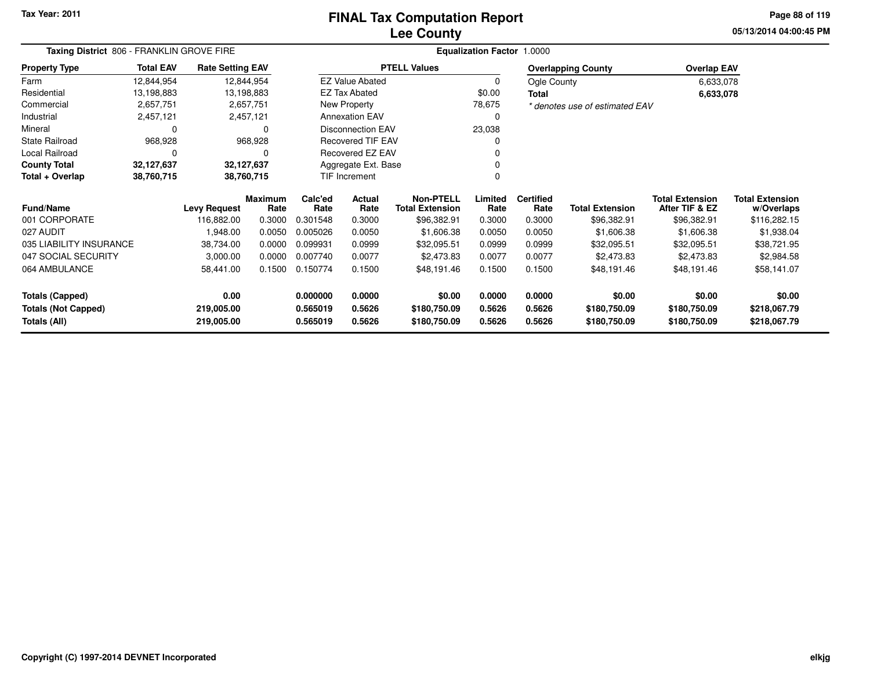### **Lee CountyFINAL Tax Computation Report**

**05/13/2014 04:00:45 PM Page 88 of 119**

| Taxing District 806 - FRANKLIN GROVE FIRE |                  |                         |                 |                      |                                            |                     | <b>Equalization Factor 1.0000</b> |                        |                                          |                                      |              |
|-------------------------------------------|------------------|-------------------------|-----------------|----------------------|--------------------------------------------|---------------------|-----------------------------------|------------------------|------------------------------------------|--------------------------------------|--------------|
| <b>Property Type</b>                      | <b>Total EAV</b> | <b>Rate Setting EAV</b> |                 |                      |                                            | <b>PTELL Values</b> |                                   |                        | <b>Overlapping County</b>                | <b>Overlap EAV</b>                   |              |
| Farm                                      | 12,844,954       |                         | 12,844,954      |                      | <b>EZ Value Abated</b>                     |                     | 0                                 | Ogle County            |                                          | 6,633,078                            |              |
| Residential                               | 13,198,883       |                         | 13,198,883      |                      | <b>EZ Tax Abated</b>                       |                     | \$0.00                            | Total                  |                                          | 6,633,078                            |              |
| Commercial                                | 2,657,751        |                         | 2,657,751       |                      | New Property                               |                     | 78,675                            |                        | * denotes use of estimated EAV           |                                      |              |
| Industrial                                | 2,457,121        |                         | 2,457,121       |                      | <b>Annexation EAV</b>                      |                     | 0                                 |                        |                                          |                                      |              |
| Mineral                                   | 0                |                         | 0               |                      | <b>Disconnection EAV</b>                   |                     | 23,038                            |                        |                                          |                                      |              |
| <b>State Railroad</b>                     | 968,928          |                         | 968,928         |                      | <b>Recovered TIF EAV</b>                   |                     | 0                                 |                        |                                          |                                      |              |
| Local Railroad                            | 0                |                         | 0               |                      | <b>Recovered EZ EAV</b>                    |                     |                                   |                        |                                          |                                      |              |
| <b>County Total</b>                       | 32,127,637       |                         | 32,127,637      | Aggregate Ext. Base  |                                            |                     |                                   |                        |                                          |                                      |              |
| Total + Overlap                           | 38,760,715       |                         | 38,760,715      | <b>TIF Increment</b> |                                            |                     | $\Omega$                          |                        |                                          |                                      |              |
| <b>Fund/Name</b><br><b>Levy Request</b>   |                  | <b>Maximum</b><br>Rate  | Calc'ed<br>Rate | Actual<br>Rate       | <b>Non-PTELL</b><br><b>Total Extension</b> | Limited<br>Rate     | <b>Certified</b><br>Rate          | <b>Total Extension</b> | <b>Total Extension</b><br>After TIF & EZ | <b>Total Extension</b><br>w/Overlaps |              |
| 001 CORPORATE                             |                  | 116,882.00              | 0.3000          | 0.301548             | 0.3000                                     | \$96,382.91         | 0.3000                            | 0.3000                 | \$96,382.91                              | \$96,382.91                          | \$116,282.15 |
| 027 AUDIT                                 |                  | 1,948.00                | 0.0050          | 0.005026             | 0.0050                                     | \$1,606.38          | 0.0050                            | 0.0050                 | \$1,606.38                               | \$1,606.38                           | \$1,938.04   |
| 035 LIABILITY INSURANCE                   |                  | 38,734.00               | 0.0000          | 0.099931             | 0.0999                                     | \$32,095.51         | 0.0999                            | 0.0999                 | \$32,095.51                              | \$32,095.51                          | \$38,721.95  |
| 047 SOCIAL SECURITY                       |                  | 3,000.00                | 0.0000          | 0.007740             | 0.0077                                     | \$2,473.83          | 0.0077                            | 0.0077                 | \$2,473.83                               | \$2,473.83                           | \$2,984.58   |
| 064 AMBULANCE                             |                  | 58,441.00               | 0.1500          | 0.150774             | 0.1500                                     | \$48,191.46         | 0.1500                            | 0.1500                 | \$48,191.46                              | \$48,191.46                          | \$58,141.07  |
| <b>Totals (Capped)</b>                    |                  | 0.00                    |                 | 0.000000             | 0.0000                                     | \$0.00              | 0.0000                            | 0.0000                 | \$0.00                                   | \$0.00                               | \$0.00       |
| <b>Totals (Not Capped)</b>                |                  | 219,005.00              |                 | 0.565019             | 0.5626                                     | \$180,750.09        | 0.5626                            | 0.5626                 | \$180,750.09                             | \$180,750.09                         | \$218,067.79 |
| Totals (All)                              |                  | 219,005.00              |                 | 0.565019             | 0.5626                                     | \$180,750.09        | 0.5626                            | 0.5626                 | \$180,750.09                             | \$180,750.09                         | \$218,067.79 |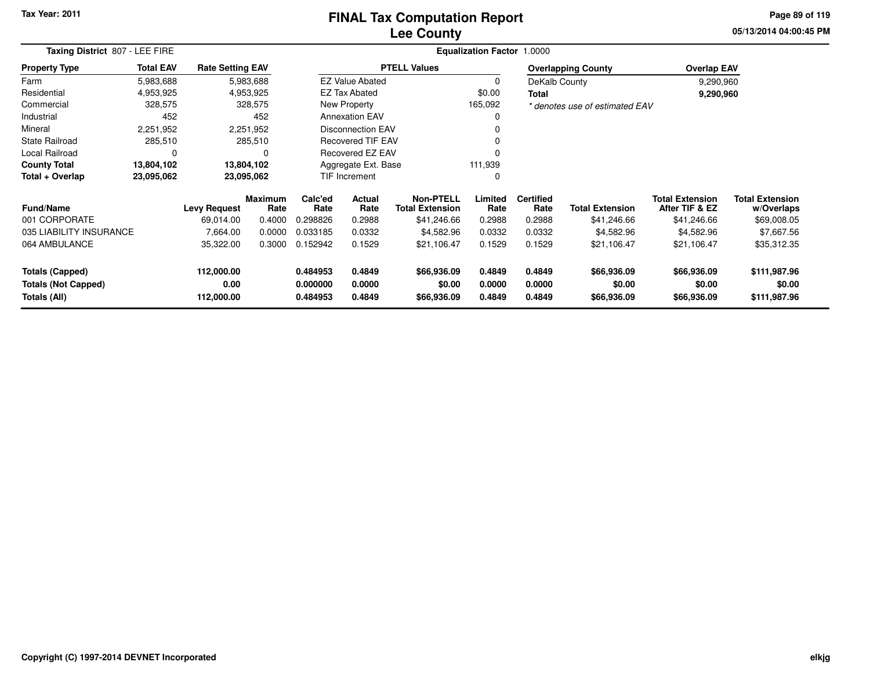### **Lee CountyFINAL Tax Computation Report**

**05/13/2014 04:00:45 PM Page 89 of 119**

| Taxing District 807 - LEE FIRE             |                  |                         |                 | <b>Equalization Factor 1.0000</b>        |                          |                                            |                  |                          |                                |                                          |                                      |  |  |
|--------------------------------------------|------------------|-------------------------|-----------------|------------------------------------------|--------------------------|--------------------------------------------|------------------|--------------------------|--------------------------------|------------------------------------------|--------------------------------------|--|--|
| <b>Property Type</b>                       | <b>Total EAV</b> | <b>Rate Setting EAV</b> |                 |                                          |                          | <b>PTELL Values</b>                        |                  |                          | <b>Overlapping County</b>      | <b>Overlap EAV</b>                       |                                      |  |  |
| Farm                                       | 5,983,688        |                         | 5,983,688       |                                          | <b>EZ Value Abated</b>   |                                            | $\Omega$         | DeKalb County            |                                | 9,290,960                                |                                      |  |  |
| Residential                                | 4,953,925        |                         | 4,953,925       |                                          | EZ Tax Abated            |                                            | \$0.00           | <b>Total</b>             |                                | 9,290,960                                |                                      |  |  |
| Commercial                                 | 328,575          |                         | 328,575         |                                          | New Property             |                                            | 165,092          |                          | * denotes use of estimated EAV |                                          |                                      |  |  |
| Industrial                                 | 452              |                         | 452             |                                          | <b>Annexation EAV</b>    |                                            |                  |                          |                                |                                          |                                      |  |  |
| Mineral                                    | 2,251,952        |                         | 2,251,952       |                                          | Disconnection EAV        |                                            |                  |                          |                                |                                          |                                      |  |  |
| State Railroad                             | 285,510          |                         | 285,510         |                                          | <b>Recovered TIF EAV</b> |                                            |                  |                          |                                |                                          |                                      |  |  |
| Local Railroad                             | 0                |                         | O               |                                          | <b>Recovered EZ EAV</b>  |                                            |                  |                          |                                |                                          |                                      |  |  |
| <b>County Total</b>                        | 13,804,102       |                         | 13,804,102      |                                          | Aggregate Ext. Base      |                                            | 111,939          |                          |                                |                                          |                                      |  |  |
| Total + Overlap                            | 23,095,062       |                         | 23,095,062      |                                          | TIF Increment            |                                            |                  |                          |                                |                                          |                                      |  |  |
| <b>Fund/Name</b>                           |                  | <b>Levy Request</b>     | Maximum<br>Rate | Calc'ed<br><b>Actual</b><br>Rate<br>Rate |                          | <b>Non-PTELL</b><br><b>Total Extension</b> | Limited<br>Rate  | <b>Certified</b><br>Rate | <b>Total Extension</b>         | <b>Total Extension</b><br>After TIF & EZ | <b>Total Extension</b><br>w/Overlaps |  |  |
| 001 CORPORATE                              |                  | 69,014.00               | 0.4000          | 0.298826                                 | 0.2988                   | \$41,246.66                                | 0.2988           | 0.2988                   | \$41,246.66                    | \$41,246.66                              | \$69,008.05                          |  |  |
| 035 LIABILITY INSURANCE                    |                  | 7,664.00                | 0.0000          | 0.033185                                 | 0.0332                   | \$4,582.96                                 | 0.0332           | 0.0332                   | \$4,582.96                     | \$4,582.96                               | \$7,667.56                           |  |  |
| 064 AMBULANCE                              |                  | 35,322.00               | 0.3000          | 0.152942                                 | 0.1529                   | \$21,106.47                                | 0.1529           | 0.1529                   | \$21,106.47                    | \$21,106.47                              | \$35,312.35                          |  |  |
| <b>Totals (Capped)</b>                     |                  | 112,000.00              |                 | 0.484953                                 | 0.4849                   | \$66,936.09                                | 0.4849           | 0.4849                   | \$66,936.09                    | \$66,936.09                              | \$111,987.96                         |  |  |
| <b>Totals (Not Capped)</b><br>Totals (All) |                  | 0.00<br>112,000.00      |                 | 0.000000<br>0.484953                     | 0.0000<br>0.4849         | \$0.00<br>\$66,936.09                      | 0.0000<br>0.4849 | 0.0000<br>0.4849         | \$0.00<br>\$66,936.09          | \$0.00<br>\$66,936.09                    | \$0.00<br>\$111,987.96               |  |  |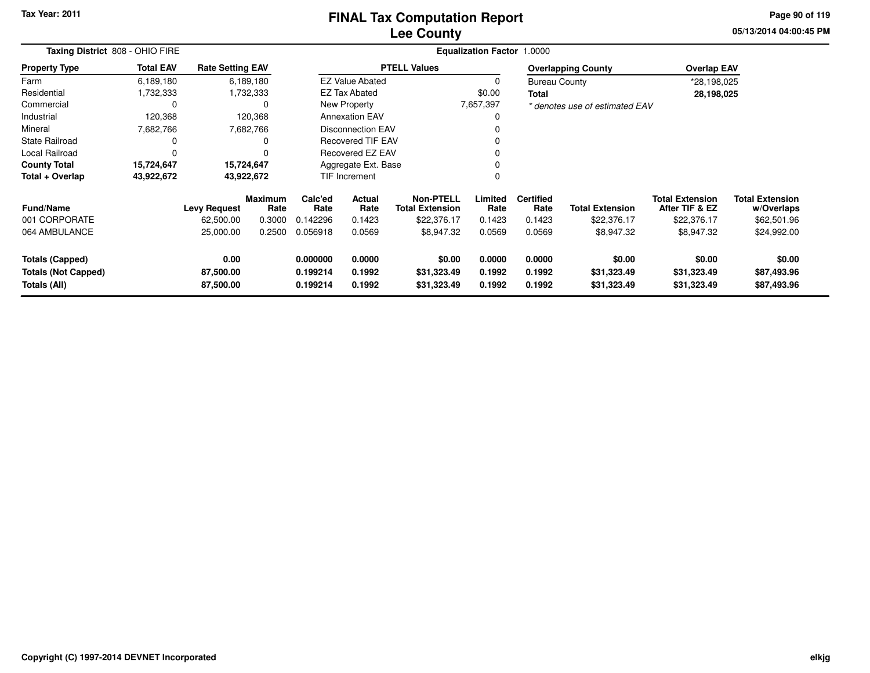### **Lee CountyFINAL Tax Computation Report**

**05/13/2014 04:00:45 PM Page 90 of 119**

| Taxing District 808 - OHIO FIRE |                  |                         | <b>Equalization Factor</b><br>1.0000 |                 |                          |                                            |                 |                          |                                |                                          |                                      |  |
|---------------------------------|------------------|-------------------------|--------------------------------------|-----------------|--------------------------|--------------------------------------------|-----------------|--------------------------|--------------------------------|------------------------------------------|--------------------------------------|--|
| <b>Property Type</b>            | <b>Total EAV</b> | <b>Rate Setting EAV</b> |                                      |                 |                          | <b>PTELL Values</b>                        |                 |                          | <b>Overlapping County</b>      | <b>Overlap EAV</b>                       |                                      |  |
| Farm                            | 6,189,180        |                         | 6,189,180                            |                 | <b>EZ Value Abated</b>   |                                            |                 | <b>Bureau County</b>     |                                | *28,198,025                              |                                      |  |
| Residential                     | 1,732,333        |                         | 1,732,333                            |                 | <b>EZ Tax Abated</b>     |                                            | \$0.00          | Total                    |                                | 28,198,025                               |                                      |  |
| Commercial                      | 0                |                         |                                      |                 | New Property             |                                            | 7,657,397       |                          | * denotes use of estimated EAV |                                          |                                      |  |
| Industrial                      | 120,368          |                         | 120,368                              |                 | <b>Annexation EAV</b>    |                                            | 0               |                          |                                |                                          |                                      |  |
| Mineral                         | 7,682,766        |                         | 7,682,766                            |                 | <b>Disconnection EAV</b> |                                            |                 |                          |                                |                                          |                                      |  |
| <b>State Railroad</b>           | 0                |                         |                                      |                 | Recovered TIF EAV        |                                            |                 |                          |                                |                                          |                                      |  |
| Local Railroad                  |                  |                         |                                      |                 | Recovered EZ EAV         |                                            |                 |                          |                                |                                          |                                      |  |
| <b>County Total</b>             | 15,724,647       | 15,724,647              |                                      |                 | Aggregate Ext. Base      |                                            | 0               |                          |                                |                                          |                                      |  |
| Total + Overlap                 | 43,922,672       | 43,922,672              |                                      |                 | TIF Increment            |                                            | 0               |                          |                                |                                          |                                      |  |
| <b>Fund/Name</b>                |                  | <b>Levy Request</b>     | <b>Maximum</b><br>Rate               | Calc'ed<br>Rate | Actual<br>Rate           | <b>Non-PTELL</b><br><b>Total Extension</b> | Limited<br>Rate | <b>Certified</b><br>Rate | <b>Total Extension</b>         | <b>Total Extension</b><br>After TIF & EZ | <b>Total Extension</b><br>w/Overlaps |  |
| 001 CORPORATE                   |                  | 62,500.00               | 0.3000                               | 0.142296        | 0.1423                   | \$22,376.17                                | 0.1423          | 0.1423                   | \$22,376.17                    | \$22,376.17                              | \$62,501.96                          |  |
| 064 AMBULANCE                   |                  | 25,000.00               | 0.2500                               | 0.056918        | 0.0569                   | \$8,947.32                                 | 0.0569          | 0.0569                   | \$8,947.32                     | \$8,947.32                               | \$24,992.00                          |  |
| <b>Totals (Capped)</b>          |                  | 0.00                    |                                      | 0.000000        | 0.0000                   | \$0.00                                     | 0.0000          | 0.0000                   | \$0.00                         | \$0.00                                   | \$0.00                               |  |
| <b>Totals (Not Capped)</b>      |                  | 87,500.00               |                                      | 0.199214        | 0.1992                   | \$31,323.49                                | 0.1992          | 0.1992                   | \$31,323.49                    | \$31,323.49                              | \$87,493.96                          |  |
| Totals (All)                    |                  | 87,500.00               |                                      | 0.199214        | 0.1992                   | \$31,323.49                                | 0.1992          | 0.1992                   | \$31,323.49                    | \$31,323.49                              | \$87,493.96                          |  |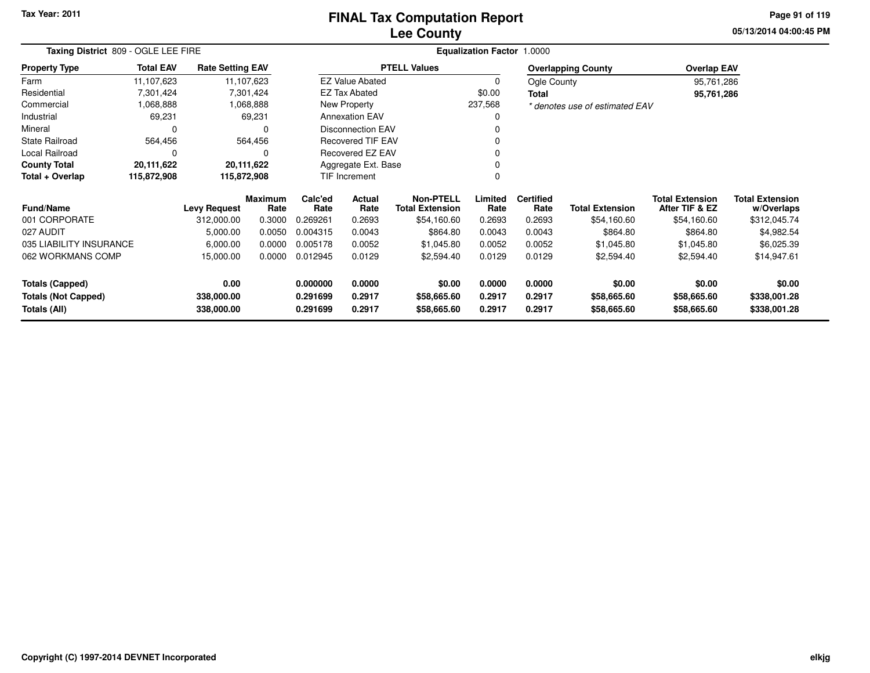# **Lee CountyFINAL Tax Computation Report**

**05/13/2014 04:00:45 PM Page 91 of 119**

| Taxing District 809 - OGLE LEE FIRE        |                  |                          |                        |                      |                          |                                            | Equalization Factor 1.0000 |                          |                                |                                          |                                      |
|--------------------------------------------|------------------|--------------------------|------------------------|----------------------|--------------------------|--------------------------------------------|----------------------------|--------------------------|--------------------------------|------------------------------------------|--------------------------------------|
| <b>Property Type</b>                       | <b>Total EAV</b> | <b>Rate Setting EAV</b>  |                        |                      |                          | <b>PTELL Values</b>                        |                            |                          | <b>Overlapping County</b>      | <b>Overlap EAV</b>                       |                                      |
| Farm                                       | 11,107,623       | 11,107,623               |                        |                      | <b>EZ Value Abated</b>   |                                            | 0                          | Ogle County              |                                | 95,761,286                               |                                      |
| Residential                                | 7,301,424        |                          | 7,301,424              |                      | <b>EZ Tax Abated</b>     |                                            | \$0.00                     | <b>Total</b>             |                                | 95,761,286                               |                                      |
| Commercial                                 | 1,068,888        |                          | 1,068,888              |                      | New Property             |                                            | 237,568                    |                          | * denotes use of estimated EAV |                                          |                                      |
| Industrial                                 | 69,231           |                          | 69,231                 |                      | <b>Annexation EAV</b>    |                                            | 0                          |                          |                                |                                          |                                      |
| Mineral                                    | 0                |                          | $\Omega$               |                      | <b>Disconnection EAV</b> |                                            |                            |                          |                                |                                          |                                      |
| <b>State Railroad</b>                      | 564,456          |                          | 564,456                |                      | <b>Recovered TIF EAV</b> |                                            | $\Omega$                   |                          |                                |                                          |                                      |
| Local Railroad                             | 0<br>20,111,622  |                          | 0                      |                      | Recovered EZ EAV         |                                            |                            |                          |                                |                                          |                                      |
| <b>County Total</b>                        | 20,111,622       |                          |                        |                      | Aggregate Ext. Base      |                                            |                            |                          |                                |                                          |                                      |
| Total + Overlap                            | 115,872,908      | 115,872,908              |                        | TIF Increment        |                          |                                            | $\Omega$                   |                          |                                |                                          |                                      |
| <b>Fund/Name</b>                           |                  | <b>Levy Request</b>      | <b>Maximum</b><br>Rate | Calc'ed<br>Rate      | <b>Actual</b><br>Rate    | <b>Non-PTELL</b><br><b>Total Extension</b> | Limited<br>Rate            | <b>Certified</b><br>Rate | <b>Total Extension</b>         | <b>Total Extension</b><br>After TIF & EZ | <b>Total Extension</b><br>w/Overlaps |
| 001 CORPORATE                              |                  | 312,000.00               | 0.3000                 | 0.269261             | 0.2693                   | \$54,160.60                                | 0.2693                     | 0.2693                   | \$54,160.60                    | \$54,160.60                              | \$312,045.74                         |
| 027 AUDIT                                  |                  | 5,000.00                 | 0.0050                 | 0.004315             | 0.0043                   | \$864.80                                   | 0.0043                     | 0.0043                   | \$864.80                       | \$864.80                                 | \$4,982.54                           |
| 035 LIABILITY INSURANCE                    |                  | 6,000.00                 | 0.0000                 | 0.005178             | 0.0052                   | \$1,045.80                                 | 0.0052                     | 0.0052                   | \$1,045.80                     | \$1,045.80                               | \$6,025.39                           |
| 062 WORKMANS COMP<br>15,000.00             |                  | 0.0000                   | 0.012945               | 0.0129               | \$2,594.40               | 0.0129                                     | 0.0129                     | \$2,594.40               | \$2,594.40                     | \$14,947.61                              |                                      |
| <b>Totals (Capped)</b>                     |                  | 0.00                     |                        | 0.000000             | 0.0000                   | \$0.00                                     | 0.0000                     | 0.0000                   | \$0.00                         | \$0.00                                   | \$0.00                               |
| <b>Totals (Not Capped)</b><br>Totals (All) |                  | 338,000.00<br>338,000.00 |                        | 0.291699<br>0.291699 | 0.2917<br>0.2917         | \$58,665.60<br>\$58,665.60                 | 0.2917<br>0.2917           | 0.2917<br>0.2917         | \$58,665.60<br>\$58,665.60     | \$58,665.60<br>\$58,665.60               | \$338,001.28<br>\$338,001.28         |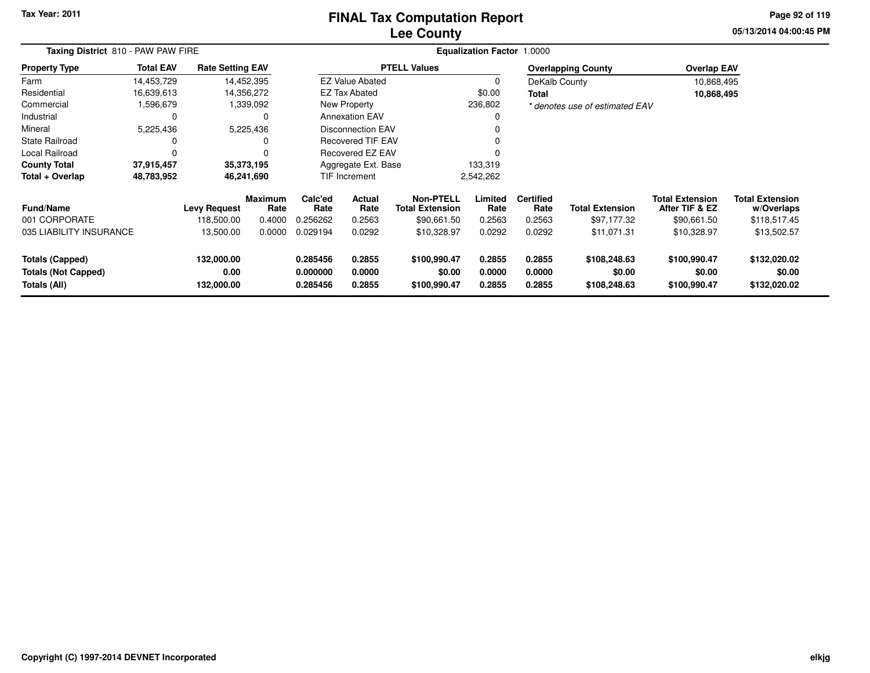### **Lee CountyFINAL Tax Computation Report**

**05/13/2014 04:00:45 PM Page 92 of 119**

| Taxing District 810 - PAW PAW FIRE                                   |                  |                                   |                                  |                                  | <b>Equalization Factor 1.0000</b> |                                                    |                            |                                    |                                        |                                                         |                                                      |
|----------------------------------------------------------------------|------------------|-----------------------------------|----------------------------------|----------------------------------|-----------------------------------|----------------------------------------------------|----------------------------|------------------------------------|----------------------------------------|---------------------------------------------------------|------------------------------------------------------|
| <b>Property Type</b>                                                 | <b>Total EAV</b> | <b>Rate Setting EAV</b>           |                                  |                                  |                                   | <b>PTELL Values</b>                                |                            |                                    | <b>Overlapping County</b>              | <b>Overlap EAV</b>                                      |                                                      |
| Farm                                                                 | 14,453,729       |                                   | 14,452,395                       |                                  | <b>EZ Value Abated</b>            |                                                    | 0                          | DeKalb County                      |                                        | 10,868,495                                              |                                                      |
| Residential                                                          | 16,639,613       |                                   | 14,356,272                       |                                  | <b>EZ Tax Abated</b>              |                                                    | \$0.00                     | Total                              |                                        | 10,868,495                                              |                                                      |
| Commercial                                                           | 1,596,679        |                                   | 1,339,092                        |                                  | New Property                      |                                                    | 236,802                    |                                    | * denotes use of estimated EAV         |                                                         |                                                      |
| Industrial                                                           | 0                |                                   | 0                                |                                  | <b>Annexation EAV</b>             |                                                    | 0                          |                                    |                                        |                                                         |                                                      |
| Mineral                                                              | 5,225,436        |                                   | 5,225,436                        |                                  | Disconnection EAV                 |                                                    | 0                          |                                    |                                        |                                                         |                                                      |
| <b>State Railroad</b>                                                | 0                |                                   | $\Omega$                         |                                  | <b>Recovered TIF EAV</b>          |                                                    | 0                          |                                    |                                        |                                                         |                                                      |
| Local Railroad                                                       | $\Omega$         |                                   | $\Omega$                         |                                  | Recovered EZ EAV                  |                                                    | $\Omega$                   |                                    |                                        |                                                         |                                                      |
| <b>County Total</b>                                                  | 37,915,457       |                                   | 35,373,195                       | Aggregate Ext. Base              |                                   |                                                    | 133,319                    |                                    |                                        |                                                         |                                                      |
| Total + Overlap                                                      | 48,783,952       |                                   | 46,241,690                       | TIF Increment                    |                                   |                                                    | 2,542,262                  |                                    |                                        |                                                         |                                                      |
| <b>Fund/Name</b><br>001 CORPORATE                                    |                  | <b>Levy Request</b><br>118,500.00 | <b>Maximum</b><br>Rate<br>0.4000 | Calc'ed<br>Rate<br>0.256262      | Actual<br>Rate<br>0.2563          | Non-PTELL<br><b>Total Extension</b><br>\$90,661.50 | Limited<br>Rate<br>0.2563  | <b>Certified</b><br>Rate<br>0.2563 | <b>Total Extension</b><br>\$97,177.32  | <b>Total Extension</b><br>After TIF & EZ<br>\$90,661.50 | <b>Total Extension</b><br>w/Overlaps<br>\$118,517.45 |
| 035 LIABILITY INSURANCE                                              |                  | 13,500.00                         | 0.0000                           | 0.029194                         | 0.0292                            | \$10,328.97                                        | 0.0292                     | 0.0292                             | \$11,071.31                            | \$10,328.97                                             | \$13,502.57                                          |
| <b>Totals (Capped)</b><br><b>Totals (Not Capped)</b><br>Totals (All) |                  | 132,000.00<br>0.00<br>132,000.00  |                                  | 0.285456<br>0.000000<br>0.285456 | 0.2855<br>0.0000<br>0.2855        | \$100,990.47<br>\$0.00<br>\$100,990.47             | 0.2855<br>0.0000<br>0.2855 | 0.2855<br>0.0000<br>0.2855         | \$108,248.63<br>\$0.00<br>\$108,248.63 | \$100,990.47<br>\$0.00<br>\$100,990.47                  | \$132,020.02<br>\$0.00<br>\$132,020.02               |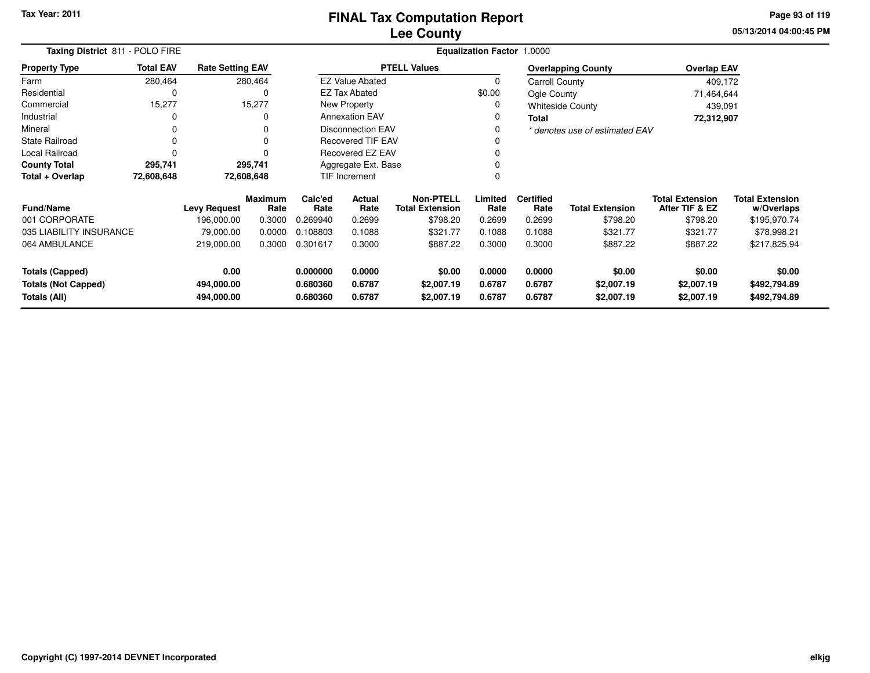### **Lee CountyFINAL Tax Computation Report**

**05/13/2014 04:00:45 PM Page 93 of 119**

| Taxing District 811 - POLO FIRE                                                                          |                  |                         |                                  | <b>Equalization Factor 1.0000</b> |                                    |                                            |                            |                                    |                                    |                                          |                                      |  |  |  |
|----------------------------------------------------------------------------------------------------------|------------------|-------------------------|----------------------------------|-----------------------------------|------------------------------------|--------------------------------------------|----------------------------|------------------------------------|------------------------------------|------------------------------------------|--------------------------------------|--|--|--|
| <b>Property Type</b>                                                                                     | <b>Total EAV</b> | <b>Rate Setting EAV</b> |                                  |                                   |                                    | <b>PTELL Values</b>                        |                            |                                    | <b>Overlapping County</b>          | <b>Overlap EAV</b>                       |                                      |  |  |  |
| Farm                                                                                                     | 280,464          |                         | 280,464                          |                                   | <b>EZ Value Abated</b>             |                                            |                            | Carroll County                     |                                    | 409,172                                  |                                      |  |  |  |
| Residential                                                                                              | 0                |                         | 0                                |                                   | <b>EZ Tax Abated</b>               |                                            | \$0.00                     | Ogle County                        |                                    | 71,464,644                               |                                      |  |  |  |
| Commercial                                                                                               | 15,277           |                         | 15,277                           |                                   | New Property                       |                                            |                            |                                    | <b>Whiteside County</b>            | 439,091                                  |                                      |  |  |  |
| Industrial                                                                                               | $\Omega$         |                         | 0                                |                                   | <b>Annexation EAV</b>              |                                            | $\Omega$                   | Total                              |                                    | 72,312,907                               |                                      |  |  |  |
| Mineral                                                                                                  | 0                |                         | 0                                |                                   | <b>Disconnection EAV</b>           |                                            |                            |                                    | * denotes use of estimated EAV     |                                          |                                      |  |  |  |
| <b>State Railroad</b>                                                                                    | 0                |                         | 0                                | <b>Recovered TIF EAV</b>          |                                    |                                            |                            |                                    |                                    |                                          |                                      |  |  |  |
| Local Railroad                                                                                           | $\Omega$         |                         | ŋ                                | Recovered EZ EAV                  |                                    |                                            |                            |                                    |                                    |                                          |                                      |  |  |  |
| <b>County Total</b>                                                                                      | 295,741          |                         | 295,741                          |                                   | Aggregate Ext. Base                |                                            |                            |                                    |                                    |                                          |                                      |  |  |  |
| Total + Overlap                                                                                          | 72,608,648       |                         | 72,608,648                       |                                   | TIF Increment                      |                                            |                            |                                    |                                    |                                          |                                      |  |  |  |
| <b>Fund/Name</b>                                                                                         |                  | <b>Levy Request</b>     | <b>Maximum</b><br>Rate           | Calc'ed<br>Actual<br>Rate<br>Rate |                                    | <b>Non-PTELL</b><br><b>Total Extension</b> | Limited<br>Rate            | <b>Certified</b><br>Rate           | <b>Total Extension</b>             | <b>Total Extension</b><br>After TIF & EZ | <b>Total Extension</b><br>w/Overlaps |  |  |  |
| 001 CORPORATE                                                                                            |                  | 196.000.00              | 0.3000                           | 0.269940                          | 0.2699                             | \$798.20                                   | 0.2699                     | 0.2699                             | \$798.20                           | \$798.20                                 | \$195,970.74                         |  |  |  |
| 035 LIABILITY INSURANCE                                                                                  |                  | 79,000.00               | 0.0000                           | 0.108803                          | 0.1088                             | \$321.77                                   | 0.1088                     | 0.1088                             | \$321.77                           | \$321.77                                 | \$78,998.21                          |  |  |  |
| 064 AMBULANCE                                                                                            |                  | 219,000.00              | 0.3000                           | 0.301617                          | 0.3000                             | \$887.22                                   | 0.3000                     | 0.3000                             | \$887.22                           | \$887.22                                 | \$217,825.94                         |  |  |  |
| 0.00<br><b>Totals (Capped)</b><br>494,000.00<br><b>Totals (Not Capped)</b><br>Totals (All)<br>494,000.00 |                  |                         | 0.000000<br>0.680360<br>0.680360 | 0.0000<br>0.6787<br>0.6787        | \$0.00<br>\$2,007.19<br>\$2,007.19 | 0.0000<br>0.6787<br>0.6787                 | 0.0000<br>0.6787<br>0.6787 | \$0.00<br>\$2,007.19<br>\$2,007.19 | \$0.00<br>\$2,007.19<br>\$2,007.19 | \$0.00<br>\$492,794.89<br>\$492,794.89   |                                      |  |  |  |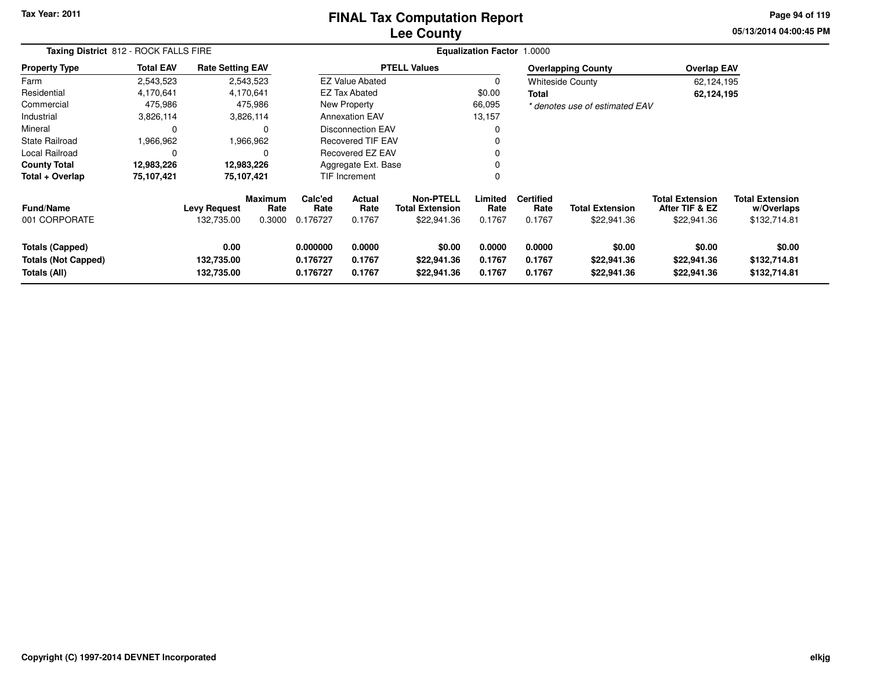### **Lee CountyFINAL Tax Computation Report**

**05/13/2014 04:00:45 PM Page 94 of 119**

|                                                                      | Taxing District 812 - ROCK FALLS FIRE |                                   |                                  |                                  |                                                    |                                      | Equalization Factor 1.0000 |                                    |                                       |                                                         |                                                      |  |
|----------------------------------------------------------------------|---------------------------------------|-----------------------------------|----------------------------------|----------------------------------|----------------------------------------------------|--------------------------------------|----------------------------|------------------------------------|---------------------------------------|---------------------------------------------------------|------------------------------------------------------|--|
| <b>Property Type</b>                                                 | <b>Total EAV</b>                      | <b>Rate Setting EAV</b>           |                                  |                                  |                                                    | <b>PTELL Values</b>                  |                            |                                    | <b>Overlapping County</b>             | <b>Overlap EAV</b>                                      |                                                      |  |
| Farm                                                                 | 2,543,523                             | 2,543,523                         |                                  |                                  | <b>EZ Value Abated</b>                             |                                      | 0                          |                                    | <b>Whiteside County</b>               | 62,124,195                                              |                                                      |  |
| Residential                                                          | 4,170,641                             | 4,170,641                         |                                  |                                  | <b>EZ Tax Abated</b>                               |                                      | \$0.00                     | <b>Total</b>                       |                                       | 62,124,195                                              |                                                      |  |
| Commercial                                                           | 475,986                               |                                   | 475,986                          |                                  | New Property                                       |                                      | 66,095                     |                                    | * denotes use of estimated EAV        |                                                         |                                                      |  |
| Industrial                                                           | 3,826,114                             |                                   | 3,826,114                        |                                  | <b>Annexation EAV</b>                              |                                      | 13,157                     |                                    |                                       |                                                         |                                                      |  |
| Mineral                                                              | $\Omega$                              |                                   | $\Omega$                         |                                  | Disconnection EAV                                  |                                      | 0                          |                                    |                                       |                                                         |                                                      |  |
| <b>State Railroad</b>                                                | 1,966,962                             |                                   | 1,966,962                        |                                  | <b>Recovered TIF EAV</b>                           |                                      | $\Omega$                   |                                    |                                       |                                                         |                                                      |  |
| Local Railroad                                                       |                                       |                                   | $\Omega$                         |                                  | Recovered EZ EAV                                   |                                      | $\mathbf 0$                |                                    |                                       |                                                         |                                                      |  |
| <b>County Total</b>                                                  | 12,983,226                            | 12,983,226                        |                                  |                                  | Aggregate Ext. Base                                |                                      | 0                          |                                    |                                       |                                                         |                                                      |  |
| Total + Overlap                                                      | 75,107,421                            | 75,107,421                        |                                  |                                  | <b>TIF Increment</b>                               |                                      | 0                          |                                    |                                       |                                                         |                                                      |  |
| <b>Fund/Name</b><br>001 CORPORATE                                    |                                       | <b>Levy Request</b><br>132,735.00 | <b>Maximum</b><br>Rate<br>0.3000 | Calc'ed<br>Rate<br>0.176727      | Actual<br>Rate<br><b>Total Extension</b><br>0.1767 |                                      | Limited<br>Rate<br>0.1767  | <b>Certified</b><br>Rate<br>0.1767 | <b>Total Extension</b><br>\$22,941.36 | <b>Total Extension</b><br>After TIF & EZ<br>\$22,941.36 | <b>Total Extension</b><br>w/Overlaps<br>\$132,714.81 |  |
| <b>Totals (Capped)</b><br><b>Totals (Not Capped)</b><br>Totals (All) |                                       | 0.00<br>132,735.00<br>132,735.00  |                                  | 0.000000<br>0.176727<br>0.176727 | 0.0000<br>0.1767<br>0.1767                         | \$0.00<br>\$22,941.36<br>\$22,941.36 | 0.0000<br>0.1767<br>0.1767 | 0.0000<br>0.1767<br>0.1767         | \$0.00<br>\$22,941.36<br>\$22,941.36  | \$0.00<br>\$22,941.36<br>\$22,941.36                    | \$0.00<br>\$132,714.81<br>\$132,714.81               |  |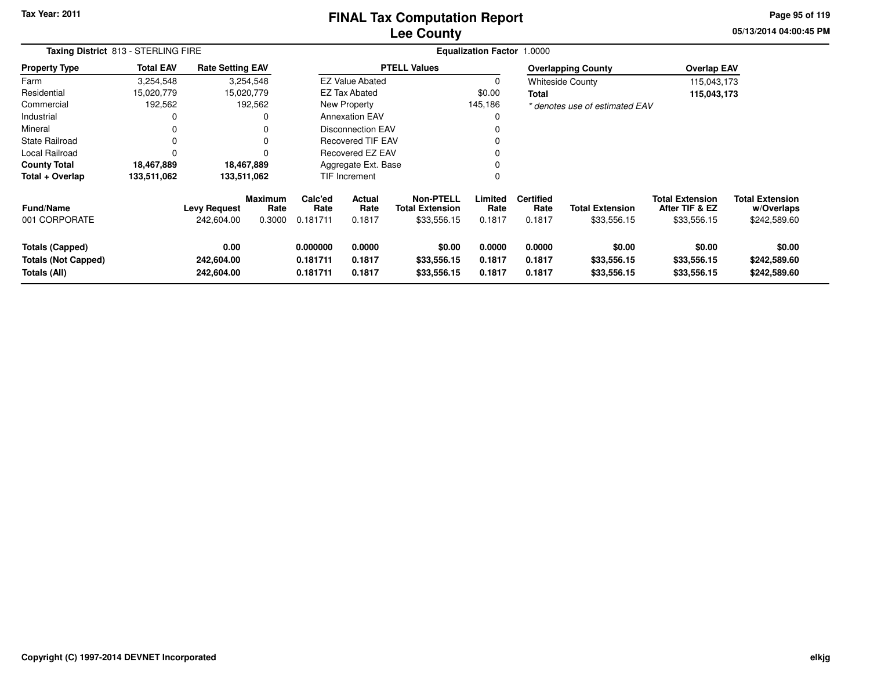### **Lee CountyFINAL Tax Computation Report**

**05/13/2014 04:00:45 PM Page 95 of 119**

| Taxing District 813 - STERLING FIRE                                  |                  |                                   |                                  |                                  |                                                    |                                      | Equalization Factor 1.0000 |                                    |                                       |                                                         |                                                      |
|----------------------------------------------------------------------|------------------|-----------------------------------|----------------------------------|----------------------------------|----------------------------------------------------|--------------------------------------|----------------------------|------------------------------------|---------------------------------------|---------------------------------------------------------|------------------------------------------------------|
| <b>Property Type</b>                                                 | <b>Total EAV</b> | <b>Rate Setting EAV</b>           |                                  |                                  |                                                    | <b>PTELL Values</b>                  |                            |                                    | <b>Overlapping County</b>             | <b>Overlap EAV</b>                                      |                                                      |
| Farm                                                                 | 3,254,548        |                                   | 3,254,548                        |                                  | <b>EZ Value Abated</b>                             |                                      | 0                          |                                    | <b>Whiteside County</b>               | 115,043,173                                             |                                                      |
| Residential                                                          | 15,020,779       |                                   | 15,020,779                       |                                  | EZ Tax Abated                                      |                                      | \$0.00                     | <b>Total</b>                       |                                       | 115,043,173                                             |                                                      |
| Commercial                                                           | 192,562          |                                   | 192,562                          |                                  | New Property                                       |                                      | 145,186                    |                                    | * denotes use of estimated EAV        |                                                         |                                                      |
| Industrial                                                           |                  |                                   |                                  |                                  | <b>Annexation EAV</b>                              |                                      | 0                          |                                    |                                       |                                                         |                                                      |
| Mineral                                                              |                  |                                   |                                  |                                  | Disconnection EAV                                  |                                      | 0                          |                                    |                                       |                                                         |                                                      |
| <b>State Railroad</b>                                                |                  |                                   |                                  |                                  | <b>Recovered TIF EAV</b>                           |                                      | 0                          |                                    |                                       |                                                         |                                                      |
| Local Railroad                                                       |                  |                                   |                                  |                                  | Recovered EZ EAV                                   |                                      | 0                          |                                    |                                       |                                                         |                                                      |
| <b>County Total</b>                                                  | 18,467,889       |                                   | 18,467,889                       |                                  | Aggregate Ext. Base                                |                                      | $\Omega$                   |                                    |                                       |                                                         |                                                      |
| Total + Overlap                                                      | 133,511,062      | 133,511,062                       |                                  |                                  | TIF Increment                                      |                                      | 0                          |                                    |                                       |                                                         |                                                      |
| <b>Fund/Name</b><br>001 CORPORATE                                    |                  | <b>Levy Request</b><br>242,604.00 | <b>Maximum</b><br>Rate<br>0.3000 | Calc'ed<br>Rate<br>0.181711      | Actual<br>Rate<br><b>Total Extension</b><br>0.1817 |                                      | Limited<br>Rate<br>0.1817  | <b>Certified</b><br>Rate<br>0.1817 | <b>Total Extension</b><br>\$33,556.15 | <b>Total Extension</b><br>After TIF & EZ<br>\$33,556.15 | <b>Total Extension</b><br>w/Overlaps<br>\$242,589.60 |
| <b>Totals (Capped)</b><br><b>Totals (Not Capped)</b><br>Totals (All) |                  | 0.00<br>242,604.00<br>242,604.00  |                                  | 0.000000<br>0.181711<br>0.181711 | 0.0000<br>0.1817<br>0.1817                         | \$0.00<br>\$33,556.15<br>\$33,556.15 | 0.0000<br>0.1817<br>0.1817 | 0.0000<br>0.1817<br>0.1817         | \$0.00<br>\$33,556.15<br>\$33,556.15  | \$0.00<br>\$33,556.15<br>\$33,556.15                    | \$0.00<br>\$242,589.60<br>\$242,589.60               |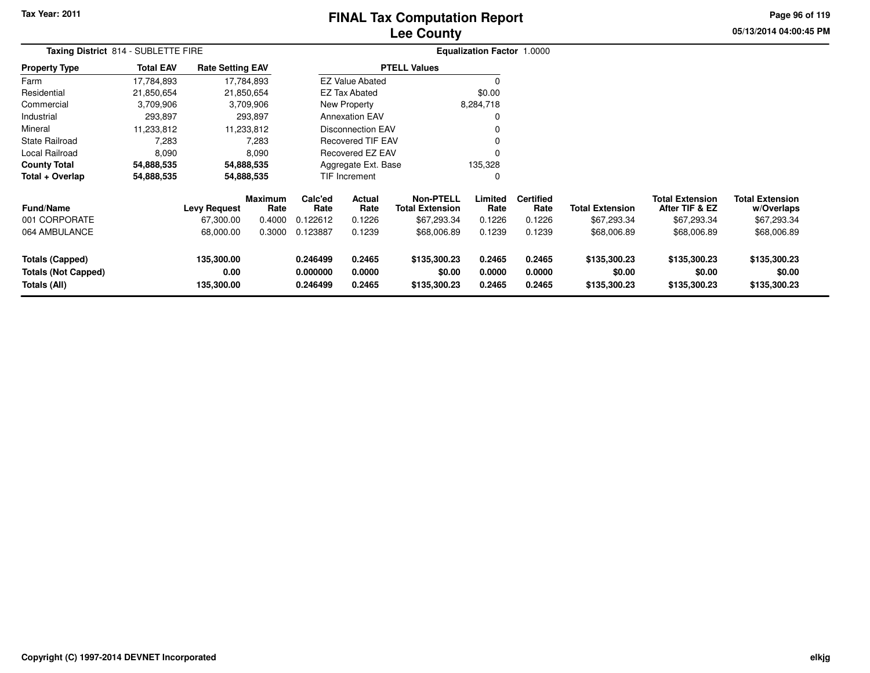# **Lee CountyFINAL Tax Computation Report**

**05/13/2014 04:00:45 PM Page 96 of 119**

| Taxing District 814 - SUBLETTE FIRE                                  |                  |                                  |                        |                                   |                            |                                            | Equalization Factor 1.0000 |                            |                                        |                                          |                                        |  |
|----------------------------------------------------------------------|------------------|----------------------------------|------------------------|-----------------------------------|----------------------------|--------------------------------------------|----------------------------|----------------------------|----------------------------------------|------------------------------------------|----------------------------------------|--|
| <b>Property Type</b>                                                 | <b>Total EAV</b> | <b>Rate Setting EAV</b>          |                        |                                   |                            | <b>PTELL Values</b>                        |                            |                            |                                        |                                          |                                        |  |
| Farm                                                                 | 17,784,893       |                                  | 17,784,893             |                                   | <b>EZ Value Abated</b>     |                                            | 0                          |                            |                                        |                                          |                                        |  |
| Residential                                                          | 21,850,654       |                                  | 21,850,654             |                                   | <b>EZ Tax Abated</b>       |                                            | \$0.00                     |                            |                                        |                                          |                                        |  |
| Commercial                                                           | 3,709,906        |                                  | 3,709,906              |                                   | New Property               |                                            | 8,284,718                  |                            |                                        |                                          |                                        |  |
| Industrial                                                           | 293,897          |                                  | 293,897                |                                   | <b>Annexation EAV</b>      |                                            | 0                          |                            |                                        |                                          |                                        |  |
| Mineral                                                              | 11,233,812       |                                  | 11,233,812             |                                   | <b>Disconnection EAV</b>   |                                            | 0                          |                            |                                        |                                          |                                        |  |
| <b>State Railroad</b>                                                | 7,283            |                                  | 7,283                  |                                   | <b>Recovered TIF EAV</b>   |                                            | $\Omega$                   |                            |                                        |                                          |                                        |  |
| Local Railroad                                                       | 8,090            |                                  | 8,090                  |                                   | Recovered EZ EAV           |                                            | $\Omega$                   |                            |                                        |                                          |                                        |  |
| <b>County Total</b>                                                  | 54,888,535       |                                  | 54,888,535             |                                   | Aggregate Ext. Base        |                                            | 135,328                    |                            |                                        |                                          |                                        |  |
| Total + Overlap                                                      | 54,888,535       |                                  | 54,888,535             |                                   | TIF Increment              |                                            | 0                          |                            |                                        |                                          |                                        |  |
| <b>Fund/Name</b>                                                     |                  | <b>Levy Request</b>              | <b>Maximum</b><br>Rate | Calc'ed<br>Actual<br>Rate<br>Rate |                            | <b>Non-PTELL</b><br><b>Total Extension</b> | Limited<br>Rate            | <b>Certified</b><br>Rate   | <b>Total Extension</b>                 | <b>Total Extension</b><br>After TIF & EZ | <b>Total Extension</b><br>w/Overlaps   |  |
| 001 CORPORATE                                                        |                  | 67,300.00                        | 0.4000                 | 0.122612                          | 0.1226                     | \$67,293.34                                | 0.1226                     | 0.1226                     | \$67,293.34                            | \$67,293.34                              | \$67,293.34                            |  |
| 064 AMBULANCE                                                        |                  | 68,000.00                        | 0.3000                 | 0.123887                          | 0.1239                     | \$68,006.89                                | 0.1239                     | 0.1239                     | \$68,006.89                            | \$68,006.89                              | \$68,006.89                            |  |
| <b>Totals (Capped)</b><br><b>Totals (Not Capped)</b><br>Totals (All) |                  | 135,300.00<br>0.00<br>135,300.00 |                        | 0.246499<br>0.000000<br>0.246499  | 0.2465<br>0.0000<br>0.2465 | \$135,300.23<br>\$0.00<br>\$135,300.23     | 0.2465<br>0.0000<br>0.2465 | 0.2465<br>0.0000<br>0.2465 | \$135,300.23<br>\$0.00<br>\$135,300.23 | \$135,300.23<br>\$0.00<br>\$135,300.23   | \$135,300.23<br>\$0.00<br>\$135,300.23 |  |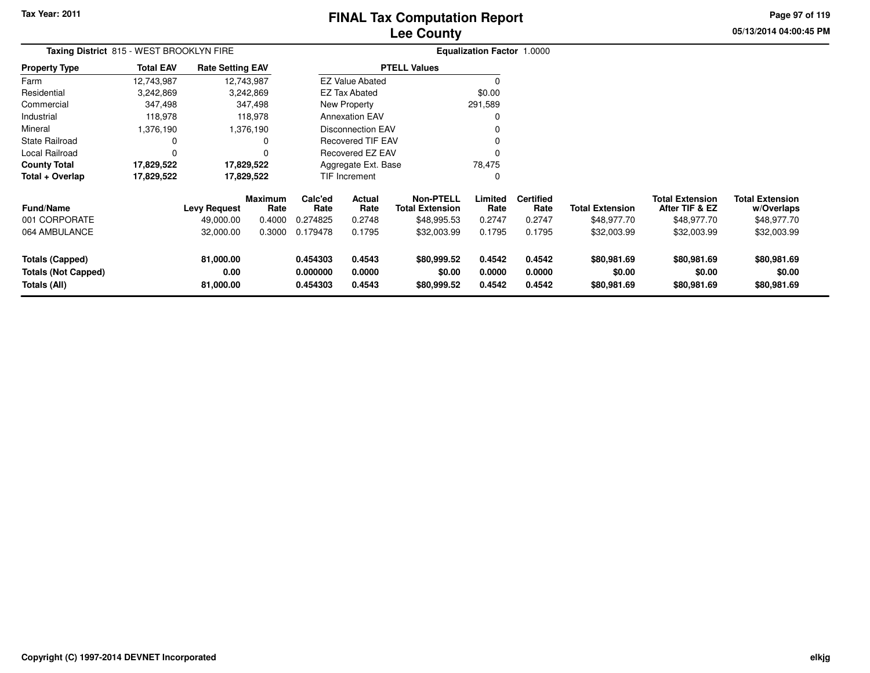# **Lee CountyFINAL Tax Computation Report**

**05/13/2014 04:00:45 PM Page 97 of 119**

| Taxing District 815 - WEST BROOKLYN FIRE                             |                  |                                |                        |                                  |                            |                                            | <b>Equalization Factor 1.0000</b> |                            |                                      |                                          |                                      |
|----------------------------------------------------------------------|------------------|--------------------------------|------------------------|----------------------------------|----------------------------|--------------------------------------------|-----------------------------------|----------------------------|--------------------------------------|------------------------------------------|--------------------------------------|
| <b>Property Type</b>                                                 | <b>Total EAV</b> | <b>Rate Setting EAV</b>        |                        |                                  |                            | <b>PTELL Values</b>                        |                                   |                            |                                      |                                          |                                      |
| Farm                                                                 | 12,743,987       |                                | 12,743,987             |                                  | <b>EZ Value Abated</b>     |                                            |                                   |                            |                                      |                                          |                                      |
| Residential                                                          | 3,242,869        |                                | 3,242,869              |                                  | <b>EZ Tax Abated</b>       |                                            | \$0.00                            |                            |                                      |                                          |                                      |
| Commercial                                                           | 347,498          |                                | 347,498                |                                  | <b>New Property</b>        |                                            | 291,589                           |                            |                                      |                                          |                                      |
| Industrial                                                           | 118,978          |                                | 118,978                |                                  | <b>Annexation EAV</b>      |                                            |                                   |                            |                                      |                                          |                                      |
| Mineral                                                              | 1,376,190        |                                | 1,376,190              |                                  | <b>Disconnection EAV</b>   |                                            |                                   |                            |                                      |                                          |                                      |
| <b>State Railroad</b>                                                | 0                |                                |                        |                                  | <b>Recovered TIF EAV</b>   |                                            |                                   |                            |                                      |                                          |                                      |
| Local Railroad                                                       | 0                |                                |                        |                                  | Recovered EZ EAV           |                                            |                                   |                            |                                      |                                          |                                      |
| <b>County Total</b>                                                  | 17,829,522       |                                | 17,829,522             |                                  | Aggregate Ext. Base        |                                            | 78,475                            |                            |                                      |                                          |                                      |
| Total + Overlap                                                      | 17,829,522       |                                | 17,829,522             |                                  | TIF Increment              |                                            | 0                                 |                            |                                      |                                          |                                      |
| <b>Fund/Name</b>                                                     |                  | <b>Levy Request</b>            | <b>Maximum</b><br>Rate | Calc'ed<br>Rate                  | Actual<br>Rate             | <b>Non-PTELL</b><br><b>Total Extension</b> | Limited<br>Rate                   | <b>Certified</b><br>Rate   | <b>Total Extension</b>               | <b>Total Extension</b><br>After TIF & EZ | <b>Total Extension</b><br>w/Overlaps |
| 001 CORPORATE                                                        |                  | 49,000.00                      | 0.4000                 | 0.274825                         | 0.2748                     | \$48,995.53                                | 0.2747                            | 0.2747                     | \$48,977.70                          | \$48,977.70                              | \$48,977.70                          |
| 064 AMBULANCE                                                        |                  | 32,000.00                      | 0.3000                 | 0.179478                         | 0.1795                     | \$32,003.99                                | 0.1795                            | 0.1795                     | \$32,003.99                          | \$32,003.99                              | \$32,003.99                          |
| <b>Totals (Capped)</b><br><b>Totals (Not Capped)</b><br>Totals (All) |                  | 81,000.00<br>0.00<br>81,000.00 |                        | 0.454303<br>0.000000<br>0.454303 | 0.4543<br>0.0000<br>0.4543 | \$80,999.52<br>\$0.00<br>\$80,999.52       | 0.4542<br>0.0000<br>0.4542        | 0.4542<br>0.0000<br>0.4542 | \$80,981.69<br>\$0.00<br>\$80,981.69 | \$80,981.69<br>\$0.00<br>\$80,981.69     | \$80,981.69<br>\$0.00<br>\$80,981.69 |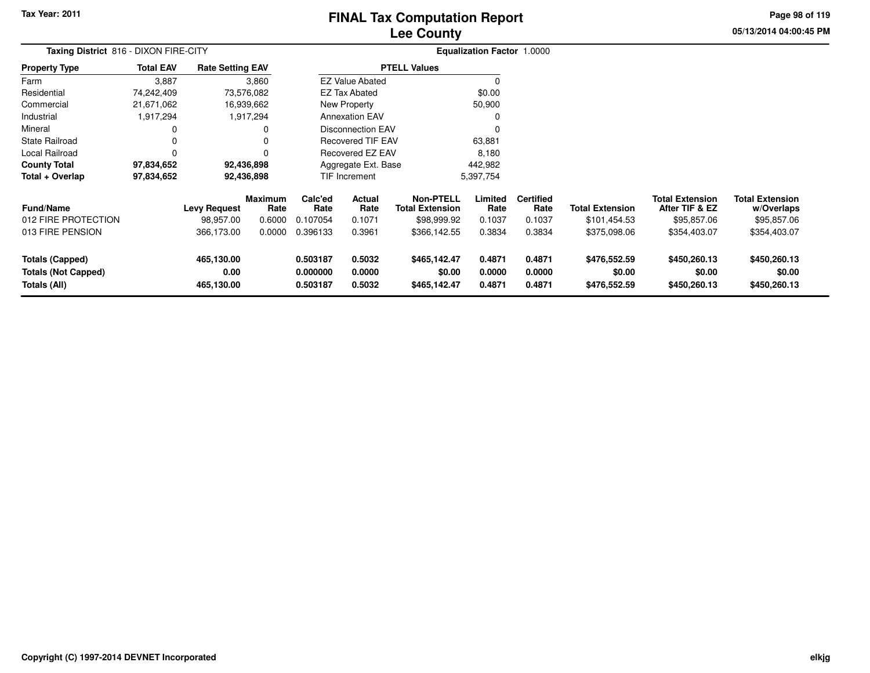# **Lee CountyFINAL Tax Computation Report**

**05/13/2014 04:00:45 PM Page 98 of 119**

| Taxing District 816 - DIXON FIRE-CITY                                |                  |                                  |                                  |                                  | <b>Equalization Factor 1.0000</b> |                                                           |                            |                                    |                                        |                                                         |                                                     |  |
|----------------------------------------------------------------------|------------------|----------------------------------|----------------------------------|----------------------------------|-----------------------------------|-----------------------------------------------------------|----------------------------|------------------------------------|----------------------------------------|---------------------------------------------------------|-----------------------------------------------------|--|
| <b>Property Type</b>                                                 | <b>Total EAV</b> | <b>Rate Setting EAV</b>          |                                  |                                  |                                   | <b>PTELL Values</b>                                       |                            |                                    |                                        |                                                         |                                                     |  |
| Farm                                                                 | 3,887            |                                  | 3,860                            |                                  | <b>EZ Value Abated</b>            |                                                           |                            |                                    |                                        |                                                         |                                                     |  |
| Residential                                                          | 74,242,409       |                                  | 73,576,082                       |                                  | <b>EZ Tax Abated</b>              |                                                           | \$0.00                     |                                    |                                        |                                                         |                                                     |  |
| Commercial                                                           | 21,671,062       |                                  | 16,939,662                       |                                  | New Property                      |                                                           | 50,900                     |                                    |                                        |                                                         |                                                     |  |
| Industrial                                                           | 1,917,294        |                                  | 1,917,294                        |                                  | <b>Annexation EAV</b>             |                                                           | 0                          |                                    |                                        |                                                         |                                                     |  |
| Mineral                                                              | 0                |                                  | 0                                |                                  | Disconnection EAV                 |                                                           | $\Omega$                   |                                    |                                        |                                                         |                                                     |  |
| <b>State Railroad</b>                                                | 0                |                                  | 0                                |                                  | <b>Recovered TIF EAV</b>          |                                                           | 63,881                     |                                    |                                        |                                                         |                                                     |  |
| Local Railroad                                                       | 0                |                                  | 0                                |                                  | Recovered EZ EAV                  |                                                           | 8,180                      |                                    |                                        |                                                         |                                                     |  |
| <b>County Total</b>                                                  | 97,834,652       |                                  | 92,436,898                       |                                  | Aggregate Ext. Base               |                                                           | 442,982                    |                                    |                                        |                                                         |                                                     |  |
| Total + Overlap                                                      | 97,834,652       |                                  | 92,436,898                       | TIF Increment<br>5,397,754       |                                   |                                                           |                            |                                    |                                        |                                                         |                                                     |  |
| <b>Fund/Name</b><br>012 FIRE PROTECTION                              |                  | <b>Levy Request</b><br>98,957.00 | <b>Maximum</b><br>Rate<br>0.6000 | Calc'ed<br>Rate<br>0.107054      | Actual<br>Rate<br>0.1071          | <b>Non-PTELL</b><br><b>Total Extension</b><br>\$98,999.92 | Limited<br>Rate<br>0.1037  | <b>Certified</b><br>Rate<br>0.1037 | <b>Total Extension</b><br>\$101,454.53 | <b>Total Extension</b><br>After TIF & EZ<br>\$95,857.06 | <b>Total Extension</b><br>w/Overlaps<br>\$95,857.06 |  |
| 013 FIRE PENSION                                                     |                  | 366,173.00                       | 0.0000                           | 0.396133                         | 0.3961                            | \$366,142.55                                              | 0.3834                     | 0.3834                             | \$375,098.06                           | \$354,403.07                                            | \$354,403.07                                        |  |
| <b>Totals (Capped)</b><br><b>Totals (Not Capped)</b><br>Totals (All) |                  | 465,130.00<br>0.00<br>465,130.00 |                                  | 0.503187<br>0.000000<br>0.503187 | 0.5032<br>0.0000<br>0.5032        | \$465,142.47<br>\$0.00<br>\$465,142.47                    | 0.4871<br>0.0000<br>0.4871 | 0.4871<br>0.0000<br>0.4871         | \$476,552.59<br>\$0.00<br>\$476,552.59 | \$450,260.13<br>\$0.00<br>\$450,260.13                  | \$450,260.13<br>\$0.00<br>\$450,260.13              |  |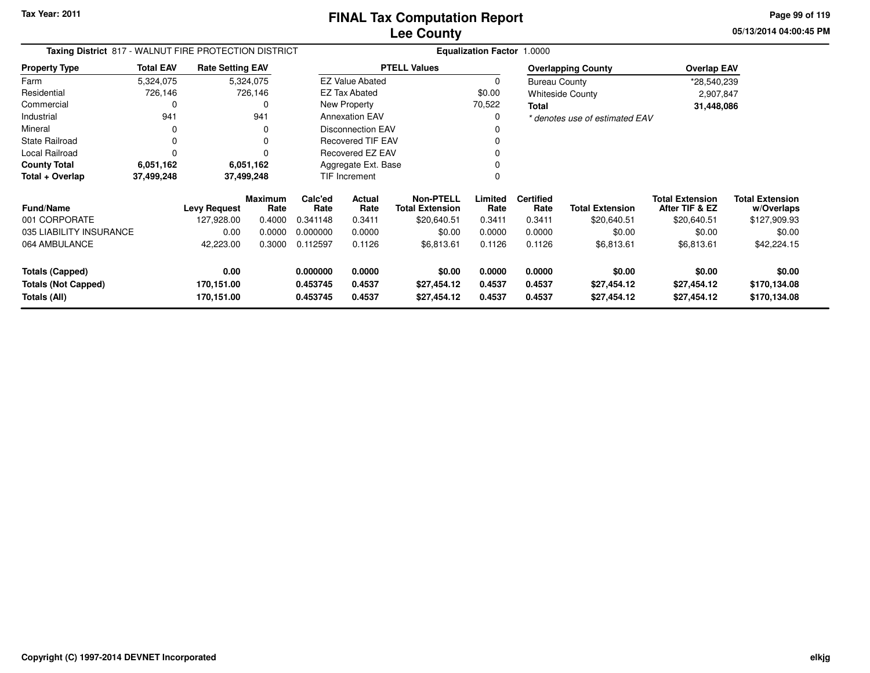**05/13/2014 04:00:45 PM Page 99 of 119**

| Taxing District 817 - WALNUT FIRE PROTECTION DISTRICT |                  |                         |                        |                 | <b>Equalization Factor 1.0000</b> |                                            |                 |                          |                                |                                          |                                      |  |  |
|-------------------------------------------------------|------------------|-------------------------|------------------------|-----------------|-----------------------------------|--------------------------------------------|-----------------|--------------------------|--------------------------------|------------------------------------------|--------------------------------------|--|--|
| <b>Property Type</b>                                  | <b>Total EAV</b> | <b>Rate Setting EAV</b> |                        |                 |                                   | <b>PTELL Values</b>                        |                 |                          | <b>Overlapping County</b>      | <b>Overlap EAV</b>                       |                                      |  |  |
| Farm                                                  | 5,324,075        |                         | 5,324,075              |                 | <b>EZ Value Abated</b>            |                                            | 0               | <b>Bureau County</b>     |                                | *28,540,239                              |                                      |  |  |
| Residential                                           | 726,146          |                         | 726,146                |                 | <b>EZ Tax Abated</b>              |                                            | \$0.00          |                          | <b>Whiteside County</b>        | 2,907,847                                |                                      |  |  |
| Commercial                                            | 0                |                         |                        |                 | New Property                      |                                            | 70,522          | Total                    |                                | 31,448,086                               |                                      |  |  |
| Industrial                                            | 941              |                         | 941                    |                 | <b>Annexation EAV</b>             |                                            | 0               |                          | * denotes use of estimated EAV |                                          |                                      |  |  |
| Mineral                                               | 0                |                         | 0                      |                 | <b>Disconnection EAV</b>          |                                            | 0               |                          |                                |                                          |                                      |  |  |
| <b>State Railroad</b>                                 | 0                |                         |                        |                 | <b>Recovered TIF EAV</b>          |                                            | 0               |                          |                                |                                          |                                      |  |  |
| Local Railroad                                        | 0                |                         |                        |                 | Recovered EZ EAV                  |                                            | 0               |                          |                                |                                          |                                      |  |  |
| <b>County Total</b>                                   | 6,051,162        |                         | 6,051,162              |                 | Aggregate Ext. Base               |                                            | 0               |                          |                                |                                          |                                      |  |  |
| Total + Overlap                                       | 37,499,248       |                         | 37,499,248             |                 | TIF Increment<br>0                |                                            |                 |                          |                                |                                          |                                      |  |  |
| <b>Fund/Name</b>                                      |                  | <b>Levy Request</b>     | <b>Maximum</b><br>Rate | Calc'ed<br>Rate | Actual<br>Rate                    | <b>Non-PTELL</b><br><b>Total Extension</b> | Limited<br>Rate | <b>Certified</b><br>Rate | <b>Total Extension</b>         | <b>Total Extension</b><br>After TIF & EZ | <b>Total Extension</b><br>w/Overlaps |  |  |
| 001 CORPORATE                                         |                  | 127,928.00              | 0.4000                 | 0.341148        | 0.3411                            | \$20,640.51                                | 0.3411          | 0.3411                   | \$20,640.51                    | \$20,640.51                              | \$127,909.93                         |  |  |
| 035 LIABILITY INSURANCE                               |                  | 0.00                    | 0.0000                 | 0.000000        | 0.0000                            | \$0.00                                     | 0.0000          | 0.0000                   | \$0.00                         | \$0.00                                   | \$0.00                               |  |  |
| 064 AMBULANCE                                         |                  | 42,223.00               | 0.3000                 | 0.112597        | 0.1126                            | \$6,813.61                                 | 0.1126          | 0.1126                   | \$6,813.61                     | \$6,813.61                               | \$42,224.15                          |  |  |
| <b>Totals (Capped)</b>                                |                  | 0.00                    |                        | 0.000000        | 0.0000                            | \$0.00                                     | 0.0000          | 0.0000                   | \$0.00                         | \$0.00                                   | \$0.00                               |  |  |
| <b>Totals (Not Capped)</b>                            |                  | 170,151.00              |                        | 0.453745        | 0.4537                            | \$27,454.12                                | 0.4537          | 0.4537                   | \$27,454.12                    | \$27,454.12                              | \$170,134.08                         |  |  |
| Totals (All)                                          |                  | 170,151.00              |                        | 0.453745        | 0.4537                            | \$27,454.12                                | 0.4537          | 0.4537                   | \$27,454.12                    | \$27,454.12                              | \$170,134.08                         |  |  |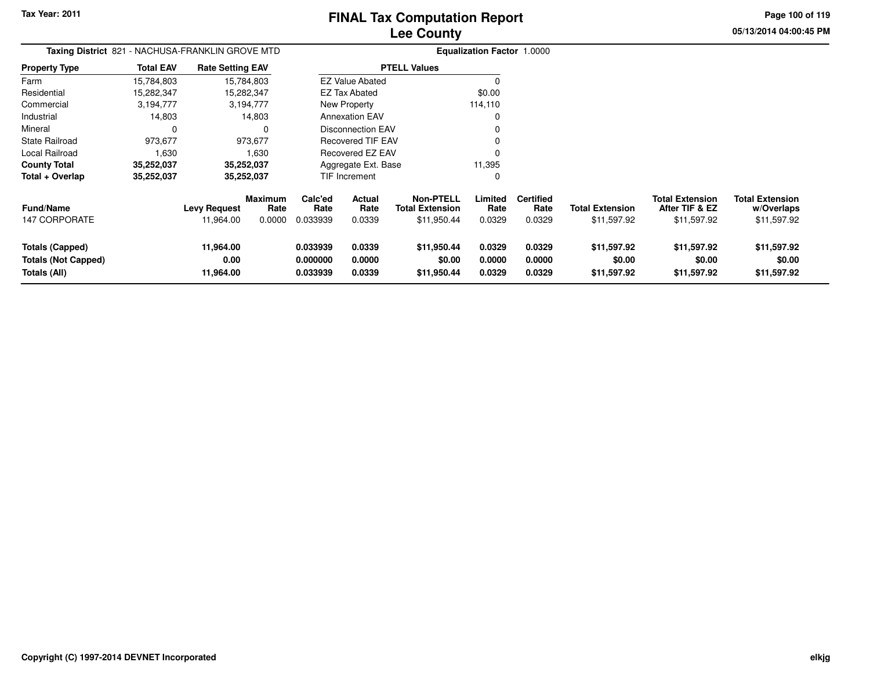**Page 100 of 119**

**05/13/2014 04:00:45 PM**

| <b>Taxing District</b> 821 - NACHUSA-FRANKLIN GROVE MTD       |                  |                                  |                           |                                  |                            |                                                           | <b>Equalization Factor 1.0000</b> |                                    |                                       |                                                         |                                                     |
|---------------------------------------------------------------|------------------|----------------------------------|---------------------------|----------------------------------|----------------------------|-----------------------------------------------------------|-----------------------------------|------------------------------------|---------------------------------------|---------------------------------------------------------|-----------------------------------------------------|
| <b>Property Type</b>                                          | <b>Total EAV</b> | <b>Rate Setting EAV</b>          |                           |                                  |                            | <b>PTELL Values</b>                                       |                                   |                                    |                                       |                                                         |                                                     |
| Farm                                                          | 15,784,803       |                                  | 15,784,803                |                                  | <b>EZ Value Abated</b>     |                                                           |                                   |                                    |                                       |                                                         |                                                     |
| Residential                                                   | 15,282,347       |                                  | 15,282,347                |                                  | EZ Tax Abated              |                                                           | \$0.00                            |                                    |                                       |                                                         |                                                     |
| Commercial                                                    | 3,194,777        |                                  | 3,194,777                 |                                  | New Property               |                                                           | 114,110                           |                                    |                                       |                                                         |                                                     |
| Industrial                                                    | 14,803           |                                  | 14,803                    |                                  | <b>Annexation EAV</b>      |                                                           | 0                                 |                                    |                                       |                                                         |                                                     |
| Mineral                                                       |                  |                                  | 0                         |                                  | Disconnection EAV          |                                                           |                                   |                                    |                                       |                                                         |                                                     |
| <b>State Railroad</b>                                         | 973,677          |                                  | 973,677                   |                                  | <b>Recovered TIF EAV</b>   |                                                           |                                   |                                    |                                       |                                                         |                                                     |
| Local Railroad                                                | 1,630            |                                  | 1,630                     |                                  | <b>Recovered EZ EAV</b>    |                                                           |                                   |                                    |                                       |                                                         |                                                     |
| <b>County Total</b>                                           | 35,252,037       |                                  | 35,252,037                |                                  | Aggregate Ext. Base        |                                                           | 11,395                            |                                    |                                       |                                                         |                                                     |
| Total + Overlap                                               | 35,252,037       |                                  | 35,252,037                |                                  | TIF Increment              |                                                           | 0                                 |                                    |                                       |                                                         |                                                     |
| <b>Fund/Name</b><br><b>147 CORPORATE</b>                      |                  | <b>Levy Request</b><br>11,964.00 | Maximum<br>Rate<br>0.0000 | Calc'ed<br>Rate<br>0.033939      | Actual<br>Rate<br>0.0339   | <b>Non-PTELL</b><br><b>Total Extension</b><br>\$11,950.44 | Limited<br>Rate<br>0.0329         | <b>Certified</b><br>Rate<br>0.0329 | <b>Total Extension</b><br>\$11,597.92 | <b>Total Extension</b><br>After TIF & EZ<br>\$11,597.92 | <b>Total Extension</b><br>w/Overlaps<br>\$11,597.92 |
| Totals (Capped)<br><b>Totals (Not Capped)</b><br>Totals (All) |                  | 11,964.00<br>0.00<br>11,964.00   |                           | 0.033939<br>0.000000<br>0.033939 | 0.0339<br>0.0000<br>0.0339 | \$11,950.44<br>\$0.00<br>\$11,950.44                      | 0.0329<br>0.0000<br>0.0329        | 0.0329<br>0.0000<br>0.0329         | \$11,597.92<br>\$0.00<br>\$11,597.92  | \$11,597.92<br>\$0.00<br>\$11,597.92                    | \$11,597.92<br>\$0.00<br>\$11,597.92                |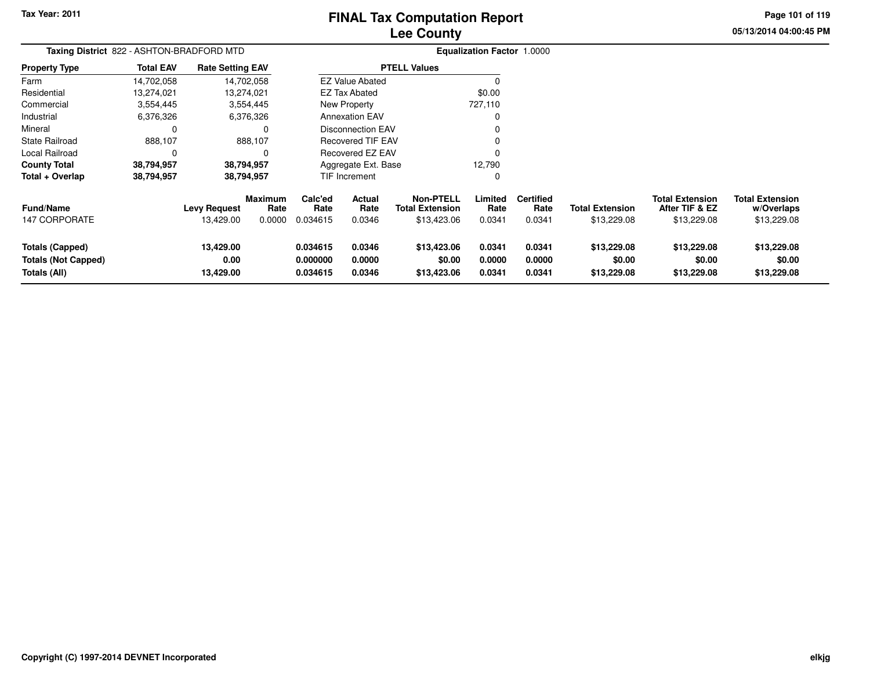# **Lee CountyFINAL Tax Computation Report**

**Page 101 of 119**

**05/13/2014 04:00:45 PM**

| Taxing District 822 - ASHTON-BRADFORD MTD                     |                  |                                  |                           |                                  |                                 |                                                           | Equalization Factor 1.0000 |                                    |                                      |                                                         |                                                     |
|---------------------------------------------------------------|------------------|----------------------------------|---------------------------|----------------------------------|---------------------------------|-----------------------------------------------------------|----------------------------|------------------------------------|--------------------------------------|---------------------------------------------------------|-----------------------------------------------------|
| <b>Property Type</b>                                          | <b>Total EAV</b> | <b>Rate Setting EAV</b>          |                           |                                  |                                 | <b>PTELL Values</b>                                       |                            |                                    |                                      |                                                         |                                                     |
| Farm                                                          | 14,702,058       |                                  | 14,702,058                |                                  | <b>EZ Value Abated</b>          |                                                           |                            |                                    |                                      |                                                         |                                                     |
| Residential                                                   | 13,274,021       |                                  | 13,274,021                |                                  | EZ Tax Abated                   |                                                           | \$0.00                     |                                    |                                      |                                                         |                                                     |
| Commercial                                                    | 3,554,445        |                                  | 3,554,445                 |                                  | New Property                    |                                                           | 727,110                    |                                    |                                      |                                                         |                                                     |
| Industrial                                                    | 6,376,326        |                                  | 6,376,326                 |                                  | <b>Annexation EAV</b>           |                                                           |                            |                                    |                                      |                                                         |                                                     |
| Mineral                                                       | 0                |                                  |                           |                                  | Disconnection EAV               |                                                           |                            |                                    |                                      |                                                         |                                                     |
| State Railroad                                                | 888,107          |                                  | 888,107                   |                                  | <b>Recovered TIF EAV</b>        |                                                           |                            |                                    |                                      |                                                         |                                                     |
| Local Railroad                                                | $\mathbf 0$      |                                  |                           |                                  | Recovered EZ EAV                |                                                           |                            |                                    |                                      |                                                         |                                                     |
| <b>County Total</b>                                           | 38,794,957       |                                  | 38,794,957                |                                  | Aggregate Ext. Base             |                                                           | 12,790                     |                                    |                                      |                                                         |                                                     |
| Total + Overlap                                               | 38,794,957       |                                  | 38,794,957                |                                  | TIF Increment                   |                                                           |                            |                                    |                                      |                                                         |                                                     |
| <b>Fund/Name</b><br><b>147 CORPORATE</b>                      |                  | <b>Levy Request</b><br>13,429.00 | Maximum<br>Rate<br>0.0000 | Calc'ed<br>Rate<br>0.034615      | <b>Actual</b><br>Rate<br>0.0346 | <b>Non-PTELL</b><br><b>Total Extension</b><br>\$13,423.06 | Limited<br>Rate<br>0.0341  | <b>Certified</b><br>Rate<br>0.0341 | Total Extension<br>\$13,229.08       | <b>Total Extension</b><br>After TIF & EZ<br>\$13,229.08 | <b>Total Extension</b><br>w/Overlaps<br>\$13,229.08 |
| Totals (Capped)<br><b>Totals (Not Capped)</b><br>Totals (All) |                  | 13,429.00<br>0.00<br>13,429.00   |                           | 0.034615<br>0.000000<br>0.034615 | 0.0346<br>0.0000<br>0.0346      | \$13,423.06<br>\$0.00<br>\$13,423.06                      | 0.0341<br>0.0000<br>0.0341 | 0.0341<br>0.0000<br>0.0341         | \$13,229.08<br>\$0.00<br>\$13,229.08 | \$13,229.08<br>\$0.00<br>\$13,229.08                    | \$13,229.08<br>\$0.00<br>\$13,229.08                |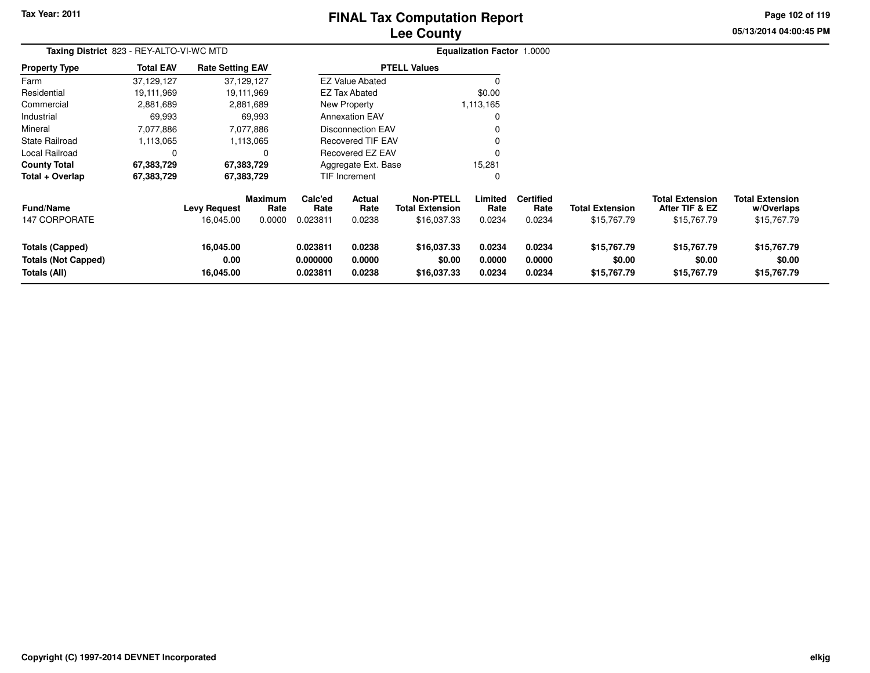# **Lee CountyFINAL Tax Computation Report**

**05/13/2014 04:00:45 PM Page 102 of 119**

| Taxing District 823 - REY-ALTO-VI-WC MTD                             |                  |                                  |                                  |                                  |                                 |                                                           | <b>Equalization Factor 1.0000</b> |                                    |                                       |                                                         |                                                     |
|----------------------------------------------------------------------|------------------|----------------------------------|----------------------------------|----------------------------------|---------------------------------|-----------------------------------------------------------|-----------------------------------|------------------------------------|---------------------------------------|---------------------------------------------------------|-----------------------------------------------------|
| <b>Property Type</b>                                                 | <b>Total EAV</b> | <b>Rate Setting EAV</b>          |                                  |                                  |                                 | <b>PTELL Values</b>                                       |                                   |                                    |                                       |                                                         |                                                     |
| Farm                                                                 | 37,129,127       |                                  | 37,129,127                       |                                  | <b>EZ Value Abated</b>          |                                                           |                                   |                                    |                                       |                                                         |                                                     |
| Residential                                                          | 19,111,969       |                                  | 19,111,969                       |                                  | <b>EZ Tax Abated</b>            |                                                           | \$0.00                            |                                    |                                       |                                                         |                                                     |
| Commercial                                                           | 2,881,689        |                                  | 2,881,689                        |                                  | New Property                    |                                                           | 1,113,165                         |                                    |                                       |                                                         |                                                     |
| Industrial                                                           | 69,993           |                                  | 69,993                           |                                  | <b>Annexation EAV</b>           |                                                           |                                   |                                    |                                       |                                                         |                                                     |
| Mineral                                                              | 7,077,886        |                                  | 7,077,886                        |                                  | <b>Disconnection EAV</b>        |                                                           |                                   |                                    |                                       |                                                         |                                                     |
| State Railroad                                                       | 1,113,065        |                                  | 1,113,065                        |                                  | <b>Recovered TIF EAV</b>        |                                                           |                                   |                                    |                                       |                                                         |                                                     |
| Local Railroad                                                       |                  |                                  | 0                                |                                  | Recovered EZ EAV                |                                                           |                                   |                                    |                                       |                                                         |                                                     |
| <b>County Total</b>                                                  | 67,383,729       |                                  | 67,383,729                       |                                  | Aggregate Ext. Base             |                                                           | 15,281                            |                                    |                                       |                                                         |                                                     |
| Total + Overlap                                                      | 67,383,729       |                                  | 67,383,729                       |                                  | TIF Increment                   |                                                           | $\Omega$                          |                                    |                                       |                                                         |                                                     |
| Fund/Name<br>147 CORPORATE                                           |                  | <b>Levy Request</b><br>16,045.00 | <b>Maximum</b><br>Rate<br>0.0000 | Calc'ed<br>Rate<br>0.023811      | <b>Actual</b><br>Rate<br>0.0238 | <b>Non-PTELL</b><br><b>Total Extension</b><br>\$16,037.33 | Limited<br>Rate<br>0.0234         | <b>Certified</b><br>Rate<br>0.0234 | <b>Total Extension</b><br>\$15,767.79 | <b>Total Extension</b><br>After TIF & EZ<br>\$15,767.79 | <b>Total Extension</b><br>w/Overlaps<br>\$15,767.79 |
| <b>Totals (Capped)</b><br><b>Totals (Not Capped)</b><br>Totals (All) |                  | 16,045.00<br>0.00<br>16,045.00   |                                  | 0.023811<br>0.000000<br>0.023811 | 0.0238<br>0.0000<br>0.0238      | \$16,037.33<br>\$0.00<br>\$16,037.33                      | 0.0234<br>0.0000<br>0.0234        | 0.0234<br>0.0000<br>0.0234         | \$15,767.79<br>\$0.00<br>\$15,767.79  | \$15,767.79<br>\$0.00<br>\$15,767.79                    | \$15,767.79<br>\$0.00<br>\$15,767.79                |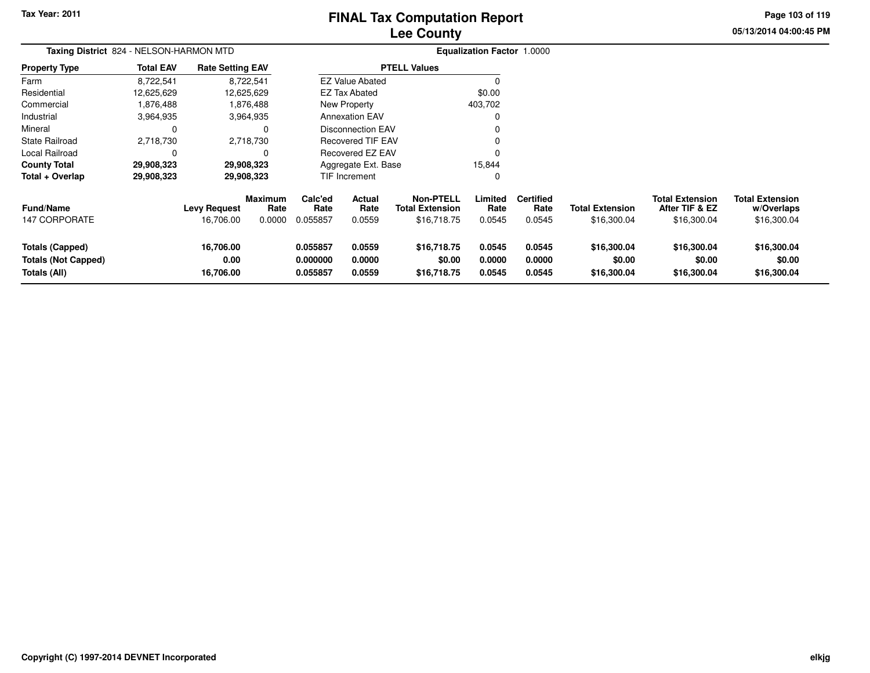# **Lee CountyFINAL Tax Computation Report**

**Page 103 of 119**

**05/13/2014 04:00:45 PM**

|                                                                      | Taxing District 824 - NELSON-HARMON MTD |                                  |                           |                                  |                                 |                                                           | <b>Equalization Factor 1.0000</b> |                                    |                                       |                                                         |                                                     |  |
|----------------------------------------------------------------------|-----------------------------------------|----------------------------------|---------------------------|----------------------------------|---------------------------------|-----------------------------------------------------------|-----------------------------------|------------------------------------|---------------------------------------|---------------------------------------------------------|-----------------------------------------------------|--|
| <b>Property Type</b>                                                 | <b>Total EAV</b>                        | <b>Rate Setting EAV</b>          |                           |                                  |                                 | <b>PTELL Values</b>                                       |                                   |                                    |                                       |                                                         |                                                     |  |
| Farm                                                                 | 8,722,541                               | 8,722,541                        |                           |                                  | <b>EZ Value Abated</b>          |                                                           |                                   |                                    |                                       |                                                         |                                                     |  |
| Residential                                                          | 12,625,629                              | 12,625,629                       |                           |                                  | <b>EZ Tax Abated</b>            |                                                           | \$0.00                            |                                    |                                       |                                                         |                                                     |  |
| Commercial                                                           | 1,876,488                               |                                  | 1,876,488                 |                                  | New Property                    |                                                           | 403,702                           |                                    |                                       |                                                         |                                                     |  |
| Industrial                                                           | 3,964,935                               | 3,964,935                        |                           |                                  | <b>Annexation EAV</b>           |                                                           |                                   |                                    |                                       |                                                         |                                                     |  |
| Mineral                                                              | 0                                       |                                  |                           |                                  | <b>Disconnection EAV</b>        |                                                           |                                   |                                    |                                       |                                                         |                                                     |  |
| <b>State Railroad</b>                                                | 2,718,730                               | 2,718,730                        |                           |                                  | <b>Recovered TIF EAV</b>        |                                                           |                                   |                                    |                                       |                                                         |                                                     |  |
| <b>Local Railroad</b>                                                | 0                                       |                                  | 0                         |                                  | Recovered EZ EAV                |                                                           |                                   |                                    |                                       |                                                         |                                                     |  |
| <b>County Total</b>                                                  | 29,908,323                              | 29,908,323                       |                           |                                  | Aggregate Ext. Base             |                                                           | 15,844                            |                                    |                                       |                                                         |                                                     |  |
| Total + Overlap                                                      | 29,908,323                              | 29,908,323                       |                           |                                  | TIF Increment<br>0              |                                                           |                                   |                                    |                                       |                                                         |                                                     |  |
| <b>Fund/Name</b><br><b>147 CORPORATE</b>                             |                                         | <b>Levy Request</b><br>16,706.00 | Maximum<br>Rate<br>0.0000 | Calc'ed<br>Rate<br>0.055857      | <b>Actual</b><br>Rate<br>0.0559 | <b>Non-PTELL</b><br><b>Total Extension</b><br>\$16,718.75 | Limited<br>Rate<br>0.0545         | <b>Certified</b><br>Rate<br>0.0545 | <b>Total Extension</b><br>\$16,300.04 | <b>Total Extension</b><br>After TIF & EZ<br>\$16,300.04 | <b>Total Extension</b><br>w/Overlaps<br>\$16,300.04 |  |
| <b>Totals (Capped)</b><br><b>Totals (Not Capped)</b><br>Totals (All) |                                         | 16,706.00<br>0.00<br>16,706.00   |                           | 0.055857<br>0.000000<br>0.055857 | 0.0559<br>0.0000<br>0.0559      | \$16,718.75<br>\$0.00<br>\$16,718.75                      | 0.0545<br>0.0000<br>0.0545        | 0.0545<br>0.0000<br>0.0545         | \$16,300.04<br>\$0.00<br>\$16,300.04  | \$16,300.04<br>\$0.00<br>\$16,300.04                    | \$16,300.04<br>\$0.00<br>\$16,300.04                |  |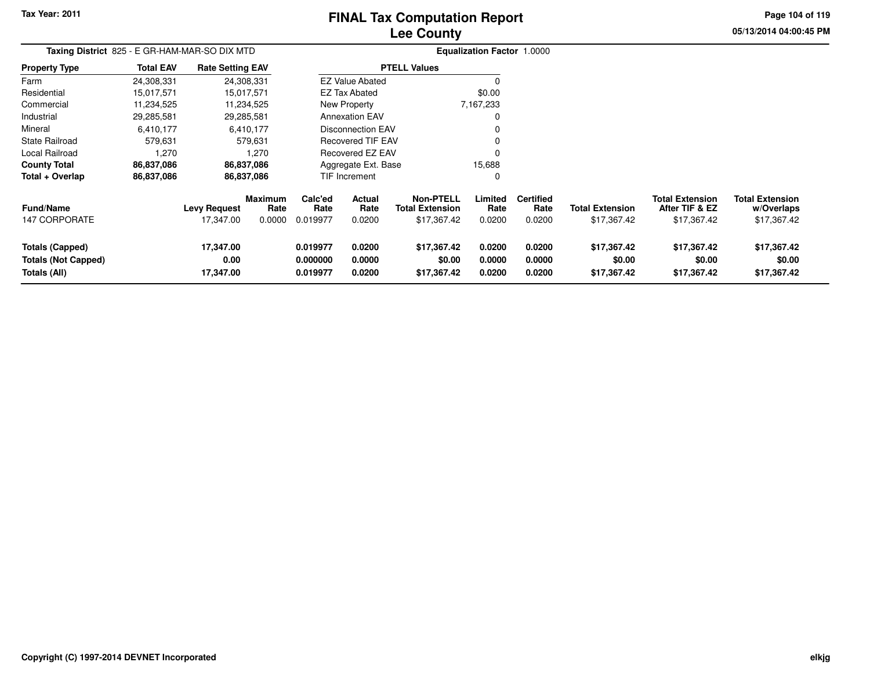# **Lee CountyFINAL Tax Computation Report**

**Page 104 of 119**

**05/13/2014 04:00:45 PM**

| Taxing District 825 - E GR-HAM-MAR-SO DIX MTD                        |                  |                                |                           |                                  |                            |                                                           | <b>Equalization Factor 1.0000</b> |                                    |                                       |                                                         |                                                     |
|----------------------------------------------------------------------|------------------|--------------------------------|---------------------------|----------------------------------|----------------------------|-----------------------------------------------------------|-----------------------------------|------------------------------------|---------------------------------------|---------------------------------------------------------|-----------------------------------------------------|
| <b>Property Type</b>                                                 | <b>Total EAV</b> | <b>Rate Setting EAV</b>        |                           |                                  |                            | <b>PTELL Values</b>                                       |                                   |                                    |                                       |                                                         |                                                     |
| Farm                                                                 | 24,308,331       |                                | 24,308,331                |                                  | <b>EZ Value Abated</b>     |                                                           |                                   |                                    |                                       |                                                         |                                                     |
| Residential                                                          | 15,017,571       |                                | 15,017,571                |                                  | EZ Tax Abated              |                                                           | \$0.00                            |                                    |                                       |                                                         |                                                     |
| Commercial                                                           | 11,234,525       |                                | 11,234,525                |                                  | New Property               |                                                           | 7,167,233                         |                                    |                                       |                                                         |                                                     |
| Industrial                                                           | 29,285,581       |                                | 29,285,581                |                                  | <b>Annexation EAV</b>      |                                                           | 0                                 |                                    |                                       |                                                         |                                                     |
| Mineral                                                              | 6,410,177        |                                | 6,410,177                 |                                  | <b>Disconnection EAV</b>   |                                                           |                                   |                                    |                                       |                                                         |                                                     |
| <b>State Railroad</b>                                                | 579,631          |                                | 579,631                   |                                  | <b>Recovered TIF EAV</b>   |                                                           |                                   |                                    |                                       |                                                         |                                                     |
| Local Railroad                                                       | 1,270            |                                | 1,270                     |                                  | Recovered EZ EAV           |                                                           | 0                                 |                                    |                                       |                                                         |                                                     |
| <b>County Total</b>                                                  | 86,837,086       |                                | 86,837,086                |                                  | Aggregate Ext. Base        |                                                           | 15,688                            |                                    |                                       |                                                         |                                                     |
| Total + Overlap                                                      | 86,837,086       |                                | 86,837,086                |                                  | TIF Increment              |                                                           | 0                                 |                                    |                                       |                                                         |                                                     |
| <b>Fund/Name</b><br><b>147 CORPORATE</b>                             |                  | Levy Request<br>17,347.00      | Maximum<br>Rate<br>0.0000 | Calc'ed<br>Rate<br>0.019977      | Actual<br>Rate<br>0.0200   | <b>Non-PTELL</b><br><b>Total Extension</b><br>\$17,367.42 | Limited<br>Rate<br>0.0200         | <b>Certified</b><br>Rate<br>0.0200 | <b>Total Extension</b><br>\$17,367.42 | <b>Total Extension</b><br>After TIF & EZ<br>\$17,367.42 | <b>Total Extension</b><br>w/Overlaps<br>\$17,367.42 |
| <b>Totals (Capped)</b><br><b>Totals (Not Capped)</b><br>Totals (All) |                  | 17,347.00<br>0.00<br>17,347.00 |                           | 0.019977<br>0.000000<br>0.019977 | 0.0200<br>0.0000<br>0.0200 | \$17,367.42<br>\$0.00<br>\$17,367.42                      | 0.0200<br>0.0000<br>0.0200        | 0.0200<br>0.0000<br>0.0200         | \$17,367.42<br>\$0.00<br>\$17,367.42  | \$17,367.42<br>\$0.00<br>\$17,367.42                    | \$17,367.42<br>\$0.00<br>\$17,367.42                |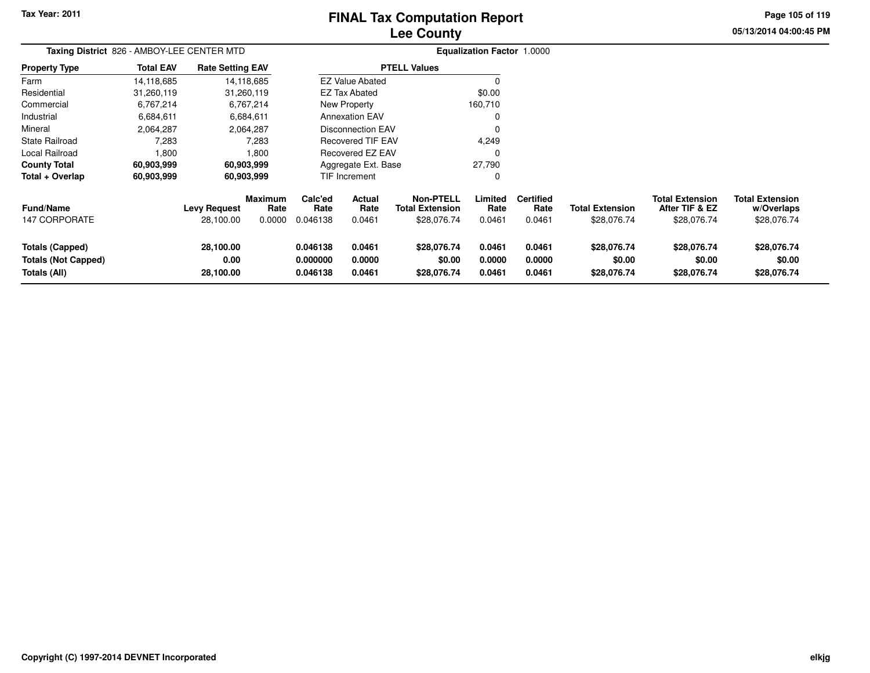# **Lee CountyFINAL Tax Computation Report**

**05/13/2014 04:00:45 PM Page 105 of 119**

| Taxing District 826 - AMBOY-LEE CENTER MTD                    |                  |                                  |                                  |                                  |                                 |                                                           | <b>Equalization Factor 1.0000</b> |                                    |                                       |                                                         |                                                     |
|---------------------------------------------------------------|------------------|----------------------------------|----------------------------------|----------------------------------|---------------------------------|-----------------------------------------------------------|-----------------------------------|------------------------------------|---------------------------------------|---------------------------------------------------------|-----------------------------------------------------|
| <b>Property Type</b>                                          | <b>Total EAV</b> | <b>Rate Setting EAV</b>          |                                  |                                  |                                 | <b>PTELL Values</b>                                       |                                   |                                    |                                       |                                                         |                                                     |
| Farm                                                          | 14,118,685       |                                  | 14,118,685                       |                                  | <b>EZ Value Abated</b>          |                                                           |                                   |                                    |                                       |                                                         |                                                     |
| Residential                                                   | 31,260,119       |                                  | 31,260,119                       |                                  | <b>EZ Tax Abated</b>            |                                                           | \$0.00                            |                                    |                                       |                                                         |                                                     |
| Commercial                                                    | 6,767,214        |                                  | 6,767,214                        |                                  | New Property                    |                                                           | 160,710                           |                                    |                                       |                                                         |                                                     |
| Industrial                                                    | 6,684,611        |                                  | 6,684,611                        |                                  | <b>Annexation EAV</b>           |                                                           |                                   |                                    |                                       |                                                         |                                                     |
| Mineral                                                       | 2,064,287        |                                  | 2,064,287                        |                                  | <b>Disconnection EAV</b>        |                                                           | $\mathbf 0$                       |                                    |                                       |                                                         |                                                     |
| <b>State Railroad</b>                                         | 7,283            |                                  | 7,283                            |                                  | <b>Recovered TIF EAV</b>        |                                                           | 4,249                             |                                    |                                       |                                                         |                                                     |
| Local Railroad                                                | 1,800            |                                  | 1,800                            |                                  | <b>Recovered EZ EAV</b>         |                                                           | $\Omega$                          |                                    |                                       |                                                         |                                                     |
| <b>County Total</b>                                           | 60,903,999       |                                  | 60,903,999                       |                                  | Aggregate Ext. Base             |                                                           | 27,790                            |                                    |                                       |                                                         |                                                     |
| Total + Overlap                                               | 60,903,999       |                                  | 60,903,999                       |                                  | <b>TIF Increment</b>            |                                                           | 0                                 |                                    |                                       |                                                         |                                                     |
| <b>Fund/Name</b><br>147 CORPORATE                             |                  | <b>Levy Request</b><br>28,100.00 | <b>Maximum</b><br>Rate<br>0.0000 | Calc'ed<br>Rate<br>0.046138      | <b>Actual</b><br>Rate<br>0.0461 | <b>Non-PTELL</b><br><b>Total Extension</b><br>\$28,076.74 | Limited<br>Rate<br>0.0461         | <b>Certified</b><br>Rate<br>0.0461 | <b>Total Extension</b><br>\$28,076.74 | <b>Total Extension</b><br>After TIF & EZ<br>\$28,076.74 | <b>Total Extension</b><br>w/Overlaps<br>\$28,076.74 |
| Totals (Capped)<br><b>Totals (Not Capped)</b><br>Totals (All) |                  | 28,100.00<br>0.00<br>28,100.00   |                                  | 0.046138<br>0.000000<br>0.046138 | 0.0461<br>0.0000<br>0.0461      | \$28,076.74<br>\$0.00<br>\$28,076.74                      | 0.0461<br>0.0000<br>0.0461        | 0.0461<br>0.0000<br>0.0461         | \$28,076.74<br>\$0.00<br>\$28,076.74  | \$28,076.74<br>\$0.00<br>\$28,076.74                    | \$28,076.74<br>\$0.00<br>\$28,076.74                |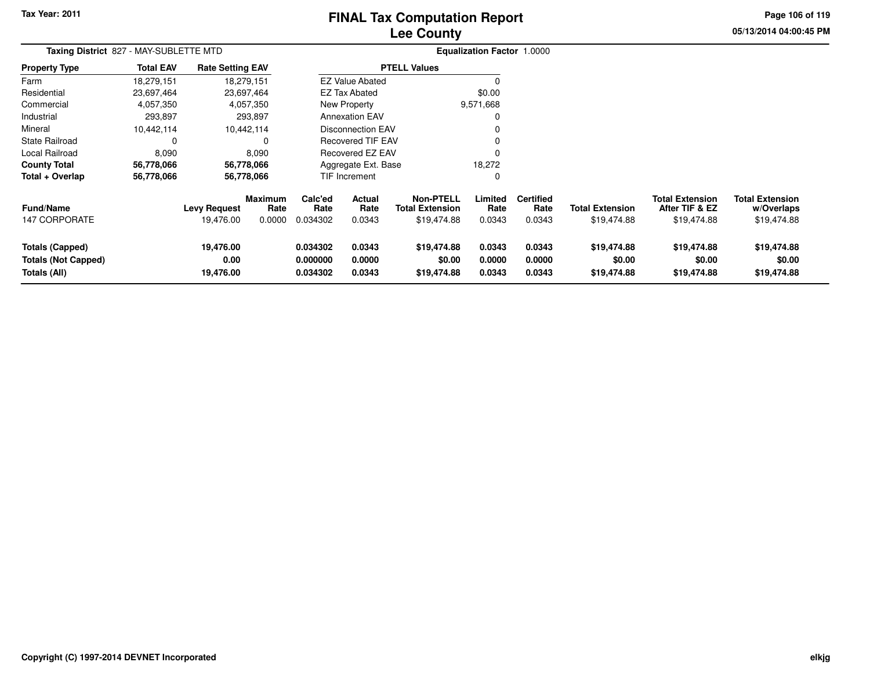# **Lee CountyFINAL Tax Computation Report**

**05/13/2014 04:00:45 PM Page 106 of 119**

| Taxing District 827 - MAY-SUBLETTE MTD                               |                  |                                  |                                  |                                  |                                 |                                                           | <b>Equalization Factor 1.0000</b> |                                    |                                       |                                                         |                                                     |
|----------------------------------------------------------------------|------------------|----------------------------------|----------------------------------|----------------------------------|---------------------------------|-----------------------------------------------------------|-----------------------------------|------------------------------------|---------------------------------------|---------------------------------------------------------|-----------------------------------------------------|
| <b>Property Type</b>                                                 | <b>Total EAV</b> | <b>Rate Setting EAV</b>          |                                  |                                  |                                 | <b>PTELL Values</b>                                       |                                   |                                    |                                       |                                                         |                                                     |
| Farm                                                                 | 18,279,151       |                                  | 18,279,151                       |                                  | <b>EZ Value Abated</b>          |                                                           | 0                                 |                                    |                                       |                                                         |                                                     |
| Residential                                                          | 23,697,464       |                                  | 23,697,464                       |                                  | <b>EZ Tax Abated</b>            |                                                           | \$0.00                            |                                    |                                       |                                                         |                                                     |
| Commercial                                                           | 4,057,350        |                                  | 4,057,350                        |                                  | New Property                    |                                                           | 9,571,668                         |                                    |                                       |                                                         |                                                     |
| Industrial                                                           | 293,897          |                                  | 293,897                          |                                  | <b>Annexation EAV</b>           |                                                           | 0                                 |                                    |                                       |                                                         |                                                     |
| Mineral                                                              | 10,442,114       |                                  | 10,442,114                       |                                  | <b>Disconnection EAV</b>        |                                                           | 0                                 |                                    |                                       |                                                         |                                                     |
| State Railroad                                                       | 0                |                                  |                                  |                                  | <b>Recovered TIF EAV</b>        |                                                           | 0                                 |                                    |                                       |                                                         |                                                     |
| Local Railroad                                                       | 8,090            |                                  | 8,090                            |                                  | <b>Recovered EZ EAV</b>         |                                                           | 0                                 |                                    |                                       |                                                         |                                                     |
| <b>County Total</b>                                                  | 56,778,066       |                                  | 56,778,066                       |                                  | Aggregate Ext. Base             |                                                           | 18,272                            |                                    |                                       |                                                         |                                                     |
| Total + Overlap                                                      | 56,778,066       |                                  | 56,778,066                       |                                  | <b>TIF Increment</b>            |                                                           | 0                                 |                                    |                                       |                                                         |                                                     |
| <b>Fund/Name</b><br><b>147 CORPORATE</b>                             |                  | <b>Levy Request</b><br>19,476.00 | <b>Maximum</b><br>Rate<br>0.0000 | Calc'ed<br>Rate<br>0.034302      | <b>Actual</b><br>Rate<br>0.0343 | <b>Non-PTELL</b><br><b>Total Extension</b><br>\$19,474.88 | Limited<br>Rate<br>0.0343         | <b>Certified</b><br>Rate<br>0.0343 | <b>Total Extension</b><br>\$19,474.88 | <b>Total Extension</b><br>After TIF & EZ<br>\$19,474.88 | <b>Total Extension</b><br>w/Overlaps<br>\$19,474.88 |
|                                                                      |                  |                                  |                                  |                                  |                                 |                                                           |                                   |                                    |                                       |                                                         |                                                     |
| <b>Totals (Capped)</b><br><b>Totals (Not Capped)</b><br>Totals (All) |                  | 19,476.00<br>0.00<br>19,476.00   |                                  | 0.034302<br>0.000000<br>0.034302 | 0.0343<br>0.0000<br>0.0343      | \$19,474.88<br>\$0.00<br>\$19,474.88                      | 0.0343<br>0.0000<br>0.0343        | 0.0343<br>0.0000<br>0.0343         | \$19,474.88<br>\$0.00<br>\$19,474.88  | \$19,474.88<br>\$0.00<br>\$19,474.88                    | \$19,474.88<br>\$0.00<br>\$19,474.88                |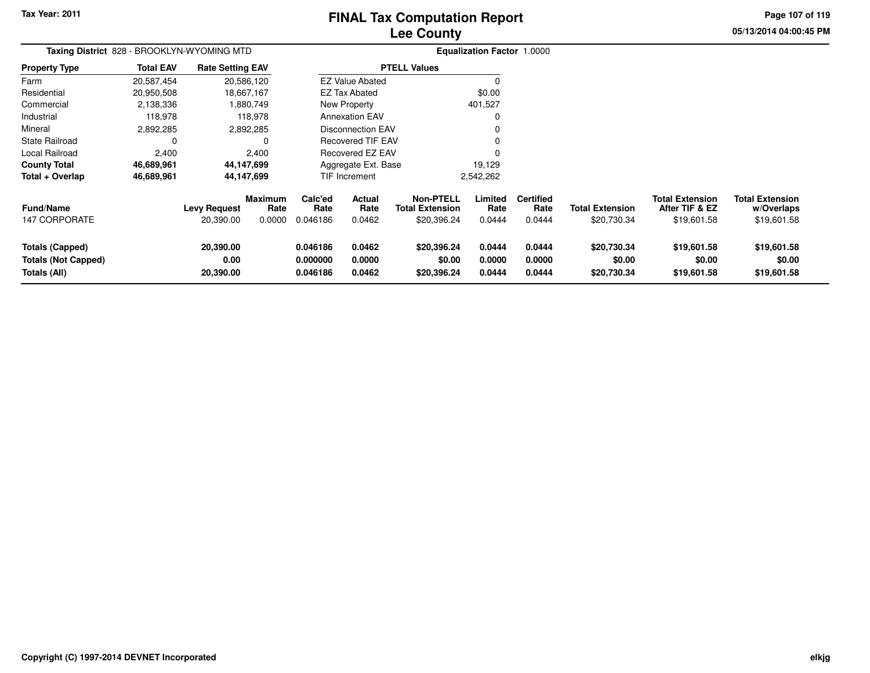# **Lee CountyFINAL Tax Computation Report**

**05/13/2014 04:00:45 PM Page 107 of 119**

| Taxing District 828 - BROOKLYN-WYOMING MTD                           |                  |                                  |                                  |                                  |                                 |                                                           | <b>Equalization Factor 1.0000</b> |                                    |                                       |                                                         |                                                     |
|----------------------------------------------------------------------|------------------|----------------------------------|----------------------------------|----------------------------------|---------------------------------|-----------------------------------------------------------|-----------------------------------|------------------------------------|---------------------------------------|---------------------------------------------------------|-----------------------------------------------------|
| <b>Property Type</b>                                                 | <b>Total EAV</b> | <b>Rate Setting EAV</b>          |                                  |                                  |                                 | <b>PTELL Values</b>                                       |                                   |                                    |                                       |                                                         |                                                     |
| Farm                                                                 | 20,587,454       |                                  | 20,586,120                       |                                  | <b>EZ Value Abated</b>          |                                                           |                                   |                                    |                                       |                                                         |                                                     |
| Residential                                                          | 20,950,508       |                                  | 18,667,167                       |                                  | <b>EZ Tax Abated</b>            |                                                           | \$0.00                            |                                    |                                       |                                                         |                                                     |
| Commercial                                                           | 2,138,336        |                                  | 1,880,749                        |                                  | New Property                    |                                                           | 401,527                           |                                    |                                       |                                                         |                                                     |
| Industrial                                                           | 118,978          |                                  | 118.978                          |                                  | <b>Annexation EAV</b>           |                                                           | 0                                 |                                    |                                       |                                                         |                                                     |
| Mineral                                                              | 2,892,285        |                                  | 2,892,285                        |                                  | <b>Disconnection EAV</b>        |                                                           | 0                                 |                                    |                                       |                                                         |                                                     |
| <b>State Railroad</b>                                                | 0                |                                  | 0                                |                                  | <b>Recovered TIF EAV</b>        |                                                           |                                   |                                    |                                       |                                                         |                                                     |
| Local Railroad                                                       | 2,400            |                                  | 2,400                            |                                  | Recovered EZ EAV                |                                                           | O                                 |                                    |                                       |                                                         |                                                     |
| <b>County Total</b>                                                  | 46,689,961       |                                  | 44,147,699                       |                                  | Aggregate Ext. Base             |                                                           | 19,129                            |                                    |                                       |                                                         |                                                     |
| Total + Overlap                                                      | 46,689,961       |                                  | 44,147,699                       |                                  | <b>TIF Increment</b>            |                                                           | 2,542,262                         |                                    |                                       |                                                         |                                                     |
| <b>Fund/Name</b><br>147 CORPORATE                                    |                  | <b>Levy Request</b><br>20,390.00 | <b>Maximum</b><br>Rate<br>0.0000 | Calc'ed<br>Rate<br>0.046186      | <b>Actual</b><br>Rate<br>0.0462 | <b>Non-PTELL</b><br><b>Total Extension</b><br>\$20,396.24 | Limited<br>Rate<br>0.0444         | <b>Certified</b><br>Rate<br>0.0444 | <b>Total Extension</b><br>\$20,730.34 | <b>Total Extension</b><br>After TIF & EZ<br>\$19,601.58 | <b>Total Extension</b><br>w/Overlaps<br>\$19,601.58 |
| <b>Totals (Capped)</b><br><b>Totals (Not Capped)</b><br>Totals (All) |                  | 20,390.00<br>0.00<br>20,390.00   |                                  | 0.046186<br>0.000000<br>0.046186 | 0.0462<br>0.0000<br>0.0462      | \$20,396.24<br>\$0.00<br>\$20,396.24                      | 0.0444<br>0.0000<br>0.0444        | 0.0444<br>0.0000<br>0.0444         | \$20,730.34<br>\$0.00<br>\$20,730.34  | \$19,601.58<br>\$0.00<br>\$19,601.58                    | \$19,601.58<br>\$0.00<br>\$19,601.58                |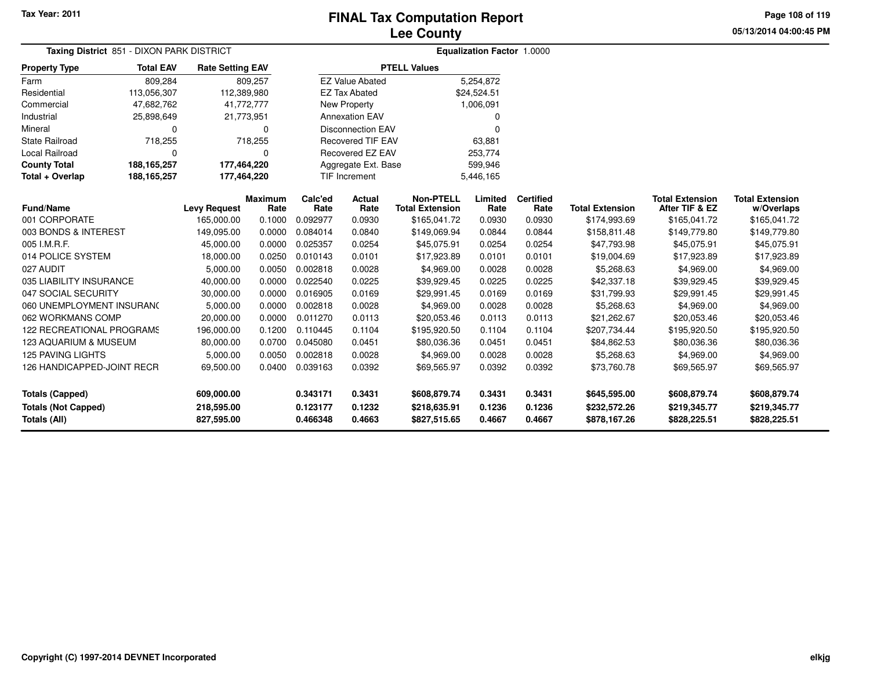**Page 108 of 119**

| <b>Taxing District 851 - DIXON PARK DISTRICT</b> |                  |                         |                 | <b>Equalization Factor 1.0000</b> |                          |                                            |                 |                          |                        |                                          |                                      |
|--------------------------------------------------|------------------|-------------------------|-----------------|-----------------------------------|--------------------------|--------------------------------------------|-----------------|--------------------------|------------------------|------------------------------------------|--------------------------------------|
| <b>Property Type</b>                             | <b>Total EAV</b> | <b>Rate Setting EAV</b> |                 |                                   |                          | <b>PTELL Values</b>                        |                 |                          |                        |                                          |                                      |
| Farm                                             | 809,284          |                         | 809,257         |                                   | <b>EZ Value Abated</b>   |                                            | 5,254,872       |                          |                        |                                          |                                      |
| Residential                                      | 113,056,307      | 112,389,980             |                 |                                   | <b>EZ Tax Abated</b>     |                                            | \$24,524.51     |                          |                        |                                          |                                      |
| Commercial                                       | 47,682,762       | 41,772,777              |                 |                                   | New Property             |                                            | 1,006,091       |                          |                        |                                          |                                      |
| Industrial                                       | 25,898,649       | 21,773,951              |                 |                                   | <b>Annexation EAV</b>    |                                            | O               |                          |                        |                                          |                                      |
| Mineral                                          | 0                |                         | 0               |                                   | <b>Disconnection EAV</b> |                                            | $\Omega$        |                          |                        |                                          |                                      |
| <b>State Railroad</b>                            | 718,255          |                         | 718,255         |                                   | <b>Recovered TIF EAV</b> |                                            | 63,881          |                          |                        |                                          |                                      |
| <b>Local Railroad</b>                            | $\Omega$         |                         | $\Omega$        |                                   | <b>Recovered EZ EAV</b>  |                                            | 253,774         |                          |                        |                                          |                                      |
| <b>County Total</b>                              | 188, 165, 257    | 177,464,220             |                 |                                   | Aggregate Ext. Base      |                                            | 599,946         |                          |                        |                                          |                                      |
| Total + Overlap                                  | 188, 165, 257    | 177,464,220             |                 | <b>TIF Increment</b>              |                          |                                            | 5,446,165       |                          |                        |                                          |                                      |
| <b>Fund/Name</b>                                 |                  | <b>Levy Request</b>     | Maximum<br>Rate | Calc'ed<br>Rate                   | Actual<br>Rate           | <b>Non-PTELL</b><br><b>Total Extension</b> | Limited<br>Rate | <b>Certified</b><br>Rate | <b>Total Extension</b> | <b>Total Extension</b><br>After TIF & EZ | <b>Total Extension</b><br>w/Overlaps |
| 001 CORPORATE                                    |                  | 165,000.00              | 0.1000          | 0.092977                          | 0.0930                   | \$165,041.72                               | 0.0930          | 0.0930                   | \$174,993.69           | \$165,041.72                             | \$165,041.72                         |
| 003 BONDS & INTEREST                             |                  | 149,095.00              | 0.0000          | 0.084014                          | 0.0840                   | \$149,069.94                               | 0.0844          | 0.0844                   | \$158,811.48           | \$149,779.80                             | \$149,779.80                         |
| 005 I.M.R.F.                                     |                  | 45,000.00               | 0.0000          | 0.025357                          | 0.0254                   | \$45,075.91                                | 0.0254          | 0.0254                   | \$47,793.98            | \$45,075.91                              | \$45,075.91                          |
| 014 POLICE SYSTEM                                |                  | 18,000.00               | 0.0250          | 0.010143                          | 0.0101                   | \$17,923.89                                | 0.0101          | 0.0101                   | \$19,004.69            | \$17,923.89                              | \$17,923.89                          |
| 027 AUDIT                                        |                  | 5,000.00                | 0.0050          | 0.002818                          | 0.0028                   | \$4,969.00                                 | 0.0028          | 0.0028                   | \$5,268.63             | \$4,969.00                               | \$4,969.00                           |
| 035 LIABILITY INSURANCE                          |                  | 40,000.00               | 0.0000          | 0.022540                          | 0.0225                   | \$39,929.45                                | 0.0225          | 0.0225                   | \$42,337.18            | \$39,929.45                              | \$39,929.45                          |
| 047 SOCIAL SECURITY                              |                  | 30,000.00               | 0.0000          | 0.016905                          | 0.0169                   | \$29,991.45                                | 0.0169          | 0.0169                   | \$31,799.93            | \$29,991.45                              | \$29,991.45                          |
| 060 UNEMPLOYMENT INSURANC                        |                  | 5,000.00                | 0.0000          | 0.002818                          | 0.0028                   | \$4,969.00                                 | 0.0028          | 0.0028                   | \$5,268.63             | \$4,969.00                               | \$4,969.00                           |
| 062 WORKMANS COMP                                |                  | 20,000.00               | 0.0000          | 0.011270                          | 0.0113                   | \$20,053.46                                | 0.0113          | 0.0113                   | \$21,262.67            | \$20,053.46                              | \$20,053.46                          |
| <b>122 RECREATIONAL PROGRAMS</b>                 |                  | 196,000.00              | 0.1200          | 0.110445                          | 0.1104                   | \$195,920.50                               | 0.1104          | 0.1104                   | \$207,734.44           | \$195,920.50                             | \$195,920.50                         |
| 123 AQUARIUM & MUSEUM                            |                  | 80,000.00               | 0.0700          | 0.045080                          | 0.0451                   | \$80,036.36                                | 0.0451          | 0.0451                   | \$84,862.53            | \$80,036.36                              | \$80,036.36                          |
| <b>125 PAVING LIGHTS</b>                         |                  | 5,000.00                | 0.0050          | 0.002818                          | 0.0028                   | \$4,969.00                                 | 0.0028          | 0.0028                   | \$5,268.63             | \$4,969.00                               | \$4,969.00                           |
| 126 HANDICAPPED-JOINT RECR                       |                  | 69,500.00               | 0.0400          | 0.039163                          | 0.0392                   | \$69,565.97                                | 0.0392          | 0.0392                   | \$73,760.78            | \$69,565.97                              | \$69,565.97                          |
| Totals (Capped)                                  |                  | 609,000.00              |                 | 0.343171                          | 0.3431                   | \$608,879.74                               | 0.3431          | 0.3431                   | \$645,595.00           | \$608,879.74                             | \$608,879.74                         |
| <b>Totals (Not Capped)</b>                       |                  | 218,595.00              |                 | 0.123177                          | 0.1232                   | \$218,635.91                               | 0.1236          | 0.1236                   | \$232,572.26           | \$219,345.77                             | \$219,345.77                         |
| <b>Totals (All)</b>                              |                  | 827,595.00              |                 | 0.466348                          | 0.4663                   | \$827,515.65                               | 0.4667          | 0.4667                   | \$878,167.26           | \$828,225.51                             | \$828,225.51                         |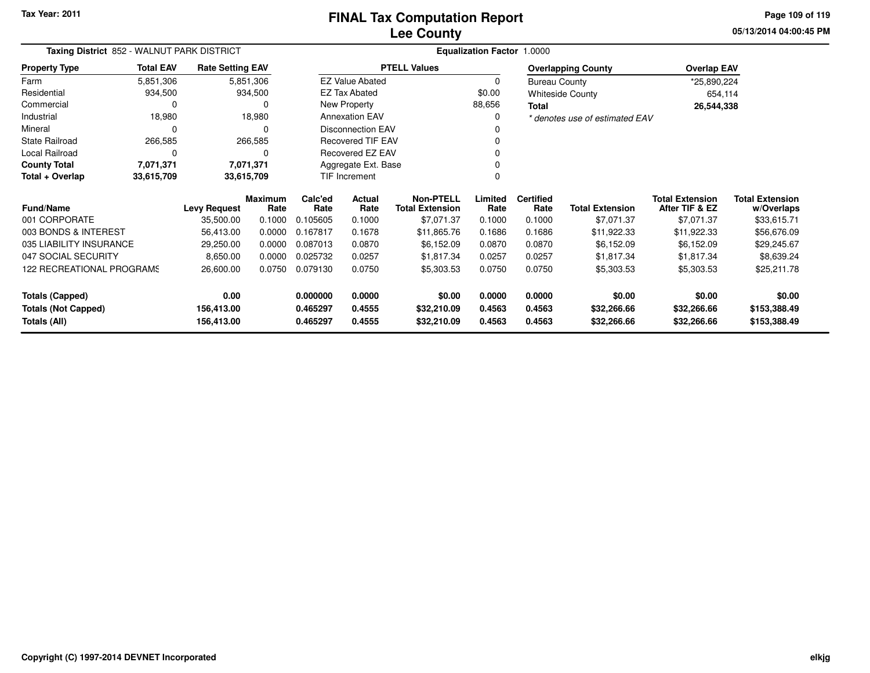**05/13/2014 04:00:45 PM Page 109 of 119**

| Taxing District 852 - WALNUT PARK DISTRICT  |                  |                          |                        |                      | <b>Equalization Factor 1.0000</b> |                                            |                  |                          |                                |                                          |                                      |  |  |
|---------------------------------------------|------------------|--------------------------|------------------------|----------------------|-----------------------------------|--------------------------------------------|------------------|--------------------------|--------------------------------|------------------------------------------|--------------------------------------|--|--|
| <b>Property Type</b>                        | <b>Total EAV</b> | <b>Rate Setting EAV</b>  |                        |                      |                                   | <b>PTELL Values</b>                        |                  |                          | <b>Overlapping County</b>      | <b>Overlap EAV</b>                       |                                      |  |  |
| Farm                                        | 5,851,306        |                          | 5,851,306              |                      | <b>EZ Value Abated</b>            |                                            | 0                | <b>Bureau County</b>     |                                | *25,890,224                              |                                      |  |  |
| Residential                                 | 934,500          |                          | 934,500                |                      | <b>EZ Tax Abated</b>              |                                            | \$0.00           |                          | <b>Whiteside County</b>        | 654,114                                  |                                      |  |  |
| Commercial                                  | 0                |                          | 0                      |                      | New Property                      |                                            | 88,656           | Total                    |                                | 26,544,338                               |                                      |  |  |
| Industrial                                  | 18,980           |                          | 18,980                 |                      | <b>Annexation EAV</b>             |                                            | 0                |                          | * denotes use of estimated EAV |                                          |                                      |  |  |
| Mineral                                     | 0                |                          | 0                      |                      | <b>Disconnection EAV</b>          |                                            |                  |                          |                                |                                          |                                      |  |  |
| <b>State Railroad</b>                       | 266,585          |                          | 266,585                |                      | Recovered TIF EAV                 |                                            |                  |                          |                                |                                          |                                      |  |  |
| Local Railroad                              | 0                |                          | $\Omega$               |                      | Recovered EZ EAV                  |                                            |                  |                          |                                |                                          |                                      |  |  |
| <b>County Total</b>                         | 7,071,371        |                          | 7,071,371              |                      | Aggregate Ext. Base               |                                            |                  |                          |                                |                                          |                                      |  |  |
| Total + Overlap<br>33,615,709<br>33,615,709 |                  |                          |                        |                      | TIF Increment                     |                                            |                  |                          |                                |                                          |                                      |  |  |
| <b>Fund/Name</b>                            |                  | <b>Levy Request</b>      | <b>Maximum</b><br>Rate | Calc'ed<br>Rate      | Actual<br>Rate                    | <b>Non-PTELL</b><br><b>Total Extension</b> | Limited<br>Rate  | <b>Certified</b><br>Rate | <b>Total Extension</b>         | <b>Total Extension</b><br>After TIF & EZ | <b>Total Extension</b><br>w/Overlaps |  |  |
| 001 CORPORATE                               |                  | 35,500.00                | 0.1000                 | 0.105605             | 0.1000                            | \$7,071.37                                 | 0.1000           | 0.1000                   | \$7,071.37                     | \$7,071.37                               | \$33,615.71                          |  |  |
| 003 BONDS & INTEREST                        |                  | 56,413.00                | 0.0000                 | 0.167817             | 0.1678                            | \$11,865.76                                | 0.1686           | 0.1686                   | \$11,922.33                    | \$11,922.33                              | \$56,676.09                          |  |  |
| 035 LIABILITY INSURANCE                     |                  | 29,250.00                | 0.0000                 | 0.087013             | 0.0870                            | \$6,152.09                                 | 0.0870           | 0.0870                   | \$6,152.09                     | \$6,152.09                               | \$29,245.67                          |  |  |
| 047 SOCIAL SECURITY                         |                  | 8,650.00                 | 0.0000                 | 0.025732             | 0.0257                            | \$1,817.34                                 | 0.0257           | 0.0257                   | \$1,817.34                     | \$1,817.34                               | \$8,639.24                           |  |  |
| 122 RECREATIONAL PROGRAMS                   |                  | 26,600.00                | 0.0750                 | 0.079130             | 0.0750                            | \$5,303.53                                 | 0.0750           | 0.0750                   | \$5,303.53                     | \$5,303.53                               | \$25,211.78                          |  |  |
| <b>Totals (Capped)</b>                      |                  | 0.00                     |                        | 0.000000             | 0.0000                            | \$0.00                                     | 0.0000           | 0.0000                   | \$0.00                         | \$0.00                                   | \$0.00                               |  |  |
| <b>Totals (Not Capped)</b><br>Totals (All)  |                  | 156,413.00<br>156,413.00 |                        | 0.465297<br>0.465297 | 0.4555<br>0.4555                  | \$32,210.09<br>\$32,210.09                 | 0.4563<br>0.4563 | 0.4563<br>0.4563         | \$32,266.66<br>\$32,266.66     | \$32,266.66<br>\$32,266.66               | \$153,388.49<br>\$153,388.49         |  |  |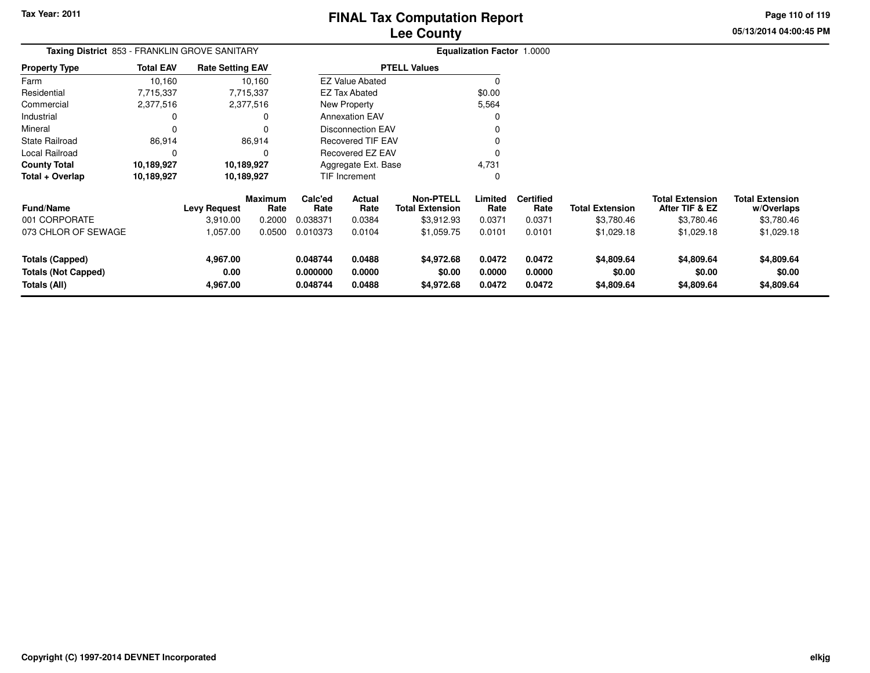**05/13/2014 04:00:45 PMPage 110 of 119**

| Taxing District 853 - FRANKLIN GROVE SANITARY                        |                  |                              |                 |                                  |                            |                                            | <b>Equalization Factor 1.0000</b> |                            |                                    |                                          |                                      |
|----------------------------------------------------------------------|------------------|------------------------------|-----------------|----------------------------------|----------------------------|--------------------------------------------|-----------------------------------|----------------------------|------------------------------------|------------------------------------------|--------------------------------------|
| <b>Property Type</b>                                                 | <b>Total EAV</b> | <b>Rate Setting EAV</b>      |                 |                                  |                            | <b>PTELL Values</b>                        |                                   |                            |                                    |                                          |                                      |
| Farm                                                                 | 10,160           |                              | 10,160          |                                  | <b>EZ Value Abated</b>     |                                            | $\Omega$                          |                            |                                    |                                          |                                      |
| Residential                                                          | 7,715,337        |                              | 7,715,337       |                                  | EZ Tax Abated              |                                            | \$0.00                            |                            |                                    |                                          |                                      |
| Commercial                                                           | 2,377,516        |                              | 2,377,516       |                                  | New Property               |                                            | 5,564                             |                            |                                    |                                          |                                      |
| Industrial                                                           | 0                |                              | 0               |                                  | <b>Annexation EAV</b>      |                                            | $\Omega$                          |                            |                                    |                                          |                                      |
| Mineral                                                              | 0                |                              |                 |                                  | <b>Disconnection EAV</b>   |                                            |                                   |                            |                                    |                                          |                                      |
| <b>State Railroad</b>                                                | 86,914           |                              | 86,914          |                                  | <b>Recovered TIF EAV</b>   |                                            |                                   |                            |                                    |                                          |                                      |
| Local Railroad                                                       | 0                |                              | $\Omega$        |                                  | <b>Recovered EZ EAV</b>    |                                            | $\Omega$                          |                            |                                    |                                          |                                      |
| <b>County Total</b>                                                  | 10,189,927       |                              | 10,189,927      |                                  | Aggregate Ext. Base        |                                            | 4,731                             |                            |                                    |                                          |                                      |
| Total + Overlap                                                      | 10,189,927       |                              | 10,189,927      |                                  | TIF Increment              |                                            | 0                                 |                            |                                    |                                          |                                      |
| <b>Fund/Name</b>                                                     |                  | <b>Levy Request</b>          | Maximum<br>Rate | Calc'ed<br>Rate                  | Actual<br>Rate             | <b>Non-PTELL</b><br><b>Total Extension</b> | Limited<br>Rate                   | <b>Certified</b><br>Rate   | <b>Total Extension</b>             | <b>Total Extension</b><br>After TIF & EZ | <b>Total Extension</b><br>w/Overlaps |
| 001 CORPORATE                                                        |                  | 3,910.00                     | 0.2000          | 0.038371                         | 0.0384                     | \$3,912.93                                 | 0.0371                            | 0.0371                     | \$3,780.46                         | \$3,780.46                               | \$3,780.46                           |
| 073 CHLOR OF SEWAGE                                                  |                  | 1,057.00                     | 0.0500          | 0.010373                         | 0.0104                     | \$1,059.75                                 | 0.0101                            | 0.0101                     | \$1,029.18                         | \$1,029.18                               | \$1,029.18                           |
| <b>Totals (Capped)</b><br><b>Totals (Not Capped)</b><br>Totals (All) |                  | 4,967.00<br>0.00<br>4,967.00 |                 | 0.048744<br>0.000000<br>0.048744 | 0.0488<br>0.0000<br>0.0488 | \$4,972.68<br>\$0.00<br>\$4,972.68         | 0.0472<br>0.0000<br>0.0472        | 0.0472<br>0.0000<br>0.0472 | \$4,809.64<br>\$0.00<br>\$4,809.64 | \$4,809.64<br>\$0.00<br>\$4,809.64       | \$4,809.64<br>\$0.00<br>\$4,809.64   |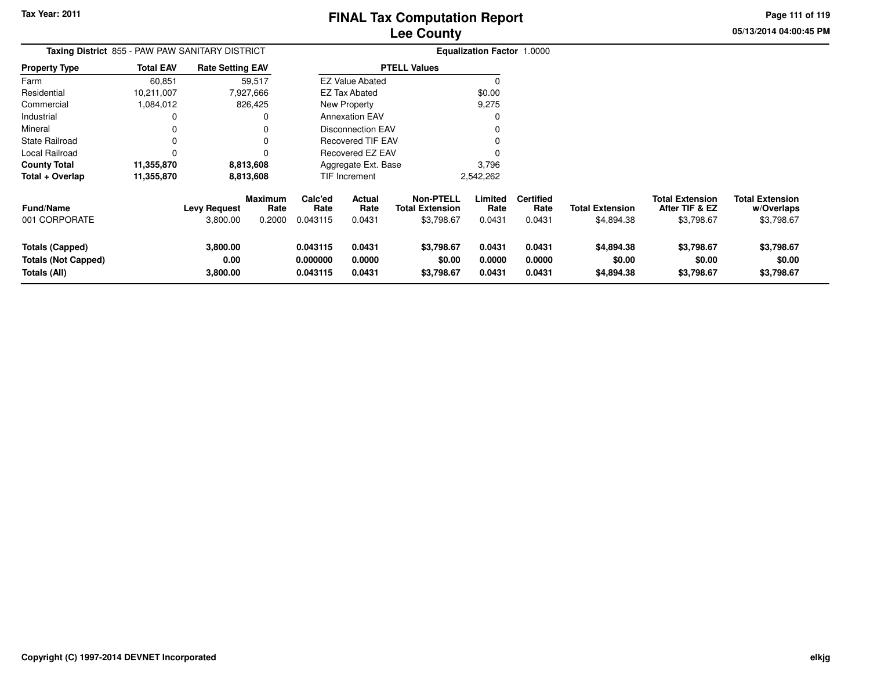**05/13/2014 04:00:45 PMPage 111 of 119**

| <b>Taxing District 855 - PAW PAW SANITARY DISTRICT</b>               |                  |                                 |                           |                                  |                            | <b>Equalization Factor 1.0000</b>                        |                            |                                    |                                      |                                                        |                                                    |
|----------------------------------------------------------------------|------------------|---------------------------------|---------------------------|----------------------------------|----------------------------|----------------------------------------------------------|----------------------------|------------------------------------|--------------------------------------|--------------------------------------------------------|----------------------------------------------------|
| Property Type                                                        | <b>Total EAV</b> | <b>Rate Setting EAV</b>         |                           |                                  |                            | <b>PTELL Values</b>                                      |                            |                                    |                                      |                                                        |                                                    |
| Farm                                                                 | 60,851           |                                 | 59,517                    |                                  | <b>EZ Value Abated</b>     |                                                          | $\Omega$                   |                                    |                                      |                                                        |                                                    |
| Residential                                                          | 10,211,007       |                                 | 7,927,666                 |                                  | <b>EZ Tax Abated</b>       |                                                          | \$0.00                     |                                    |                                      |                                                        |                                                    |
| Commercial                                                           | 1,084,012        |                                 | 826,425                   |                                  | New Property               |                                                          | 9,275                      |                                    |                                      |                                                        |                                                    |
| Industrial                                                           | 0                |                                 |                           |                                  | <b>Annexation EAV</b>      |                                                          |                            |                                    |                                      |                                                        |                                                    |
| Mineral                                                              | 0                |                                 |                           |                                  | Disconnection EAV          |                                                          |                            |                                    |                                      |                                                        |                                                    |
| State Railroad                                                       | 0                |                                 |                           |                                  | <b>Recovered TIF EAV</b>   |                                                          |                            |                                    |                                      |                                                        |                                                    |
| Local Railroad                                                       | 0                |                                 |                           |                                  | Recovered EZ EAV           |                                                          |                            |                                    |                                      |                                                        |                                                    |
| County Total                                                         | 11,355,870       |                                 | 8,813,608                 |                                  | Aggregate Ext. Base        |                                                          | 3,796                      |                                    |                                      |                                                        |                                                    |
| Total + Overlap                                                      | 11,355,870       |                                 | 8,813,608                 |                                  | TIF Increment              |                                                          | 2,542,262                  |                                    |                                      |                                                        |                                                    |
| <b>Fund/Name</b><br>001 CORPORATE                                    |                  | <b>Levy Request</b><br>3,800.00 | Maximum<br>Rate<br>0.2000 | Calc'ed<br>Rate<br>0.043115      | Actual<br>Rate<br>0.0431   | <b>Non-PTELL</b><br><b>Total Extension</b><br>\$3,798.67 | Limited<br>Rate<br>0.0431  | <b>Certified</b><br>Rate<br>0.0431 | <b>Total Extension</b><br>\$4,894.38 | <b>Total Extension</b><br>After TIF & EZ<br>\$3,798.67 | <b>Total Extension</b><br>w/Overlaps<br>\$3,798.67 |
| <b>Totals (Capped)</b><br><b>Totals (Not Capped)</b><br>Totals (All) |                  | 3,800.00<br>0.00<br>3,800.00    |                           | 0.043115<br>0.000000<br>0.043115 | 0.0431<br>0.0000<br>0.0431 | \$3,798.67<br>\$0.00<br>\$3,798.67                       | 0.0431<br>0.0000<br>0.0431 | 0.0431<br>0.0000<br>0.0431         | \$4,894.38<br>\$0.00<br>\$4,894.38   | \$3,798.67<br>\$0.00<br>\$3,798.67                     | \$3,798.67<br>\$0.00<br>\$3,798.67                 |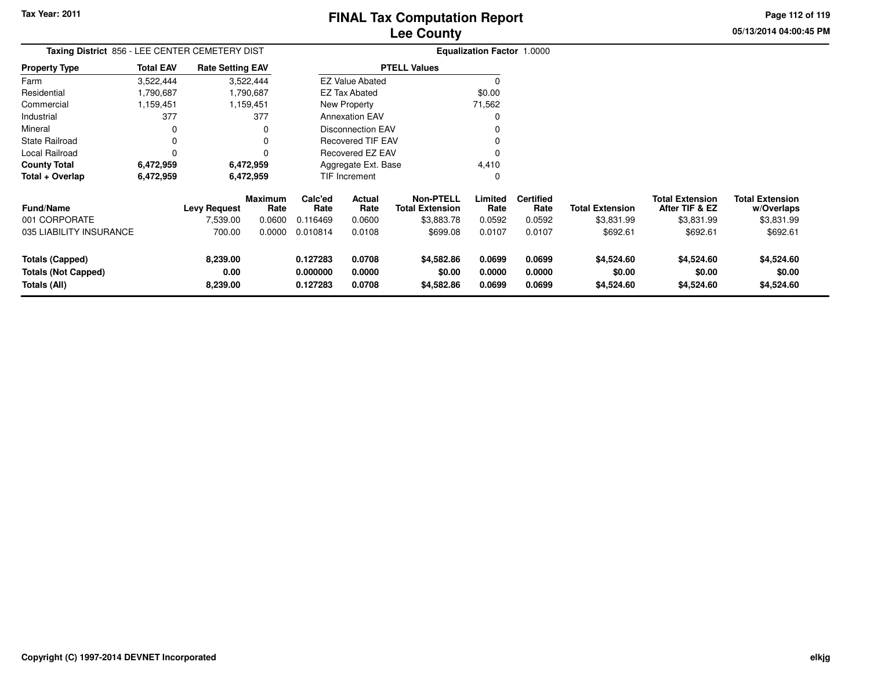**05/13/2014 04:00:45 PM Page 112 of 119**

| Taxing District 856 - LEE CENTER CEMETERY DIST |                  |                         |                        |                      |                          |                                            | <b>Equalization Factor 1.0000</b> |                          |                        |                                          |                                      |
|------------------------------------------------|------------------|-------------------------|------------------------|----------------------|--------------------------|--------------------------------------------|-----------------------------------|--------------------------|------------------------|------------------------------------------|--------------------------------------|
| <b>Property Type</b>                           | <b>Total EAV</b> | <b>Rate Setting EAV</b> |                        |                      |                          | <b>PTELL Values</b>                        |                                   |                          |                        |                                          |                                      |
| Farm                                           | 3,522,444        |                         | 3,522,444              |                      | <b>EZ Value Abated</b>   |                                            |                                   |                          |                        |                                          |                                      |
| Residential                                    | 1,790,687        |                         | 1,790,687              |                      | <b>EZ Tax Abated</b>     |                                            | \$0.00                            |                          |                        |                                          |                                      |
| Commercial                                     | 1,159,451        |                         | 1,159,451              |                      | New Property             |                                            | 71,562                            |                          |                        |                                          |                                      |
| Industrial                                     | 377              |                         | 377                    |                      | <b>Annexation EAV</b>    |                                            |                                   |                          |                        |                                          |                                      |
| Mineral                                        |                  |                         |                        |                      | <b>Disconnection EAV</b> |                                            |                                   |                          |                        |                                          |                                      |
| State Railroad                                 | $\Omega$         |                         |                        |                      | <b>Recovered TIF EAV</b> |                                            |                                   |                          |                        |                                          |                                      |
| Local Railroad                                 |                  |                         |                        |                      | Recovered EZ EAV         |                                            |                                   |                          |                        |                                          |                                      |
| <b>County Total</b>                            | 6,472,959        |                         | 6,472,959              |                      | Aggregate Ext. Base      |                                            | 4,410                             |                          |                        |                                          |                                      |
| Total + Overlap                                | 6,472,959        |                         | 6,472,959              |                      | TIF Increment            |                                            | 0                                 |                          |                        |                                          |                                      |
| Fund/Name                                      |                  | <b>Levy Request</b>     | <b>Maximum</b><br>Rate | Calc'ed<br>Rate      | Actual<br>Rate           | <b>Non-PTELL</b><br><b>Total Extension</b> | Limited<br>Rate                   | <b>Certified</b><br>Rate | <b>Total Extension</b> | <b>Total Extension</b><br>After TIF & EZ | <b>Total Extension</b><br>w/Overlaps |
| 001 CORPORATE                                  |                  | 7,539.00                | 0.0600                 | 0.116469             | 0.0600                   | \$3,883.78                                 | 0.0592                            | 0.0592                   | \$3,831.99             | \$3,831.99                               | \$3,831.99                           |
| 035 LIABILITY INSURANCE                        |                  | 700.00                  | 0.0000                 | 0.010814             | 0.0108                   | \$699.08                                   | 0.0107                            | 0.0107                   | \$692.61               | \$692.61                                 | \$692.61                             |
| <b>Totals (Capped)</b>                         |                  | 8,239.00                |                        | 0.127283             | 0.0708                   | \$4,582.86                                 | 0.0699                            | 0.0699                   | \$4,524.60             | \$4,524.60                               | \$4,524.60                           |
| <b>Totals (Not Capped)</b><br>Totals (All)     |                  | 0.00<br>8,239.00        |                        | 0.000000<br>0.127283 | 0.0000<br>0.0708         | \$0.00<br>\$4,582.86                       | 0.0000<br>0.0699                  | 0.0000<br>0.0699         | \$0.00<br>\$4,524.60   | \$0.00<br>\$4,524.60                     | \$0.00<br>\$4,524.60                 |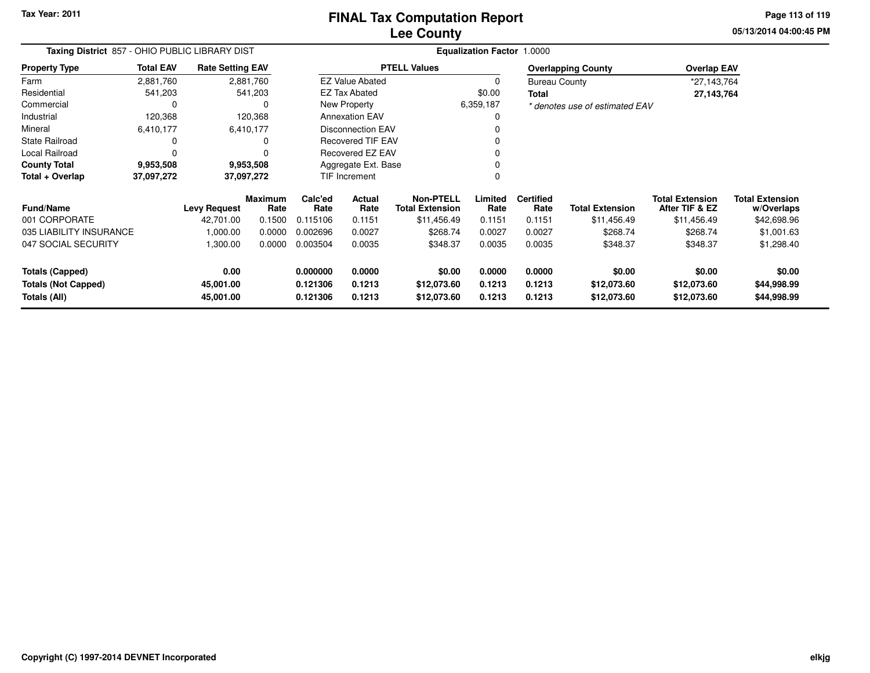**Tax Year: 2011**

# **Lee CountyFINAL Tax Computation Report**

**05/13/2014 04:00:45 PM Page 113 of 119**

| Taxing District 857 - OHIO PUBLIC LIBRARY DIST |                  |                         |                        |                      |                          | Equalization Factor 1.0000                 |                 |                          |                                |                                          |                                      |
|------------------------------------------------|------------------|-------------------------|------------------------|----------------------|--------------------------|--------------------------------------------|-----------------|--------------------------|--------------------------------|------------------------------------------|--------------------------------------|
| <b>Property Type</b>                           | <b>Total EAV</b> | <b>Rate Setting EAV</b> |                        |                      |                          | <b>PTELL Values</b>                        |                 |                          | <b>Overlapping County</b>      | <b>Overlap EAV</b>                       |                                      |
| Farm                                           | 2,881,760        |                         | 2,881,760              |                      | <b>EZ Value Abated</b>   |                                            | $\Omega$        | <b>Bureau County</b>     |                                | *27,143,764                              |                                      |
| Residential                                    | 541,203          |                         | 541,203                |                      | <b>EZ Tax Abated</b>     |                                            | \$0.00          | Total                    |                                | 27,143,764                               |                                      |
| Commercial                                     |                  |                         | 0                      |                      | New Property             |                                            | 6,359,187       |                          | * denotes use of estimated EAV |                                          |                                      |
| Industrial                                     | 120,368          |                         | 120,368                |                      | <b>Annexation EAV</b>    |                                            |                 |                          |                                |                                          |                                      |
| Mineral                                        | 6,410,177        |                         | 6,410,177              |                      | <b>Disconnection EAV</b> |                                            |                 |                          |                                |                                          |                                      |
| <b>State Railroad</b>                          |                  |                         | 0                      |                      | <b>Recovered TIF EAV</b> |                                            |                 |                          |                                |                                          |                                      |
| Local Railroad                                 |                  |                         |                        |                      | Recovered EZ EAV         |                                            |                 |                          |                                |                                          |                                      |
| <b>County Total</b>                            | 9,953,508        |                         | 9,953,508              |                      | Aggregate Ext. Base      |                                            |                 |                          |                                |                                          |                                      |
| Total + Overlap                                | 37,097,272       |                         | 37,097,272             | <b>TIF Increment</b> |                          |                                            | 0               |                          |                                |                                          |                                      |
| <b>Fund/Name</b>                               |                  | <b>Levy Request</b>     | <b>Maximum</b><br>Rate | Calc'ed<br>Rate      | Actual<br>Rate           | <b>Non-PTELL</b><br><b>Total Extension</b> | Limited<br>Rate | <b>Certified</b><br>Rate | <b>Total Extension</b>         | <b>Total Extension</b><br>After TIF & EZ | <b>Total Extension</b><br>w/Overlaps |
| 001 CORPORATE                                  |                  | 42,701.00               | 0.1500                 | 0.115106             | 0.1151                   | \$11,456.49                                | 0.1151          | 0.1151                   | \$11,456.49                    | \$11,456.49                              | \$42,698.96                          |
| 035 LIABILITY INSURANCE                        |                  | 1,000.00                | 0.0000                 | 0.002696             | 0.0027                   | \$268.74                                   | 0.0027          | 0.0027                   | \$268.74                       | \$268.74                                 | \$1,001.63                           |
| 047 SOCIAL SECURITY                            |                  | 1,300.00                | 0.0000                 | 0.003504             | 0.0035                   | \$348.37                                   | 0.0035          | 0.0035                   | \$348.37                       | \$348.37                                 | \$1,298.40                           |
| <b>Totals (Capped)</b>                         |                  | 0.00                    |                        | 0.000000             | 0.0000                   | \$0.00                                     | 0.0000          | 0.0000                   | \$0.00                         | \$0.00                                   | \$0.00                               |
| <b>Totals (Not Capped)</b>                     |                  | 45,001.00               |                        | 0.121306             | 0.1213                   | \$12,073.60                                | 0.1213          | 0.1213                   | \$12,073.60                    | \$12,073.60                              | \$44,998.99                          |
| Totals (All)<br>45,001.00                      |                  |                         |                        | 0.121306             | 0.1213                   | \$12,073.60                                | 0.1213          | 0.1213                   | \$12,073.60                    | \$12,073.60                              | \$44,998.99                          |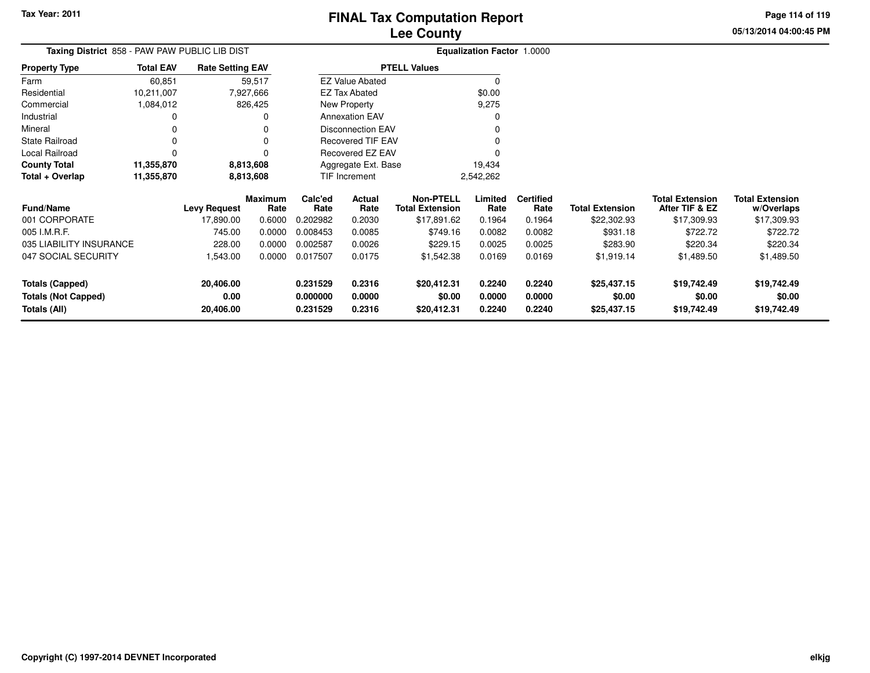**Totals (All)**

# **Lee CountyFINAL Tax Computation Report**

**0.231529 0.2316 \$20,412.31 0.2240 0.2240 \$25,437.15 \$19,742.49 \$19,742.49**

**05/13/2014 04:00:45 PMPage 114 of 119**

| Taxing District 858 - PAW PAW PUBLIC LIB DIST |                  |                         |                        |                 | <b>Equalization Factor 1.0000</b> |                                            |                 |                          |                        |                                          |                                      |
|-----------------------------------------------|------------------|-------------------------|------------------------|-----------------|-----------------------------------|--------------------------------------------|-----------------|--------------------------|------------------------|------------------------------------------|--------------------------------------|
| <b>Property Type</b>                          | <b>Total EAV</b> | <b>Rate Setting EAV</b> |                        |                 |                                   | <b>PTELL Values</b>                        |                 |                          |                        |                                          |                                      |
| Farm                                          | 60,851           |                         | 59,517                 |                 | <b>EZ Value Abated</b>            |                                            | $\Omega$        |                          |                        |                                          |                                      |
| Residential                                   | 10,211,007       |                         | 7,927,666              |                 | <b>EZ Tax Abated</b>              |                                            | \$0.00          |                          |                        |                                          |                                      |
| Commercial                                    | 1,084,012        |                         | 826,425                |                 | New Property                      |                                            | 9,275           |                          |                        |                                          |                                      |
| Industrial                                    |                  |                         | <sup>0</sup>           |                 | <b>Annexation EAV</b>             |                                            | 0               |                          |                        |                                          |                                      |
| Mineral                                       |                  |                         | 0                      |                 | Disconnection EAV                 |                                            | 0               |                          |                        |                                          |                                      |
| <b>State Railroad</b>                         |                  |                         | $\Omega$               |                 | <b>Recovered TIF EAV</b>          |                                            | 0               |                          |                        |                                          |                                      |
| Local Railroad                                |                  |                         | $\Omega$               |                 | Recovered EZ EAV                  |                                            | 0               |                          |                        |                                          |                                      |
| <b>County Total</b>                           | 11,355,870       |                         | 8,813,608              |                 | Aggregate Ext. Base               |                                            | 19,434          |                          |                        |                                          |                                      |
| Total + Overlap                               | 11,355,870       |                         | 8,813,608              |                 | TIF Increment                     |                                            | 2,542,262       |                          |                        |                                          |                                      |
| <b>Fund/Name</b>                              |                  | <b>Levy Request</b>     | <b>Maximum</b><br>Rate | Calc'ed<br>Rate | Actual<br>Rate                    | <b>Non-PTELL</b><br><b>Total Extension</b> | Limited<br>Rate | <b>Certified</b><br>Rate | <b>Total Extension</b> | <b>Total Extension</b><br>After TIF & EZ | <b>Total Extension</b><br>w/Overlaps |
| 001 CORPORATE                                 |                  | 17,890.00               | 0.6000                 | 0.202982        | 0.2030                            | \$17,891.62                                | 0.1964          | 0.1964                   | \$22,302.93            | \$17,309.93                              | \$17,309.93                          |
| 005 I.M.R.F.                                  |                  | 745.00                  | 0.0000                 | 0.008453        | 0.0085                            | \$749.16                                   | 0.0082          | 0.0082                   | \$931.18               | \$722.72                                 | \$722.72                             |
| 035 LIABILITY INSURANCE                       |                  | 228.00                  | 0.0000                 | 0.002587        | 0.0026                            | \$229.15                                   | 0.0025          | 0.0025                   | \$283.90               | \$220.34                                 | \$220.34                             |
| 047 SOCIAL SECURITY                           |                  | 1,543.00                | 0.0000                 | 0.017507        | 0.0175                            | \$1,542.38                                 | 0.0169          | 0.0169                   | \$1,919.14             | \$1,489.50                               | \$1,489.50                           |
| <b>Totals (Capped)</b>                        |                  | 20,406.00               |                        | 0.231529        | 0.2316                            | \$20,412.31                                | 0.2240          | 0.2240                   | \$25,437.15            | \$19,742.49                              | \$19,742.49                          |
| <b>Totals (Not Capped)</b>                    |                  | 0.00                    |                        | 0.000000        | 0.0000                            | \$0.00                                     | 0.0000          | 0.0000                   | \$0.00                 | \$0.00                                   | \$0.00                               |

**20,406.00**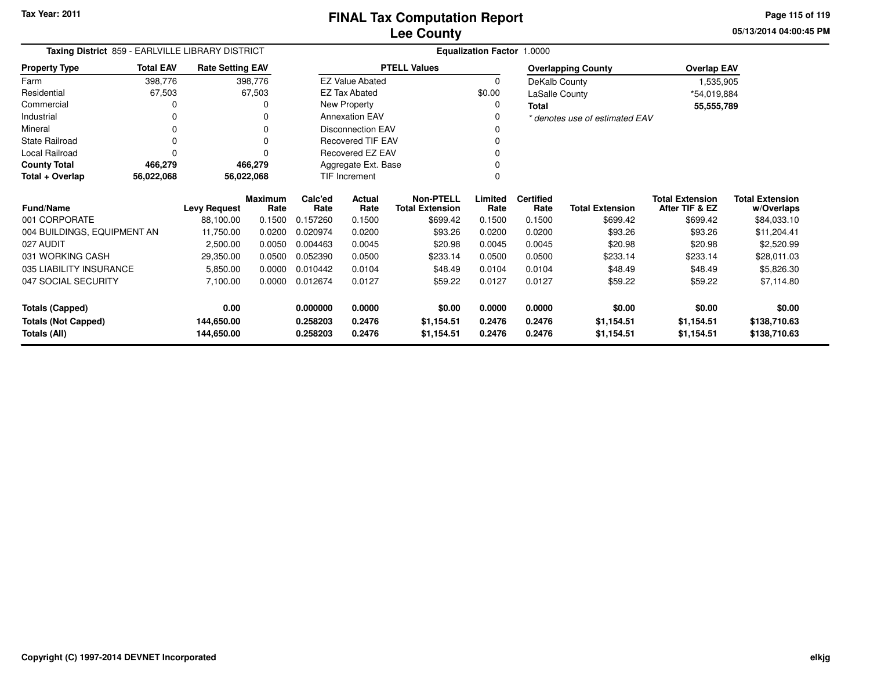**05/13/2014 04:00:45 PMPage 115 of 119**

| Taxing District 859 - EARLVILLE LIBRARY DISTRICT |                          |                         |                 |                          | <b>Equalization Factor 1.0000</b> |                                            |                 |                          |                                |                                          |                                      |  |
|--------------------------------------------------|--------------------------|-------------------------|-----------------|--------------------------|-----------------------------------|--------------------------------------------|-----------------|--------------------------|--------------------------------|------------------------------------------|--------------------------------------|--|
| <b>Property Type</b>                             | <b>Total EAV</b>         | <b>Rate Setting EAV</b> |                 |                          |                                   | <b>PTELL Values</b>                        |                 |                          | <b>Overlapping County</b>      | <b>Overlap EAV</b>                       |                                      |  |
| Farm                                             | 398,776                  |                         | 398,776         |                          | <b>EZ Value Abated</b>            |                                            | $\Omega$        | DeKalb County            |                                | 1,535,905                                |                                      |  |
| Residential                                      | 67,503                   |                         | 67,503          |                          | <b>EZ Tax Abated</b>              |                                            | \$0.00          | LaSalle County           |                                | *54,019,884                              |                                      |  |
| Commercial                                       |                          |                         | 0               |                          | New Property                      |                                            | $\Omega$        | <b>Total</b>             |                                | 55,555,789                               |                                      |  |
| Industrial                                       |                          |                         |                 |                          | <b>Annexation EAV</b>             |                                            | 0               |                          | * denotes use of estimated EAV |                                          |                                      |  |
| Mineral                                          |                          |                         |                 | <b>Disconnection EAV</b> |                                   |                                            |                 |                          |                                |                                          |                                      |  |
| <b>State Railroad</b>                            |                          |                         | 0               |                          | <b>Recovered TIF EAV</b>          |                                            | $\mathbf 0$     |                          |                                |                                          |                                      |  |
| Local Railroad                                   |                          |                         | $\Omega$        |                          | <b>Recovered EZ EAV</b>           |                                            | 0               |                          |                                |                                          |                                      |  |
| <b>County Total</b>                              | 466,279                  |                         | 466,279         |                          | Aggregate Ext. Base               |                                            |                 |                          |                                |                                          |                                      |  |
| Total + Overlap                                  | 56,022,068<br>56,022,068 |                         |                 | <b>TIF Increment</b>     |                                   |                                            | $\Omega$        |                          |                                |                                          |                                      |  |
| <b>Fund/Name</b>                                 |                          | <b>Levy Request</b>     | Maximum<br>Rate | Calc'ed<br>Rate          | <b>Actual</b><br>Rate             | <b>Non-PTELL</b><br><b>Total Extension</b> | Limited<br>Rate | <b>Certified</b><br>Rate | <b>Total Extension</b>         | <b>Total Extension</b><br>After TIF & EZ | <b>Total Extension</b><br>w/Overlaps |  |
| 001 CORPORATE                                    |                          | 88,100.00               | 0.1500          | 0.157260                 | 0.1500                            | \$699.42                                   | 0.1500          | 0.1500                   | \$699.42                       | \$699.42                                 | \$84,033.10                          |  |
| 004 BUILDINGS, EQUIPMENT AN                      |                          | 11,750.00               | 0.0200          | 0.020974                 | 0.0200                            | \$93.26                                    | 0.0200          | 0.0200                   | \$93.26                        | \$93.26                                  | \$11,204.41                          |  |
| 027 AUDIT                                        |                          | 2,500.00                | 0.0050          | 0.004463                 | 0.0045                            | \$20.98                                    | 0.0045          | 0.0045                   | \$20.98                        | \$20.98                                  | \$2,520.99                           |  |
| 031 WORKING CASH                                 |                          | 29,350.00               | 0.0500          | 0.052390                 | 0.0500                            | \$233.14                                   | 0.0500          | 0.0500                   | \$233.14                       | \$233.14                                 | \$28,011.03                          |  |
| 035 LIABILITY INSURANCE                          |                          | 5,850.00                | 0.0000          | 0.010442                 | 0.0104                            | \$48.49                                    | 0.0104          | 0.0104                   | \$48.49                        | \$48.49                                  | \$5,826.30                           |  |
| 047 SOCIAL SECURITY                              |                          | 7,100.00                | 0.0000          | 0.012674                 | 0.0127                            | \$59.22                                    | 0.0127          | 0.0127                   | \$59.22                        | \$59.22                                  | \$7,114.80                           |  |
| <b>Totals (Capped)</b>                           |                          | 0.00                    |                 | 0.000000                 | 0.0000                            | \$0.00                                     | 0.0000          | 0.0000                   | \$0.00                         | \$0.00                                   | \$0.00                               |  |
| <b>Totals (Not Capped)</b>                       |                          | 144,650.00              |                 | 0.258203                 | 0.2476                            | \$1,154.51                                 | 0.2476          | 0.2476                   | \$1,154.51                     | \$1,154.51                               | \$138,710.63                         |  |
| 144,650.00<br>Totals (All)                       |                          |                         | 0.258203        | 0.2476                   | \$1,154.51                        | 0.2476                                     | 0.2476          | \$1,154.51               | \$1,154.51                     | \$138,710.63                             |                                      |  |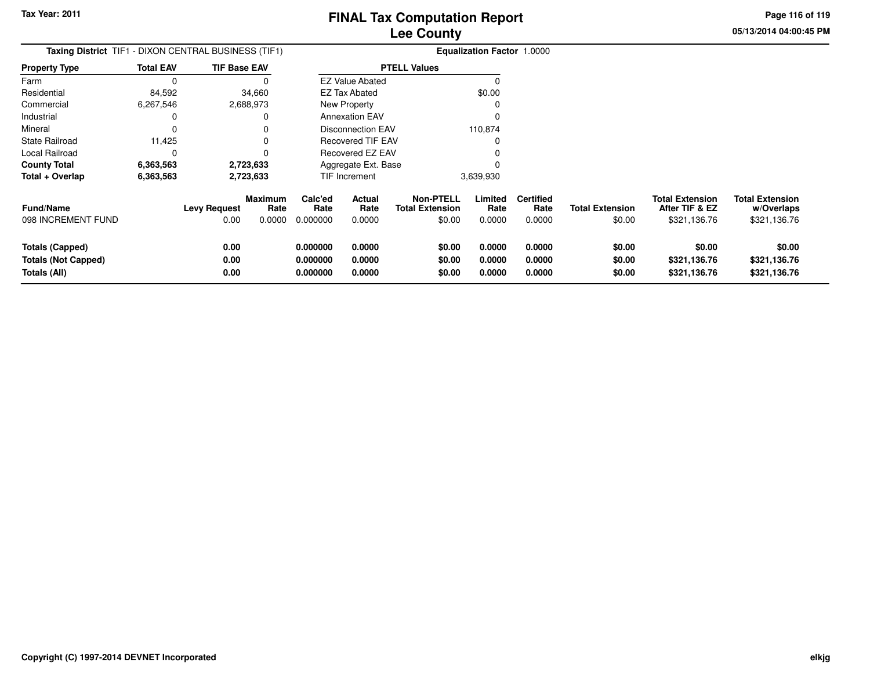**05/13/2014 04:00:45 PM Page 116 of 119**

| <b>Taxing District</b> TIF1 - DIXON CENTRAL BUSINESS (TIF1)   |                  |                      |                           |                                  |                            |                                                      | <b>Equalization Factor 1.0000</b> |                                    |                                  |                                                          |                                                      |
|---------------------------------------------------------------|------------------|----------------------|---------------------------|----------------------------------|----------------------------|------------------------------------------------------|-----------------------------------|------------------------------------|----------------------------------|----------------------------------------------------------|------------------------------------------------------|
| <b>Property Type</b>                                          | <b>Total EAV</b> | <b>TIF Base EAV</b>  |                           |                                  |                            | <b>PTELL Values</b>                                  |                                   |                                    |                                  |                                                          |                                                      |
| Farm                                                          |                  |                      |                           |                                  | <b>EZ Value Abated</b>     |                                                      |                                   |                                    |                                  |                                                          |                                                      |
| Residential                                                   | 84,592           |                      | 34,660                    |                                  | EZ Tax Abated              |                                                      | \$0.00                            |                                    |                                  |                                                          |                                                      |
| Commercial                                                    | 6,267,546        | 2,688,973            |                           |                                  | New Property               |                                                      |                                   |                                    |                                  |                                                          |                                                      |
| Industrial                                                    |                  |                      |                           |                                  | <b>Annexation EAV</b>      |                                                      |                                   |                                    |                                  |                                                          |                                                      |
| Mineral                                                       |                  |                      |                           |                                  | <b>Disconnection EAV</b>   |                                                      | 110,874                           |                                    |                                  |                                                          |                                                      |
| <b>State Railroad</b>                                         | 11,425           |                      |                           |                                  | <b>Recovered TIF EAV</b>   |                                                      |                                   |                                    |                                  |                                                          |                                                      |
| Local Railroad                                                |                  |                      |                           |                                  | <b>Recovered EZ EAV</b>    |                                                      |                                   |                                    |                                  |                                                          |                                                      |
| <b>County Total</b>                                           | 6,363,563        | 2,723,633            |                           |                                  | Aggregate Ext. Base        |                                                      |                                   |                                    |                                  |                                                          |                                                      |
| Total + Overlap                                               | 6,363,563        | 2,723,633            |                           |                                  | TIF Increment              |                                                      | 3,639,930                         |                                    |                                  |                                                          |                                                      |
| <b>Fund/Name</b><br>098 INCREMENT FUND                        |                  | Levy Request<br>0.00 | Maximum<br>Rate<br>0.0000 | Calc'ed<br>Rate<br>0.000000      | Actual<br>Rate<br>0.0000   | <b>Non-PTELL</b><br><b>Total Extension</b><br>\$0.00 | Limited<br>Rate<br>0.0000         | <b>Certified</b><br>Rate<br>0.0000 | <b>Total Extension</b><br>\$0.00 | <b>Total Extension</b><br>After TIF & EZ<br>\$321,136.76 | <b>Total Extension</b><br>w/Overlaps<br>\$321,136.76 |
| Totals (Capped)<br><b>Totals (Not Capped)</b><br>Totals (All) |                  | 0.00<br>0.00<br>0.00 |                           | 0.000000<br>0.000000<br>0.000000 | 0.0000<br>0.0000<br>0.0000 | \$0.00<br>\$0.00<br>\$0.00                           | 0.0000<br>0.0000<br>0.0000        | 0.0000<br>0.0000<br>0.0000         | \$0.00<br>\$0.00<br>\$0.00       | \$0.00<br>\$321,136.76<br>\$321,136.76                   | \$0.00<br>\$321,136.76<br>\$321,136.76               |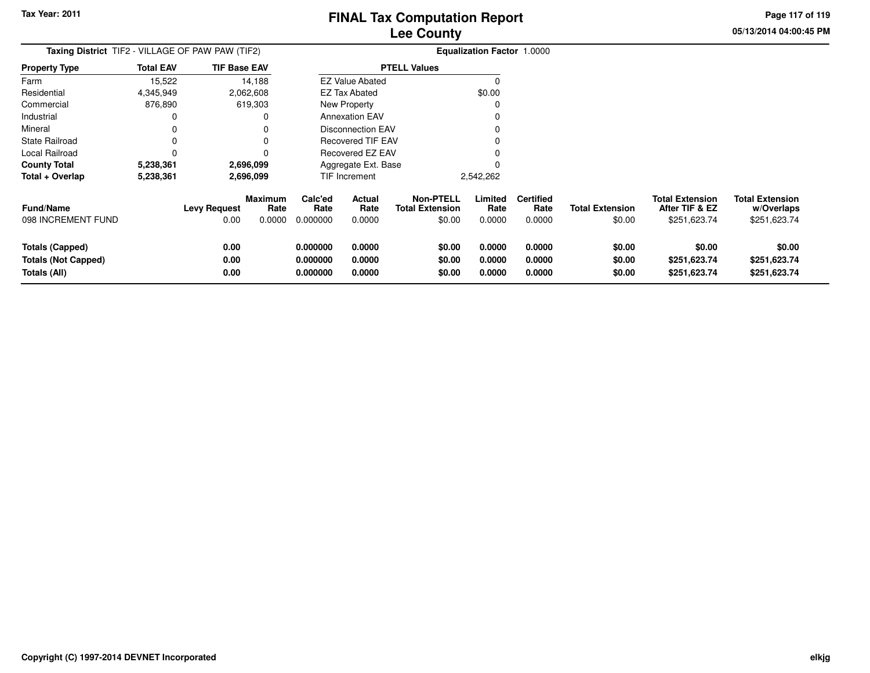**05/13/2014 04:00:45 PM Page 117 of 119**

| Taxing District TIF2 - VILLAGE OF PAW PAW (TIF2)              |                  |                             |                                  |                                  |                            |                                                      | <b>Equalization Factor 1.0000</b> |                                    |                                  |                                                          |                                                      |
|---------------------------------------------------------------|------------------|-----------------------------|----------------------------------|----------------------------------|----------------------------|------------------------------------------------------|-----------------------------------|------------------------------------|----------------------------------|----------------------------------------------------------|------------------------------------------------------|
| <b>Property Type</b>                                          | <b>Total EAV</b> | <b>TIF Base EAV</b>         |                                  |                                  |                            | <b>PTELL Values</b>                                  |                                   |                                    |                                  |                                                          |                                                      |
| Farm                                                          | 15,522           |                             | 14,188                           |                                  | <b>EZ Value Abated</b>     |                                                      | $\Omega$                          |                                    |                                  |                                                          |                                                      |
| Residential                                                   | 4,345,949        |                             | 2,062,608                        |                                  | EZ Tax Abated              |                                                      | \$0.00                            |                                    |                                  |                                                          |                                                      |
| Commercial                                                    | 876,890          |                             | 619,303                          |                                  | New Property               |                                                      | C                                 |                                    |                                  |                                                          |                                                      |
| Industrial                                                    | 0                |                             | 0                                |                                  | <b>Annexation EAV</b>      |                                                      |                                   |                                    |                                  |                                                          |                                                      |
| Mineral                                                       | 0                |                             |                                  |                                  | <b>Disconnection EAV</b>   |                                                      |                                   |                                    |                                  |                                                          |                                                      |
| <b>State Railroad</b>                                         | 0                |                             | 0                                |                                  | <b>Recovered TIF EAV</b>   |                                                      |                                   |                                    |                                  |                                                          |                                                      |
| Local Railroad                                                | $\Omega$         |                             | 0                                |                                  | Recovered EZ EAV           |                                                      |                                   |                                    |                                  |                                                          |                                                      |
| <b>County Total</b>                                           | 5,238,361        |                             | 2,696,099                        |                                  | Aggregate Ext. Base        |                                                      |                                   |                                    |                                  |                                                          |                                                      |
| Total + Overlap                                               | 5,238,361        |                             | 2,696,099                        |                                  | TIF Increment              |                                                      | 2,542,262                         |                                    |                                  |                                                          |                                                      |
| <b>Fund/Name</b><br>098 INCREMENT FUND                        |                  | <b>Levy Request</b><br>0.00 | <b>Maximum</b><br>Rate<br>0.0000 | Calc'ed<br>Rate<br>0.000000      | Actual<br>Rate<br>0.0000   | <b>Non-PTELL</b><br><b>Total Extension</b><br>\$0.00 | Limited<br>Rate<br>0.0000         | <b>Certified</b><br>Rate<br>0.0000 | <b>Total Extension</b><br>\$0.00 | <b>Total Extension</b><br>After TIF & EZ<br>\$251,623.74 | <b>Total Extension</b><br>w/Overlaps<br>\$251,623.74 |
| Totals (Capped)<br><b>Totals (Not Capped)</b><br>Totals (All) |                  | 0.00<br>0.00<br>0.00        |                                  | 0.000000<br>0.000000<br>0.000000 | 0.0000<br>0.0000<br>0.0000 | \$0.00<br>\$0.00<br>\$0.00                           | 0.0000<br>0.0000<br>0.0000        | 0.0000<br>0.0000<br>0.0000         | \$0.00<br>\$0.00<br>\$0.00       | \$0.00<br>\$251,623.74<br>\$251,623.74                   | \$0.00<br>\$251,623.74<br>\$251,623.74               |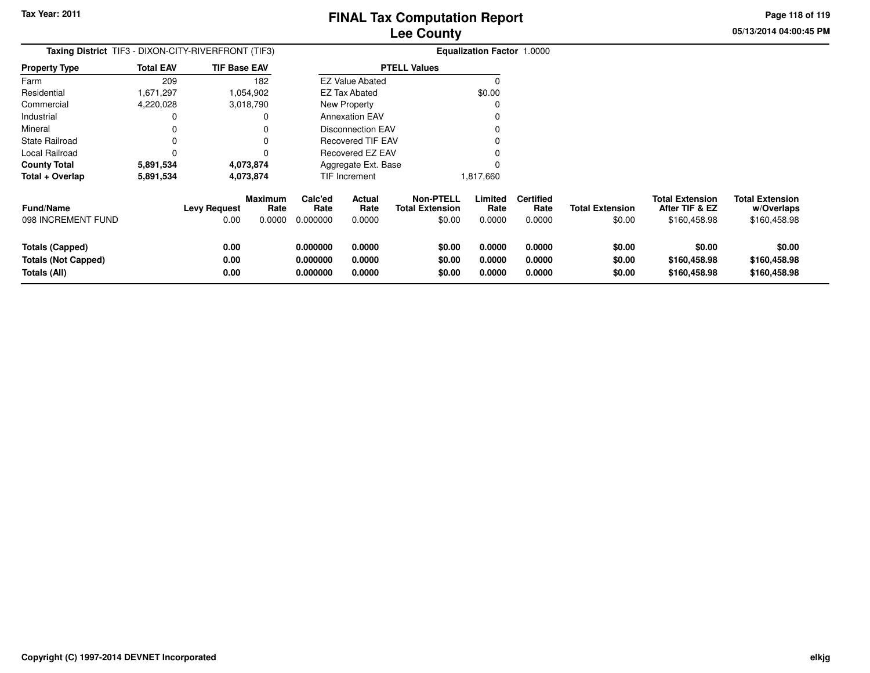**05/13/2014 04:00:45 PMPage 118 of 119**

| Taxing District TIF3 - DIXON-CITY-RIVERFRONT (TIF3)                  |                  |                             |                           | <b>Equalization Factor 1.0000</b> |                            |                                                      |                            |                                    |                                  |                                                          |                                                      |
|----------------------------------------------------------------------|------------------|-----------------------------|---------------------------|-----------------------------------|----------------------------|------------------------------------------------------|----------------------------|------------------------------------|----------------------------------|----------------------------------------------------------|------------------------------------------------------|
| Property Type                                                        | <b>Total EAV</b> | <b>TIF Base EAV</b>         |                           |                                   |                            | <b>PTELL Values</b>                                  |                            |                                    |                                  |                                                          |                                                      |
| Farm                                                                 | 209              |                             | 182                       |                                   | <b>EZ Value Abated</b>     |                                                      | 0                          |                                    |                                  |                                                          |                                                      |
| Residential                                                          | 1,671,297        |                             | 1,054,902                 |                                   | <b>EZ Tax Abated</b>       |                                                      | \$0.00                     |                                    |                                  |                                                          |                                                      |
| Commercial                                                           | 4,220,028        |                             | 3,018,790                 |                                   | New Property               |                                                      |                            |                                    |                                  |                                                          |                                                      |
| Industrial                                                           | 0                |                             |                           |                                   | <b>Annexation EAV</b>      |                                                      |                            |                                    |                                  |                                                          |                                                      |
| Mineral                                                              | 0                |                             |                           |                                   | <b>Disconnection EAV</b>   |                                                      |                            |                                    |                                  |                                                          |                                                      |
| State Railroad                                                       | 0                |                             |                           |                                   | <b>Recovered TIF EAV</b>   |                                                      |                            |                                    |                                  |                                                          |                                                      |
| Local Railroad                                                       | 0                |                             |                           |                                   | Recovered EZ EAV           |                                                      |                            |                                    |                                  |                                                          |                                                      |
| County Total                                                         | 5,891,534        |                             | 4,073,874                 |                                   | Aggregate Ext. Base        |                                                      |                            |                                    |                                  |                                                          |                                                      |
| Total + Overlap                                                      | 5,891,534        |                             | 4,073,874                 |                                   | TIF Increment              |                                                      | 1,817,660                  |                                    |                                  |                                                          |                                                      |
| <b>Fund/Name</b><br>098 INCREMENT FUND                               |                  | <b>Levy Request</b><br>0.00 | Maximum<br>Rate<br>0.0000 | Calc'ed<br>Rate<br>0.000000       | Actual<br>Rate<br>0.0000   | <b>Non-PTELL</b><br><b>Total Extension</b><br>\$0.00 | Limited<br>Rate<br>0.0000  | <b>Certified</b><br>Rate<br>0.0000 | <b>Total Extension</b><br>\$0.00 | <b>Total Extension</b><br>After TIF & EZ<br>\$160,458.98 | <b>Total Extension</b><br>w/Overlaps<br>\$160,458.98 |
| <b>Totals (Capped)</b><br><b>Totals (Not Capped)</b><br>Totals (All) |                  | 0.00<br>0.00<br>0.00        |                           | 0.000000<br>0.000000<br>0.000000  | 0.0000<br>0.0000<br>0.0000 | \$0.00<br>\$0.00<br>\$0.00                           | 0.0000<br>0.0000<br>0.0000 | 0.0000<br>0.0000<br>0.0000         | \$0.00<br>\$0.00<br>\$0.00       | \$0.00<br>\$160,458.98<br>\$160,458.98                   | \$0.00<br>\$160,458.98<br>\$160,458.98               |